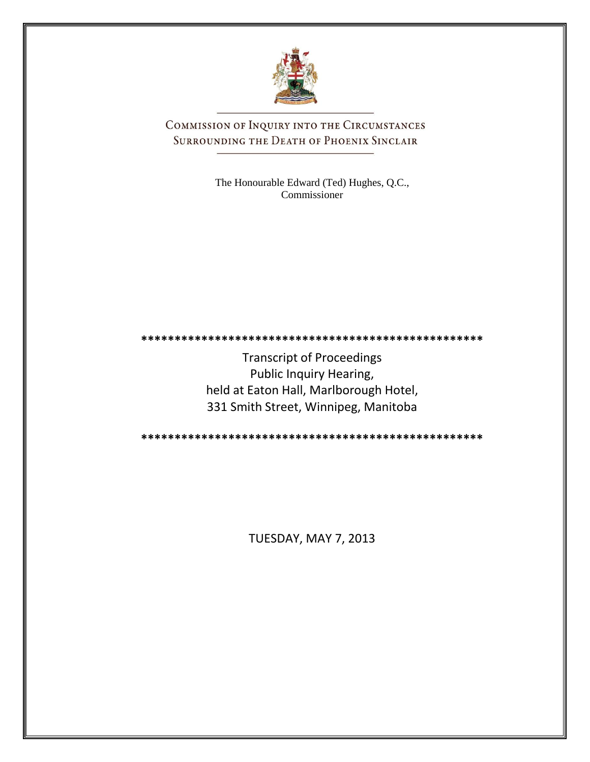

COMMISSION OF INQUIRY INTO THE CIRCUMSTANCES SURROUNDING THE DEATH OF PHOENIX SINCLAIR

> The Honourable Edward (Ted) Hughes, Q.C., Commissioner

**\*\*\*\*\*\*\*\*\*\*\*\*\*\*\*\*\*\*\*\*\*\*\*\*\*\*\*\*\*\*\*\*\*\*\*\*\*\*\*\*\*\*\*\*\*\*\*\*\*\*\***

Transcript of Proceedings Public Inquiry Hearing, held at Eaton Hall, Marlborough Hotel, 331 Smith Street, Winnipeg, Manitoba

**\*\*\*\*\*\*\*\*\*\*\*\*\*\*\*\*\*\*\*\*\*\*\*\*\*\*\*\*\*\*\*\*\*\*\*\*\*\*\*\*\*\*\*\*\*\*\*\*\*\*\***

TUESDAY, MAY 7, 2013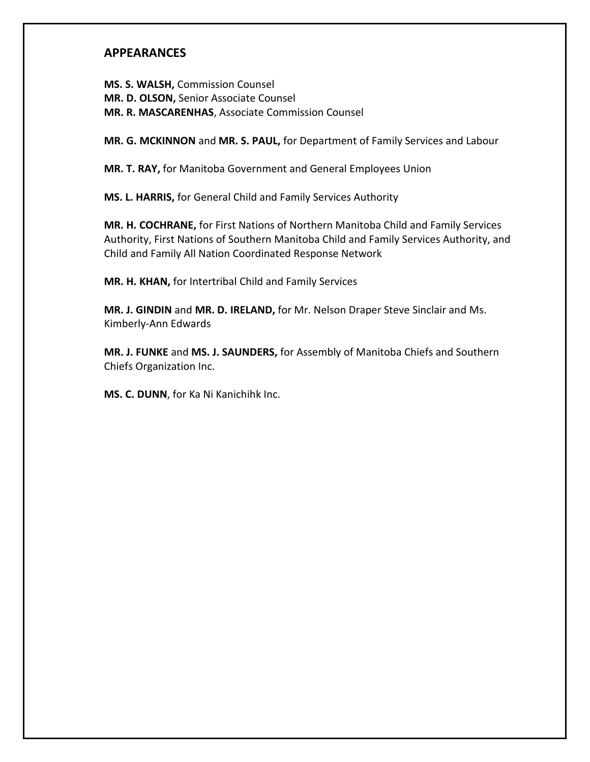# **APPEARANCES**

**MS. S. WALSH,** Commission Counsel **MR. D. OLSON,** Senior Associate Counsel **MR. R. MASCARENHAS**, Associate Commission Counsel

**MR. G. MCKINNON** and **MR. S. PAUL,** for Department of Family Services and Labour

**MR. T. RAY,** for Manitoba Government and General Employees Union

**MS. L. HARRIS,** for General Child and Family Services Authority

**MR. H. COCHRANE,** for First Nations of Northern Manitoba Child and Family Services Authority, First Nations of Southern Manitoba Child and Family Services Authority, and Child and Family All Nation Coordinated Response Network

**MR. H. KHAN,** for Intertribal Child and Family Services

**MR. J. GINDIN** and **MR. D. IRELAND,** for Mr. Nelson Draper Steve Sinclair and Ms. Kimberly-Ann Edwards

**MR. J. FUNKE** and **MS. J. SAUNDERS,** for Assembly of Manitoba Chiefs and Southern Chiefs Organization Inc.

**MS. C. DUNN**, for Ka Ni Kanichihk Inc.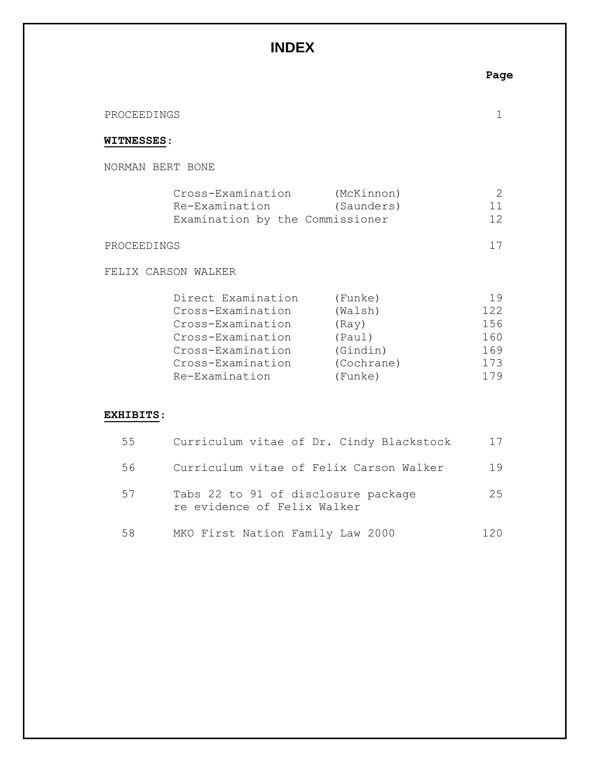# **INDEX**

| PROCEEDINGS       |                                                                                                                                               |                                                                            | $\mathbf 1$                                  |
|-------------------|-----------------------------------------------------------------------------------------------------------------------------------------------|----------------------------------------------------------------------------|----------------------------------------------|
| <b>WITNESSES:</b> |                                                                                                                                               |                                                                            |                                              |
| NORMAN BERT BONE  |                                                                                                                                               |                                                                            |                                              |
|                   | Cross-Examination (McKinnon)<br>Re-Examination<br>Examination by the Commissioner                                                             | (Saunders)                                                                 | 2<br>11<br>12                                |
| PROCEEDINGS       |                                                                                                                                               | 17                                                                         |                                              |
|                   | FELIX CARSON WALKER                                                                                                                           |                                                                            |                                              |
|                   | Direct Examination<br>Cross-Examination<br>Cross-Examination<br>Cross-Examination<br>Cross-Examination<br>Cross-Examination<br>Re-Examination | (Funke)<br>(Walsh)<br>(Ray)<br>(Paul)<br>(Gindin)<br>(Cochrane)<br>(Funke) | 19<br>122<br>156<br>160<br>169<br>173<br>179 |
| <b>EXHIBITS:</b>  |                                                                                                                                               |                                                                            |                                              |
| 55                | Curriculum vitae of Dr. Cindy Blackstock                                                                                                      |                                                                            | 17                                           |
| 56                | Curriculum vitae of Felix Carson Walker                                                                                                       |                                                                            | 19                                           |
| 57                | Tabs 22 to 91 of disclosure package<br>re evidence of Felix Walker                                                                            |                                                                            | 25                                           |
| 58                | MKO First Nation Family Law 2000                                                                                                              |                                                                            | 120                                          |

**Page**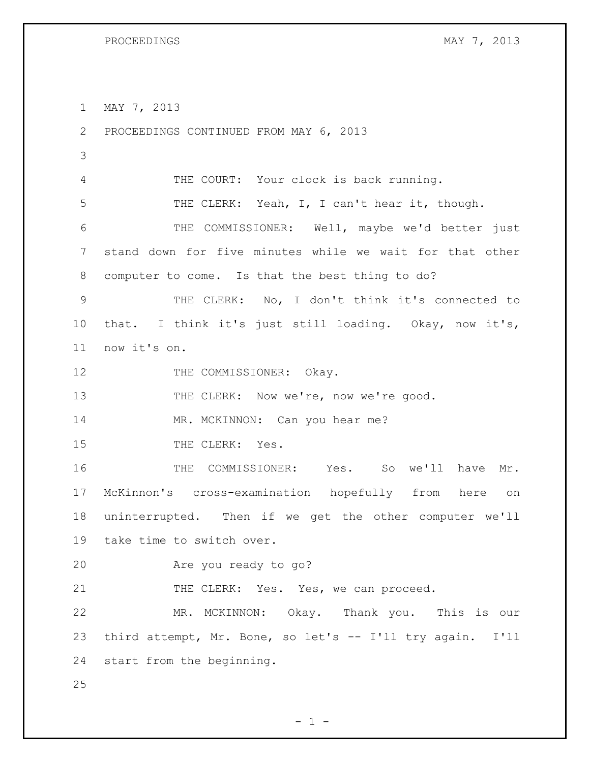MAY 7, 2013

| 2             | PROCEEDINGS CONTINUED FROM MAY 6, 2013                    |
|---------------|-----------------------------------------------------------|
| 3             |                                                           |
| 4             | THE COURT: Your clock is back running.                    |
| 5             | THE CLERK: Yeah, I, I can't hear it, though.              |
| 6             | THE COMMISSIONER: Well, maybe we'd better just            |
| 7             | stand down for five minutes while we wait for that other  |
| 8             | computer to come. Is that the best thing to do?           |
| $\mathcal{G}$ | THE CLERK: No, I don't think it's connected to            |
| 10            | that. I think it's just still loading. Okay, now it's,    |
| 11            | now it's on.                                              |
| 12            | THE COMMISSIONER: Okay.                                   |
| 13            | THE CLERK: Now we're, now we're good.                     |
| 14            | MR. MCKINNON: Can you hear me?                            |
| 15            | THE CLERK: Yes.                                           |
| 16            | THE COMMISSIONER: Yes. So we'll have<br>Mr.               |
| 17            | McKinnon's cross-examination hopefully from here on       |
| 18            | uninterrupted. Then if we get the other computer we'll    |
| 19            | take time to switch over.                                 |
| 20            | Are you ready to go?                                      |
| 21            | THE CLERK: Yes. Yes, we can proceed.                      |
| 22            | MR. MCKINNON: Okay. Thank you. This is our                |
| 23            | third attempt, Mr. Bone, so let's -- I'll try again. I'll |
| 24            | start from the beginning.                                 |
| 25            |                                                           |

 $- 1 -$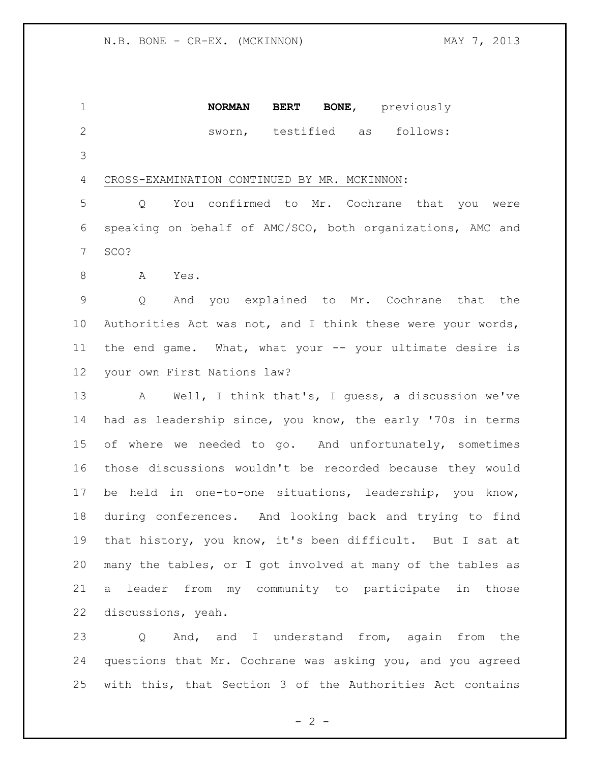**NORMAN BERT BONE**, previously sworn, testified as follows: 

### CROSS-EXAMINATION CONTINUED BY MR. MCKINNON:

 Q You confirmed to Mr. Cochrane that you were speaking on behalf of AMC/SCO, both organizations, AMC and SCO?

A Yes.

 Q And you explained to Mr. Cochrane that the Authorities Act was not, and I think these were your words, the end game. What, what your -- your ultimate desire is your own First Nations law?

 A Well, I think that's, I guess, a discussion we've had as leadership since, you know, the early '70s in terms 15 of where we needed to go. And unfortunately, sometimes those discussions wouldn't be recorded because they would be held in one-to-one situations, leadership, you know, during conferences. And looking back and trying to find that history, you know, it's been difficult. But I sat at many the tables, or I got involved at many of the tables as a leader from my community to participate in those discussions, yeah.

 Q And, and I understand from, again from the questions that Mr. Cochrane was asking you, and you agreed with this, that Section 3 of the Authorities Act contains

 $- 2 -$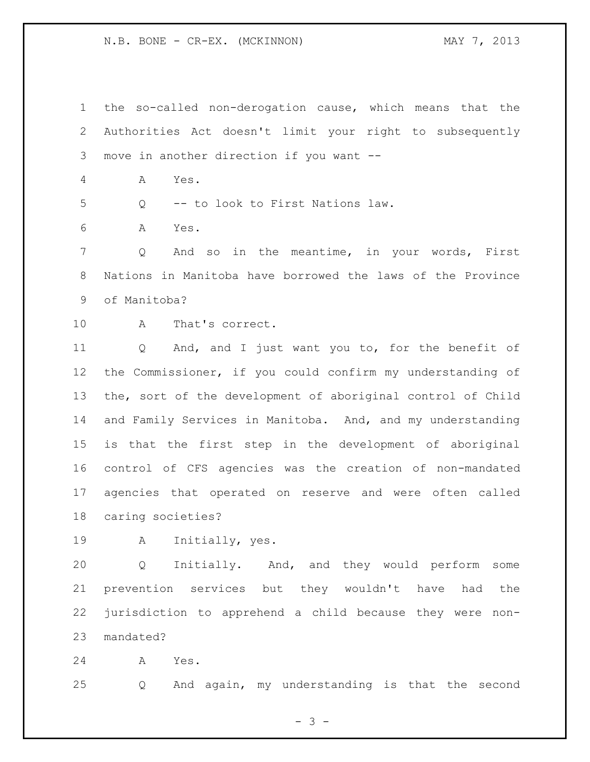the so-called non-derogation cause, which means that the Authorities Act doesn't limit your right to subsequently move in another direction if you want --

A Yes.

Q -- to look to First Nations law.

A Yes.

 Q And so in the meantime, in your words, First Nations in Manitoba have borrowed the laws of the Province of Manitoba?

A That's correct.

 Q And, and I just want you to, for the benefit of the Commissioner, if you could confirm my understanding of the, sort of the development of aboriginal control of Child and Family Services in Manitoba. And, and my understanding is that the first step in the development of aboriginal control of CFS agencies was the creation of non-mandated agencies that operated on reserve and were often called caring societies?

A Initially, yes.

 Q Initially. And, and they would perform some prevention services but they wouldn't have had the jurisdiction to apprehend a child because they were non-mandated?

A Yes.

Q And again, my understanding is that the second

- 3 -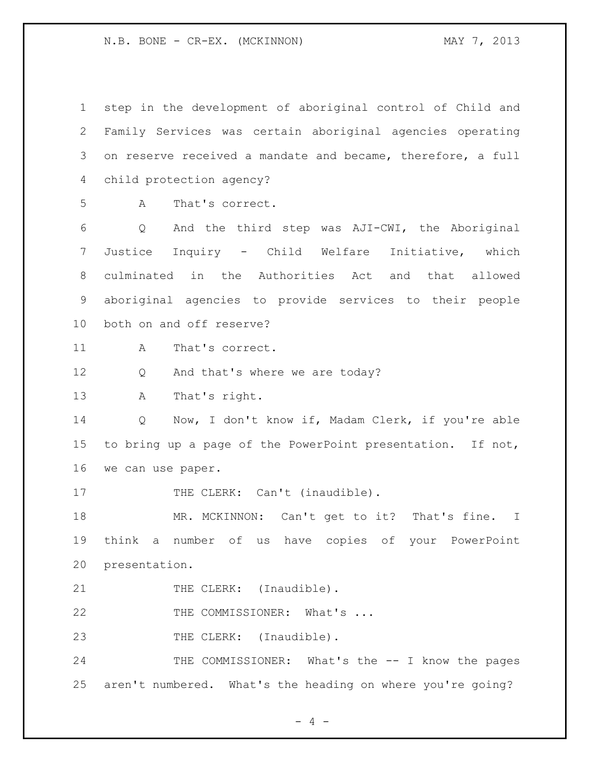step in the development of aboriginal control of Child and Family Services was certain aboriginal agencies operating on reserve received a mandate and became, therefore, a full child protection agency? A That's correct. Q And the third step was AJI-CWI, the Aboriginal Justice Inquiry - Child Welfare Initiative, which culminated in the Authorities Act and that allowed aboriginal agencies to provide services to their people both on and off reserve? 11 A That's correct. 12 Q And that's where we are today? A That's right. Q Now, I don't know if, Madam Clerk, if you're able to bring up a page of the PowerPoint presentation. If not, we can use paper. 17 THE CLERK: Can't (inaudible). MR. MCKINNON: Can't get to it? That's fine. I think a number of us have copies of your PowerPoint presentation. 21 THE CLERK: (Inaudible). 22 THE COMMISSIONER: What's ... 23 THE CLERK: (Inaudible). 24 THE COMMISSIONER: What's the -- I know the pages aren't numbered. What's the heading on where you're going?

 $- 4 -$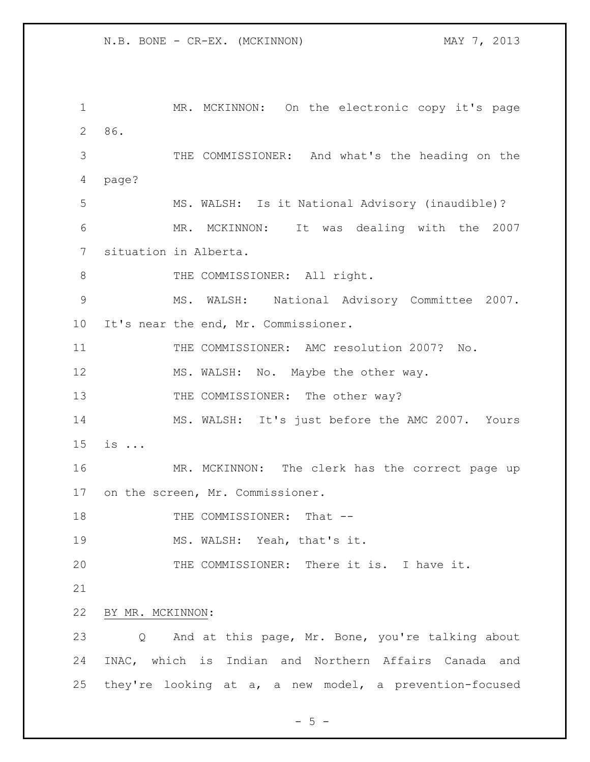1 MR. MCKINNON: On the electronic copy it's page 86. THE COMMISSIONER: And what's the heading on the page? MS. WALSH: Is it National Advisory (inaudible)? MR. MCKINNON: It was dealing with the 2007 situation in Alberta. 8 THE COMMISSIONER: All right. MS. WALSH: National Advisory Committee 2007. It's near the end, Mr. Commissioner. THE COMMISSIONER: AMC resolution 2007? No. 12 MS. WALSH: No. Maybe the other way. 13 THE COMMISSIONER: The other way? MS. WALSH: It's just before the AMC 2007. Yours is ... MR. MCKINNON: The clerk has the correct page up on the screen, Mr. Commissioner. 18 THE COMMISSIONER: That -- MS. WALSH: Yeah, that's it. THE COMMISSIONER: There it is. I have it. BY MR. MCKINNON: Q And at this page, Mr. Bone, you're talking about INAC, which is Indian and Northern Affairs Canada and they're looking at a, a new model, a prevention-focused

 $- 5 -$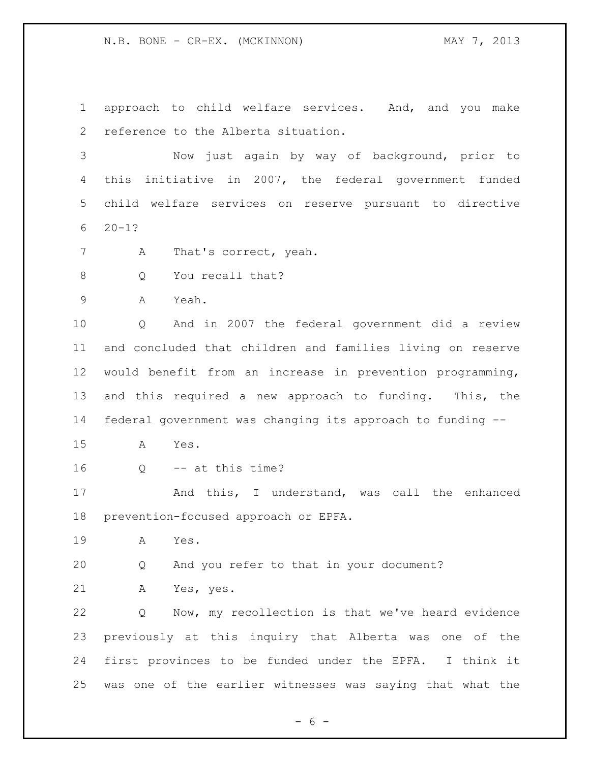approach to child welfare services. And, and you make reference to the Alberta situation.

 Now just again by way of background, prior to this initiative in 2007, the federal government funded child welfare services on reserve pursuant to directive  $6 \quad 20 - 1?$ 

- 7 A That's correct, yeah.
- 8 O You recall that?

A Yeah.

 Q And in 2007 the federal government did a review and concluded that children and families living on reserve would benefit from an increase in prevention programming, and this required a new approach to funding. This, the federal government was changing its approach to funding --

- A Yes.
- Q -- at this time?

 And this, I understand, was call the enhanced prevention-focused approach or EPFA.

A Yes.

Q And you refer to that in your document?

A Yes, yes.

 Q Now, my recollection is that we've heard evidence previously at this inquiry that Alberta was one of the first provinces to be funded under the EPFA. I think it was one of the earlier witnesses was saying that what the

 $- 6 -$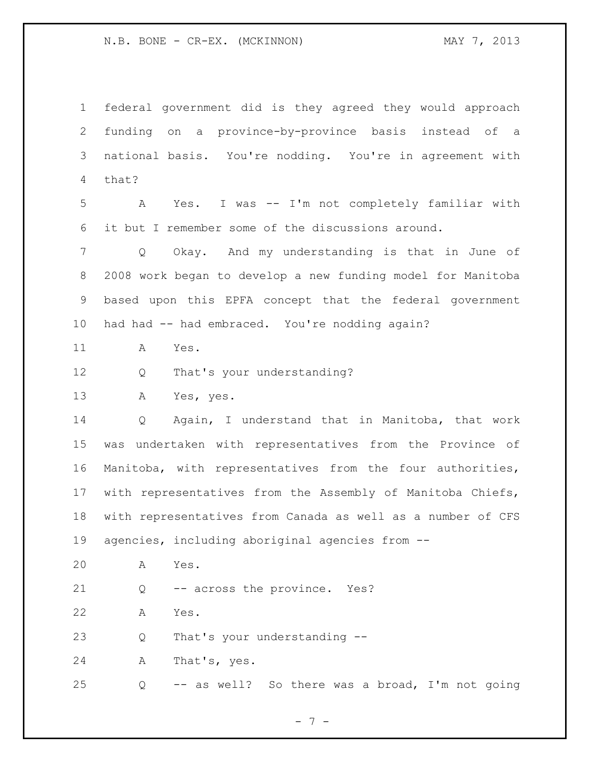federal government did is they agreed they would approach funding on a province-by-province basis instead of a national basis. You're nodding. You're in agreement with that? A Yes. I was -- I'm not completely familiar with it but I remember some of the discussions around. Q Okay. And my understanding is that in June of 2008 work began to develop a new funding model for Manitoba based upon this EPFA concept that the federal government 10 had had -- had embraced. You're nodding again? A Yes. 12 Q That's your understanding? A Yes, yes. Q Again, I understand that in Manitoba, that work was undertaken with representatives from the Province of Manitoba, with representatives from the four authorities, with representatives from the Assembly of Manitoba Chiefs, with representatives from Canada as well as a number of CFS agencies, including aboriginal agencies from -- A Yes. Q -- across the province. Yes? A Yes. Q That's your understanding -- A That's, yes. Q -- as well? So there was a broad, I'm not going

- 7 -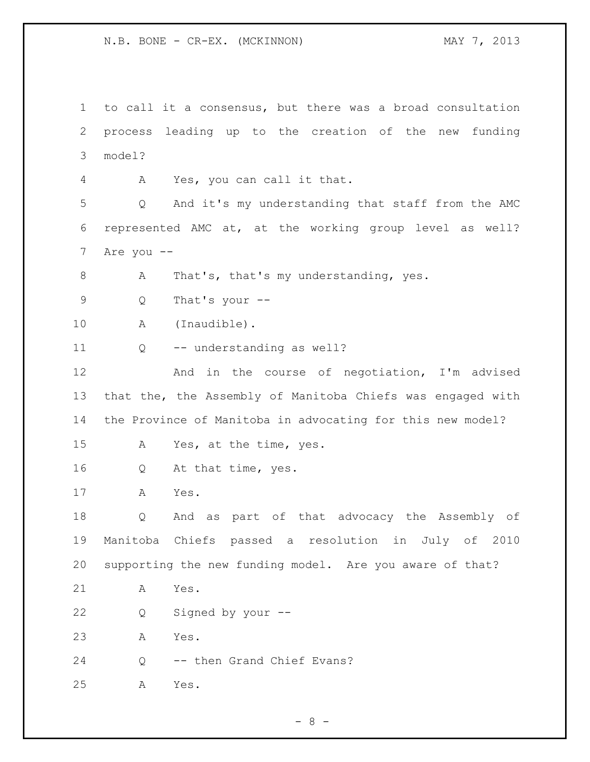to call it a consensus, but there was a broad consultation process leading up to the creation of the new funding model? A Yes, you can call it that. Q And it's my understanding that staff from the AMC represented AMC at, at the working group level as well? Are you -- A That's, that's my understanding, yes. Q That's your -- A (Inaudible). Q -- understanding as well? 12 And in the course of negotiation, I'm advised that the, the Assembly of Manitoba Chiefs was engaged with the Province of Manitoba in advocating for this new model? A Yes, at the time, yes. Q At that time, yes. A Yes. Q And as part of that advocacy the Assembly of Manitoba Chiefs passed a resolution in July of 2010 supporting the new funding model. Are you aware of that? A Yes. Q Signed by your -- A Yes. Q -- then Grand Chief Evans? A Yes.

- 8 -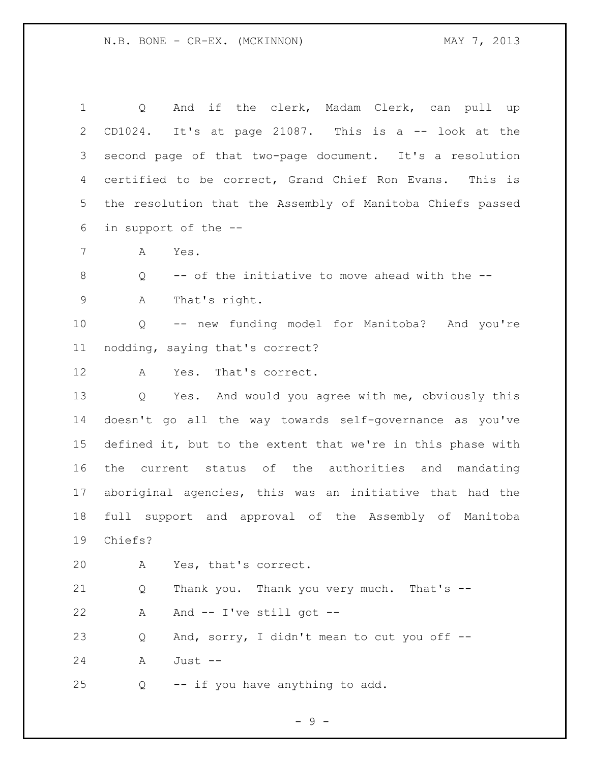| 1              | And if the clerk, Madam Clerk, can pull up<br>Q             |
|----------------|-------------------------------------------------------------|
| $\overline{2}$ | CD1024. It's at page 21087. This is a -- look at the        |
| 3              | second page of that two-page document. It's a resolution    |
| 4              | certified to be correct, Grand Chief Ron Evans. This is     |
| 5              | the resolution that the Assembly of Manitoba Chiefs passed  |
| 6              | in support of the --                                        |
| 7              | Α<br>Yes.                                                   |
| $8\,$          | -- of the initiative to move ahead with the --<br>Q         |
| $\mathsf 9$    | That's right.<br>А                                          |
| 10             | -- new funding model for Manitoba? And you're<br>Q          |
| 11             | nodding, saying that's correct?                             |
| 12             | Yes. That's correct.<br>A                                   |
| 13             | Yes. And would you agree with me, obviously this<br>Q       |
| 14             | doesn't go all the way towards self-governance as you've    |
| 15             | defined it, but to the extent that we're in this phase with |
| 16             | current status of the authorities and mandating<br>the      |
| 17             | aboriginal agencies, this was an initiative that had the    |
| 18             | full support and approval of the Assembly of Manitoba       |
| 19             | Chiefs?                                                     |
| 20             | Yes, that's correct.<br>A                                   |
| 21             | Thank you. Thank you very much. That's --<br>Q              |
| 22             | And $--$ I've still got $--$<br>Α                           |
| 23             | And, sorry, I didn't mean to cut you off --<br>Q            |
| 24             | Just --<br>A                                                |
| 25             | -- if you have anything to add.<br>Q                        |

- 9 -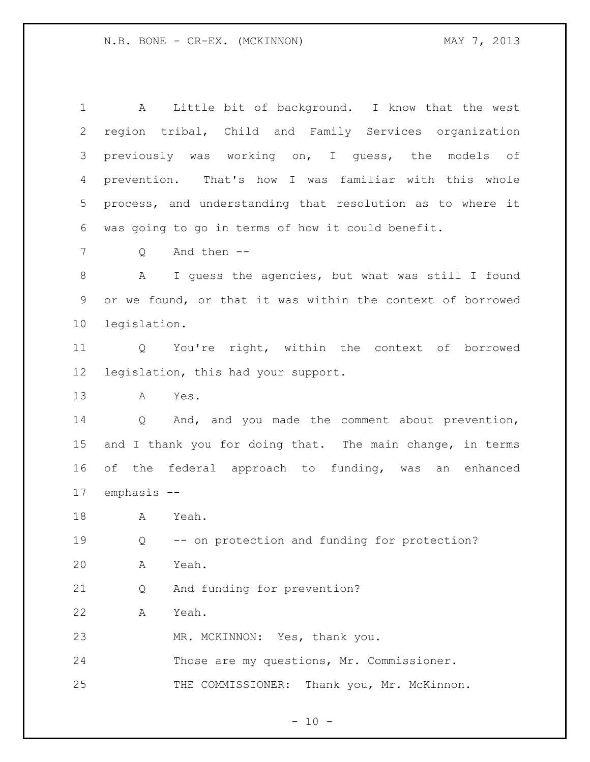| 1               | Little bit of background. I know that the west<br>A               |
|-----------------|-------------------------------------------------------------------|
| $\overline{2}$  | region tribal, Child and Family Services organization             |
| 3               | previously was working on, I guess, the<br>models of              |
| 4               | prevention. That's how I was familiar with this whole             |
| 5               | process, and understanding that resolution as to where it         |
| 6               | was going to go in terms of how it could benefit.                 |
| 7               | And then --<br>Q                                                  |
| 8               | I guess the agencies, but what was still I found<br>A             |
| 9               | or we found, or that it was within the context of borrowed        |
| 10 <sub>o</sub> | legislation.                                                      |
| 11              | You're right, within the context of borrowed<br>$Q \qquad \qquad$ |
| 12              | legislation, this had your support.                               |
| 13              | Yes.<br>Α                                                         |
| 14              | And, and you made the comment about prevention,<br>Q              |
| 15              | and I thank you for doing that. The main change, in terms         |
| 16              | of the federal approach to funding, was<br>an enhanced            |
| 17              | emphasis --                                                       |
| 18              | A<br>Yeah.                                                        |
| 19              | -- on protection and funding for protection?<br>Q                 |
| 20              | Yeah.<br>Α                                                        |
| 21              | And funding for prevention?<br>Q                                  |
| 22              | Yeah.<br>Α                                                        |
| 23              | MR. MCKINNON: Yes, thank you.                                     |
| 24              | Those are my questions, Mr. Commissioner.                         |
| 25              | THE COMMISSIONER: Thank you, Mr. McKinnon.                        |

- 10 -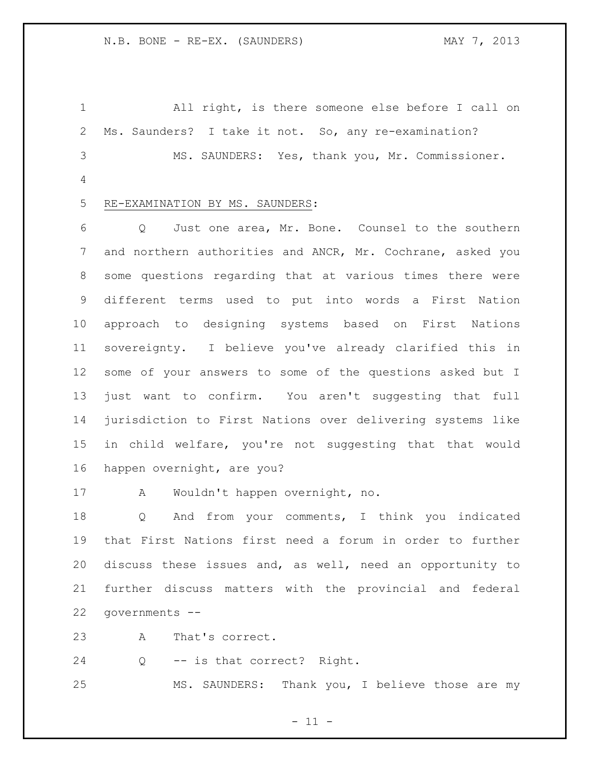All right, is there someone else before I call on Ms. Saunders? I take it not. So, any re-examination? MS. SAUNDERS: Yes, thank you, Mr. Commissioner. RE-EXAMINATION BY MS. SAUNDERS:

 Q Just one area, Mr. Bone. Counsel to the southern and northern authorities and ANCR, Mr. Cochrane, asked you some questions regarding that at various times there were different terms used to put into words a First Nation approach to designing systems based on First Nations sovereignty. I believe you've already clarified this in some of your answers to some of the questions asked but I just want to confirm. You aren't suggesting that full jurisdiction to First Nations over delivering systems like in child welfare, you're not suggesting that that would happen overnight, are you?

A Wouldn't happen overnight, no.

 Q And from your comments, I think you indicated that First Nations first need a forum in order to further discuss these issues and, as well, need an opportunity to further discuss matters with the provincial and federal governments --

A That's correct.

Q -- is that correct? Right.

MS. SAUNDERS: Thank you, I believe those are my

 $-11 -$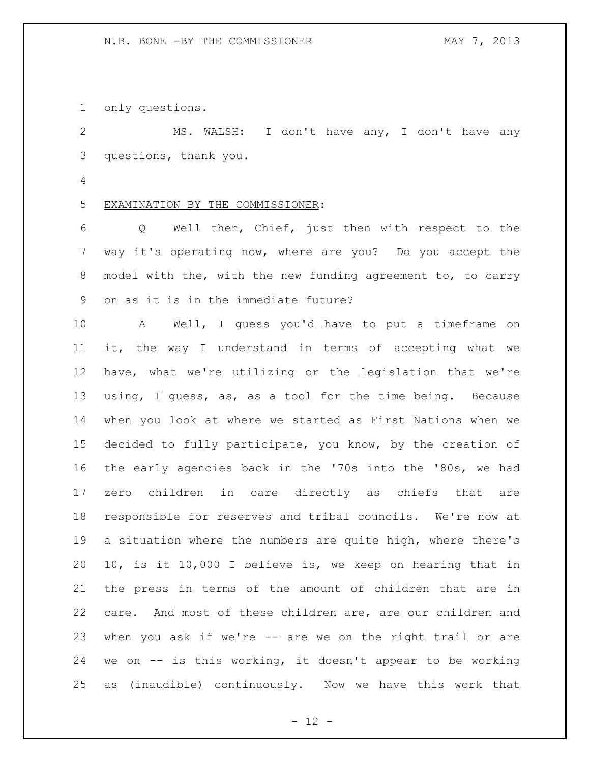only questions.

 MS. WALSH: I don't have any, I don't have any questions, thank you.

- 
- EXAMINATION BY THE COMMISSIONER:

 Q Well then, Chief, just then with respect to the way it's operating now, where are you? Do you accept the model with the, with the new funding agreement to, to carry on as it is in the immediate future?

 A Well, I guess you'd have to put a timeframe on it, the way I understand in terms of accepting what we have, what we're utilizing or the legislation that we're using, I guess, as, as a tool for the time being. Because when you look at where we started as First Nations when we decided to fully participate, you know, by the creation of the early agencies back in the '70s into the '80s, we had zero children in care directly as chiefs that are responsible for reserves and tribal councils. We're now at a situation where the numbers are quite high, where there's 10, is it 10,000 I believe is, we keep on hearing that in the press in terms of the amount of children that are in care. And most of these children are, are our children and when you ask if we're -- are we on the right trail or are we on -- is this working, it doesn't appear to be working as (inaudible) continuously. Now we have this work that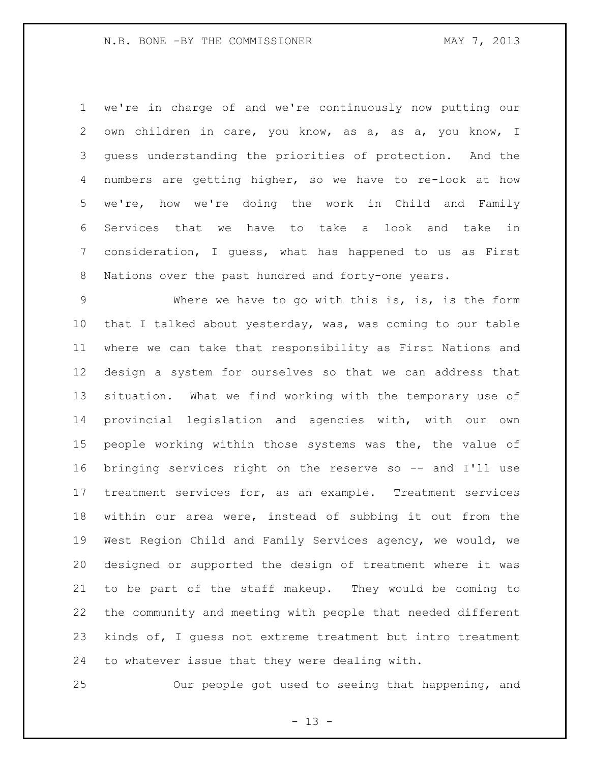#### N.B. BONE -BY THE COMMISSIONER MAY 7, 2013

 we're in charge of and we're continuously now putting our 2 own children in care, you know, as a, as a, you know, I guess understanding the priorities of protection. And the numbers are getting higher, so we have to re-look at how we're, how we're doing the work in Child and Family Services that we have to take a look and take in consideration, I guess, what has happened to us as First Nations over the past hundred and forty-one years.

 Where we have to go with this is, is, is the form that I talked about yesterday, was, was coming to our table where we can take that responsibility as First Nations and design a system for ourselves so that we can address that situation. What we find working with the temporary use of provincial legislation and agencies with, with our own people working within those systems was the, the value of bringing services right on the reserve so -- and I'll use treatment services for, as an example. Treatment services within our area were, instead of subbing it out from the West Region Child and Family Services agency, we would, we designed or supported the design of treatment where it was to be part of the staff makeup. They would be coming to the community and meeting with people that needed different kinds of, I guess not extreme treatment but intro treatment to whatever issue that they were dealing with.

Our people got used to seeing that happening, and

 $- 13 -$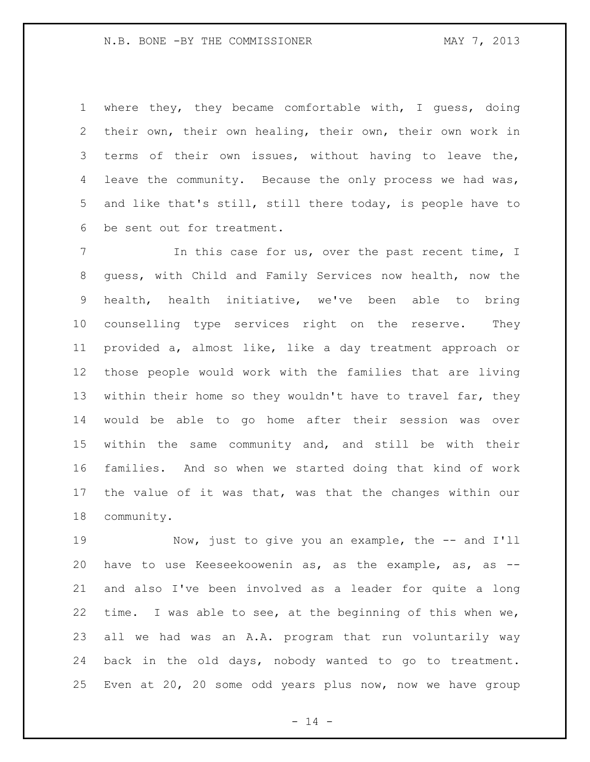where they, they became comfortable with, I guess, doing their own, their own healing, their own, their own work in terms of their own issues, without having to leave the, leave the community. Because the only process we had was, and like that's still, still there today, is people have to be sent out for treatment.

7 The this case for us, over the past recent time, I guess, with Child and Family Services now health, now the health, health initiative, we've been able to bring counselling type services right on the reserve. They provided a, almost like, like a day treatment approach or those people would work with the families that are living within their home so they wouldn't have to travel far, they would be able to go home after their session was over within the same community and, and still be with their families. And so when we started doing that kind of work the value of it was that, was that the changes within our community.

 Now, just to give you an example, the -- and I'll have to use Keeseekoowenin as, as the example, as, as -- and also I've been involved as a leader for quite a long time. I was able to see, at the beginning of this when we, all we had was an A.A. program that run voluntarily way back in the old days, nobody wanted to go to treatment. Even at 20, 20 some odd years plus now, now we have group

 $- 14 -$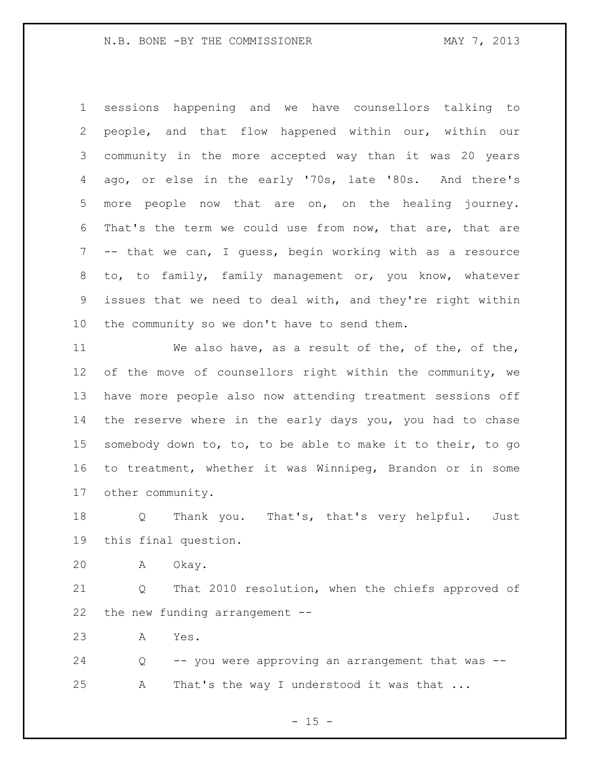sessions happening and we have counsellors talking to people, and that flow happened within our, within our community in the more accepted way than it was 20 years ago, or else in the early '70s, late '80s. And there's more people now that are on, on the healing journey. That's the term we could use from now, that are, that are -- that we can, I guess, begin working with as a resource to, to family, family management or, you know, whatever issues that we need to deal with, and they're right within the community so we don't have to send them.

 We also have, as a result of the, of the, of the, of the move of counsellors right within the community, we have more people also now attending treatment sessions off the reserve where in the early days you, you had to chase somebody down to, to, to be able to make it to their, to go to treatment, whether it was Winnipeg, Brandon or in some other community.

 Q Thank you. That's, that's very helpful. Just this final question.

A Okay.

 Q That 2010 resolution, when the chiefs approved of the new funding arrangement --

A Yes.

 Q -- you were approving an arrangement that was -- A That's the way I understood it was that ...

 $- 15 -$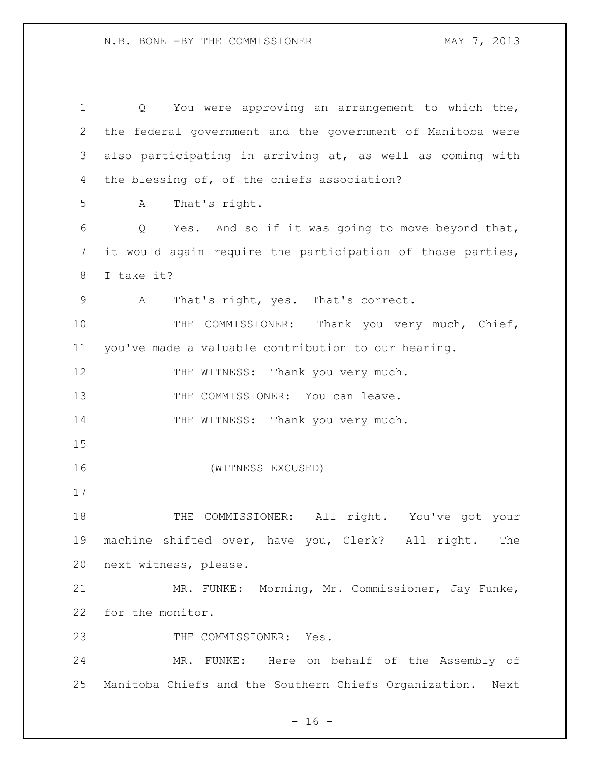Q You were approving an arrangement to which the, the federal government and the government of Manitoba were also participating in arriving at, as well as coming with the blessing of, of the chiefs association? A That's right. Q Yes. And so if it was going to move beyond that, it would again require the participation of those parties, I take it? A That's right, yes. That's correct. 10 THE COMMISSIONER: Thank you very much, Chief, you've made a valuable contribution to our hearing. 12 THE WITNESS: Thank you very much. 13 THE COMMISSIONER: You can leave. 14 THE WITNESS: Thank you very much. (WITNESS EXCUSED) 18 THE COMMISSIONER: All right. You've got your machine shifted over, have you, Clerk? All right. The next witness, please. MR. FUNKE: Morning, Mr. Commissioner, Jay Funke, for the monitor. 23 THE COMMISSIONER: Yes. MR. FUNKE: Here on behalf of the Assembly of Manitoba Chiefs and the Southern Chiefs Organization. Next

 $- 16 -$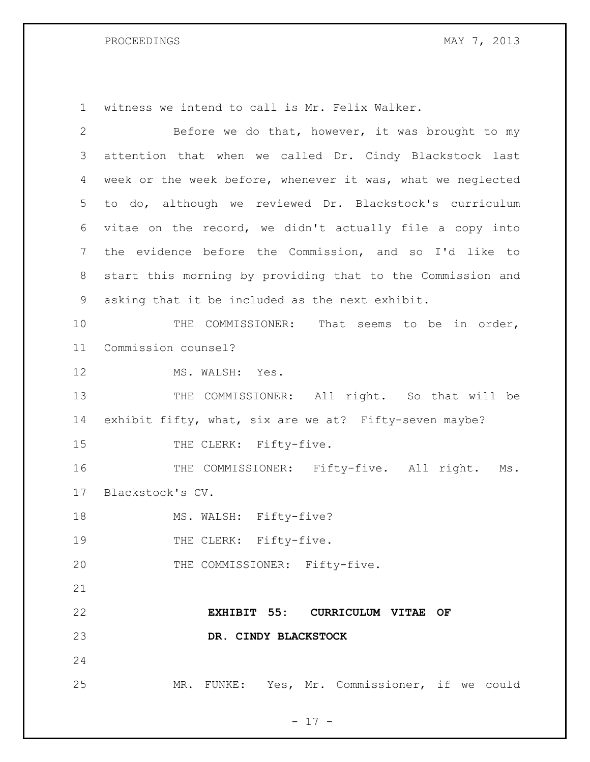#### PROCEEDINGS MAY 7, 2013

 witness we intend to call is Mr. Felix Walker. Before we do that, however, it was brought to my attention that when we called Dr. Cindy Blackstock last week or the week before, whenever it was, what we neglected to do, although we reviewed Dr. Blackstock's curriculum vitae on the record, we didn't actually file a copy into the evidence before the Commission, and so I'd like to start this morning by providing that to the Commission and asking that it be included as the next exhibit. 10 THE COMMISSIONER: That seems to be in order, Commission counsel? 12 MS. WALSH: Yes. 13 THE COMMISSIONER: All right. So that will be exhibit fifty, what, six are we at? Fifty-seven maybe? 15 THE CLERK: Fifty-five. 16 THE COMMISSIONER: Fifty-five. All right. Ms. Blackstock's CV. 18 MS. WALSH: Fifty-five? 19 THE CLERK: Fifty-five. 20 THE COMMISSIONER: Fifty-five. **EXHIBIT 55: CURRICULUM VITAE OF DR. CINDY BLACKSTOCK** MR. FUNKE: Yes, Mr. Commissioner, if we could

- 17 -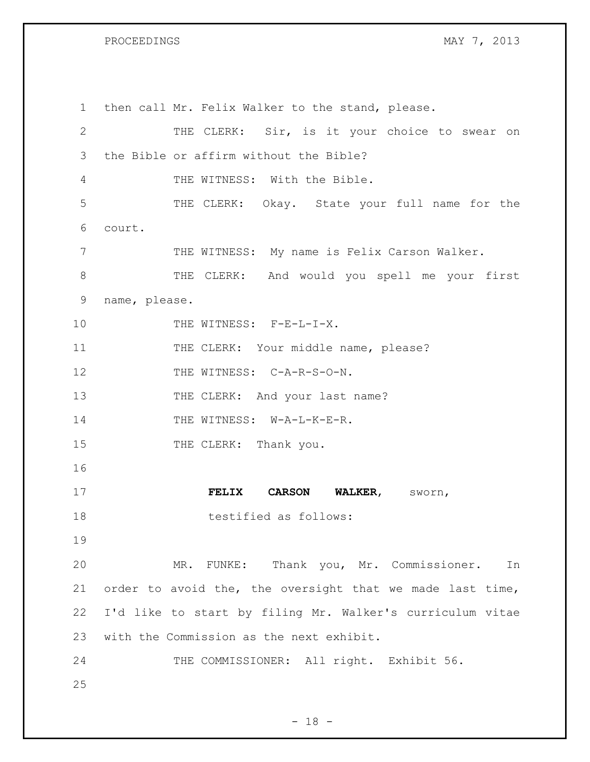### PROCEEDINGS MAY 7, 2013

 then call Mr. Felix Walker to the stand, please. THE CLERK: Sir, is it your choice to swear on the Bible or affirm without the Bible? THE WITNESS: With the Bible. THE CLERK: Okay. State your full name for the court. THE WITNESS: My name is Felix Carson Walker. 8 THE CLERK: And would you spell me your first name, please. 10 THE WITNESS: F-E-L-I-X. 11 THE CLERK: Your middle name, please? 12 THE WITNESS: C-A-R-S-O-N. 13 THE CLERK: And your last name? 14 THE WITNESS: W-A-L-K-E-R. 15 THE CLERK: Thank you. **FELIX CARSON WALKER**, sworn, 18 testified as follows: MR. FUNKE: Thank you, Mr. Commissioner. In order to avoid the, the oversight that we made last time, I'd like to start by filing Mr. Walker's curriculum vitae with the Commission as the next exhibit. THE COMMISSIONER: All right. Exhibit 56.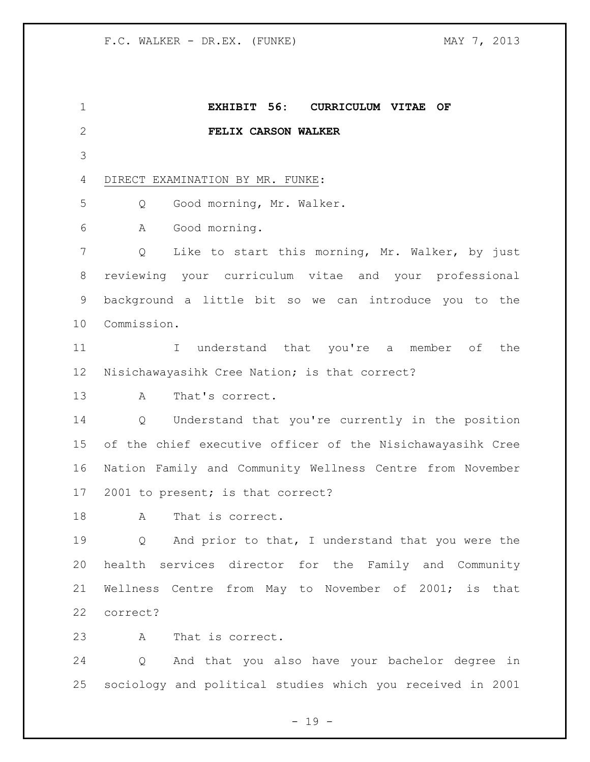| $\mathbf 1$  | EXHIBIT 56:<br>CURRICULUM VITAE OF                         |
|--------------|------------------------------------------------------------|
| $\mathbf{2}$ | FELIX CARSON WALKER                                        |
| 3            |                                                            |
| 4            | DIRECT EXAMINATION BY MR. FUNKE:                           |
| 5            | Good morning, Mr. Walker.<br>Q                             |
| 6            | Good morning.<br>A                                         |
| 7            | Like to start this morning, Mr. Walker, by just<br>Q       |
| 8            | reviewing your curriculum vitae and your professional      |
| 9            | background a little bit so we can introduce you to the     |
| 10           | Commission.                                                |
| 11           | understand that you're a member of the<br>I.               |
| 12           | Nisichawayasihk Cree Nation; is that correct?              |
| 13           | That's correct.<br>A                                       |
| 14           | Understand that you're currently in the position<br>Q      |
| 15           | of the chief executive officer of the Nisichawayasihk Cree |
| 16           | Nation Family and Community Wellness Centre from November  |
| 17           | 2001 to present; is that correct?                          |
| 18           | Α<br>That is correct.                                      |
| 19           | And prior to that, I understand that you were the<br>Q     |
| 20           | health services director for the Family and Community      |
| 21           | Wellness Centre from May to November of 2001; is that      |
| 22           | correct?                                                   |
| 23           | That is correct.<br>$\mathbb A$                            |
| 24           | Q And that you also have your bachelor degree in           |
| 25           | sociology and political studies which you received in 2001 |

- 19 -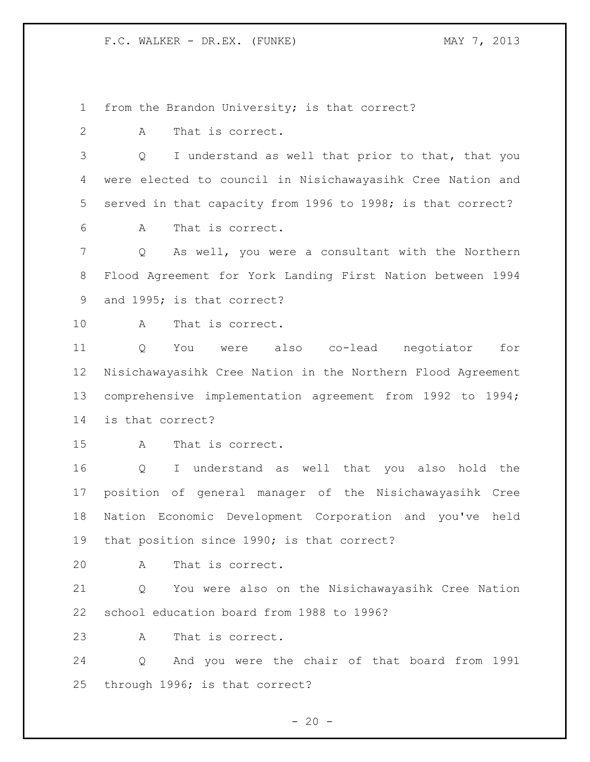F.C. WALKER - DR.EX. (FUNKE) MAY 7, 2013

from the Brandon University; is that correct?

A That is correct.

 Q I understand as well that prior to that, that you were elected to council in Nisichawayasihk Cree Nation and served in that capacity from 1996 to 1998; is that correct?

A That is correct.

 Q As well, you were a consultant with the Northern Flood Agreement for York Landing First Nation between 1994 and 1995; is that correct?

A That is correct.

 Q You were also co-lead negotiator for Nisichawayasihk Cree Nation in the Northern Flood Agreement comprehensive implementation agreement from 1992 to 1994; is that correct?

A That is correct.

 Q I understand as well that you also hold the position of general manager of the Nisichawayasihk Cree Nation Economic Development Corporation and you've held that position since 1990; is that correct?

A That is correct.

 Q You were also on the Nisichawayasihk Cree Nation school education board from 1988 to 1996?

A That is correct.

 Q And you were the chair of that board from 1991 through 1996; is that correct?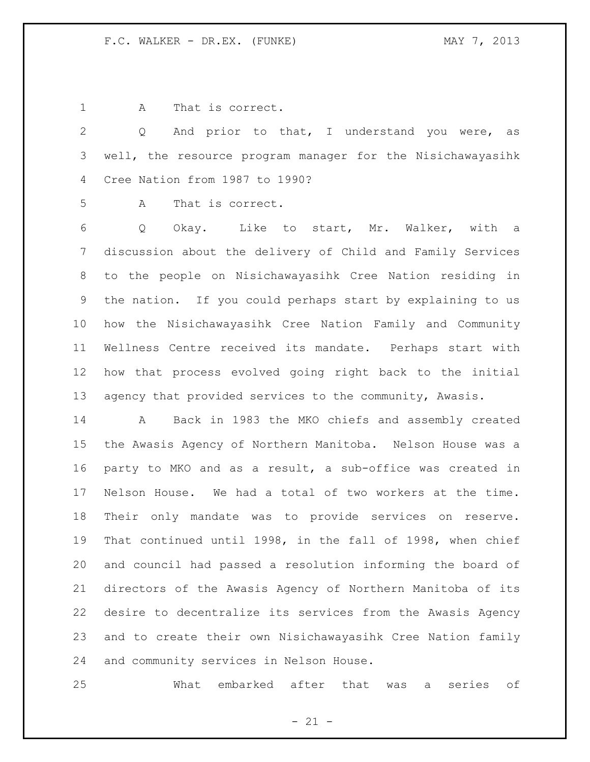1 A That is correct.

 Q And prior to that, I understand you were, as well, the resource program manager for the Nisichawayasihk Cree Nation from 1987 to 1990?

A That is correct.

 Q Okay. Like to start, Mr. Walker, with a discussion about the delivery of Child and Family Services to the people on Nisichawayasihk Cree Nation residing in the nation. If you could perhaps start by explaining to us how the Nisichawayasihk Cree Nation Family and Community Wellness Centre received its mandate. Perhaps start with how that process evolved going right back to the initial agency that provided services to the community, Awasis.

 A Back in 1983 the MKO chiefs and assembly created the Awasis Agency of Northern Manitoba. Nelson House was a party to MKO and as a result, a sub-office was created in Nelson House. We had a total of two workers at the time. Their only mandate was to provide services on reserve. That continued until 1998, in the fall of 1998, when chief and council had passed a resolution informing the board of directors of the Awasis Agency of Northern Manitoba of its desire to decentralize its services from the Awasis Agency and to create their own Nisichawayasihk Cree Nation family and community services in Nelson House.

What embarked after that was a series of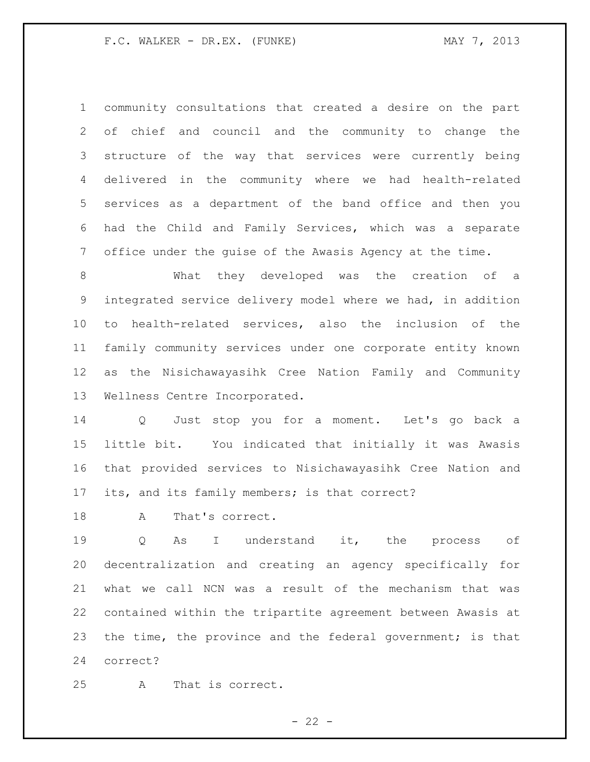community consultations that created a desire on the part of chief and council and the community to change the structure of the way that services were currently being delivered in the community where we had health-related services as a department of the band office and then you had the Child and Family Services, which was a separate office under the guise of the Awasis Agency at the time.

 What they developed was the creation of a integrated service delivery model where we had, in addition to health-related services, also the inclusion of the family community services under one corporate entity known as the Nisichawayasihk Cree Nation Family and Community Wellness Centre Incorporated.

 Q Just stop you for a moment. Let's go back a little bit. You indicated that initially it was Awasis that provided services to Nisichawayasihk Cree Nation and its, and its family members; is that correct?

18 A That's correct.

 Q As I understand it, the process of decentralization and creating an agency specifically for what we call NCN was a result of the mechanism that was contained within the tripartite agreement between Awasis at 23 the time, the province and the federal government; is that correct?

A That is correct.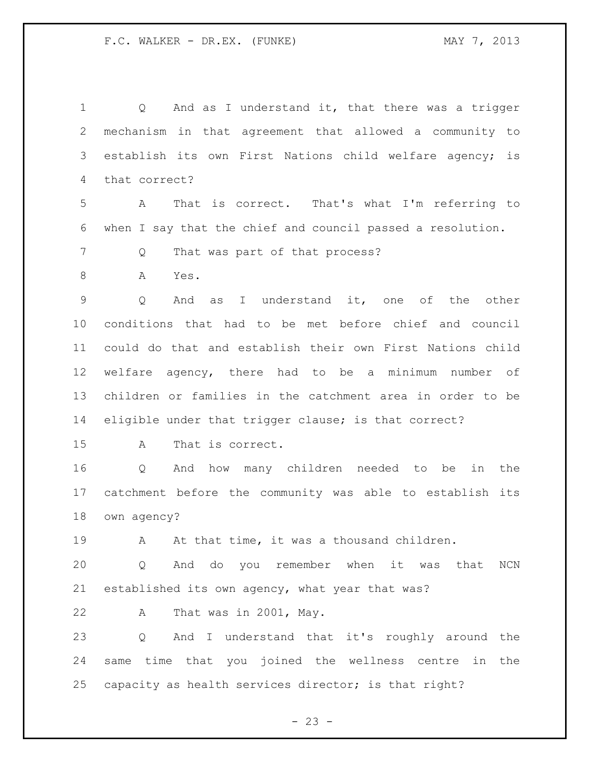1 O And as I understand it, that there was a trigger mechanism in that agreement that allowed a community to establish its own First Nations child welfare agency; is that correct? A That is correct. That's what I'm referring to when I say that the chief and council passed a resolution. 7 Q That was part of that process? A Yes. Q And as I understand it, one of the other conditions that had to be met before chief and council could do that and establish their own First Nations child welfare agency, there had to be a minimum number of children or families in the catchment area in order to be eligible under that trigger clause; is that correct? A That is correct. Q And how many children needed to be in the catchment before the community was able to establish its own agency? 19 A At that time, it was a thousand children. Q And do you remember when it was that NCN established its own agency, what year that was? A That was in 2001, May. Q And I understand that it's roughly around the same time that you joined the wellness centre in the capacity as health services director; is that right?

 $- 23 -$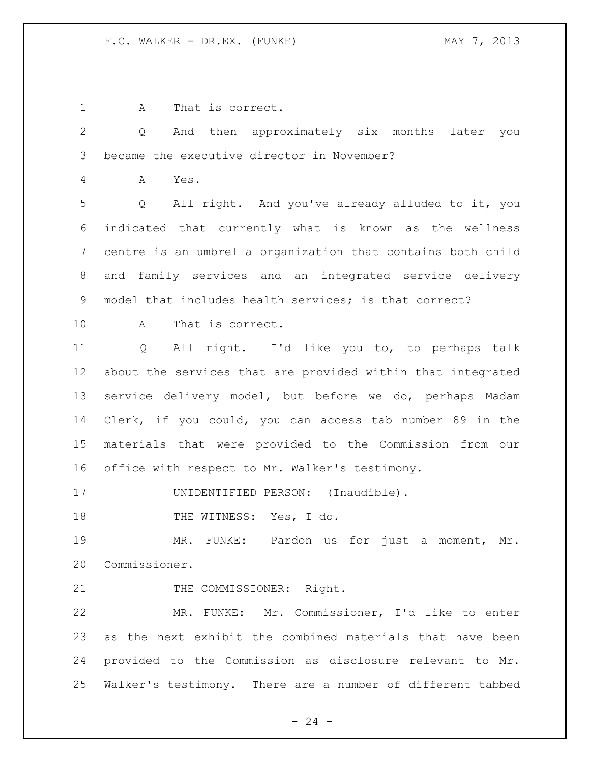1 A That is correct. Q And then approximately six months later you became the executive director in November? A Yes. Q All right. And you've already alluded to it, you indicated that currently what is known as the wellness centre is an umbrella organization that contains both child and family services and an integrated service delivery model that includes health services; is that correct? A That is correct. Q All right. I'd like you to, to perhaps talk about the services that are provided within that integrated service delivery model, but before we do, perhaps Madam Clerk, if you could, you can access tab number 89 in the materials that were provided to the Commission from our office with respect to Mr. Walker's testimony. UNIDENTIFIED PERSON: (Inaudible). 18 THE WITNESS: Yes, I do. MR. FUNKE: Pardon us for just a moment, Mr. Commissioner. 21 THE COMMISSIONER: Right. MR. FUNKE: Mr. Commissioner, I'd like to enter as the next exhibit the combined materials that have been provided to the Commission as disclosure relevant to Mr.

Walker's testimony. There are a number of different tabbed

 $- 24 -$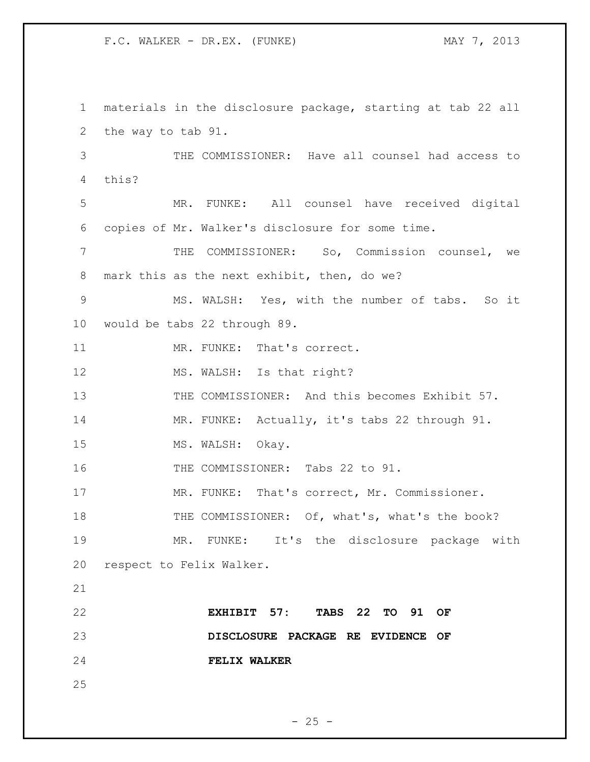F.C. WALKER - DR.EX. (FUNKE) MAY 7, 2013

 materials in the disclosure package, starting at tab 22 all the way to tab 91. THE COMMISSIONER: Have all counsel had access to this? MR. FUNKE: All counsel have received digital copies of Mr. Walker's disclosure for some time. THE COMMISSIONER: So, Commission counsel, we mark this as the next exhibit, then, do we? MS. WALSH: Yes, with the number of tabs. So it would be tabs 22 through 89. 11 MR. FUNKE: That's correct. 12 MS. WALSH: Is that right? THE COMMISSIONER: And this becomes Exhibit 57. 14 MR. FUNKE: Actually, it's tabs 22 through 91. 15 MS. WALSH: Okay. 16 THE COMMISSIONER: Tabs 22 to 91. MR. FUNKE: That's correct, Mr. Commissioner. 18 THE COMMISSIONER: Of, what's, what's the book? MR. FUNKE: It's the disclosure package with respect to Felix Walker. **EXHIBIT 57: TABS 22 TO 91 OF DISCLOSURE PACKAGE RE EVIDENCE OF FELIX WALKER** 

 $- 25 -$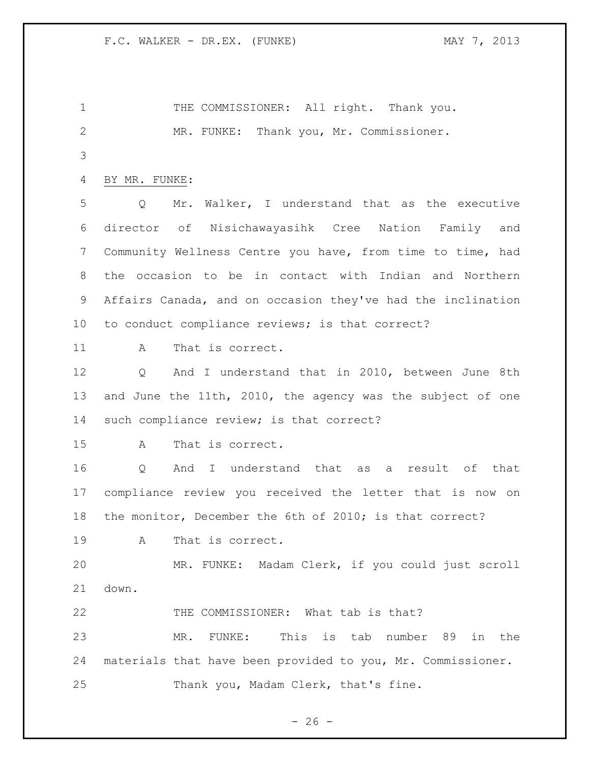1 THE COMMISSIONER: All right. Thank you. MR. FUNKE: Thank you, Mr. Commissioner. 

## BY MR. FUNKE:

 Q Mr. Walker, I understand that as the executive director of Nisichawayasihk Cree Nation Family and Community Wellness Centre you have, from time to time, had the occasion to be in contact with Indian and Northern Affairs Canada, and on occasion they've had the inclination to conduct compliance reviews; is that correct?

A That is correct.

 Q And I understand that in 2010, between June 8th and June the 11th, 2010, the agency was the subject of one such compliance review; is that correct?

A That is correct.

 Q And I understand that as a result of that compliance review you received the letter that is now on the monitor, December the 6th of 2010; is that correct?

A That is correct.

 MR. FUNKE: Madam Clerk, if you could just scroll down.

22 THE COMMISSIONER: What tab is that? MR. FUNKE: This is tab number 89 in the materials that have been provided to you, Mr. Commissioner. Thank you, Madam Clerk, that's fine.

 $- 26 -$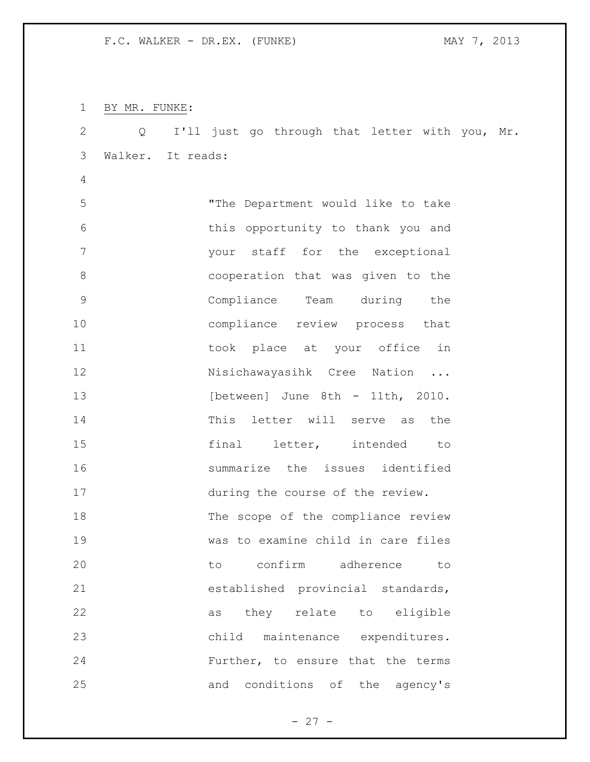BY MR. FUNKE: Q I'll just go through that letter with you, Mr. Walker. It reads: "The Department would like to take this opportunity to thank you and your staff for the exceptional cooperation that was given to the Compliance Team during the compliance review process that 11 took place at your office in Nisichawayasihk Cree Nation ... 13 [between] June 8th - 11th, 2010. This letter will serve as the 15 final letter, intended to summarize the issues identified during the course of the review. 18 The scope of the compliance review was to examine child in care files to confirm adherence to established provincial standards, as they relate to eligible child maintenance expenditures. Further, to ensure that the terms and conditions of the agency's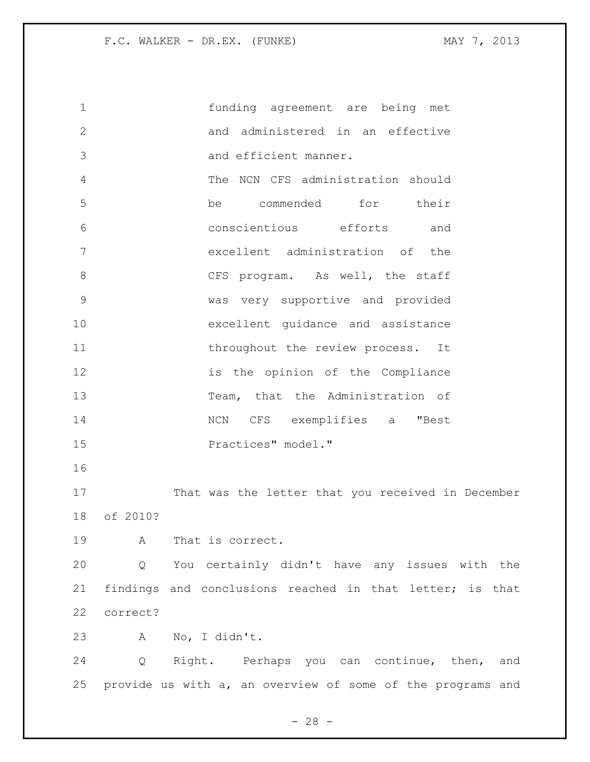funding agreement are being met and administered in an effective and efficient manner. The NCN CFS administration should be commended for their conscientious efforts and excellent administration of the 8 CFS program. As well, the staff was very supportive and provided excellent guidance and assistance 11 throughout the review process. It 12 is the opinion of the Compliance Team, that the Administration of NCN CFS exemplifies a "Best Practices" model." That was the letter that you received in December of 2010? A That is correct. Q You certainly didn't have any issues with the findings and conclusions reached in that letter; is that correct? A No, I didn't. Q Right. Perhaps you can continue, then, and provide us with a, an overview of some of the programs and

 $- 28 -$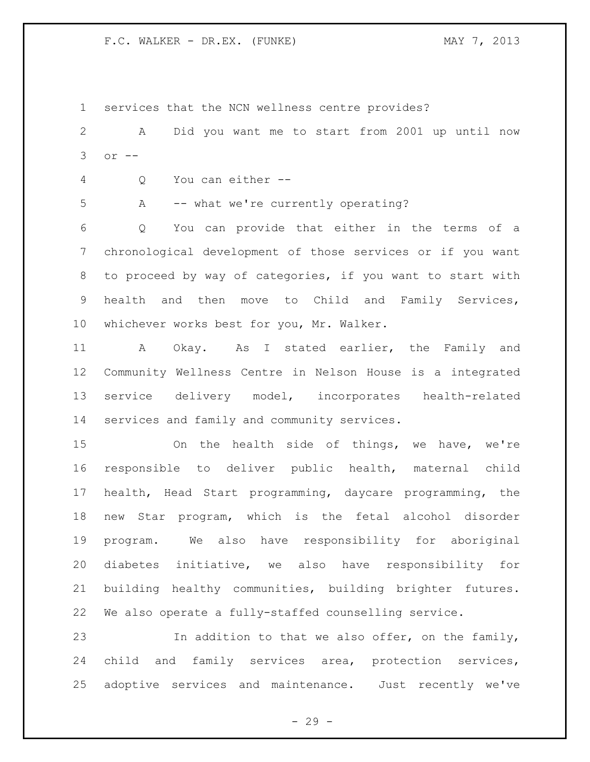F.C. WALKER - DR.EX. (FUNKE) MAY 7, 2013

services that the NCN wellness centre provides?

 A Did you want me to start from 2001 up until now or --

Q You can either --

A -- what we're currently operating?

 Q You can provide that either in the terms of a chronological development of those services or if you want to proceed by way of categories, if you want to start with health and then move to Child and Family Services, whichever works best for you, Mr. Walker.

 A Okay. As I stated earlier, the Family and Community Wellness Centre in Nelson House is a integrated service delivery model, incorporates health-related services and family and community services.

 On the health side of things, we have, we're responsible to deliver public health, maternal child health, Head Start programming, daycare programming, the new Star program, which is the fetal alcohol disorder program. We also have responsibility for aboriginal diabetes initiative, we also have responsibility for building healthy communities, building brighter futures. We also operate a fully-staffed counselling service.

 In addition to that we also offer, on the family, child and family services area, protection services, adoptive services and maintenance. Just recently we've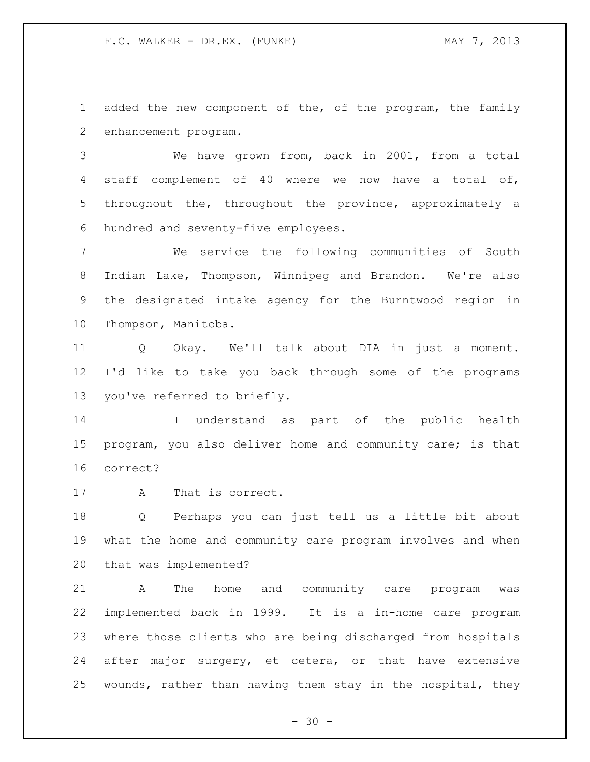added the new component of the, of the program, the family enhancement program.

 We have grown from, back in 2001, from a total staff complement of 40 where we now have a total of, throughout the, throughout the province, approximately a hundred and seventy-five employees.

 We service the following communities of South Indian Lake, Thompson, Winnipeg and Brandon. We're also the designated intake agency for the Burntwood region in Thompson, Manitoba.

 Q Okay. We'll talk about DIA in just a moment. I'd like to take you back through some of the programs you've referred to briefly.

 I understand as part of the public health program, you also deliver home and community care; is that correct?

A That is correct.

 Q Perhaps you can just tell us a little bit about what the home and community care program involves and when that was implemented?

 A The home and community care program was implemented back in 1999. It is a in-home care program where those clients who are being discharged from hospitals after major surgery, et cetera, or that have extensive wounds, rather than having them stay in the hospital, they

 $- 30 -$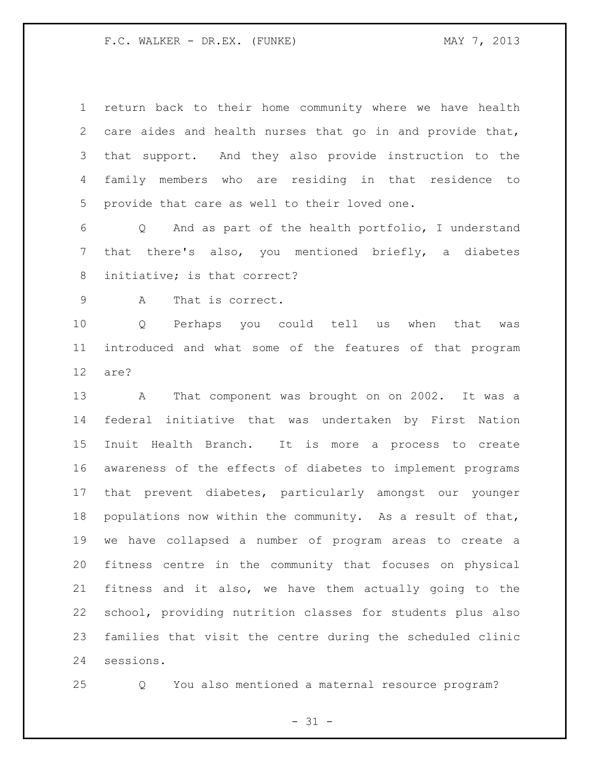F.C. WALKER - DR.EX. (FUNKE) MAY 7, 2013

 return back to their home community where we have health care aides and health nurses that go in and provide that, that support. And they also provide instruction to the family members who are residing in that residence to provide that care as well to their loved one.

 Q And as part of the health portfolio, I understand that there's also, you mentioned briefly, a diabetes initiative; is that correct?

A That is correct.

 Q Perhaps you could tell us when that was introduced and what some of the features of that program are?

 A That component was brought on on 2002. It was a federal initiative that was undertaken by First Nation Inuit Health Branch. It is more a process to create awareness of the effects of diabetes to implement programs that prevent diabetes, particularly amongst our younger populations now within the community. As a result of that, we have collapsed a number of program areas to create a fitness centre in the community that focuses on physical fitness and it also, we have them actually going to the school, providing nutrition classes for students plus also families that visit the centre during the scheduled clinic sessions.

Q You also mentioned a maternal resource program?

 $- 31 -$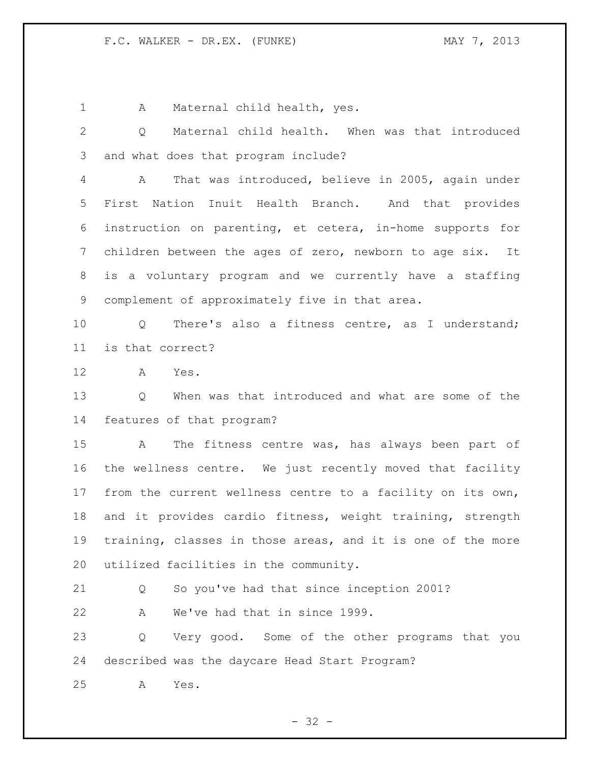A Maternal child health, yes.

 Q Maternal child health. When was that introduced and what does that program include?

 A That was introduced, believe in 2005, again under First Nation Inuit Health Branch. And that provides instruction on parenting, et cetera, in-home supports for children between the ages of zero, newborn to age six. It is a voluntary program and we currently have a staffing complement of approximately five in that area.

 Q There's also a fitness centre, as I understand; is that correct?

A Yes.

 Q When was that introduced and what are some of the features of that program?

 A The fitness centre was, has always been part of the wellness centre. We just recently moved that facility from the current wellness centre to a facility on its own, and it provides cardio fitness, weight training, strength training, classes in those areas, and it is one of the more utilized facilities in the community.

Q So you've had that since inception 2001?

A We've had that in since 1999.

 Q Very good. Some of the other programs that you described was the daycare Head Start Program?

A Yes.

 $- 32 -$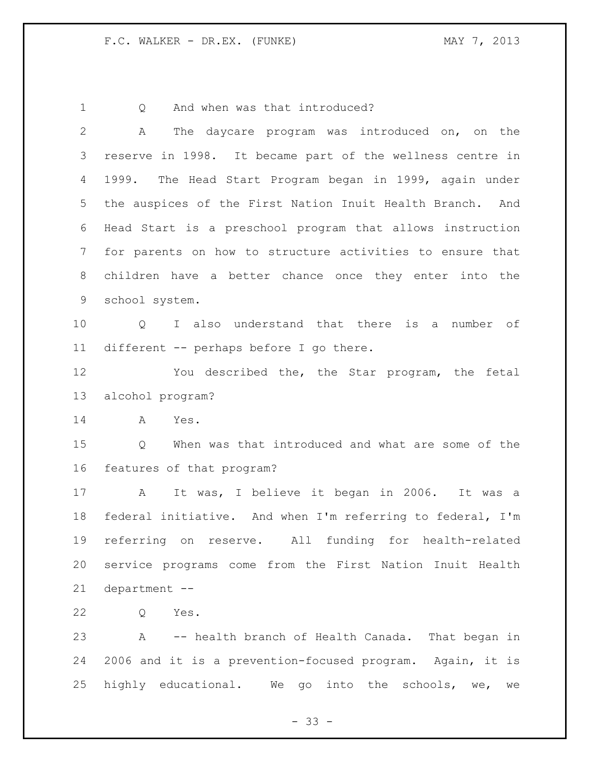1 0 And when was that introduced? A The daycare program was introduced on, on the reserve in 1998. It became part of the wellness centre in 1999. The Head Start Program began in 1999, again under the auspices of the First Nation Inuit Health Branch. And Head Start is a preschool program that allows instruction for parents on how to structure activities to ensure that children have a better chance once they enter into the school system. Q I also understand that there is a number of different -- perhaps before I go there. You described the, the Star program, the fetal alcohol program? A Yes. Q When was that introduced and what are some of the features of that program? A It was, I believe it began in 2006. It was a federal initiative. And when I'm referring to federal, I'm referring on reserve. All funding for health-related service programs come from the First Nation Inuit Health department -- Q Yes. A -- health branch of Health Canada. That began in 2006 and it is a prevention-focused program. Again, it is highly educational. We go into the schools, we, we

 $- 33 -$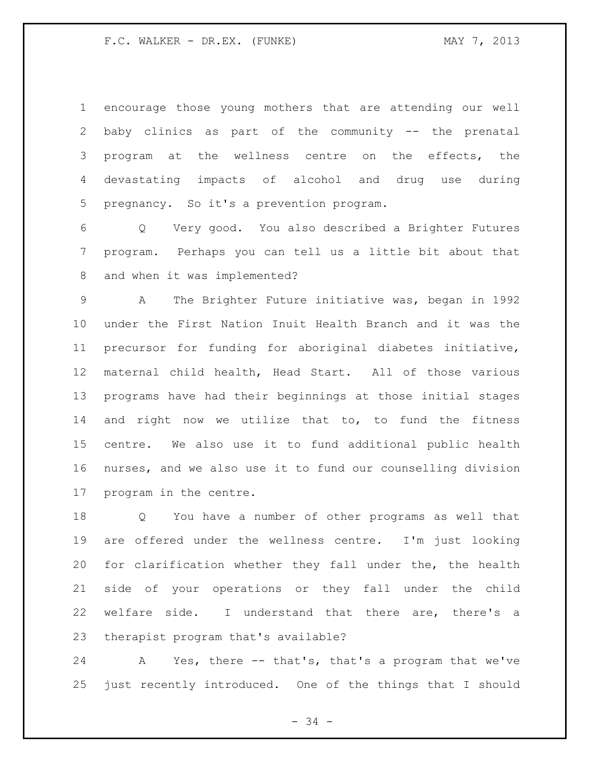encourage those young mothers that are attending our well baby clinics as part of the community -- the prenatal program at the wellness centre on the effects, the devastating impacts of alcohol and drug use during pregnancy. So it's a prevention program.

 Q Very good. You also described a Brighter Futures program. Perhaps you can tell us a little bit about that and when it was implemented?

 A The Brighter Future initiative was, began in 1992 under the First Nation Inuit Health Branch and it was the precursor for funding for aboriginal diabetes initiative, maternal child health, Head Start. All of those various programs have had their beginnings at those initial stages and right now we utilize that to, to fund the fitness centre. We also use it to fund additional public health nurses, and we also use it to fund our counselling division program in the centre.

 Q You have a number of other programs as well that are offered under the wellness centre. I'm just looking for clarification whether they fall under the, the health side of your operations or they fall under the child welfare side. I understand that there are, there's a therapist program that's available?

 A Yes, there -- that's, that's a program that we've just recently introduced. One of the things that I should

- 34 -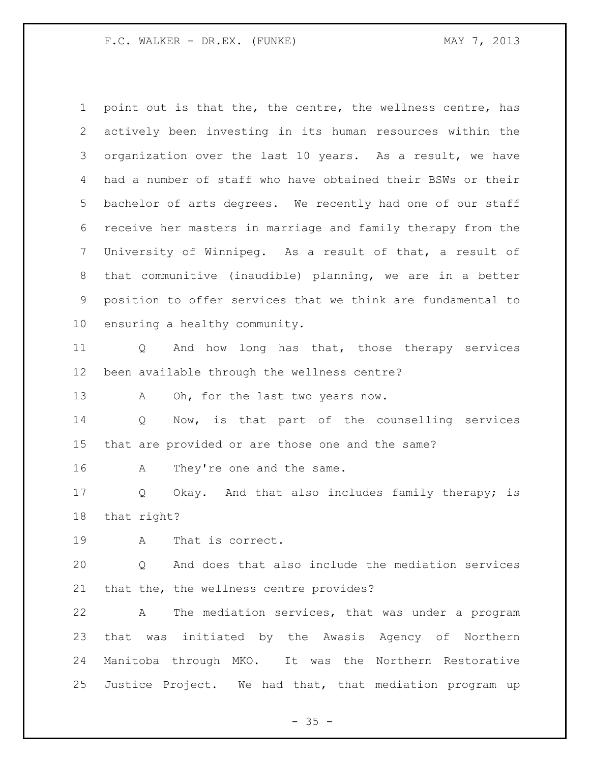point out is that the, the centre, the wellness centre, has actively been investing in its human resources within the organization over the last 10 years. As a result, we have had a number of staff who have obtained their BSWs or their bachelor of arts degrees. We recently had one of our staff receive her masters in marriage and family therapy from the University of Winnipeg. As a result of that, a result of that communitive (inaudible) planning, we are in a better position to offer services that we think are fundamental to ensuring a healthy community. Q And how long has that, those therapy services been available through the wellness centre? 13 A Oh, for the last two years now.

 Q Now, is that part of the counselling services that are provided or are those one and the same?

16 A They're one and the same.

 Q Okay. And that also includes family therapy; is that right?

A That is correct.

 Q And does that also include the mediation services that the, the wellness centre provides?

 A The mediation services, that was under a program that was initiated by the Awasis Agency of Northern Manitoba through MKO. It was the Northern Restorative Justice Project. We had that, that mediation program up

 $- 35 -$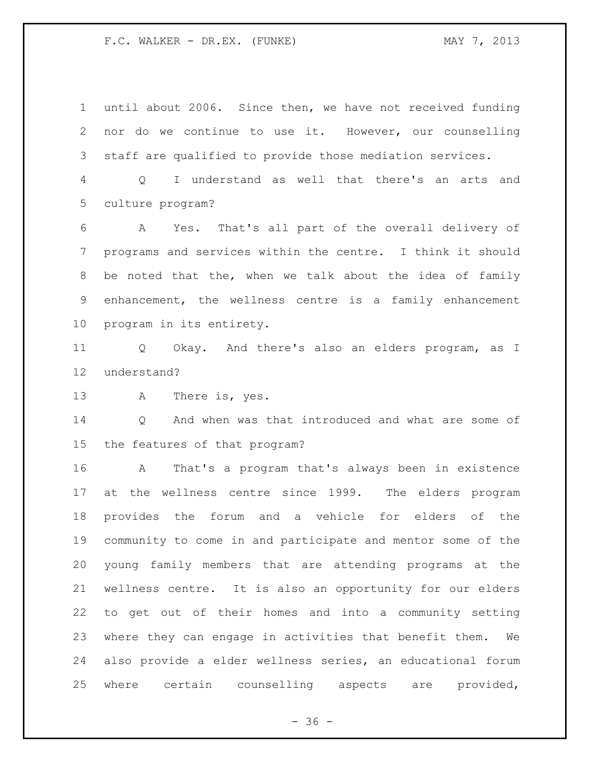until about 2006. Since then, we have not received funding nor do we continue to use it. However, our counselling staff are qualified to provide those mediation services.

 Q I understand as well that there's an arts and culture program?

 A Yes. That's all part of the overall delivery of programs and services within the centre. I think it should be noted that the, when we talk about the idea of family enhancement, the wellness centre is a family enhancement program in its entirety.

 Q Okay. And there's also an elders program, as I understand?

A There is, yes.

 Q And when was that introduced and what are some of the features of that program?

 A That's a program that's always been in existence at the wellness centre since 1999. The elders program provides the forum and a vehicle for elders of the community to come in and participate and mentor some of the young family members that are attending programs at the wellness centre. It is also an opportunity for our elders to get out of their homes and into a community setting where they can engage in activities that benefit them. We also provide a elder wellness series, an educational forum where certain counselling aspects are provided,

 $- 36 -$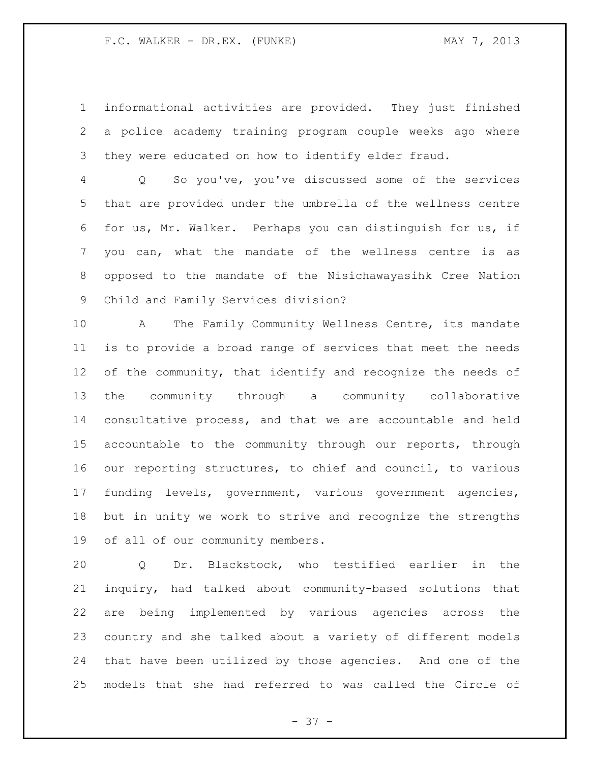informational activities are provided. They just finished a police academy training program couple weeks ago where they were educated on how to identify elder fraud.

 Q So you've, you've discussed some of the services that are provided under the umbrella of the wellness centre for us, Mr. Walker. Perhaps you can distinguish for us, if you can, what the mandate of the wellness centre is as opposed to the mandate of the Nisichawayasihk Cree Nation Child and Family Services division?

 A The Family Community Wellness Centre, its mandate is to provide a broad range of services that meet the needs 12 of the community, that identify and recognize the needs of the community through a community collaborative consultative process, and that we are accountable and held accountable to the community through our reports, through our reporting structures, to chief and council, to various funding levels, government, various government agencies, but in unity we work to strive and recognize the strengths of all of our community members.

 Q Dr. Blackstock, who testified earlier in the inquiry, had talked about community-based solutions that are being implemented by various agencies across the country and she talked about a variety of different models that have been utilized by those agencies. And one of the models that she had referred to was called the Circle of

- 37 -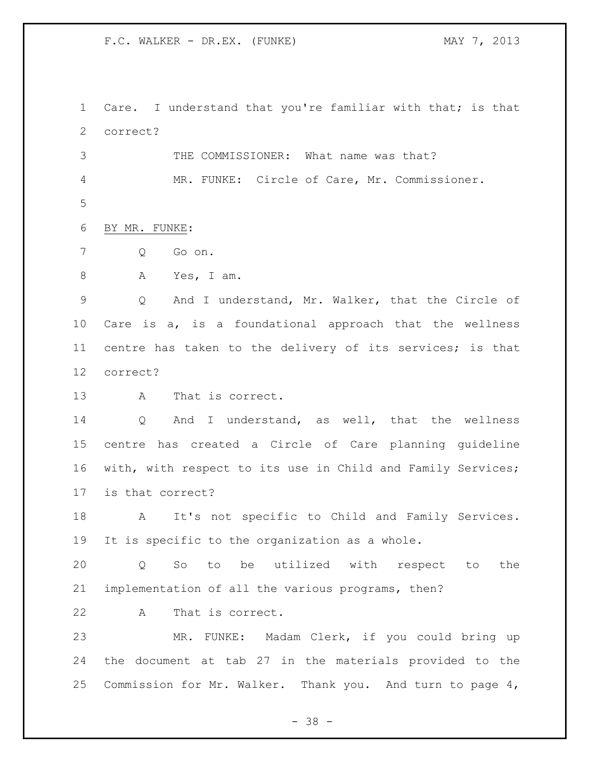Care. I understand that you're familiar with that; is that correct?

 THE COMMISSIONER: What name was that? MR. FUNKE: Circle of Care, Mr. Commissioner. 

BY MR. FUNKE:

Q Go on.

A Yes, I am.

 Q And I understand, Mr. Walker, that the Circle of Care is a, is a foundational approach that the wellness centre has taken to the delivery of its services; is that correct?

A That is correct.

 Q And I understand, as well, that the wellness centre has created a Circle of Care planning guideline with, with respect to its use in Child and Family Services; is that correct?

 A It's not specific to Child and Family Services. It is specific to the organization as a whole.

 Q So to be utilized with respect to the implementation of all the various programs, then?

A That is correct.

 MR. FUNKE: Madam Clerk, if you could bring up the document at tab 27 in the materials provided to the Commission for Mr. Walker. Thank you. And turn to page 4,

- 38 -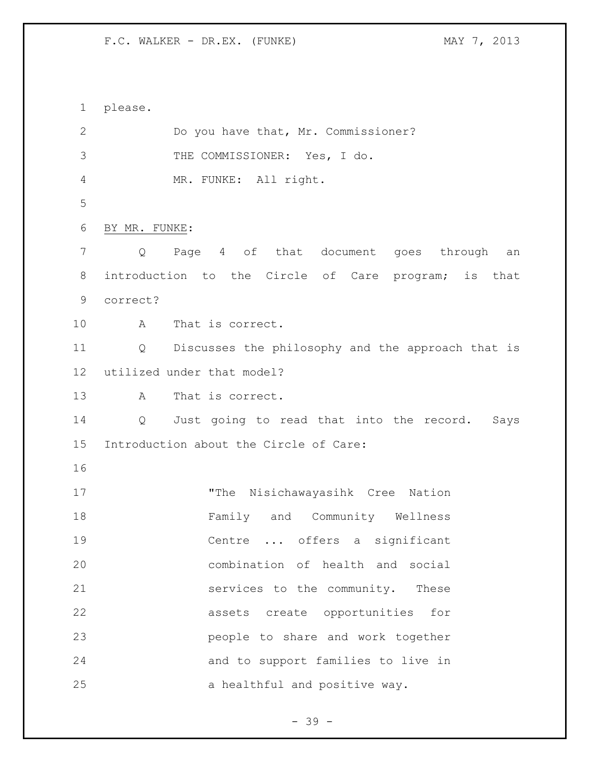please. Do you have that, Mr. Commissioner? THE COMMISSIONER: Yes, I do. MR. FUNKE: All right. BY MR. FUNKE: Q Page 4 of that document goes through an introduction to the Circle of Care program; is that correct? A That is correct. Q Discusses the philosophy and the approach that is utilized under that model? A That is correct. Q Just going to read that into the record. Says Introduction about the Circle of Care: "The Nisichawayasihk Cree Nation Family and Community Wellness Centre ... offers a significant combination of health and social services to the community. These assets create opportunities for people to share and work together and to support families to live in 25 a healthful and positive way.

- 39 -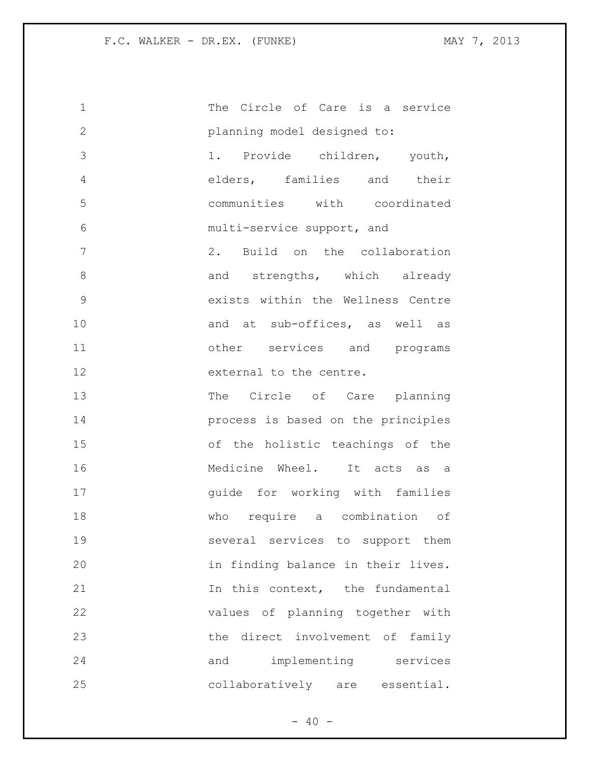| $\mathbf 1$   | The Circle of Care is a service    |
|---------------|------------------------------------|
| $\mathbf{2}$  | planning model designed to:        |
| 3             | 1. Provide children, youth,        |
| 4             | elders, families and their         |
| 5             | communities with coordinated       |
| 6             | multi-service support, and         |
| 7             | 2. Build on the collaboration      |
| 8             | and strengths, which already       |
| $\mathcal{G}$ | exists within the Wellness Centre  |
| 10            | and at sub-offices, as well as     |
| 11            | other services and programs        |
| 12            | external to the centre.            |
| 13            | The Circle of Care planning        |
| 14            | process is based on the principles |
| 15            | of the holistic teachings of the   |
| 16            | Medicine Wheel. It acts as a       |
| 17            | guide for working with families    |
| 18            | who require a combination of       |
| 19            | several services to support them   |
| 20            | in finding balance in their lives. |
| 21            | In this context, the fundamental   |
| 22            | values of planning together with   |
| 23            | the direct involvement of family   |
| 24            | and implementing services          |
| 25            | collaboratively are essential.     |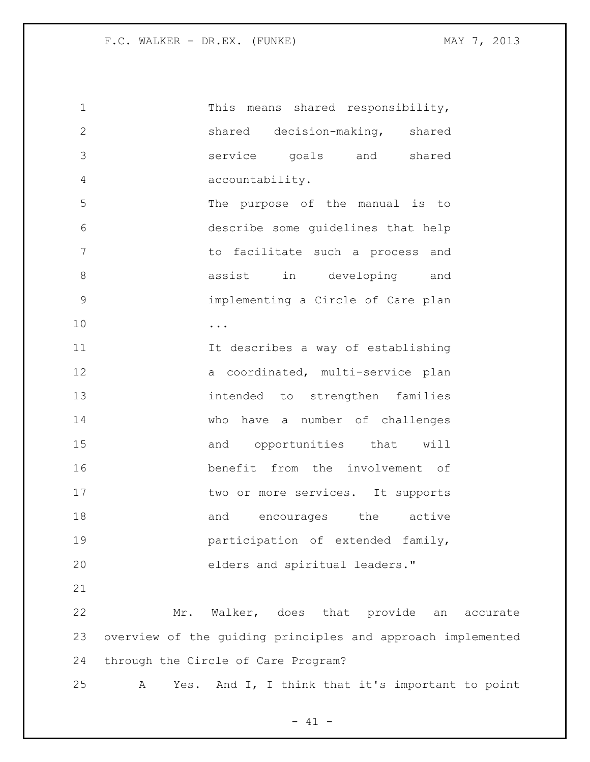| $\mathbf 1$    | This means shared responsibility,                           |
|----------------|-------------------------------------------------------------|
| $\mathbf{2}$   | shared decision-making, shared                              |
| 3              | service goals and<br>shared                                 |
| $\overline{4}$ | accountability.                                             |
| 5              | The purpose of the manual is to                             |
| 6              | describe some guidelines that help                          |
| 7              | to facilitate such a process and                            |
| $\,8\,$        | assist in developing and                                    |
| $\mathsf 9$    | implementing a Circle of Care plan                          |
| 10             | $\cdots$                                                    |
| 11             | It describes a way of establishing                          |
| 12             | a coordinated, multi-service plan                           |
| 13             | intended to strengthen families                             |
| 14             | who have a number of challenges                             |
| 15             | and opportunities that will                                 |
| 16             | benefit from the involvement of                             |
| 17             | two or more services. It supports                           |
| 18             | encourages<br>the<br>active<br>and                          |
| 19             | participation of extended family,                           |
| 20             | elders and spiritual leaders."                              |
| 21             |                                                             |
| 22             | Walker, does that provide an accurate<br>Mr.                |
| 23             | overview of the guiding principles and approach implemented |
| 24             | through the Circle of Care Program?                         |
| 25             | Yes. And I, I think that it's important to point<br>Α       |

- 41 -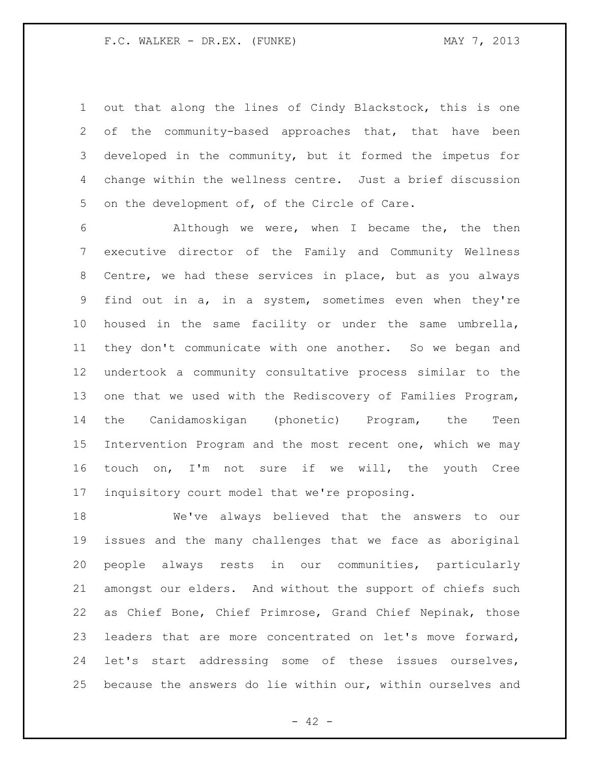out that along the lines of Cindy Blackstock, this is one of the community-based approaches that, that have been developed in the community, but it formed the impetus for change within the wellness centre. Just a brief discussion on the development of, of the Circle of Care.

 Although we were, when I became the, the then executive director of the Family and Community Wellness Centre, we had these services in place, but as you always find out in a, in a system, sometimes even when they're housed in the same facility or under the same umbrella, they don't communicate with one another. So we began and undertook a community consultative process similar to the one that we used with the Rediscovery of Families Program, the Canidamoskigan (phonetic) Program, the Teen Intervention Program and the most recent one, which we may touch on, I'm not sure if we will, the youth Cree inquisitory court model that we're proposing.

 We've always believed that the answers to our issues and the many challenges that we face as aboriginal people always rests in our communities, particularly amongst our elders. And without the support of chiefs such as Chief Bone, Chief Primrose, Grand Chief Nepinak, those leaders that are more concentrated on let's move forward, let's start addressing some of these issues ourselves, because the answers do lie within our, within ourselves and

- 42 -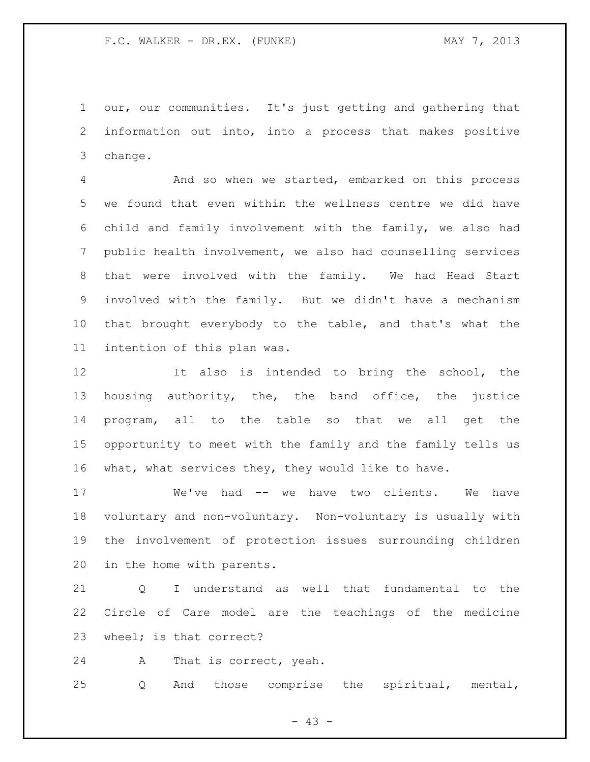our, our communities. It's just getting and gathering that information out into, into a process that makes positive change.

 And so when we started, embarked on this process we found that even within the wellness centre we did have child and family involvement with the family, we also had public health involvement, we also had counselling services that were involved with the family. We had Head Start involved with the family. But we didn't have a mechanism that brought everybody to the table, and that's what the intention of this plan was.

 It also is intended to bring the school, the housing authority, the, the band office, the justice program, all to the table so that we all get the opportunity to meet with the family and the family tells us what, what services they, they would like to have.

 We've had -- we have two clients. We have voluntary and non-voluntary. Non-voluntary is usually with the involvement of protection issues surrounding children in the home with parents.

 Q I understand as well that fundamental to the Circle of Care model are the teachings of the medicine wheel; is that correct?

A That is correct, yeah.

Q And those comprise the spiritual, mental,

 $- 43 -$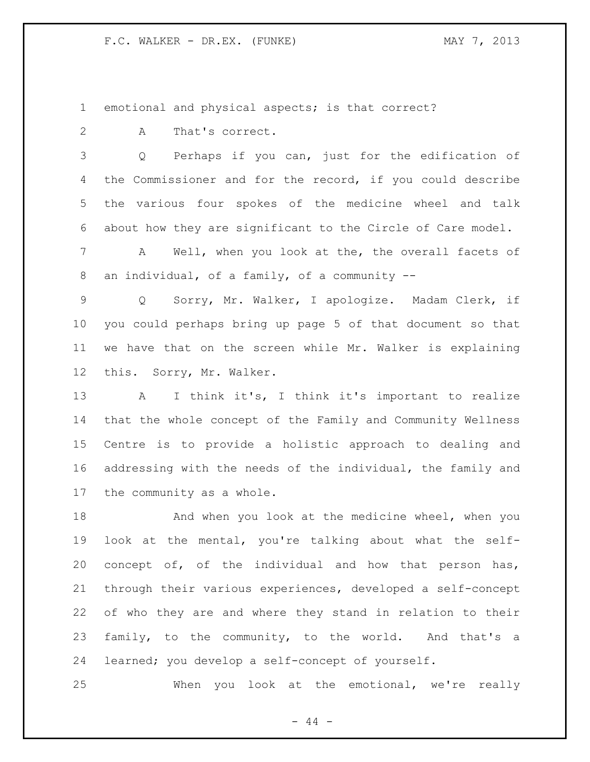emotional and physical aspects; is that correct?

A That's correct.

 Q Perhaps if you can, just for the edification of the Commissioner and for the record, if you could describe the various four spokes of the medicine wheel and talk about how they are significant to the Circle of Care model.

 A Well, when you look at the, the overall facets of an individual, of a family, of a community --

 Q Sorry, Mr. Walker, I apologize. Madam Clerk, if you could perhaps bring up page 5 of that document so that we have that on the screen while Mr. Walker is explaining this. Sorry, Mr. Walker.

 A I think it's, I think it's important to realize that the whole concept of the Family and Community Wellness Centre is to provide a holistic approach to dealing and addressing with the needs of the individual, the family and the community as a whole.

18 And when you look at the medicine wheel, when you look at the mental, you're talking about what the self- concept of, of the individual and how that person has, through their various experiences, developed a self-concept of who they are and where they stand in relation to their family, to the community, to the world. And that's a learned; you develop a self-concept of yourself.

When you look at the emotional, we're really

 $-44 -$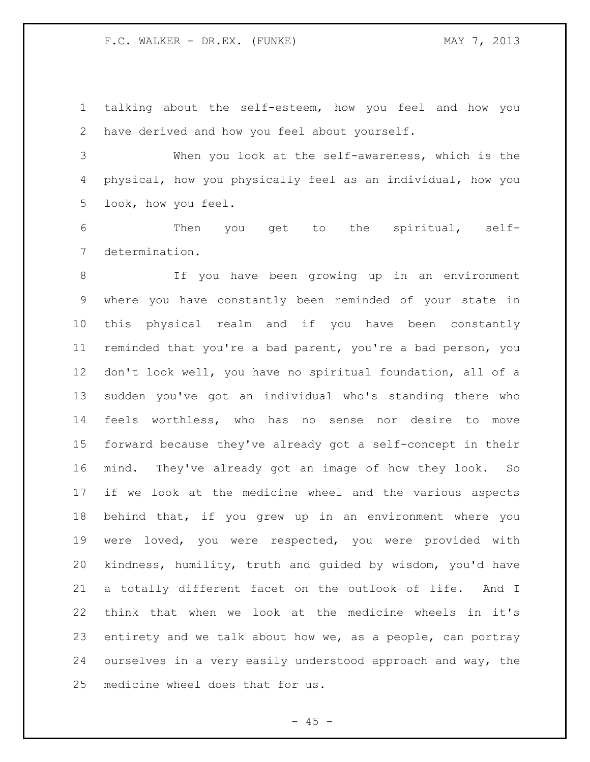talking about the self-esteem, how you feel and how you have derived and how you feel about yourself.

 When you look at the self-awareness, which is the physical, how you physically feel as an individual, how you look, how you feel.

 Then you get to the spiritual, self-determination.

 If you have been growing up in an environment where you have constantly been reminded of your state in this physical realm and if you have been constantly reminded that you're a bad parent, you're a bad person, you don't look well, you have no spiritual foundation, all of a sudden you've got an individual who's standing there who feels worthless, who has no sense nor desire to move forward because they've already got a self-concept in their mind. They've already got an image of how they look. So if we look at the medicine wheel and the various aspects behind that, if you grew up in an environment where you were loved, you were respected, you were provided with kindness, humility, truth and guided by wisdom, you'd have a totally different facet on the outlook of life. And I think that when we look at the medicine wheels in it's entirety and we talk about how we, as a people, can portray ourselves in a very easily understood approach and way, the medicine wheel does that for us.

 $- 45 -$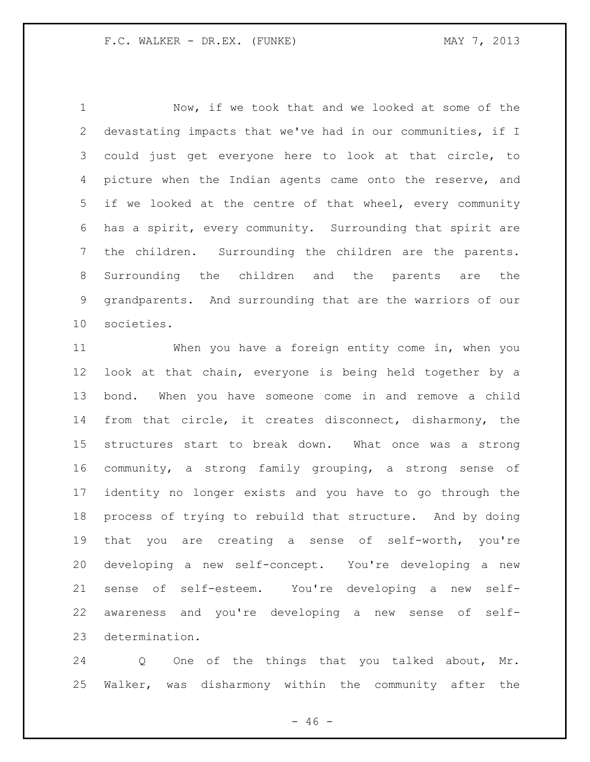Now, if we took that and we looked at some of the devastating impacts that we've had in our communities, if I could just get everyone here to look at that circle, to picture when the Indian agents came onto the reserve, and if we looked at the centre of that wheel, every community has a spirit, every community. Surrounding that spirit are the children. Surrounding the children are the parents. Surrounding the children and the parents are the grandparents. And surrounding that are the warriors of our societies.

 When you have a foreign entity come in, when you look at that chain, everyone is being held together by a bond. When you have someone come in and remove a child from that circle, it creates disconnect, disharmony, the structures start to break down. What once was a strong community, a strong family grouping, a strong sense of identity no longer exists and you have to go through the process of trying to rebuild that structure. And by doing that you are creating a sense of self-worth, you're developing a new self-concept. You're developing a new sense of self-esteem. You're developing a new self- awareness and you're developing a new sense of self-determination.

 Q One of the things that you talked about, Mr. Walker, was disharmony within the community after the

 $- 46 -$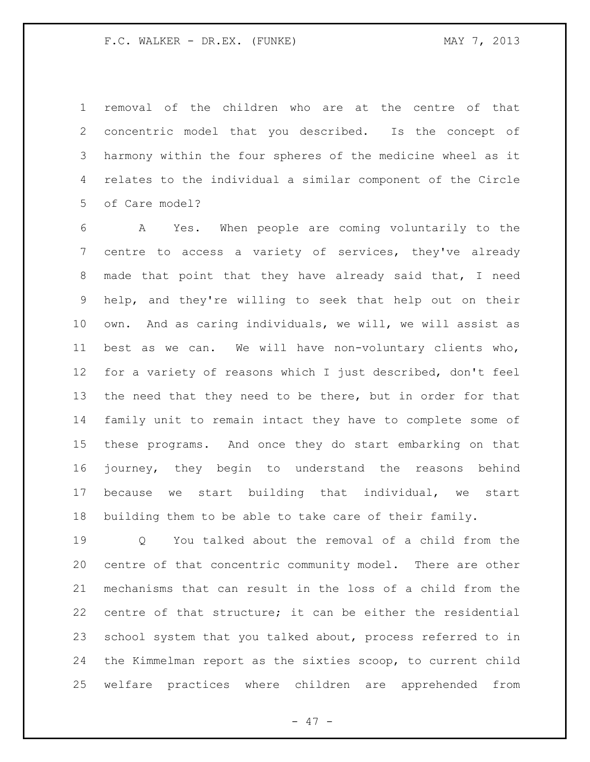removal of the children who are at the centre of that concentric model that you described. Is the concept of harmony within the four spheres of the medicine wheel as it relates to the individual a similar component of the Circle of Care model?

 A Yes. When people are coming voluntarily to the centre to access a variety of services, they've already made that point that they have already said that, I need help, and they're willing to seek that help out on their own. And as caring individuals, we will, we will assist as best as we can. We will have non-voluntary clients who, for a variety of reasons which I just described, don't feel the need that they need to be there, but in order for that family unit to remain intact they have to complete some of these programs. And once they do start embarking on that journey, they begin to understand the reasons behind because we start building that individual, we start building them to be able to take care of their family.

 Q You talked about the removal of a child from the centre of that concentric community model. There are other mechanisms that can result in the loss of a child from the centre of that structure; it can be either the residential school system that you talked about, process referred to in the Kimmelman report as the sixties scoop, to current child welfare practices where children are apprehended from

- 47 -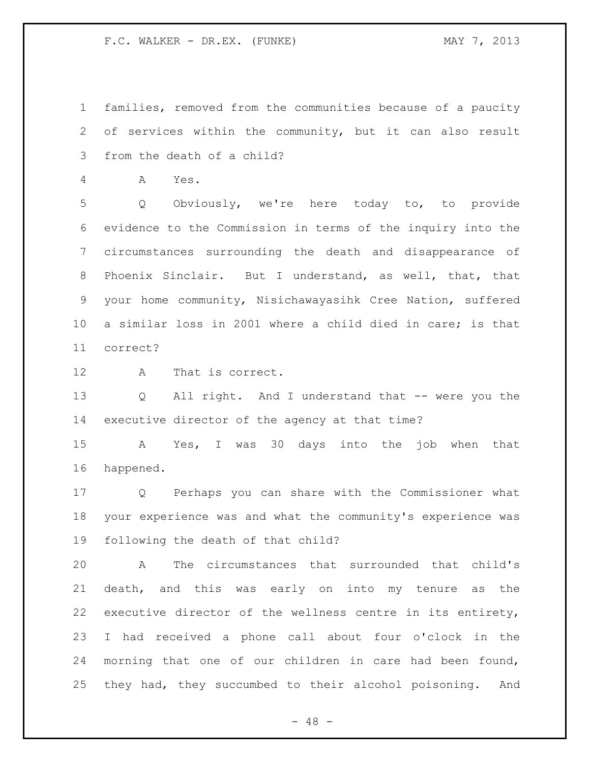families, removed from the communities because of a paucity 2 of services within the community, but it can also result from the death of a child?

A Yes.

 Q Obviously, we're here today to, to provide evidence to the Commission in terms of the inquiry into the circumstances surrounding the death and disappearance of Phoenix Sinclair. But I understand, as well, that, that your home community, Nisichawayasihk Cree Nation, suffered a similar loss in 2001 where a child died in care; is that correct?

A That is correct.

 Q All right. And I understand that -- were you the executive director of the agency at that time?

 A Yes, I was 30 days into the job when that happened.

 Q Perhaps you can share with the Commissioner what your experience was and what the community's experience was following the death of that child?

 A The circumstances that surrounded that child's death, and this was early on into my tenure as the executive director of the wellness centre in its entirety, I had received a phone call about four o'clock in the morning that one of our children in care had been found, they had, they succumbed to their alcohol poisoning. And

 $- 48 -$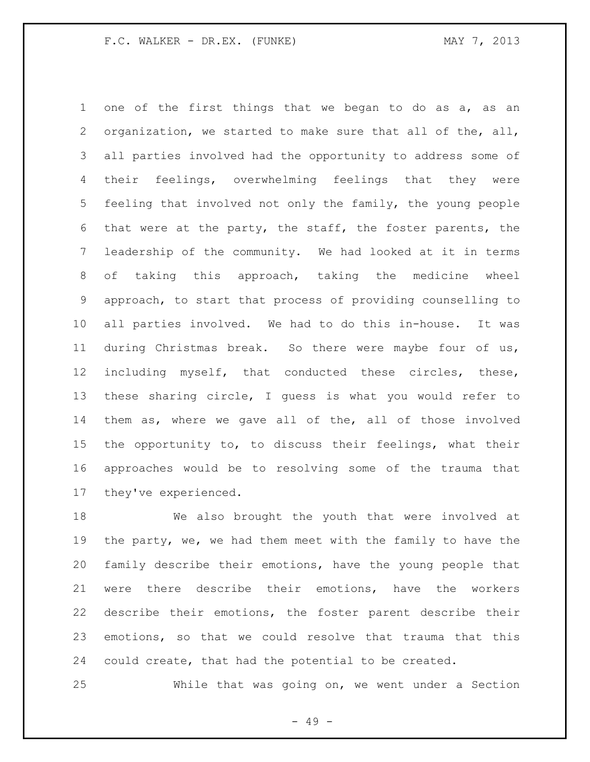one of the first things that we began to do as a, as an organization, we started to make sure that all of the, all, all parties involved had the opportunity to address some of their feelings, overwhelming feelings that they were feeling that involved not only the family, the young people that were at the party, the staff, the foster parents, the leadership of the community. We had looked at it in terms of taking this approach, taking the medicine wheel approach, to start that process of providing counselling to all parties involved. We had to do this in-house. It was during Christmas break. So there were maybe four of us, including myself, that conducted these circles, these, these sharing circle, I guess is what you would refer to them as, where we gave all of the, all of those involved the opportunity to, to discuss their feelings, what their approaches would be to resolving some of the trauma that they've experienced.

 We also brought the youth that were involved at the party, we, we had them meet with the family to have the family describe their emotions, have the young people that were there describe their emotions, have the workers describe their emotions, the foster parent describe their emotions, so that we could resolve that trauma that this could create, that had the potential to be created.

While that was going on, we went under a Section

- 49 -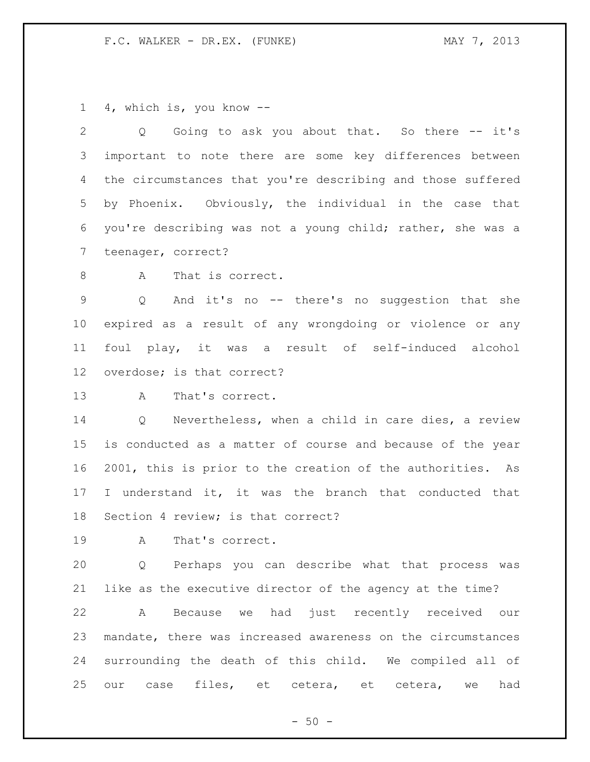4, which is, you know --

 Q Going to ask you about that. So there -- it's important to note there are some key differences between the circumstances that you're describing and those suffered by Phoenix. Obviously, the individual in the case that you're describing was not a young child; rather, she was a teenager, correct?

8 A That is correct.

 Q And it's no -- there's no suggestion that she expired as a result of any wrongdoing or violence or any foul play, it was a result of self-induced alcohol overdose; is that correct?

A That's correct.

 Q Nevertheless, when a child in care dies, a review is conducted as a matter of course and because of the year 2001, this is prior to the creation of the authorities. As I understand it, it was the branch that conducted that Section 4 review; is that correct?

A That's correct.

 Q Perhaps you can describe what that process was like as the executive director of the agency at the time?

 A Because we had just recently received our mandate, there was increased awareness on the circumstances surrounding the death of this child. We compiled all of our case files, et cetera, et cetera, we had

 $-50 -$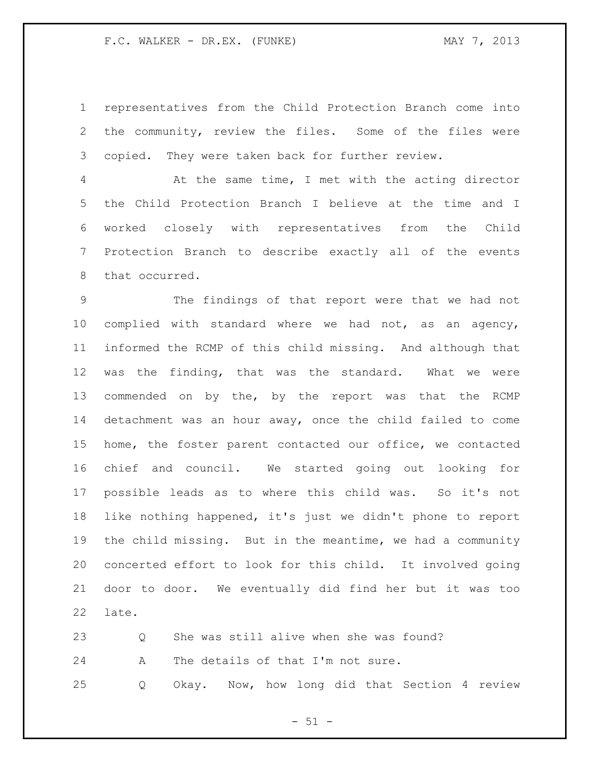representatives from the Child Protection Branch come into the community, review the files. Some of the files were copied. They were taken back for further review.

 At the same time, I met with the acting director the Child Protection Branch I believe at the time and I worked closely with representatives from the Child Protection Branch to describe exactly all of the events that occurred.

 The findings of that report were that we had not complied with standard where we had not, as an agency, informed the RCMP of this child missing. And although that was the finding, that was the standard. What we were commended on by the, by the report was that the RCMP detachment was an hour away, once the child failed to come home, the foster parent contacted our office, we contacted chief and council. We started going out looking for possible leads as to where this child was. So it's not like nothing happened, it's just we didn't phone to report the child missing. But in the meantime, we had a community concerted effort to look for this child. It involved going door to door. We eventually did find her but it was too late.

23 O She was still alive when she was found?

A The details of that I'm not sure.

Q Okay. Now, how long did that Section 4 review

 $-51 -$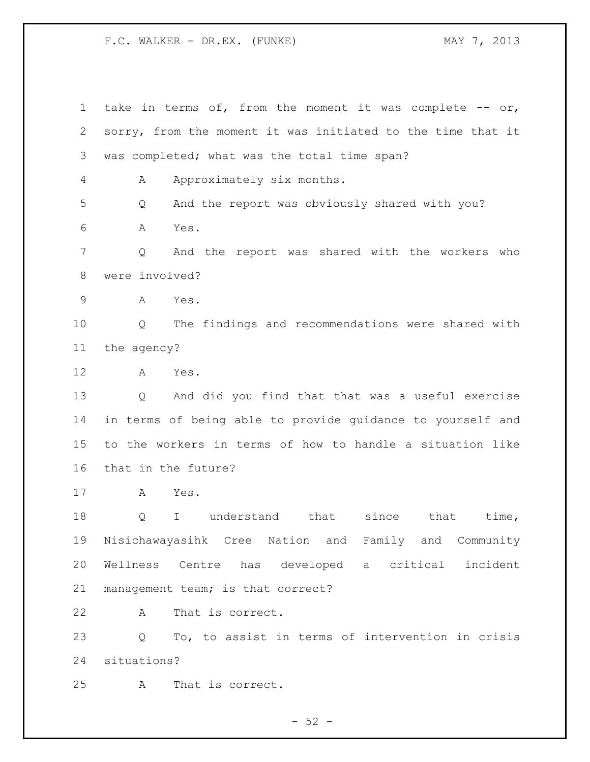take in terms of, from the moment it was complete -- or, sorry, from the moment it was initiated to the time that it was completed; what was the total time span? A Approximately six months. Q And the report was obviously shared with you? A Yes. Q And the report was shared with the workers who were involved? A Yes. Q The findings and recommendations were shared with the agency? A Yes. Q And did you find that that was a useful exercise in terms of being able to provide guidance to yourself and to the workers in terms of how to handle a situation like that in the future? A Yes. 18 Q I understand that since that time, Nisichawayasihk Cree Nation and Family and Community Wellness Centre has developed a critical incident management team; is that correct? A That is correct. Q To, to assist in terms of intervention in crisis situations? A That is correct.

 $-52 -$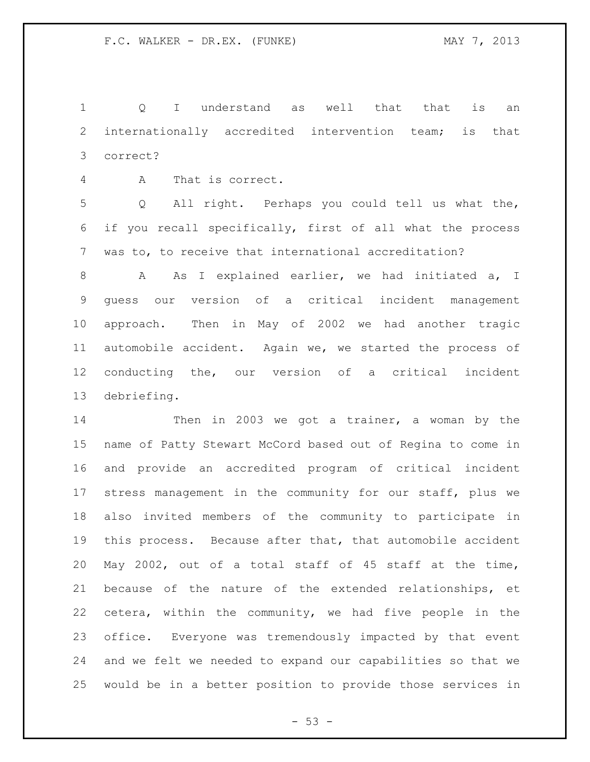Q I understand as well that that is an internationally accredited intervention team; is that correct?

A That is correct.

 Q All right. Perhaps you could tell us what the, if you recall specifically, first of all what the process was to, to receive that international accreditation?

8 A As I explained earlier, we had initiated a, I guess our version of a critical incident management approach. Then in May of 2002 we had another tragic automobile accident. Again we, we started the process of conducting the, our version of a critical incident debriefing.

 Then in 2003 we got a trainer, a woman by the name of Patty Stewart McCord based out of Regina to come in and provide an accredited program of critical incident stress management in the community for our staff, plus we also invited members of the community to participate in this process. Because after that, that automobile accident May 2002, out of a total staff of 45 staff at the time, because of the nature of the extended relationships, et cetera, within the community, we had five people in the office. Everyone was tremendously impacted by that event and we felt we needed to expand our capabilities so that we would be in a better position to provide those services in

 $- 53 -$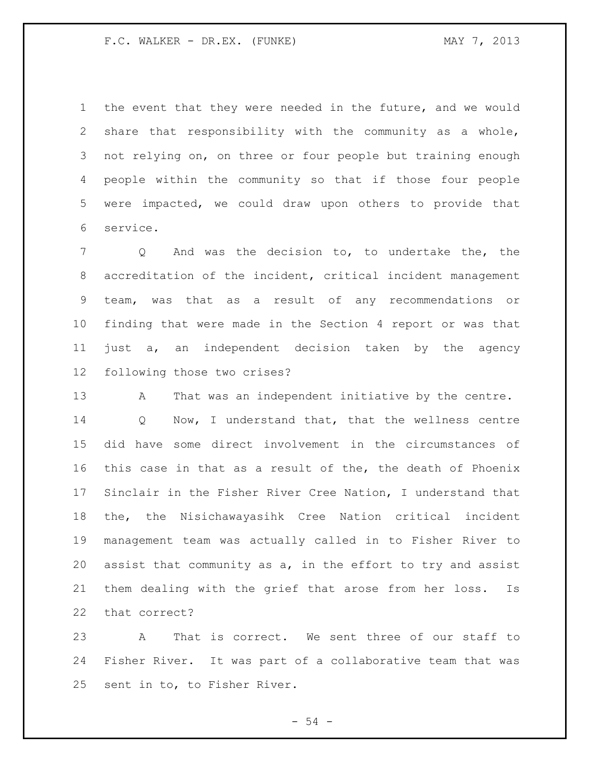the event that they were needed in the future, and we would share that responsibility with the community as a whole, not relying on, on three or four people but training enough people within the community so that if those four people were impacted, we could draw upon others to provide that service.

 Q And was the decision to, to undertake the, the accreditation of the incident, critical incident management team, was that as a result of any recommendations or finding that were made in the Section 4 report or was that just a, an independent decision taken by the agency following those two crises?

 A That was an independent initiative by the centre. 14 Q Now, I understand that, that the wellness centre did have some direct involvement in the circumstances of this case in that as a result of the, the death of Phoenix Sinclair in the Fisher River Cree Nation, I understand that the, the Nisichawayasihk Cree Nation critical incident management team was actually called in to Fisher River to assist that community as a, in the effort to try and assist them dealing with the grief that arose from her loss. Is that correct?

 A That is correct. We sent three of our staff to Fisher River. It was part of a collaborative team that was sent in to, to Fisher River.

- 54 -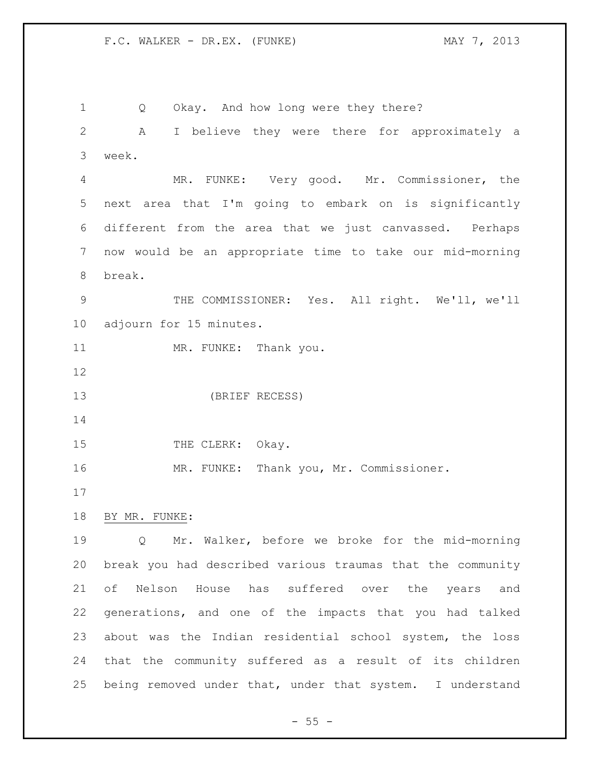Q Okay. And how long were they there? A I believe they were there for approximately a week. MR. FUNKE: Very good. Mr. Commissioner, the next area that I'm going to embark on is significantly different from the area that we just canvassed. Perhaps now would be an appropriate time to take our mid-morning break. THE COMMISSIONER: Yes. All right. We'll, we'll adjourn for 15 minutes. 11 MR. FUNKE: Thank you. (BRIEF RECESS) 15 THE CLERK: Okay. MR. FUNKE: Thank you, Mr. Commissioner. BY MR. FUNKE: Q Mr. Walker, before we broke for the mid-morning break you had described various traumas that the community of Nelson House has suffered over the years and generations, and one of the impacts that you had talked about was the Indian residential school system, the loss that the community suffered as a result of its children being removed under that, under that system. I understand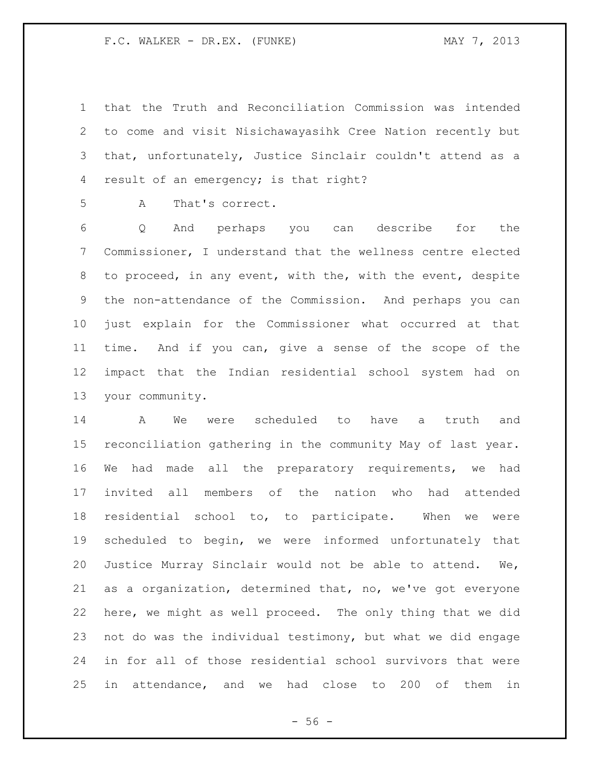that the Truth and Reconciliation Commission was intended to come and visit Nisichawayasihk Cree Nation recently but that, unfortunately, Justice Sinclair couldn't attend as a result of an emergency; is that right?

A That's correct.

 Q And perhaps you can describe for the Commissioner, I understand that the wellness centre elected to proceed, in any event, with the, with the event, despite the non-attendance of the Commission. And perhaps you can just explain for the Commissioner what occurred at that time. And if you can, give a sense of the scope of the impact that the Indian residential school system had on your community.

 A We were scheduled to have a truth and reconciliation gathering in the community May of last year. We had made all the preparatory requirements, we had invited all members of the nation who had attended residential school to, to participate. When we were scheduled to begin, we were informed unfortunately that Justice Murray Sinclair would not be able to attend. We, as a organization, determined that, no, we've got everyone here, we might as well proceed. The only thing that we did not do was the individual testimony, but what we did engage in for all of those residential school survivors that were in attendance, and we had close to 200 of them in

 $-56 -$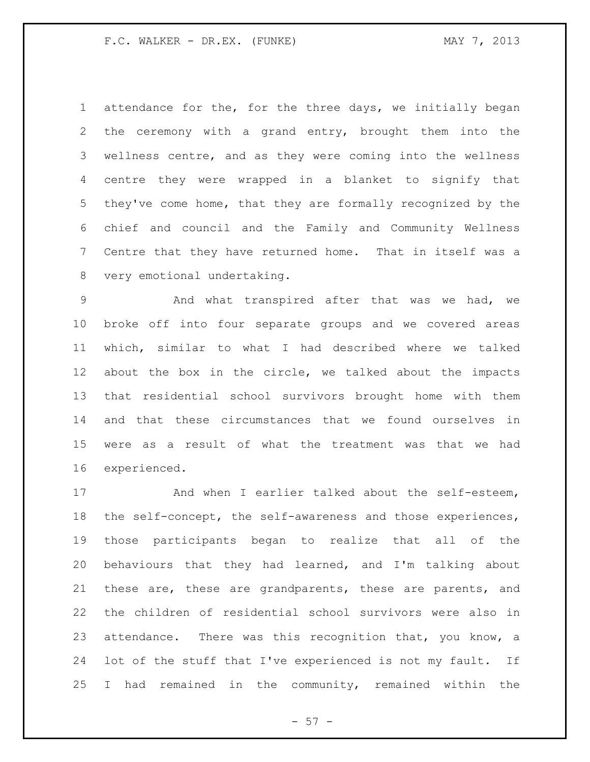attendance for the, for the three days, we initially began the ceremony with a grand entry, brought them into the wellness centre, and as they were coming into the wellness centre they were wrapped in a blanket to signify that they've come home, that they are formally recognized by the chief and council and the Family and Community Wellness Centre that they have returned home. That in itself was a very emotional undertaking.

 And what transpired after that was we had, we broke off into four separate groups and we covered areas which, similar to what I had described where we talked about the box in the circle, we talked about the impacts that residential school survivors brought home with them and that these circumstances that we found ourselves in were as a result of what the treatment was that we had experienced.

 And when I earlier talked about the self-esteem, the self-concept, the self-awareness and those experiences, those participants began to realize that all of the behaviours that they had learned, and I'm talking about these are, these are grandparents, these are parents, and the children of residential school survivors were also in attendance. There was this recognition that, you know, a lot of the stuff that I've experienced is not my fault. If I had remained in the community, remained within the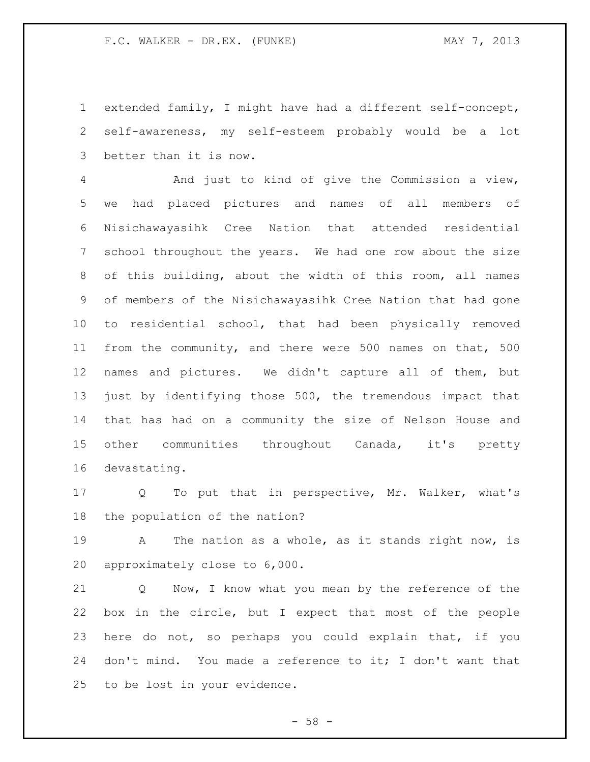extended family, I might have had a different self-concept, self-awareness, my self-esteem probably would be a lot better than it is now.

 And just to kind of give the Commission a view, we had placed pictures and names of all members of Nisichawayasihk Cree Nation that attended residential school throughout the years. We had one row about the size of this building, about the width of this room, all names of members of the Nisichawayasihk Cree Nation that had gone to residential school, that had been physically removed from the community, and there were 500 names on that, 500 names and pictures. We didn't capture all of them, but just by identifying those 500, the tremendous impact that that has had on a community the size of Nelson House and other communities throughout Canada, it's pretty devastating.

 Q To put that in perspective, Mr. Walker, what's the population of the nation?

 A The nation as a whole, as it stands right now, is approximately close to 6,000.

 Q Now, I know what you mean by the reference of the box in the circle, but I expect that most of the people here do not, so perhaps you could explain that, if you don't mind. You made a reference to it; I don't want that to be lost in your evidence.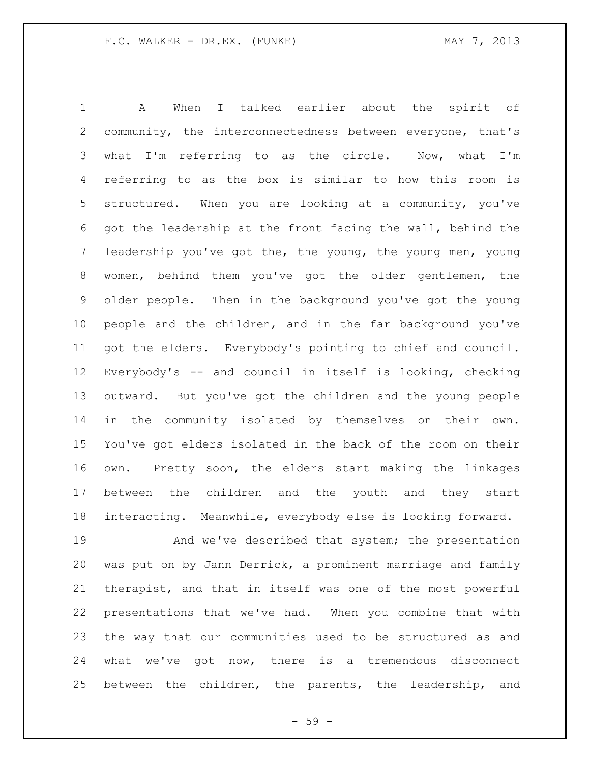A When I talked earlier about the spirit of community, the interconnectedness between everyone, that's what I'm referring to as the circle. Now, what I'm referring to as the box is similar to how this room is structured. When you are looking at a community, you've got the leadership at the front facing the wall, behind the leadership you've got the, the young, the young men, young women, behind them you've got the older gentlemen, the older people. Then in the background you've got the young people and the children, and in the far background you've got the elders. Everybody's pointing to chief and council. Everybody's -- and council in itself is looking, checking outward. But you've got the children and the young people in the community isolated by themselves on their own. You've got elders isolated in the back of the room on their own. Pretty soon, the elders start making the linkages between the children and the youth and they start interacting. Meanwhile, everybody else is looking forward.

 And we've described that system; the presentation was put on by Jann Derrick, a prominent marriage and family therapist, and that in itself was one of the most powerful presentations that we've had. When you combine that with the way that our communities used to be structured as and what we've got now, there is a tremendous disconnect between the children, the parents, the leadership, and

 $-59 -$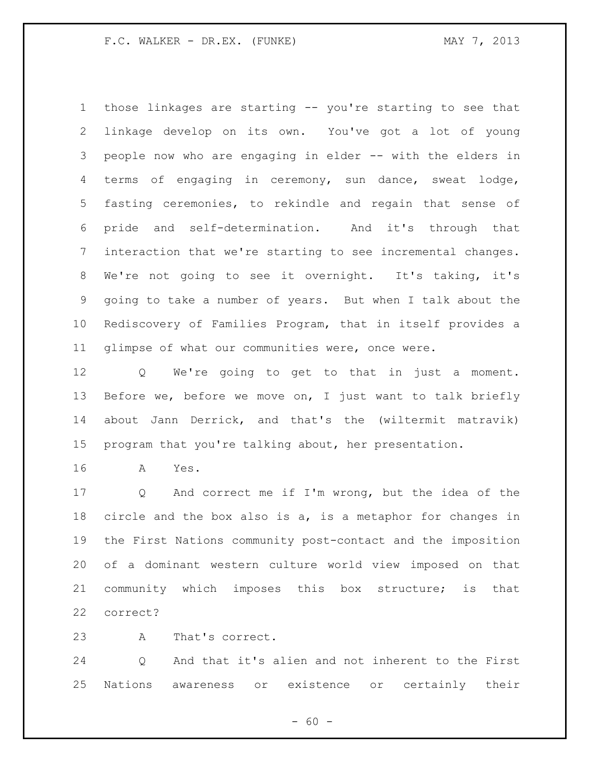those linkages are starting -- you're starting to see that linkage develop on its own. You've got a lot of young people now who are engaging in elder -- with the elders in terms of engaging in ceremony, sun dance, sweat lodge, fasting ceremonies, to rekindle and regain that sense of pride and self-determination. And it's through that interaction that we're starting to see incremental changes. We're not going to see it overnight. It's taking, it's going to take a number of years. But when I talk about the Rediscovery of Families Program, that in itself provides a glimpse of what our communities were, once were.

 Q We're going to get to that in just a moment. Before we, before we move on, I just want to talk briefly about Jann Derrick, and that's the (wiltermit matravik) program that you're talking about, her presentation.

A Yes.

 Q And correct me if I'm wrong, but the idea of the circle and the box also is a, is a metaphor for changes in the First Nations community post-contact and the imposition of a dominant western culture world view imposed on that community which imposes this box structure; is that correct?

A That's correct.

 Q And that it's alien and not inherent to the First Nations awareness or existence or certainly their

 $- 60 -$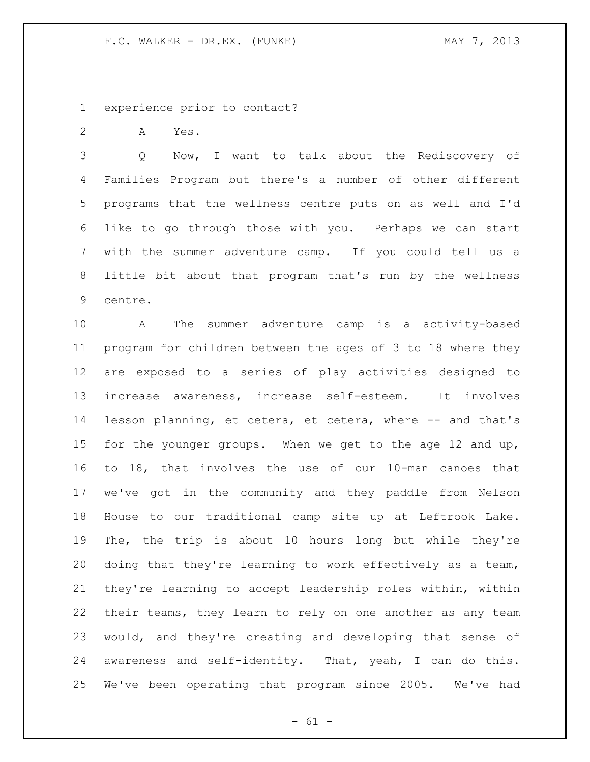experience prior to contact?

A Yes.

 Q Now, I want to talk about the Rediscovery of Families Program but there's a number of other different programs that the wellness centre puts on as well and I'd like to go through those with you. Perhaps we can start with the summer adventure camp. If you could tell us a little bit about that program that's run by the wellness centre.

 A The summer adventure camp is a activity-based program for children between the ages of 3 to 18 where they are exposed to a series of play activities designed to increase awareness, increase self-esteem. It involves 14 lesson planning, et cetera, et cetera, where -- and that's for the younger groups. When we get to the age 12 and up, to 18, that involves the use of our 10-man canoes that we've got in the community and they paddle from Nelson House to our traditional camp site up at Leftrook Lake. The, the trip is about 10 hours long but while they're doing that they're learning to work effectively as a team, they're learning to accept leadership roles within, within their teams, they learn to rely on one another as any team would, and they're creating and developing that sense of awareness and self-identity. That, yeah, I can do this. We've been operating that program since 2005. We've had

 $- 61 -$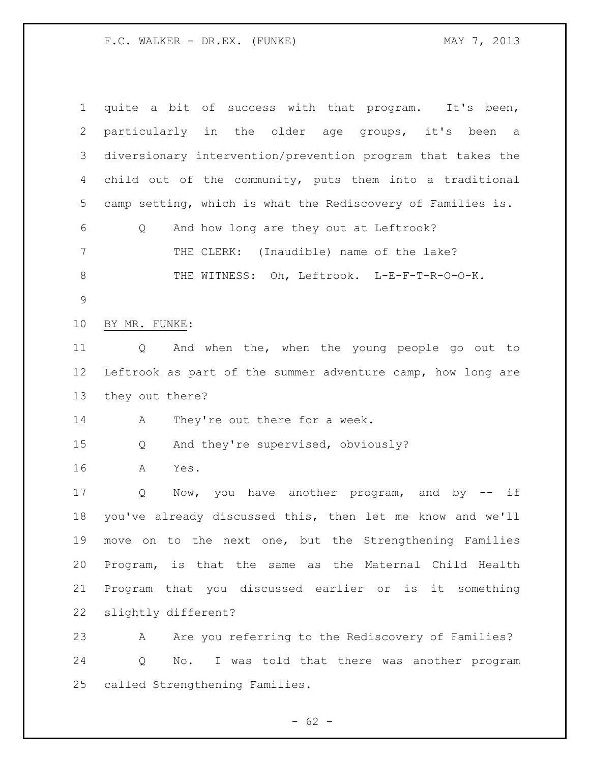| $\mathbf 1$   | quite a bit of success with that program. It's been,               |
|---------------|--------------------------------------------------------------------|
| $\mathbf{2}$  | particularly in the older age groups, it's been a                  |
| 3             | diversionary intervention/prevention program that takes the        |
| 4             | child out of the community, puts them into a traditional           |
| 5             | camp setting, which is what the Rediscovery of Families is.        |
| 6             | And how long are they out at Leftrook?<br>Q                        |
| 7             | THE CLERK: (Inaudible) name of the lake?                           |
| $8\,$         | THE WITNESS: Oh, Leftrook. L-E-F-T-R-O-O-K.                        |
| $\mathcal{G}$ |                                                                    |
| 10            | BY MR. FUNKE:                                                      |
| 11            | And when the, when the young people go out to<br>$Q \qquad \qquad$ |
| 12            | Leftrook as part of the summer adventure camp, how long are        |
| 13            | they out there?                                                    |
| 14            | They're out there for a week.<br>A                                 |
| 15            | And they're supervised, obviously?<br>Q                            |
| 16            | Α<br>Yes.                                                          |
| 17            | Now, you have another program, and by -- if<br>Q                   |
| 18            | you've already discussed this, then let me know and we'll          |
| 19            | move on to the next one, but the Strengthening Families            |
| 20            | Program, is that the same as the Maternal Child Health             |
| 21            | Program that you discussed earlier or is it something              |
| 22            | slightly different?                                                |
| 23            | Are you referring to the Rediscovery of Families?<br>Α             |
| 24            | No. I was told that there was another program<br>Q                 |
| 25            | called Strengthening Families.                                     |

- 62 -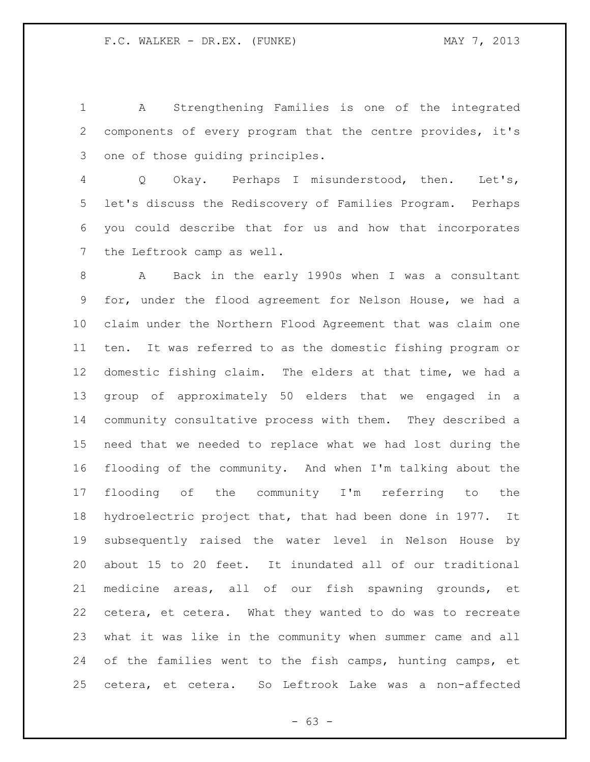A Strengthening Families is one of the integrated components of every program that the centre provides, it's one of those guiding principles.

 Q Okay. Perhaps I misunderstood, then. Let's, let's discuss the Rediscovery of Families Program. Perhaps you could describe that for us and how that incorporates the Leftrook camp as well.

 A Back in the early 1990s when I was a consultant for, under the flood agreement for Nelson House, we had a claim under the Northern Flood Agreement that was claim one ten. It was referred to as the domestic fishing program or domestic fishing claim. The elders at that time, we had a group of approximately 50 elders that we engaged in a community consultative process with them. They described a need that we needed to replace what we had lost during the flooding of the community. And when I'm talking about the flooding of the community I'm referring to the hydroelectric project that, that had been done in 1977. It subsequently raised the water level in Nelson House by about 15 to 20 feet. It inundated all of our traditional medicine areas, all of our fish spawning grounds, et cetera, et cetera. What they wanted to do was to recreate what it was like in the community when summer came and all 24 of the families went to the fish camps, hunting camps, et cetera, et cetera. So Leftrook Lake was a non-affected

 $- 63 -$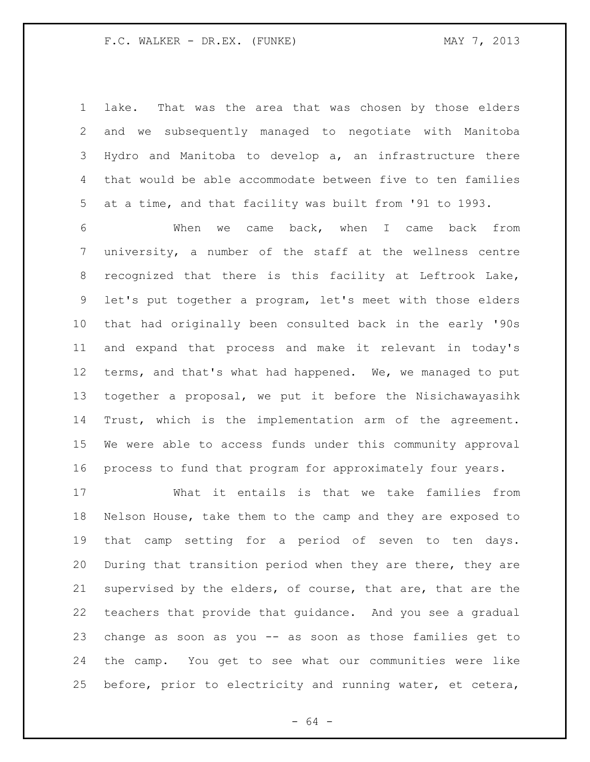lake. That was the area that was chosen by those elders and we subsequently managed to negotiate with Manitoba Hydro and Manitoba to develop a, an infrastructure there that would be able accommodate between five to ten families at a time, and that facility was built from '91 to 1993.

 When we came back, when I came back from university, a number of the staff at the wellness centre recognized that there is this facility at Leftrook Lake, let's put together a program, let's meet with those elders that had originally been consulted back in the early '90s and expand that process and make it relevant in today's 12 terms, and that's what had happened. We, we managed to put together a proposal, we put it before the Nisichawayasihk Trust, which is the implementation arm of the agreement. We were able to access funds under this community approval process to fund that program for approximately four years.

 What it entails is that we take families from Nelson House, take them to the camp and they are exposed to that camp setting for a period of seven to ten days. During that transition period when they are there, they are supervised by the elders, of course, that are, that are the teachers that provide that guidance. And you see a gradual change as soon as you -- as soon as those families get to the camp. You get to see what our communities were like before, prior to electricity and running water, et cetera,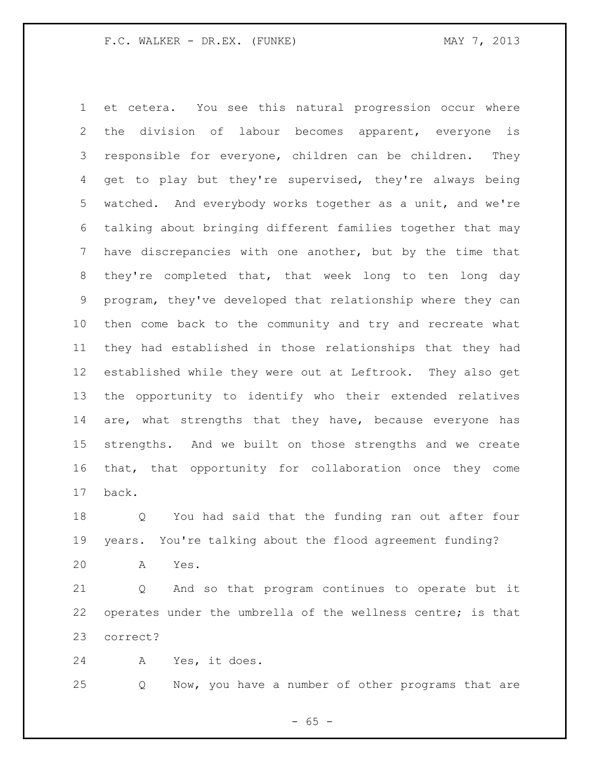et cetera. You see this natural progression occur where the division of labour becomes apparent, everyone is responsible for everyone, children can be children. They get to play but they're supervised, they're always being watched. And everybody works together as a unit, and we're talking about bringing different families together that may have discrepancies with one another, but by the time that they're completed that, that week long to ten long day program, they've developed that relationship where they can then come back to the community and try and recreate what they had established in those relationships that they had established while they were out at Leftrook. They also get the opportunity to identify who their extended relatives 14 are, what strengths that they have, because everyone has strengths. And we built on those strengths and we create that, that opportunity for collaboration once they come back.

 Q You had said that the funding ran out after four years. You're talking about the flood agreement funding?

A Yes.

 Q And so that program continues to operate but it operates under the umbrella of the wellness centre; is that correct?

A Yes, it does.

Q Now, you have a number of other programs that are

 $- 65 -$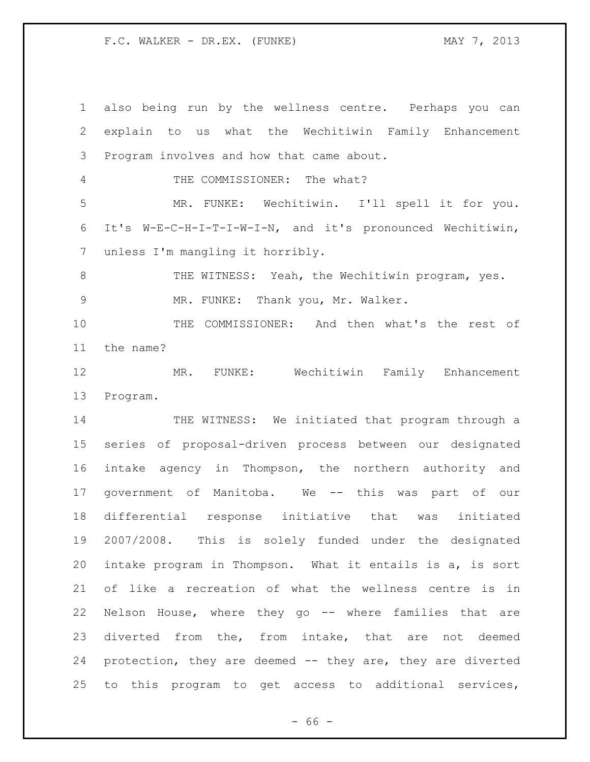also being run by the wellness centre. Perhaps you can explain to us what the Wechitiwin Family Enhancement Program involves and how that came about. THE COMMISSIONER: The what? MR. FUNKE: Wechitiwin. I'll spell it for you. It's W-E-C-H-I-T-I-W-I-N, and it's pronounced Wechitiwin, unless I'm mangling it horribly. 8 THE WITNESS: Yeah, the Wechitiwin program, yes. MR. FUNKE: Thank you, Mr. Walker. THE COMMISSIONER: And then what's the rest of the name? MR. FUNKE: Wechitiwin Family Enhancement Program. 14 THE WITNESS: We initiated that program through a series of proposal-driven process between our designated intake agency in Thompson, the northern authority and government of Manitoba. We -- this was part of our differential response initiative that was initiated 2007/2008. This is solely funded under the designated intake program in Thompson. What it entails is a, is sort of like a recreation of what the wellness centre is in Nelson House, where they go -- where families that are diverted from the, from intake, that are not deemed protection, they are deemed -- they are, they are diverted to this program to get access to additional services,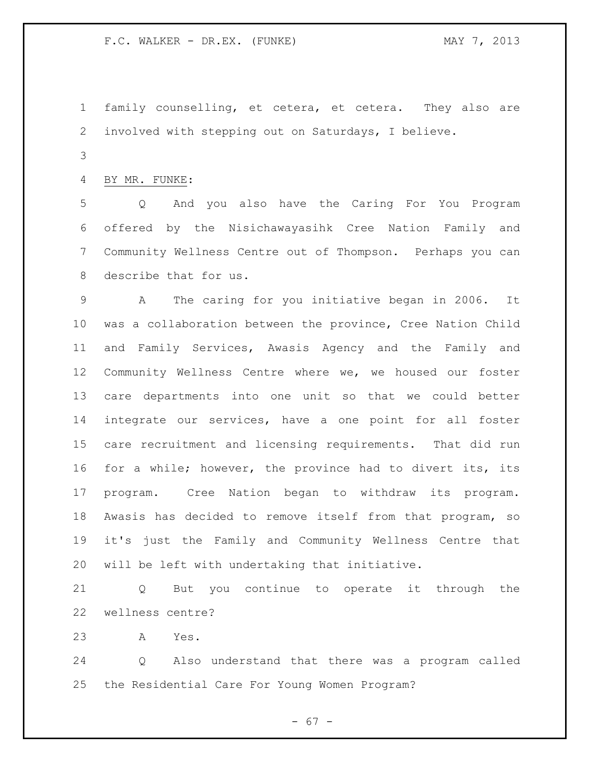family counselling, et cetera, et cetera. They also are involved with stepping out on Saturdays, I believe.

BY MR. FUNKE:

 Q And you also have the Caring For You Program offered by the Nisichawayasihk Cree Nation Family and Community Wellness Centre out of Thompson. Perhaps you can describe that for us.

 A The caring for you initiative began in 2006. It was a collaboration between the province, Cree Nation Child and Family Services, Awasis Agency and the Family and Community Wellness Centre where we, we housed our foster care departments into one unit so that we could better integrate our services, have a one point for all foster care recruitment and licensing requirements. That did run for a while; however, the province had to divert its, its program. Cree Nation began to withdraw its program. Awasis has decided to remove itself from that program, so it's just the Family and Community Wellness Centre that will be left with undertaking that initiative.

 Q But you continue to operate it through the wellness centre?

A Yes.

 Q Also understand that there was a program called the Residential Care For Young Women Program?

 $- 67 -$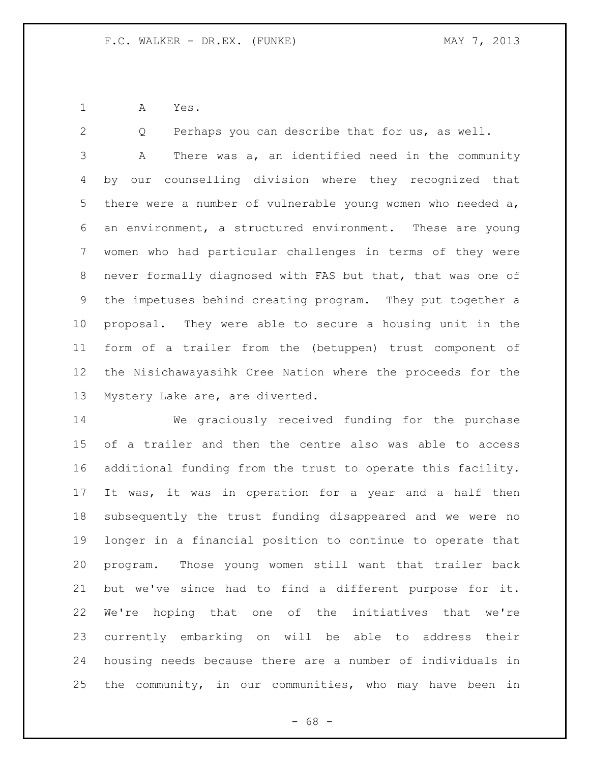A Yes.

 Q Perhaps you can describe that for us, as well. A There was a, an identified need in the community by our counselling division where they recognized that there were a number of vulnerable young women who needed a, an environment, a structured environment. These are young women who had particular challenges in terms of they were never formally diagnosed with FAS but that, that was one of the impetuses behind creating program. They put together a proposal. They were able to secure a housing unit in the form of a trailer from the (betuppen) trust component of the Nisichawayasihk Cree Nation where the proceeds for the Mystery Lake are, are diverted.

 We graciously received funding for the purchase of a trailer and then the centre also was able to access additional funding from the trust to operate this facility. It was, it was in operation for a year and a half then subsequently the trust funding disappeared and we were no longer in a financial position to continue to operate that program. Those young women still want that trailer back but we've since had to find a different purpose for it. We're hoping that one of the initiatives that we're currently embarking on will be able to address their housing needs because there are a number of individuals in the community, in our communities, who may have been in

- 68 -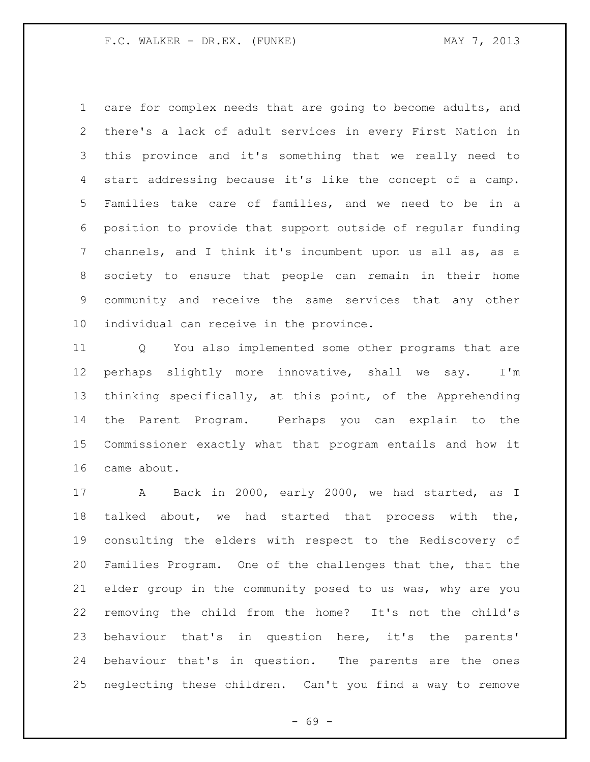care for complex needs that are going to become adults, and there's a lack of adult services in every First Nation in this province and it's something that we really need to start addressing because it's like the concept of a camp. Families take care of families, and we need to be in a position to provide that support outside of regular funding channels, and I think it's incumbent upon us all as, as a society to ensure that people can remain in their home community and receive the same services that any other individual can receive in the province.

 Q You also implemented some other programs that are perhaps slightly more innovative, shall we say. I'm thinking specifically, at this point, of the Apprehending the Parent Program. Perhaps you can explain to the Commissioner exactly what that program entails and how it came about.

 A Back in 2000, early 2000, we had started, as I talked about, we had started that process with the, consulting the elders with respect to the Rediscovery of Families Program. One of the challenges that the, that the elder group in the community posed to us was, why are you removing the child from the home? It's not the child's behaviour that's in question here, it's the parents' behaviour that's in question. The parents are the ones neglecting these children. Can't you find a way to remove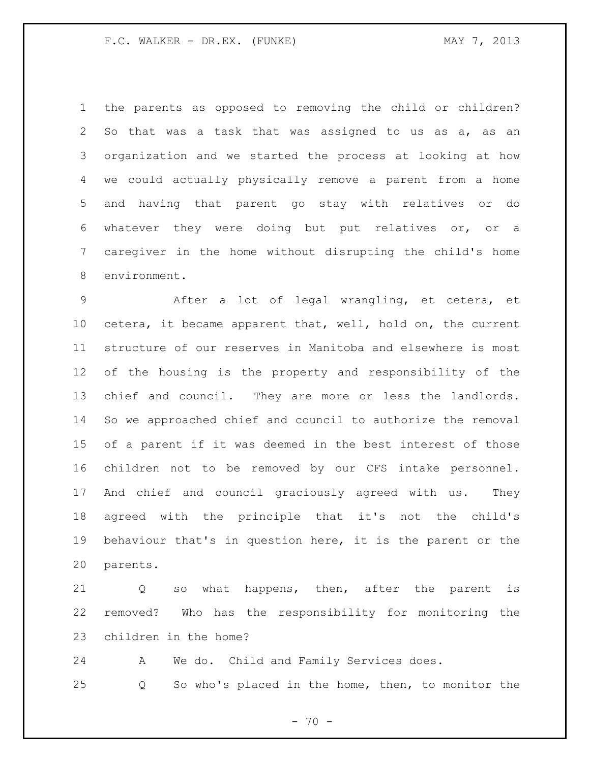the parents as opposed to removing the child or children? So that was a task that was assigned to us as a, as an organization and we started the process at looking at how we could actually physically remove a parent from a home and having that parent go stay with relatives or do whatever they were doing but put relatives or, or a caregiver in the home without disrupting the child's home environment.

 After a lot of legal wrangling, et cetera, et cetera, it became apparent that, well, hold on, the current structure of our reserves in Manitoba and elsewhere is most of the housing is the property and responsibility of the chief and council. They are more or less the landlords. So we approached chief and council to authorize the removal of a parent if it was deemed in the best interest of those children not to be removed by our CFS intake personnel. And chief and council graciously agreed with us. They agreed with the principle that it's not the child's behaviour that's in question here, it is the parent or the parents.

 Q so what happens, then, after the parent is removed? Who has the responsibility for monitoring the children in the home?

 A We do. Child and Family Services does. Q So who's placed in the home, then, to monitor the

 $- 70 -$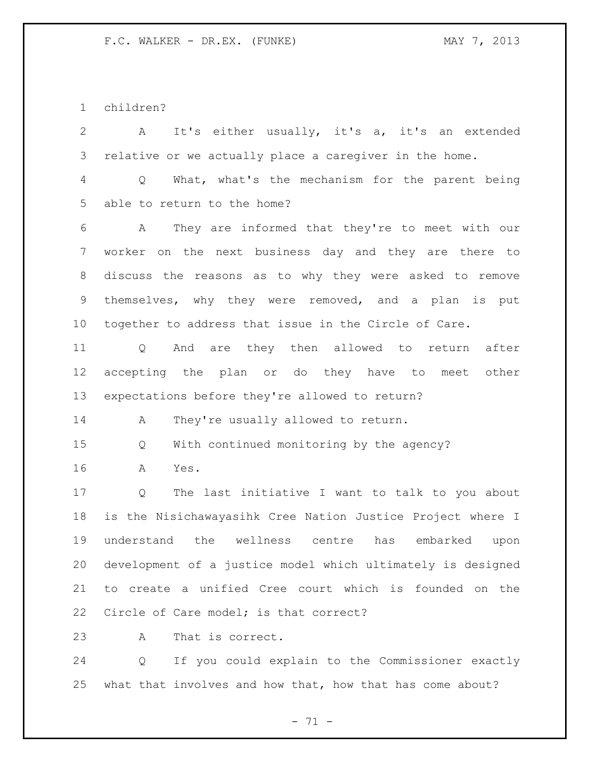children?

| $\overline{2}$  | It's either usually, it's a, it's an extended<br>A                 |
|-----------------|--------------------------------------------------------------------|
| 3               | relative or we actually place a caregiver in the home.             |
| 4               | What, what's the mechanism for the parent being<br>Q               |
| 5               | able to return to the home?                                        |
| 6               | They are informed that they're to meet with our<br>A               |
| 7               | worker on the next business day and they are there to              |
| 8               | discuss the reasons as to why they were asked to remove            |
| 9               | themselves, why they were removed, and a plan is put               |
| 10 <sub>o</sub> | together to address that issue in the Circle of Care.              |
| 11              | And are they then allowed to return<br>after<br>Q                  |
| 12              | accepting the plan or do they have to meet<br>other                |
| 13              | expectations before they're allowed to return?                     |
| 14              | They're usually allowed to return.<br>A                            |
| 15              | With continued monitoring by the agency?<br>Q                      |
| 16              | Yes.<br>A                                                          |
| 17              | The last initiative I want to talk to you about<br>Q               |
| 18              | is the Nisichawayasihk Cree Nation Justice Project where I         |
| 19              | the<br>wellness<br>has<br>understand<br>centre<br>embarked<br>upon |
| 20              | development of a justice model which ultimately is designed        |
| 21              | to create a unified Cree court which is founded on the             |
| 22              | Circle of Care model; is that correct?                             |
| 23              | That is correct.<br>A                                              |
| 24              | If you could explain to the Commissioner exactly<br>Q              |

what that involves and how that, how that has come about?

- 71 -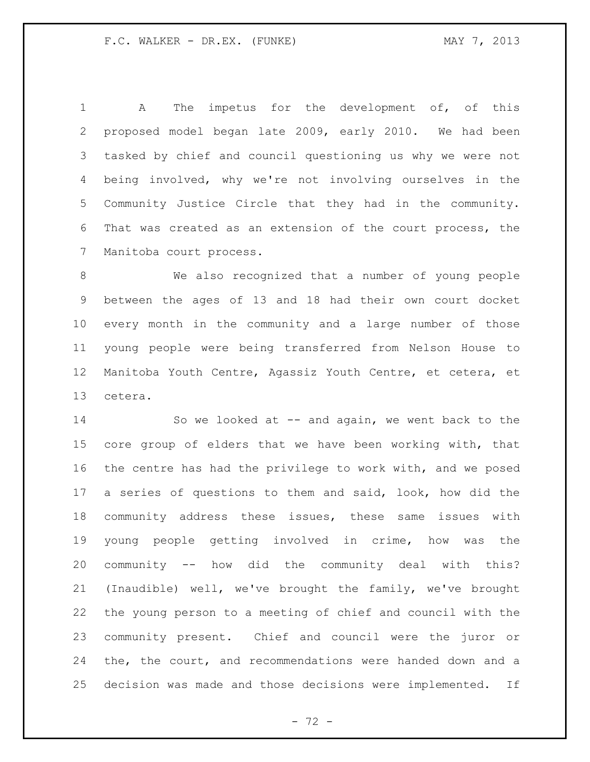A The impetus for the development of, of this proposed model began late 2009, early 2010. We had been tasked by chief and council questioning us why we were not being involved, why we're not involving ourselves in the Community Justice Circle that they had in the community. That was created as an extension of the court process, the Manitoba court process.

 We also recognized that a number of young people between the ages of 13 and 18 had their own court docket every month in the community and a large number of those young people were being transferred from Nelson House to Manitoba Youth Centre, Agassiz Youth Centre, et cetera, et cetera.

 So we looked at -- and again, we went back to the core group of elders that we have been working with, that the centre has had the privilege to work with, and we posed a series of questions to them and said, look, how did the community address these issues, these same issues with young people getting involved in crime, how was the community -- how did the community deal with this? (Inaudible) well, we've brought the family, we've brought the young person to a meeting of chief and council with the community present. Chief and council were the juror or the, the court, and recommendations were handed down and a decision was made and those decisions were implemented. If

 $- 72 -$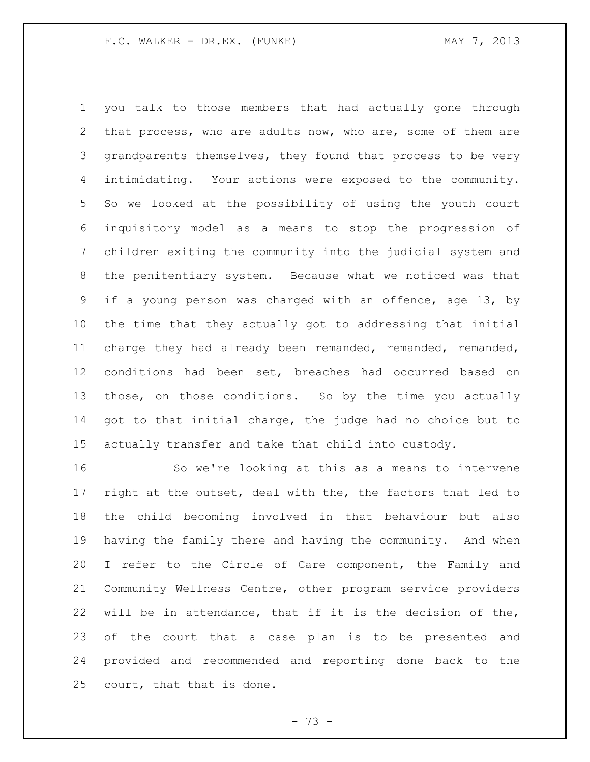you talk to those members that had actually gone through that process, who are adults now, who are, some of them are grandparents themselves, they found that process to be very intimidating. Your actions were exposed to the community. So we looked at the possibility of using the youth court inquisitory model as a means to stop the progression of children exiting the community into the judicial system and the penitentiary system. Because what we noticed was that if a young person was charged with an offence, age 13, by the time that they actually got to addressing that initial charge they had already been remanded, remanded, remanded, conditions had been set, breaches had occurred based on those, on those conditions. So by the time you actually got to that initial charge, the judge had no choice but to actually transfer and take that child into custody.

 So we're looking at this as a means to intervene right at the outset, deal with the, the factors that led to the child becoming involved in that behaviour but also having the family there and having the community. And when I refer to the Circle of Care component, the Family and Community Wellness Centre, other program service providers will be in attendance, that if it is the decision of the, of the court that a case plan is to be presented and provided and recommended and reporting done back to the court, that that is done.

- 73 -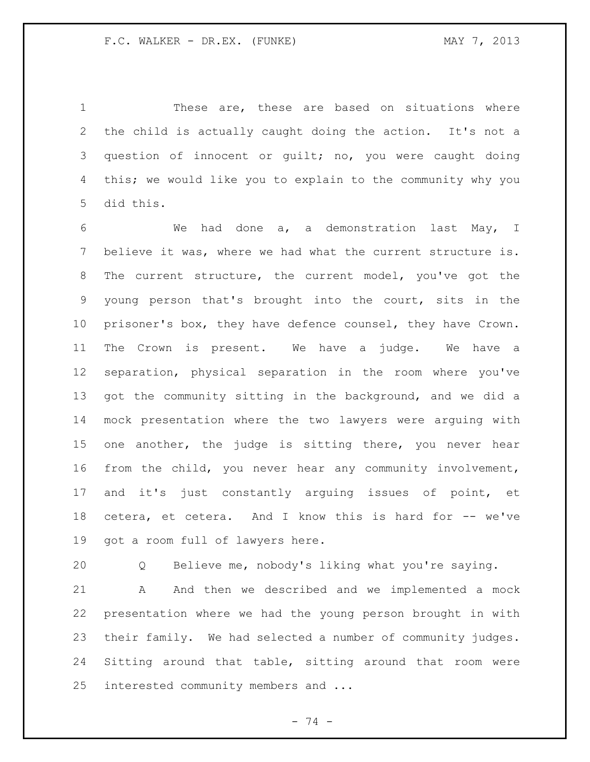These are, these are based on situations where the child is actually caught doing the action. It's not a question of innocent or guilt; no, you were caught doing this; we would like you to explain to the community why you did this.

 We had done a, a demonstration last May, I believe it was, where we had what the current structure is. The current structure, the current model, you've got the young person that's brought into the court, sits in the prisoner's box, they have defence counsel, they have Crown. The Crown is present. We have a judge. We have a separation, physical separation in the room where you've got the community sitting in the background, and we did a mock presentation where the two lawyers were arguing with 15 one another, the judge is sitting there, you never hear from the child, you never hear any community involvement, and it's just constantly arguing issues of point, et cetera, et cetera. And I know this is hard for -- we've got a room full of lawyers here.

Q Believe me, nobody's liking what you're saying.

 A And then we described and we implemented a mock presentation where we had the young person brought in with their family. We had selected a number of community judges. Sitting around that table, sitting around that room were interested community members and ...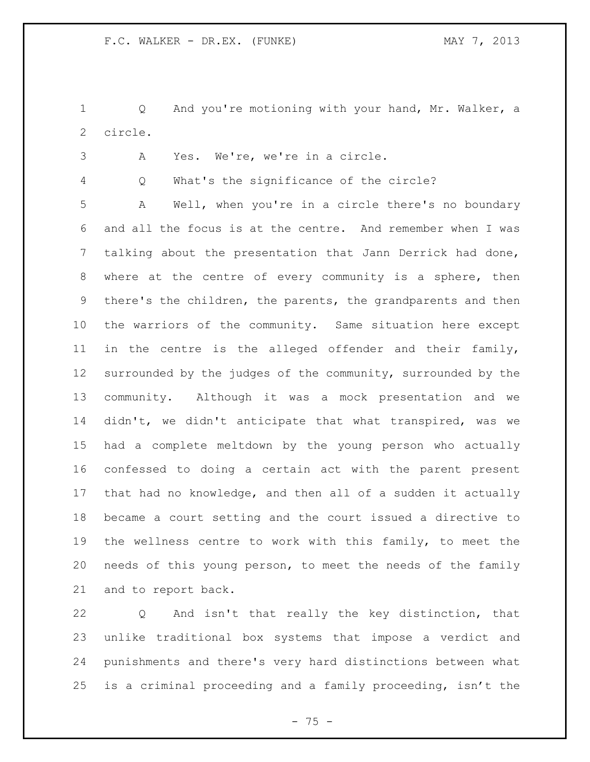Q And you're motioning with your hand, Mr. Walker, a circle.

A Yes. We're, we're in a circle.

Q What's the significance of the circle?

 A Well, when you're in a circle there's no boundary and all the focus is at the centre. And remember when I was talking about the presentation that Jann Derrick had done, where at the centre of every community is a sphere, then there's the children, the parents, the grandparents and then the warriors of the community. Same situation here except in the centre is the alleged offender and their family, surrounded by the judges of the community, surrounded by the community. Although it was a mock presentation and we didn't, we didn't anticipate that what transpired, was we had a complete meltdown by the young person who actually confessed to doing a certain act with the parent present that had no knowledge, and then all of a sudden it actually became a court setting and the court issued a directive to the wellness centre to work with this family, to meet the needs of this young person, to meet the needs of the family and to report back.

 Q And isn't that really the key distinction, that unlike traditional box systems that impose a verdict and punishments and there's very hard distinctions between what is a criminal proceeding and a family proceeding, isn't the

- 75 -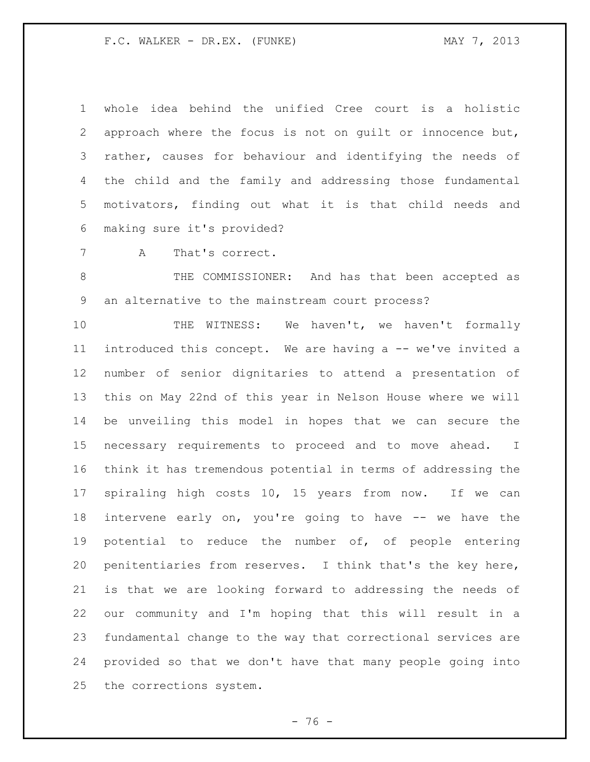whole idea behind the unified Cree court is a holistic approach where the focus is not on guilt or innocence but, rather, causes for behaviour and identifying the needs of the child and the family and addressing those fundamental motivators, finding out what it is that child needs and making sure it's provided?

A That's correct.

 THE COMMISSIONER: And has that been accepted as an alternative to the mainstream court process?

 THE WITNESS: We haven't, we haven't formally introduced this concept. We are having a -- we've invited a number of senior dignitaries to attend a presentation of this on May 22nd of this year in Nelson House where we will be unveiling this model in hopes that we can secure the necessary requirements to proceed and to move ahead. I think it has tremendous potential in terms of addressing the spiraling high costs 10, 15 years from now. If we can intervene early on, you're going to have -- we have the potential to reduce the number of, of people entering penitentiaries from reserves. I think that's the key here, is that we are looking forward to addressing the needs of our community and I'm hoping that this will result in a fundamental change to the way that correctional services are provided so that we don't have that many people going into the corrections system.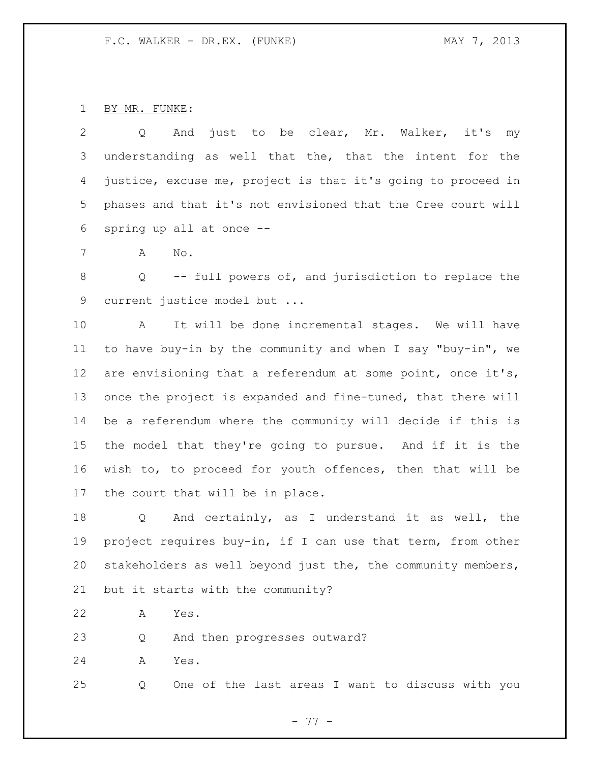BY MR. FUNKE:

 Q And just to be clear, Mr. Walker, it's my understanding as well that the, that the intent for the justice, excuse me, project is that it's going to proceed in phases and that it's not envisioned that the Cree court will spring up all at once --

A No.

 Q -- full powers of, and jurisdiction to replace the 9 current justice model but ...

 A It will be done incremental stages. We will have to have buy-in by the community and when I say "buy-in", we are envisioning that a referendum at some point, once it's, once the project is expanded and fine-tuned, that there will be a referendum where the community will decide if this is the model that they're going to pursue. And if it is the wish to, to proceed for youth offences, then that will be the court that will be in place.

 Q And certainly, as I understand it as well, the project requires buy-in, if I can use that term, from other stakeholders as well beyond just the, the community members, but it starts with the community?

A Yes.

Q And then progresses outward?

A Yes.

Q One of the last areas I want to discuss with you

- 77 -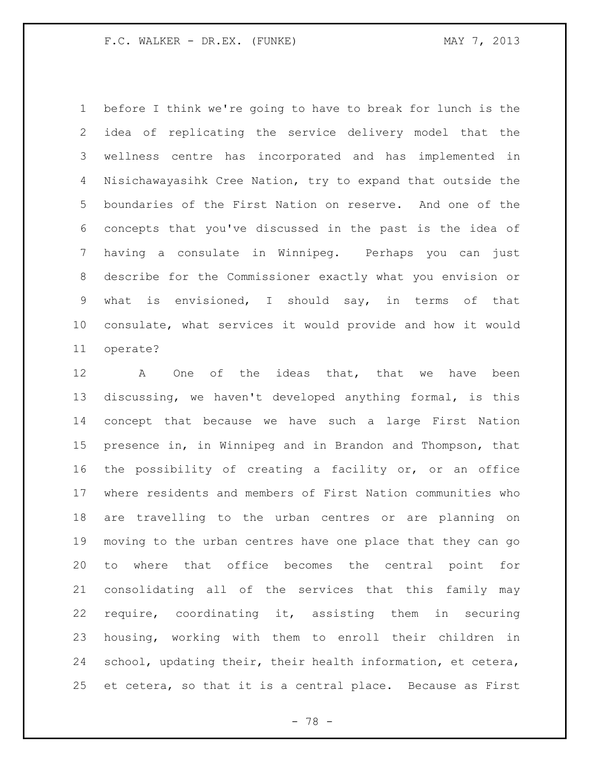before I think we're going to have to break for lunch is the idea of replicating the service delivery model that the wellness centre has incorporated and has implemented in Nisichawayasihk Cree Nation, try to expand that outside the boundaries of the First Nation on reserve. And one of the concepts that you've discussed in the past is the idea of having a consulate in Winnipeg. Perhaps you can just describe for the Commissioner exactly what you envision or what is envisioned, I should say, in terms of that consulate, what services it would provide and how it would operate?

 A One of the ideas that, that we have been discussing, we haven't developed anything formal, is this concept that because we have such a large First Nation presence in, in Winnipeg and in Brandon and Thompson, that the possibility of creating a facility or, or an office where residents and members of First Nation communities who are travelling to the urban centres or are planning on moving to the urban centres have one place that they can go to where that office becomes the central point for consolidating all of the services that this family may require, coordinating it, assisting them in securing housing, working with them to enroll their children in school, updating their, their health information, et cetera, et cetera, so that it is a central place. Because as First

- 78 -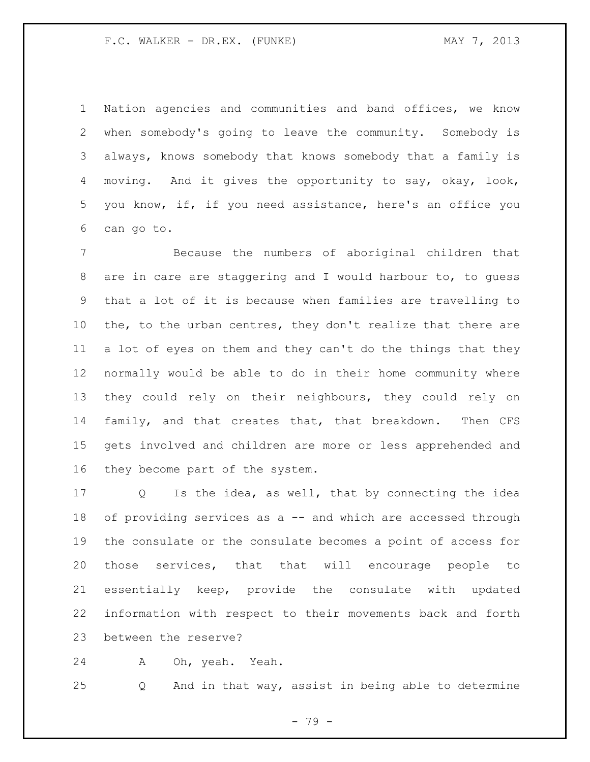Nation agencies and communities and band offices, we know when somebody's going to leave the community. Somebody is always, knows somebody that knows somebody that a family is moving. And it gives the opportunity to say, okay, look, you know, if, if you need assistance, here's an office you can go to.

 Because the numbers of aboriginal children that are in care are staggering and I would harbour to, to guess that a lot of it is because when families are travelling to 10 the, to the urban centres, they don't realize that there are a lot of eyes on them and they can't do the things that they normally would be able to do in their home community where they could rely on their neighbours, they could rely on family, and that creates that, that breakdown. Then CFS gets involved and children are more or less apprehended and they become part of the system.

 Q Is the idea, as well, that by connecting the idea 18 of providing services as a -- and which are accessed through the consulate or the consulate becomes a point of access for those services, that that will encourage people to essentially keep, provide the consulate with updated information with respect to their movements back and forth between the reserve?

A Oh, yeah. Yeah.

Q And in that way, assist in being able to determine

- 79 -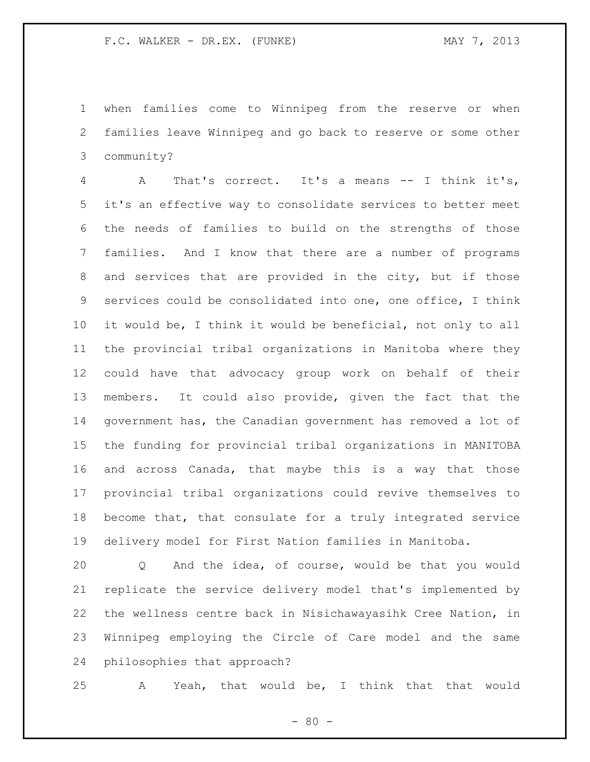when families come to Winnipeg from the reserve or when families leave Winnipeg and go back to reserve or some other community?

 A That's correct. It's a means -- I think it's, it's an effective way to consolidate services to better meet the needs of families to build on the strengths of those families. And I know that there are a number of programs and services that are provided in the city, but if those services could be consolidated into one, one office, I think it would be, I think it would be beneficial, not only to all the provincial tribal organizations in Manitoba where they could have that advocacy group work on behalf of their members. It could also provide, given the fact that the government has, the Canadian government has removed a lot of the funding for provincial tribal organizations in MANITOBA and across Canada, that maybe this is a way that those provincial tribal organizations could revive themselves to become that, that consulate for a truly integrated service delivery model for First Nation families in Manitoba.

 Q And the idea, of course, would be that you would replicate the service delivery model that's implemented by the wellness centre back in Nisichawayasihk Cree Nation, in Winnipeg employing the Circle of Care model and the same philosophies that approach?

A Yeah, that would be, I think that that would

 $- 80 -$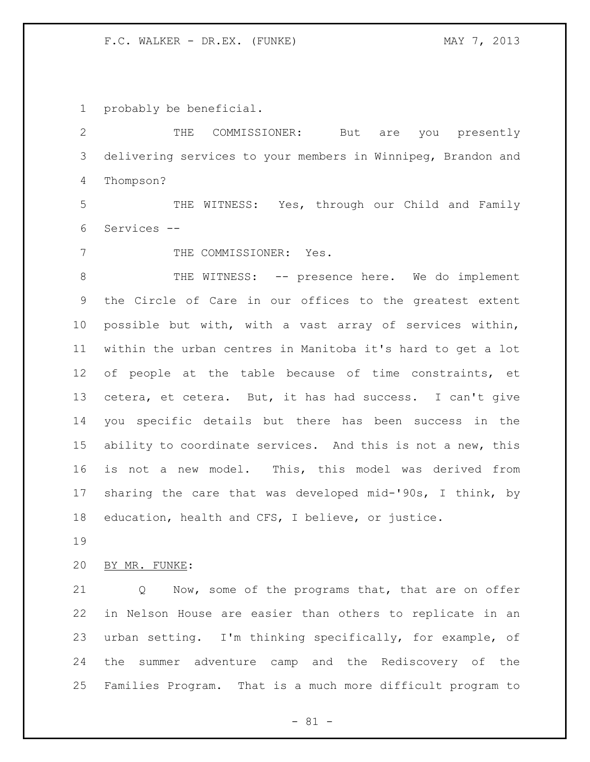probably be beneficial.

 THE COMMISSIONER: But are you presently delivering services to your members in Winnipeg, Brandon and Thompson?

 THE WITNESS: Yes, through our Child and Family Services --

7 THE COMMISSIONER: Yes.

8 THE WITNESS: -- presence here. We do implement the Circle of Care in our offices to the greatest extent possible but with, with a vast array of services within, within the urban centres in Manitoba it's hard to get a lot of people at the table because of time constraints, et cetera, et cetera. But, it has had success. I can't give you specific details but there has been success in the ability to coordinate services. And this is not a new, this is not a new model. This, this model was derived from sharing the care that was developed mid-'90s, I think, by education, health and CFS, I believe, or justice.

BY MR. FUNKE:

 Q Now, some of the programs that, that are on offer in Nelson House are easier than others to replicate in an urban setting. I'm thinking specifically, for example, of the summer adventure camp and the Rediscovery of the Families Program. That is a much more difficult program to

- 81 -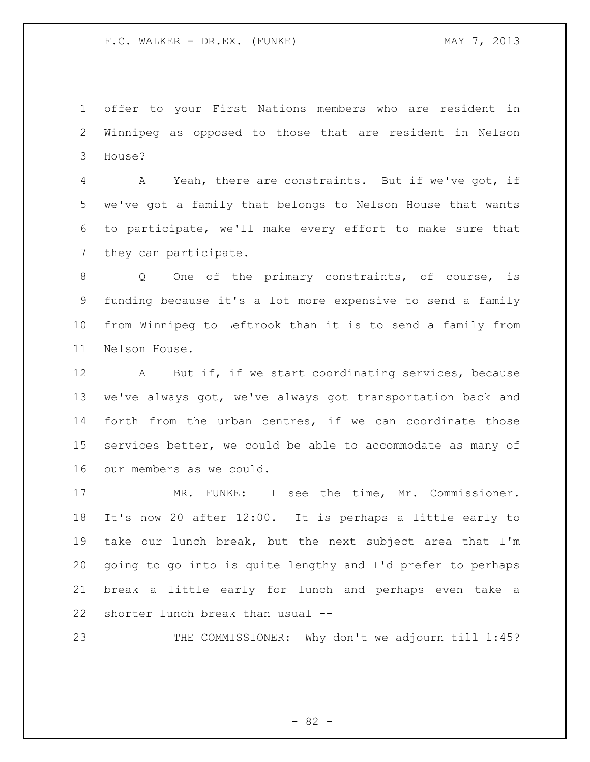offer to your First Nations members who are resident in Winnipeg as opposed to those that are resident in Nelson House?

 A Yeah, there are constraints. But if we've got, if we've got a family that belongs to Nelson House that wants to participate, we'll make every effort to make sure that they can participate.

8 Q One of the primary constraints, of course, is funding because it's a lot more expensive to send a family from Winnipeg to Leftrook than it is to send a family from Nelson House.

 A But if, if we start coordinating services, because we've always got, we've always got transportation back and forth from the urban centres, if we can coordinate those services better, we could be able to accommodate as many of our members as we could.

 MR. FUNKE: I see the time, Mr. Commissioner. It's now 20 after 12:00. It is perhaps a little early to take our lunch break, but the next subject area that I'm going to go into is quite lengthy and I'd prefer to perhaps break a little early for lunch and perhaps even take a shorter lunch break than usual --

THE COMMISSIONER: Why don't we adjourn till 1:45?

- 82 -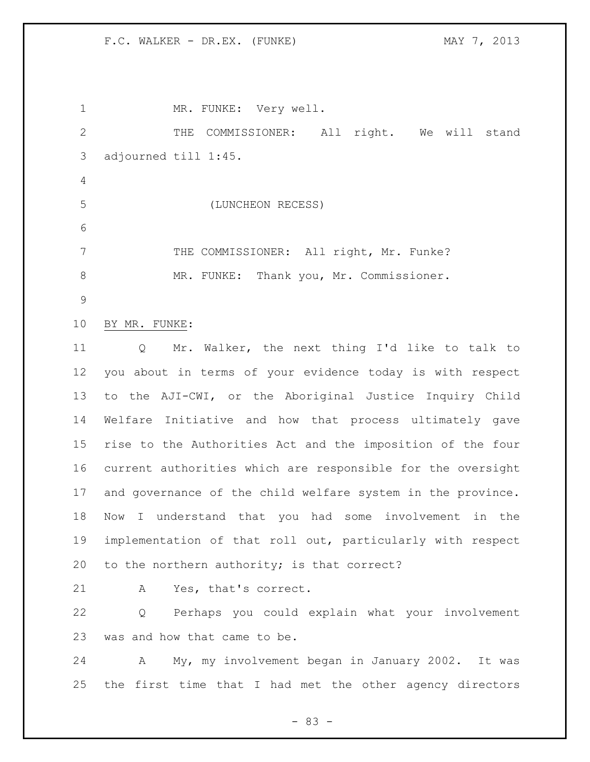1 MR. FUNKE: Very well. 2 THE COMMISSIONER: All right. We will stand adjourned till 1:45. (LUNCHEON RECESS) 7 THE COMMISSIONER: All right, Mr. Funke? MR. FUNKE: Thank you, Mr. Commissioner. BY MR. FUNKE: Q Mr. Walker, the next thing I'd like to talk to you about in terms of your evidence today is with respect to the AJI-CWI, or the Aboriginal Justice Inquiry Child Welfare Initiative and how that process ultimately gave rise to the Authorities Act and the imposition of the four current authorities which are responsible for the oversight and governance of the child welfare system in the province. Now I understand that you had some involvement in the implementation of that roll out, particularly with respect to the northern authority; is that correct? A Yes, that's correct. Q Perhaps you could explain what your involvement was and how that came to be. A My, my involvement began in January 2002. It was

the first time that I had met the other agency directors

- 83 -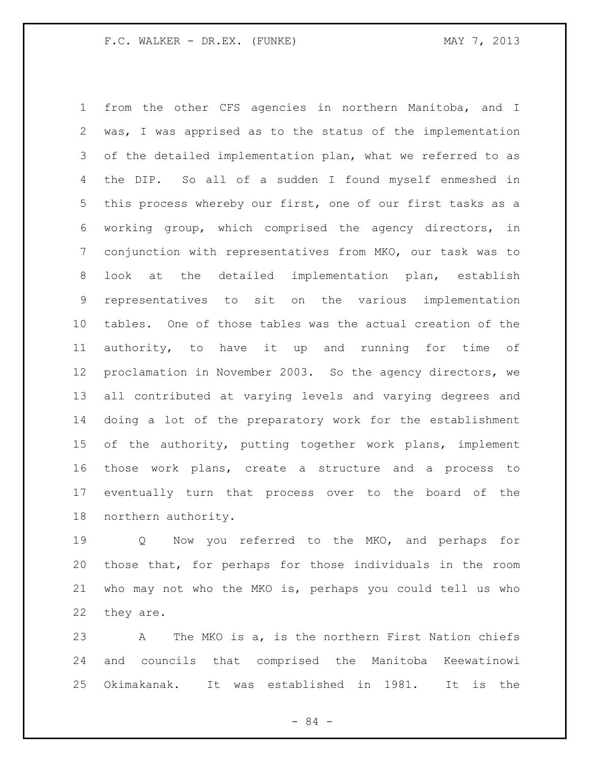from the other CFS agencies in northern Manitoba, and I was, I was apprised as to the status of the implementation of the detailed implementation plan, what we referred to as the DIP. So all of a sudden I found myself enmeshed in this process whereby our first, one of our first tasks as a working group, which comprised the agency directors, in conjunction with representatives from MKO, our task was to look at the detailed implementation plan, establish representatives to sit on the various implementation tables. One of those tables was the actual creation of the authority, to have it up and running for time of proclamation in November 2003. So the agency directors, we all contributed at varying levels and varying degrees and doing a lot of the preparatory work for the establishment of the authority, putting together work plans, implement those work plans, create a structure and a process to eventually turn that process over to the board of the northern authority.

 Q Now you referred to the MKO, and perhaps for those that, for perhaps for those individuals in the room who may not who the MKO is, perhaps you could tell us who they are.

 A The MKO is a, is the northern First Nation chiefs and councils that comprised the Manitoba Keewatinowi Okimakanak. It was established in 1981. It is the

- 84 -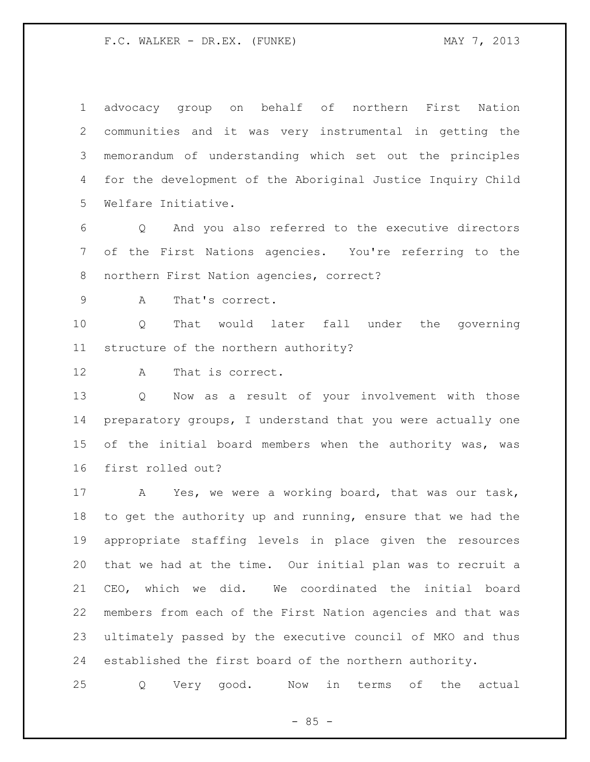advocacy group on behalf of northern First Nation communities and it was very instrumental in getting the memorandum of understanding which set out the principles for the development of the Aboriginal Justice Inquiry Child Welfare Initiative.

 Q And you also referred to the executive directors of the First Nations agencies. You're referring to the northern First Nation agencies, correct?

A That's correct.

 Q That would later fall under the governing structure of the northern authority?

A That is correct.

 Q Now as a result of your involvement with those preparatory groups, I understand that you were actually one of the initial board members when the authority was, was first rolled out?

 A Yes, we were a working board, that was our task, to get the authority up and running, ensure that we had the appropriate staffing levels in place given the resources that we had at the time. Our initial plan was to recruit a CEO, which we did. We coordinated the initial board members from each of the First Nation agencies and that was ultimately passed by the executive council of MKO and thus established the first board of the northern authority.

Q Very good. Now in terms of the actual

 $- 85 -$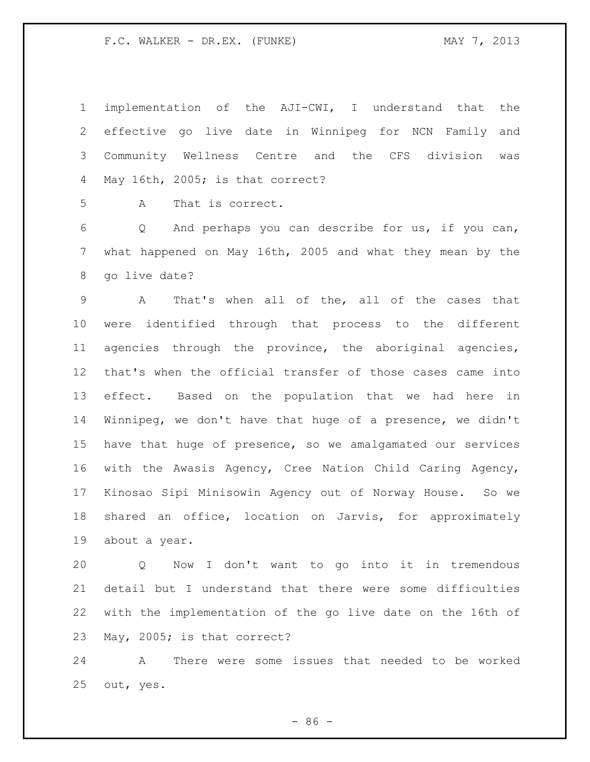implementation of the AJI-CWI, I understand that the effective go live date in Winnipeg for NCN Family and Community Wellness Centre and the CFS division was May 16th, 2005; is that correct?

A That is correct.

 Q And perhaps you can describe for us, if you can, what happened on May 16th, 2005 and what they mean by the go live date?

 A That's when all of the, all of the cases that were identified through that process to the different agencies through the province, the aboriginal agencies, that's when the official transfer of those cases came into effect. Based on the population that we had here in Winnipeg, we don't have that huge of a presence, we didn't have that huge of presence, so we amalgamated our services with the Awasis Agency, Cree Nation Child Caring Agency, Kinosao Sipi Minisowin Agency out of Norway House. So we shared an office, location on Jarvis, for approximately about a year.

 Q Now I don't want to go into it in tremendous detail but I understand that there were some difficulties with the implementation of the go live date on the 16th of May, 2005; is that correct?

 A There were some issues that needed to be worked out, yes.

 $-86 -$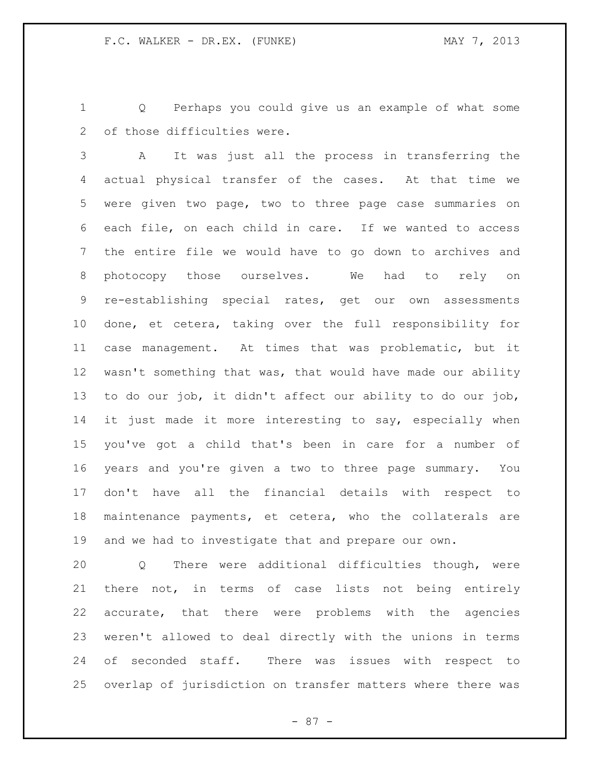Q Perhaps you could give us an example of what some of those difficulties were.

 A It was just all the process in transferring the actual physical transfer of the cases. At that time we were given two page, two to three page case summaries on each file, on each child in care. If we wanted to access the entire file we would have to go down to archives and photocopy those ourselves. We had to rely on re-establishing special rates, get our own assessments done, et cetera, taking over the full responsibility for case management. At times that was problematic, but it wasn't something that was, that would have made our ability to do our job, it didn't affect our ability to do our job, it just made it more interesting to say, especially when you've got a child that's been in care for a number of years and you're given a two to three page summary. You don't have all the financial details with respect to maintenance payments, et cetera, who the collaterals are and we had to investigate that and prepare our own.

 Q There were additional difficulties though, were there not, in terms of case lists not being entirely accurate, that there were problems with the agencies weren't allowed to deal directly with the unions in terms of seconded staff. There was issues with respect to overlap of jurisdiction on transfer matters where there was

- 87 -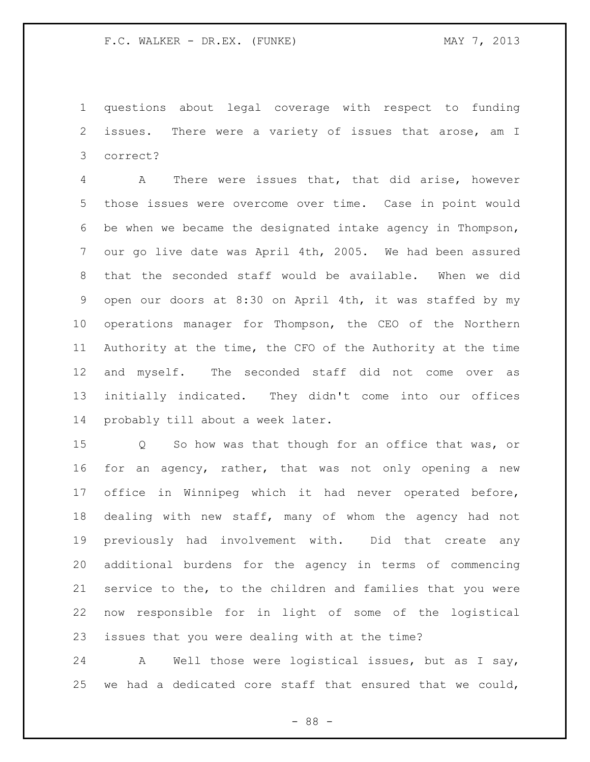questions about legal coverage with respect to funding issues. There were a variety of issues that arose, am I correct?

 A There were issues that, that did arise, however those issues were overcome over time. Case in point would be when we became the designated intake agency in Thompson, our go live date was April 4th, 2005. We had been assured that the seconded staff would be available. When we did open our doors at 8:30 on April 4th, it was staffed by my operations manager for Thompson, the CEO of the Northern Authority at the time, the CFO of the Authority at the time and myself. The seconded staff did not come over as initially indicated. They didn't come into our offices probably till about a week later.

 Q So how was that though for an office that was, or for an agency, rather, that was not only opening a new office in Winnipeg which it had never operated before, dealing with new staff, many of whom the agency had not previously had involvement with. Did that create any additional burdens for the agency in terms of commencing service to the, to the children and families that you were now responsible for in light of some of the logistical issues that you were dealing with at the time?

 A Well those were logistical issues, but as I say, 25 we had a dedicated core staff that ensured that we could,

- 88 -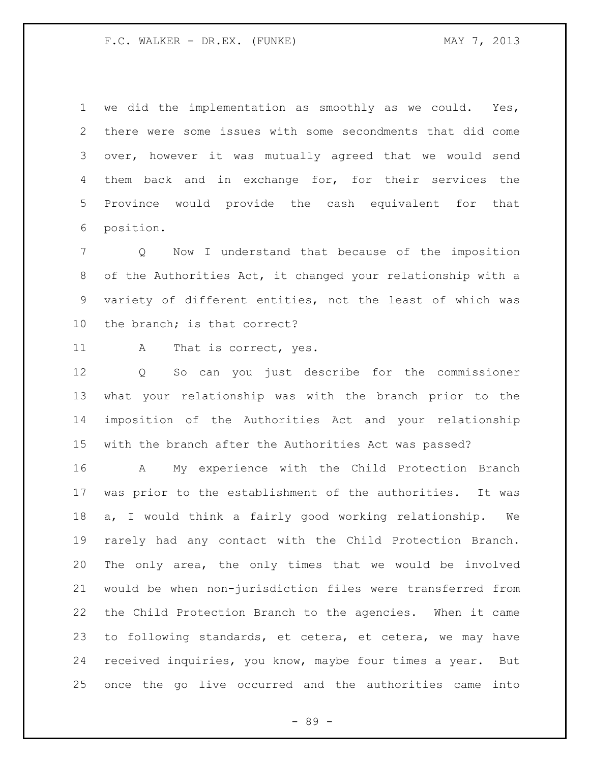we did the implementation as smoothly as we could. Yes, there were some issues with some secondments that did come over, however it was mutually agreed that we would send them back and in exchange for, for their services the Province would provide the cash equivalent for that position.

 Q Now I understand that because of the imposition of the Authorities Act, it changed your relationship with a variety of different entities, not the least of which was the branch; is that correct?

A That is correct, yes.

 Q So can you just describe for the commissioner what your relationship was with the branch prior to the imposition of the Authorities Act and your relationship with the branch after the Authorities Act was passed?

 A My experience with the Child Protection Branch was prior to the establishment of the authorities. It was a, I would think a fairly good working relationship. We rarely had any contact with the Child Protection Branch. The only area, the only times that we would be involved would be when non-jurisdiction files were transferred from the Child Protection Branch to the agencies. When it came to following standards, et cetera, et cetera, we may have received inquiries, you know, maybe four times a year. But once the go live occurred and the authorities came into

- 89 -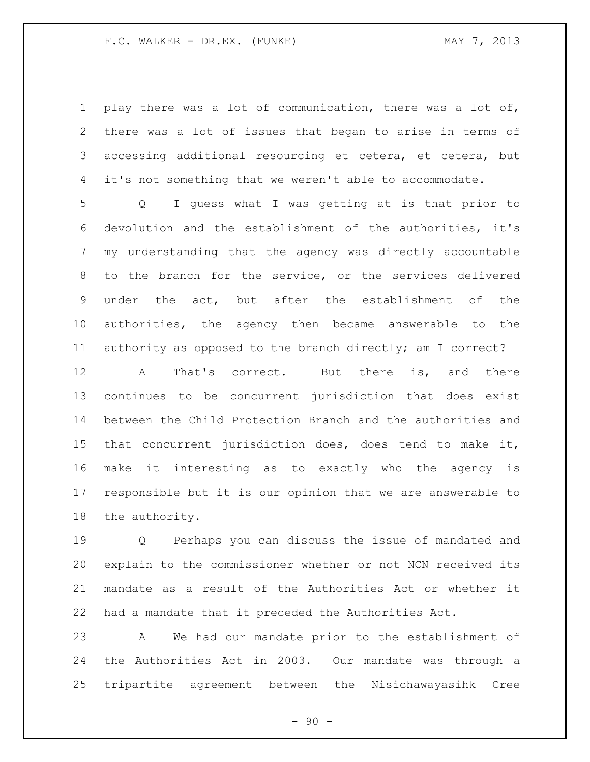play there was a lot of communication, there was a lot of, there was a lot of issues that began to arise in terms of accessing additional resourcing et cetera, et cetera, but it's not something that we weren't able to accommodate.

 Q I guess what I was getting at is that prior to devolution and the establishment of the authorities, it's my understanding that the agency was directly accountable to the branch for the service, or the services delivered under the act, but after the establishment of the authorities, the agency then became answerable to the authority as opposed to the branch directly; am I correct?

12 A That's correct. But there is, and there continues to be concurrent jurisdiction that does exist between the Child Protection Branch and the authorities and that concurrent jurisdiction does, does tend to make it, make it interesting as to exactly who the agency is responsible but it is our opinion that we are answerable to the authority.

 Q Perhaps you can discuss the issue of mandated and explain to the commissioner whether or not NCN received its mandate as a result of the Authorities Act or whether it had a mandate that it preceded the Authorities Act.

 A We had our mandate prior to the establishment of the Authorities Act in 2003. Our mandate was through a tripartite agreement between the Nisichawayasihk Cree

 $-90 -$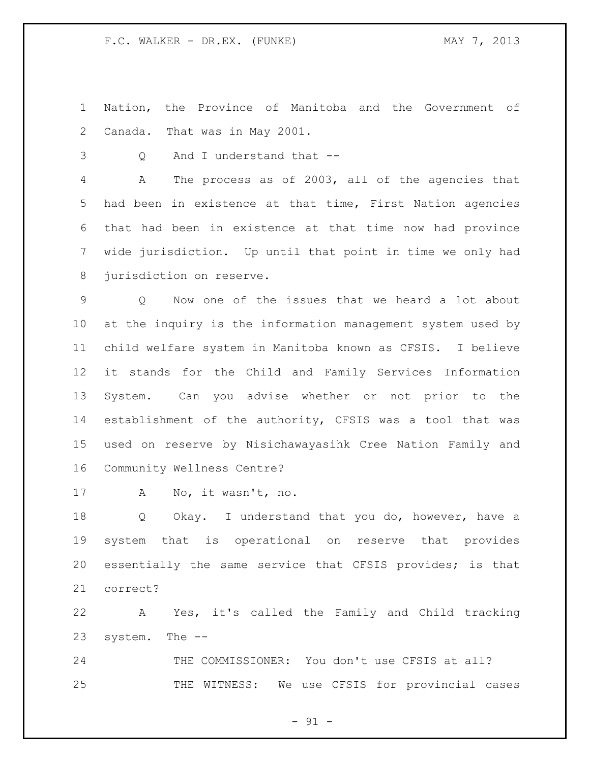Nation, the Province of Manitoba and the Government of Canada. That was in May 2001.

Q And I understand that --

 A The process as of 2003, all of the agencies that had been in existence at that time, First Nation agencies that had been in existence at that time now had province wide jurisdiction. Up until that point in time we only had jurisdiction on reserve.

 Q Now one of the issues that we heard a lot about at the inquiry is the information management system used by child welfare system in Manitoba known as CFSIS. I believe it stands for the Child and Family Services Information System. Can you advise whether or not prior to the establishment of the authority, CFSIS was a tool that was used on reserve by Nisichawayasihk Cree Nation Family and Community Wellness Centre?

A No, it wasn't, no.

 Q Okay. I understand that you do, however, have a system that is operational on reserve that provides essentially the same service that CFSIS provides; is that correct?

 A Yes, it's called the Family and Child tracking system. The --

 THE COMMISSIONER: You don't use CFSIS at all? THE WITNESS: We use CFSIS for provincial cases

 $-91 -$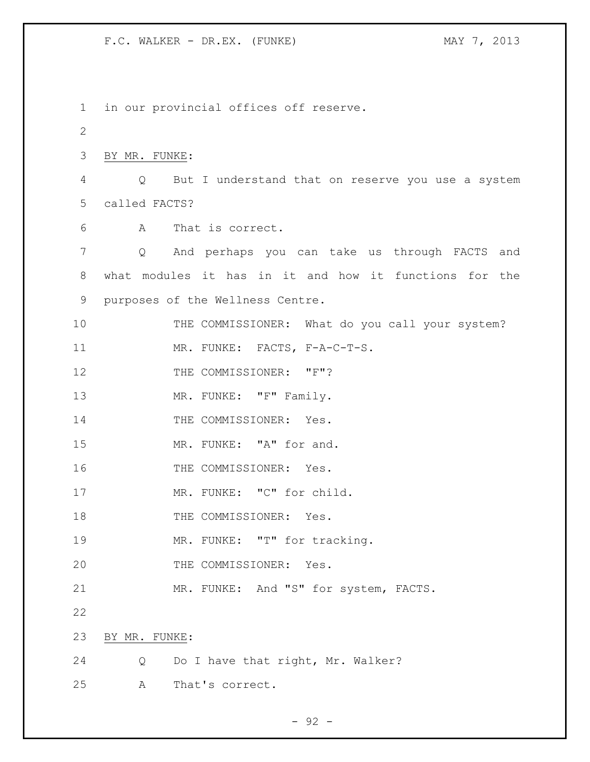1 in our provincial offices off reserve. 2 3 BY MR. FUNKE: 4 Q But I understand that on reserve you use a system 5 called FACTS? 6 A That is correct. 7 Q And perhaps you can take us through FACTS and 8 what modules it has in it and how it functions for the 9 purposes of the Wellness Centre. 10 THE COMMISSIONER: What do you call your system? 11 MR. FUNKE: FACTS, F-A-C-T-S. 12 THE COMMISSIONER: "F"? 13 MR. FUNKE: "F" Family. 14 THE COMMISSIONER: Yes. 15 MR. FUNKE: "A" for and. 16 THE COMMISSIONER: Yes. 17 MR. FUNKE: "C" for child. 18 THE COMMISSIONER: Yes. 19 MR. FUNKE: "T" for tracking. 20 THE COMMISSIONER: Yes. 21 MR. FUNKE: And "S" for system, FACTS. 22 23 BY MR. FUNKE: 24 Q Do I have that right, Mr. Walker? 25 A That's correct.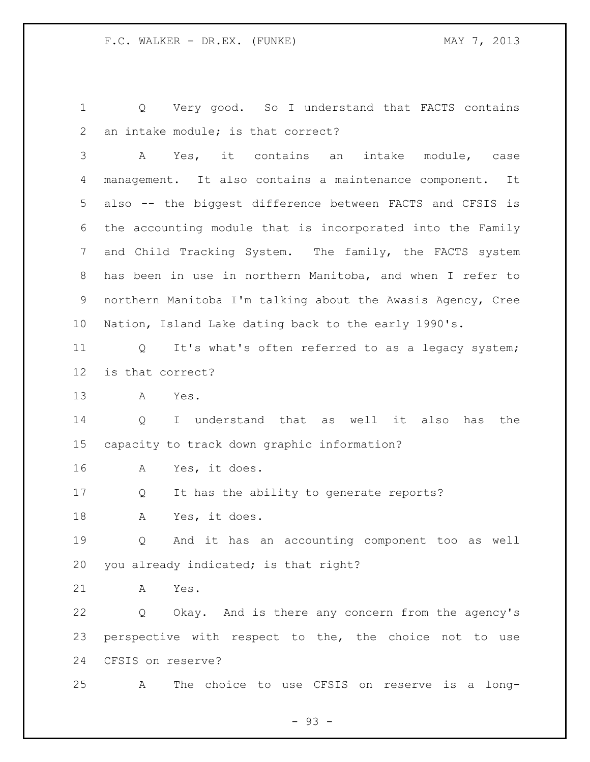Q Very good. So I understand that FACTS contains an intake module; is that correct? A Yes, it contains an intake module, case management. It also contains a maintenance component. It also -- the biggest difference between FACTS and CFSIS is the accounting module that is incorporated into the Family and Child Tracking System. The family, the FACTS system has been in use in northern Manitoba, and when I refer to northern Manitoba I'm talking about the Awasis Agency, Cree Nation, Island Lake dating back to the early 1990's. Q It's what's often referred to as a legacy system; is that correct? A Yes. Q I understand that as well it also has the capacity to track down graphic information? A Yes, it does. Q It has the ability to generate reports? A Yes, it does. Q And it has an accounting component too as well you already indicated; is that right? A Yes. Q Okay. And is there any concern from the agency's perspective with respect to the, the choice not to use CFSIS on reserve? A The choice to use CFSIS on reserve is a long-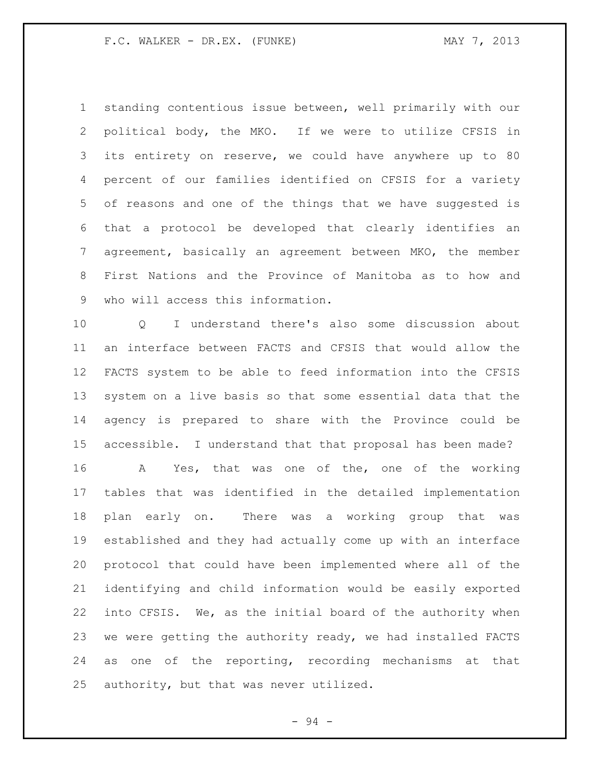standing contentious issue between, well primarily with our political body, the MKO. If we were to utilize CFSIS in its entirety on reserve, we could have anywhere up to 80 percent of our families identified on CFSIS for a variety of reasons and one of the things that we have suggested is that a protocol be developed that clearly identifies an agreement, basically an agreement between MKO, the member First Nations and the Province of Manitoba as to how and who will access this information.

 Q I understand there's also some discussion about an interface between FACTS and CFSIS that would allow the FACTS system to be able to feed information into the CFSIS system on a live basis so that some essential data that the agency is prepared to share with the Province could be accessible. I understand that that proposal has been made?

 A Yes, that was one of the, one of the working tables that was identified in the detailed implementation plan early on. There was a working group that was established and they had actually come up with an interface protocol that could have been implemented where all of the identifying and child information would be easily exported into CFSIS. We, as the initial board of the authority when we were getting the authority ready, we had installed FACTS as one of the reporting, recording mechanisms at that authority, but that was never utilized.

- 94 -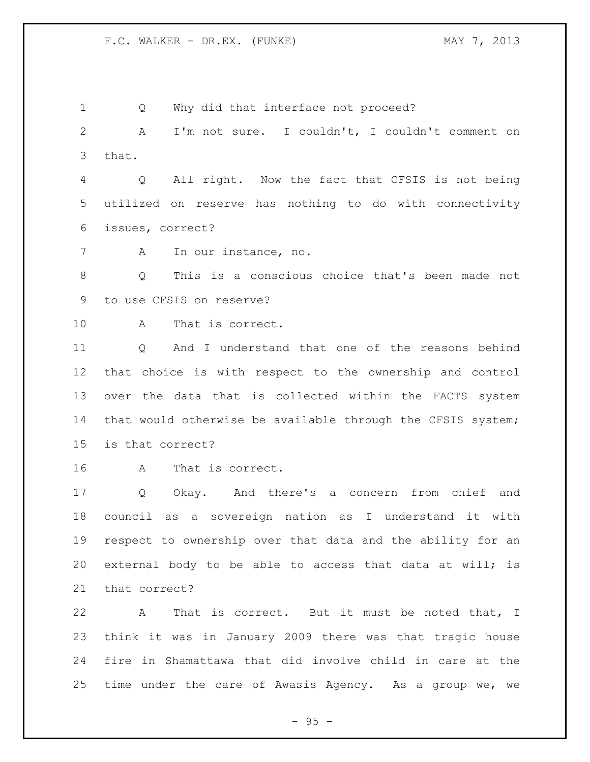Q Why did that interface not proceed? A I'm not sure. I couldn't, I couldn't comment on that. Q All right. Now the fact that CFSIS is not being utilized on reserve has nothing to do with connectivity issues, correct? A In our instance, no. Q This is a conscious choice that's been made not to use CFSIS on reserve? A That is correct. Q And I understand that one of the reasons behind that choice is with respect to the ownership and control over the data that is collected within the FACTS system that would otherwise be available through the CFSIS system; is that correct? A That is correct. Q Okay. And there's a concern from chief and council as a sovereign nation as I understand it with respect to ownership over that data and the ability for an external body to be able to access that data at will; is that correct? A That is correct. But it must be noted that, I think it was in January 2009 there was that tragic house

 fire in Shamattawa that did involve child in care at the time under the care of Awasis Agency. As a group we, we

 $- 95 -$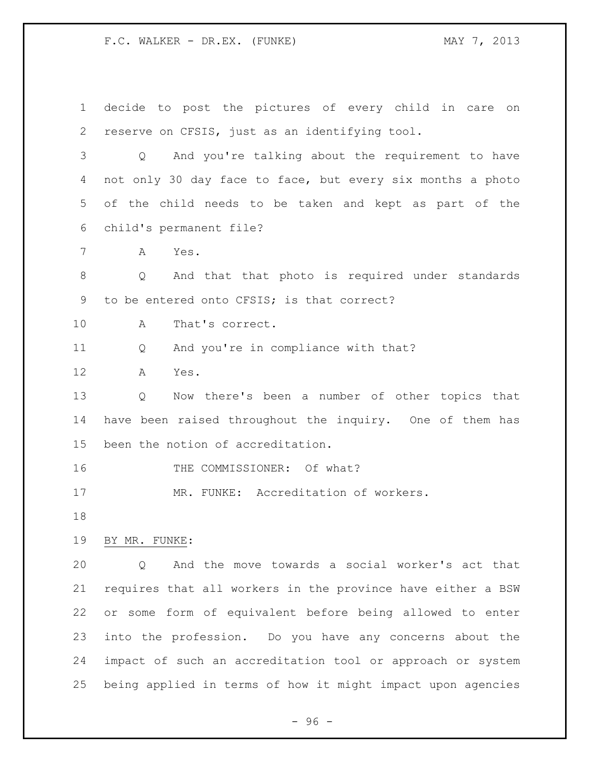decide to post the pictures of every child in care on reserve on CFSIS, just as an identifying tool. Q And you're talking about the requirement to have not only 30 day face to face, but every six months a photo of the child needs to be taken and kept as part of the child's permanent file? A Yes. Q And that that photo is required under standards to be entered onto CFSIS; is that correct? A That's correct. Q And you're in compliance with that? A Yes. Q Now there's been a number of other topics that have been raised throughout the inquiry. One of them has been the notion of accreditation. 16 THE COMMISSIONER: Of what? MR. FUNKE: Accreditation of workers. BY MR. FUNKE: Q And the move towards a social worker's act that requires that all workers in the province have either a BSW or some form of equivalent before being allowed to enter into the profession. Do you have any concerns about the impact of such an accreditation tool or approach or system being applied in terms of how it might impact upon agencies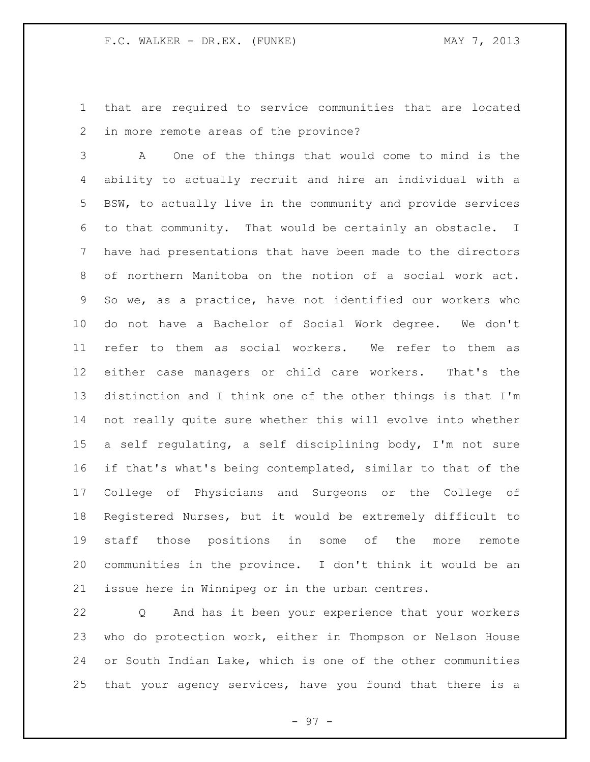that are required to service communities that are located in more remote areas of the province?

 A One of the things that would come to mind is the ability to actually recruit and hire an individual with a BSW, to actually live in the community and provide services to that community. That would be certainly an obstacle. I have had presentations that have been made to the directors of northern Manitoba on the notion of a social work act. So we, as a practice, have not identified our workers who do not have a Bachelor of Social Work degree. We don't refer to them as social workers. We refer to them as either case managers or child care workers. That's the distinction and I think one of the other things is that I'm not really quite sure whether this will evolve into whether a self regulating, a self disciplining body, I'm not sure if that's what's being contemplated, similar to that of the College of Physicians and Surgeons or the College of Registered Nurses, but it would be extremely difficult to staff those positions in some of the more remote communities in the province. I don't think it would be an issue here in Winnipeg or in the urban centres.

 Q And has it been your experience that your workers who do protection work, either in Thompson or Nelson House or South Indian Lake, which is one of the other communities that your agency services, have you found that there is a

- 97 -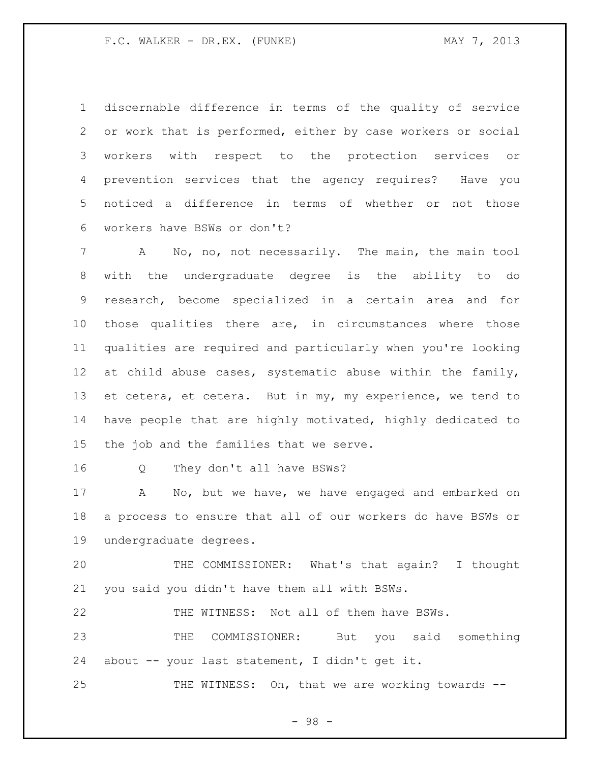discernable difference in terms of the quality of service or work that is performed, either by case workers or social workers with respect to the protection services or prevention services that the agency requires? Have you noticed a difference in terms of whether or not those workers have BSWs or don't?

 A No, no, not necessarily. The main, the main tool with the undergraduate degree is the ability to do research, become specialized in a certain area and for those qualities there are, in circumstances where those qualities are required and particularly when you're looking at child abuse cases, systematic abuse within the family, et cetera, et cetera. But in my, my experience, we tend to have people that are highly motivated, highly dedicated to the job and the families that we serve.

Q They don't all have BSWs?

 A No, but we have, we have engaged and embarked on a process to ensure that all of our workers do have BSWs or undergraduate degrees.

 THE COMMISSIONER: What's that again? I thought you said you didn't have them all with BSWs.

 THE WITNESS: Not all of them have BSWs. THE COMMISSIONER: But you said something

about -- your last statement, I didn't get it.

25 THE WITNESS: Oh, that we are working towards --

- 98 -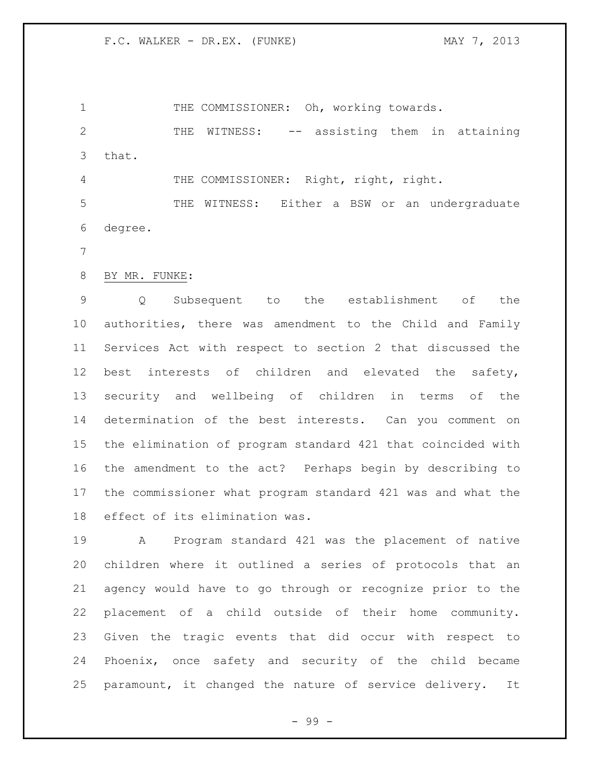1 THE COMMISSIONER: Oh, working towards. THE WITNESS: -- assisting them in attaining that.

 THE COMMISSIONER: Right, right, right. THE WITNESS: Either a BSW or an undergraduate degree.

BY MR. FUNKE:

 Q Subsequent to the establishment of the authorities, there was amendment to the Child and Family Services Act with respect to section 2 that discussed the best interests of children and elevated the safety, security and wellbeing of children in terms of the determination of the best interests. Can you comment on the elimination of program standard 421 that coincided with the amendment to the act? Perhaps begin by describing to the commissioner what program standard 421 was and what the effect of its elimination was.

 A Program standard 421 was the placement of native children where it outlined a series of protocols that an agency would have to go through or recognize prior to the placement of a child outside of their home community. Given the tragic events that did occur with respect to Phoenix, once safety and security of the child became paramount, it changed the nature of service delivery. It

- 99 -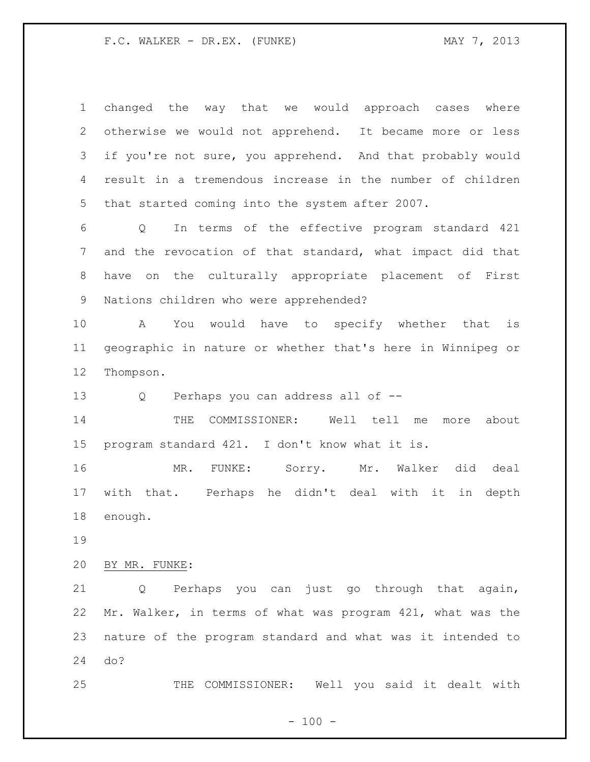| $\mathbf 1$ | changed the way that we would approach cases where         |
|-------------|------------------------------------------------------------|
| 2           | otherwise we would not apprehend. It became more or less   |
| 3           | if you're not sure, you apprehend. And that probably would |
| 4           | result in a tremendous increase in the number of children  |
| 5           | that started coming into the system after 2007.            |
| 6           | In terms of the effective program standard 421<br>Q        |
| 7           | and the revocation of that standard, what impact did that  |
| 8           | have on the culturally appropriate placement of First      |
| 9           | Nations children who were apprehended?                     |
| 10          | You would have to specify whether that<br>A<br>is          |
| 11          | geographic in nature or whether that's here in Winnipeg or |
| 12          | Thompson.                                                  |
| 13          | Perhaps you can address all of --<br>Q                     |
| 14          | COMMISSIONER: Well tell<br>THE<br>about<br>me<br>more      |
| 15          | program standard 421. I don't know what it is.             |
| 16          | MR.<br>FUNKE: Sorry. Mr. Walker did<br>deal                |
| 17          | with that. Perhaps he didn't deal with it in<br>depth      |
| 18          | enough.                                                    |
| 19          |                                                            |
| 20          | BY MR. FUNKE:                                              |
| 21          | Perhaps you can just go through that again,<br>Q           |
| 22          | Mr. Walker, in terms of what was program 421, what was the |
| 23          | nature of the program standard and what was it intended to |
| 24          | do?                                                        |
|             |                                                            |

THE COMMISSIONER: Well you said it dealt with

 $- 100 -$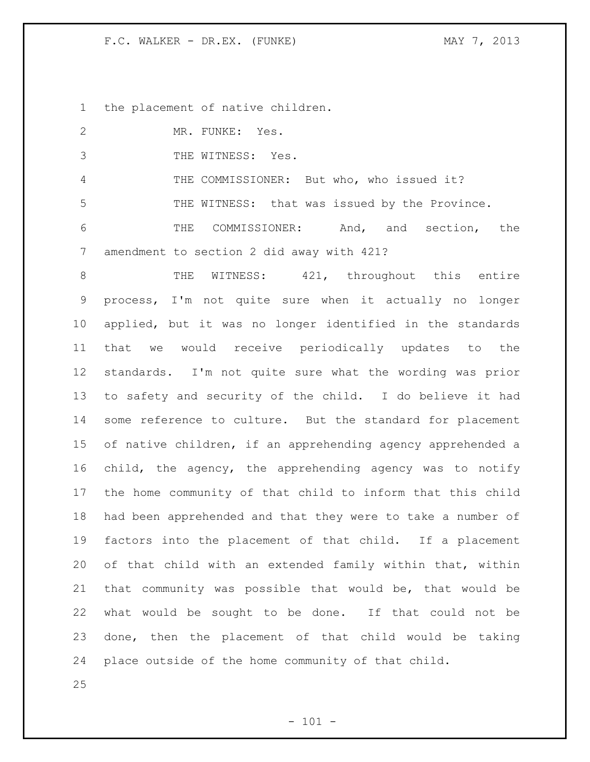the placement of native children.

| $\mathbf{2}$    | MR. FUNKE: Yes.                                             |
|-----------------|-------------------------------------------------------------|
| 3               | THE WITNESS: Yes.                                           |
| 4               | THE COMMISSIONER: But who, who issued it?                   |
| 5               | THE WITNESS: that was issued by the Province.               |
| 6               | COMMISSIONER: And, and section, the<br>THE                  |
| 7               | amendment to section 2 did away with 421?                   |
| 8               | WITNESS: 421, throughout this entire<br>THE                 |
| 9               | process, I'm not quite sure when it actually no longer      |
| 10 <sub>o</sub> | applied, but it was no longer identified in the standards   |
| 11              | that we would receive periodically updates to the           |
| 12              | standards. I'm not quite sure what the wording was prior    |
| 13              | to safety and security of the child. I do believe it had    |
| 14              | some reference to culture. But the standard for placement   |
| 15              | of native children, if an apprehending agency apprehended a |
| 16              | child, the agency, the apprehending agency was to notify    |
| 17              | the home community of that child to inform that this child  |
| 18              | had been apprehended and that they were to take a number of |
| 19              | factors into the placement of that child. If a placement    |
| 20              | of that child with an extended family within that, within   |
| 21              | that community was possible that would be, that would be    |
| 22              | what would be sought to be done. If that could not be       |
| 23              | done, then the placement of that child would be taking      |
| 24              | place outside of the home community of that child.          |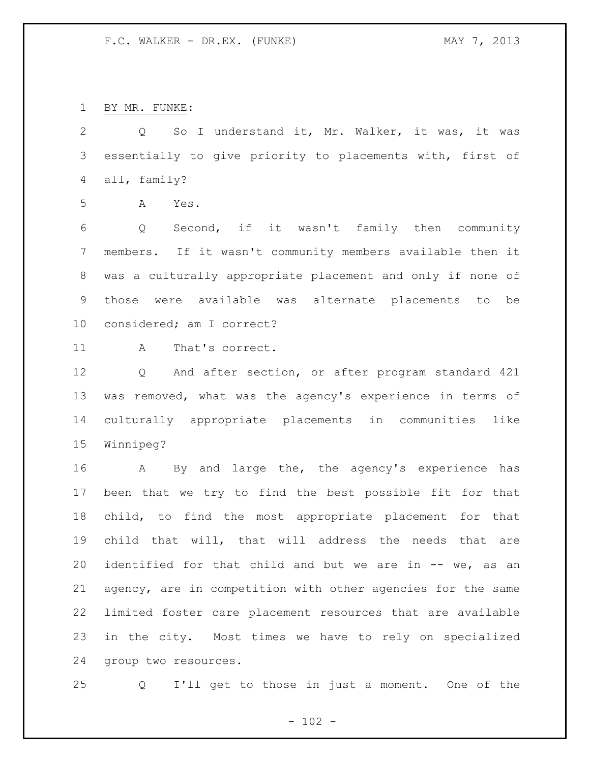BY MR. FUNKE:

 Q So I understand it, Mr. Walker, it was, it was essentially to give priority to placements with, first of all, family?

A Yes.

 Q Second, if it wasn't family then community members. If it wasn't community members available then it was a culturally appropriate placement and only if none of those were available was alternate placements to be considered; am I correct?

11 A That's correct.

 Q And after section, or after program standard 421 was removed, what was the agency's experience in terms of culturally appropriate placements in communities like Winnipeg?

 A By and large the, the agency's experience has been that we try to find the best possible fit for that child, to find the most appropriate placement for that child that will, that will address the needs that are 20 identified for that child and but we are in -- we, as an agency, are in competition with other agencies for the same limited foster care placement resources that are available in the city. Most times we have to rely on specialized group two resources.

Q I'll get to those in just a moment. One of the

 $- 102 -$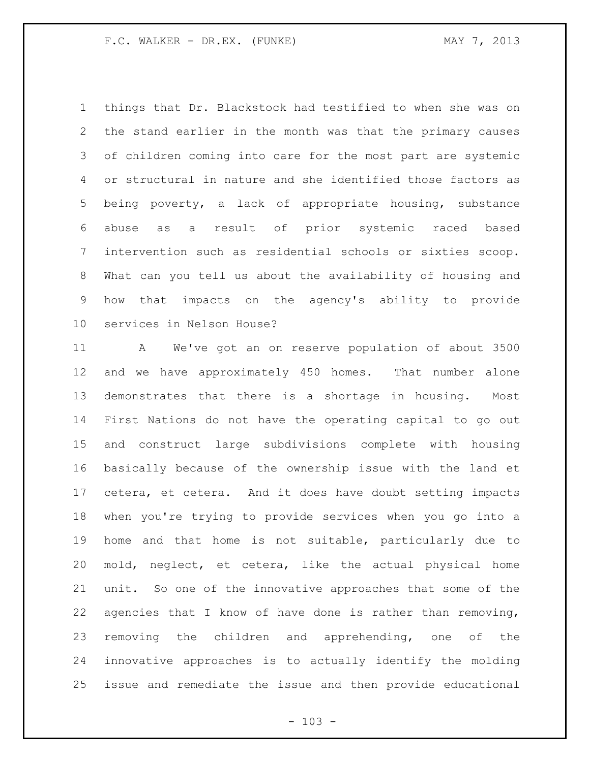things that Dr. Blackstock had testified to when she was on the stand earlier in the month was that the primary causes of children coming into care for the most part are systemic or structural in nature and she identified those factors as being poverty, a lack of appropriate housing, substance abuse as a result of prior systemic raced based intervention such as residential schools or sixties scoop. What can you tell us about the availability of housing and how that impacts on the agency's ability to provide services in Nelson House?

 A We've got an on reserve population of about 3500 and we have approximately 450 homes. That number alone demonstrates that there is a shortage in housing. Most First Nations do not have the operating capital to go out and construct large subdivisions complete with housing basically because of the ownership issue with the land et cetera, et cetera. And it does have doubt setting impacts when you're trying to provide services when you go into a home and that home is not suitable, particularly due to mold, neglect, et cetera, like the actual physical home unit. So one of the innovative approaches that some of the agencies that I know of have done is rather than removing, removing the children and apprehending, one of the innovative approaches is to actually identify the molding issue and remediate the issue and then provide educational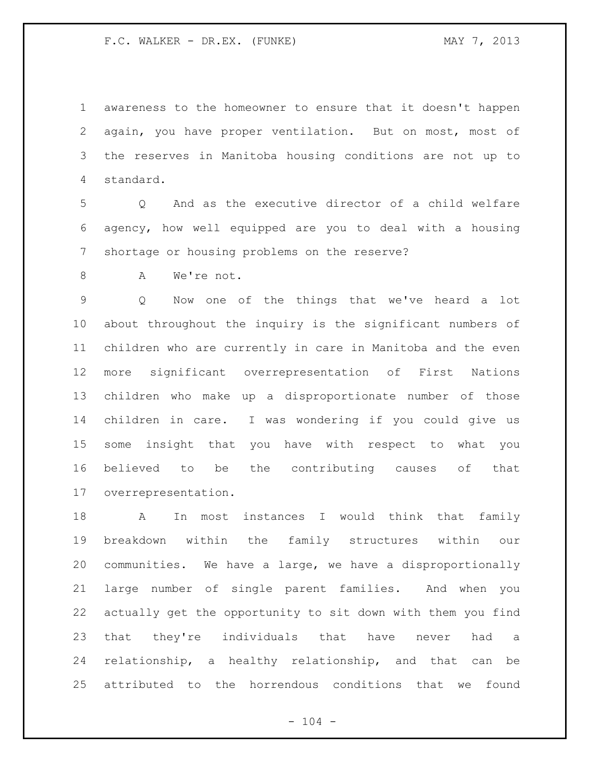awareness to the homeowner to ensure that it doesn't happen again, you have proper ventilation. But on most, most of the reserves in Manitoba housing conditions are not up to standard.

 Q And as the executive director of a child welfare agency, how well equipped are you to deal with a housing shortage or housing problems on the reserve?

A We're not.

 Q Now one of the things that we've heard a lot about throughout the inquiry is the significant numbers of children who are currently in care in Manitoba and the even more significant overrepresentation of First Nations children who make up a disproportionate number of those children in care. I was wondering if you could give us some insight that you have with respect to what you believed to be the contributing causes of that overrepresentation.

 A In most instances I would think that family breakdown within the family structures within our communities. We have a large, we have a disproportionally large number of single parent families. And when you actually get the opportunity to sit down with them you find that they're individuals that have never had a relationship, a healthy relationship, and that can be attributed to the horrendous conditions that we found

 $- 104 -$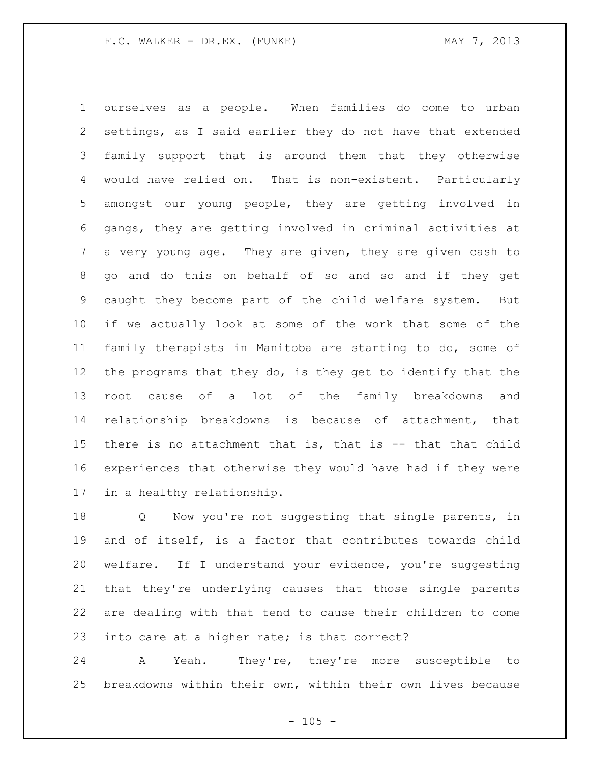ourselves as a people. When families do come to urban settings, as I said earlier they do not have that extended family support that is around them that they otherwise would have relied on. That is non-existent. Particularly amongst our young people, they are getting involved in gangs, they are getting involved in criminal activities at a very young age. They are given, they are given cash to go and do this on behalf of so and so and if they get caught they become part of the child welfare system. But if we actually look at some of the work that some of the family therapists in Manitoba are starting to do, some of the programs that they do, is they get to identify that the root cause of a lot of the family breakdowns and relationship breakdowns is because of attachment, that there is no attachment that is, that is -- that that child experiences that otherwise they would have had if they were in a healthy relationship.

18 Q Now you're not suggesting that single parents, in and of itself, is a factor that contributes towards child welfare. If I understand your evidence, you're suggesting that they're underlying causes that those single parents are dealing with that tend to cause their children to come into care at a higher rate; is that correct?

 A Yeah. They're, they're more susceptible to breakdowns within their own, within their own lives because

 $- 105 -$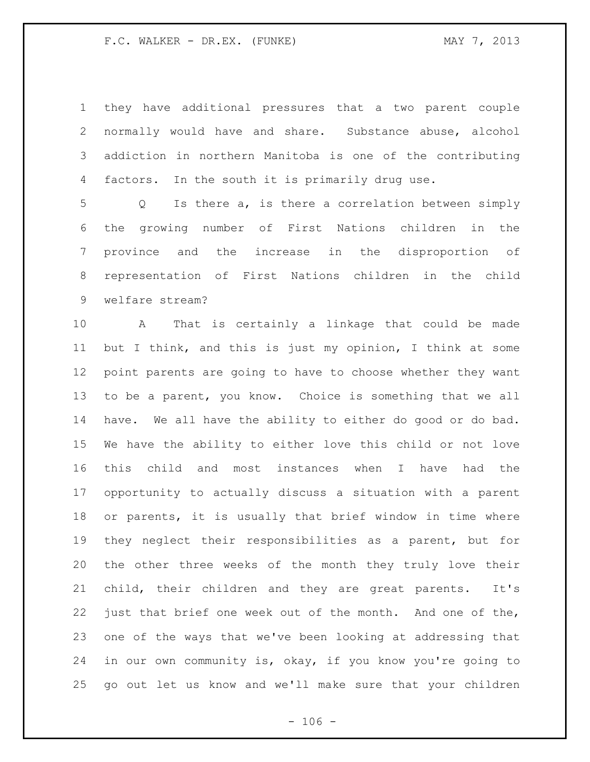they have additional pressures that a two parent couple normally would have and share. Substance abuse, alcohol addiction in northern Manitoba is one of the contributing factors. In the south it is primarily drug use.

 Q Is there a, is there a correlation between simply the growing number of First Nations children in the province and the increase in the disproportion of representation of First Nations children in the child welfare stream?

 A That is certainly a linkage that could be made but I think, and this is just my opinion, I think at some point parents are going to have to choose whether they want to be a parent, you know. Choice is something that we all have. We all have the ability to either do good or do bad. We have the ability to either love this child or not love this child and most instances when I have had the opportunity to actually discuss a situation with a parent or parents, it is usually that brief window in time where they neglect their responsibilities as a parent, but for the other three weeks of the month they truly love their child, their children and they are great parents. It's just that brief one week out of the month. And one of the, one of the ways that we've been looking at addressing that in our own community is, okay, if you know you're going to go out let us know and we'll make sure that your children

 $- 106 -$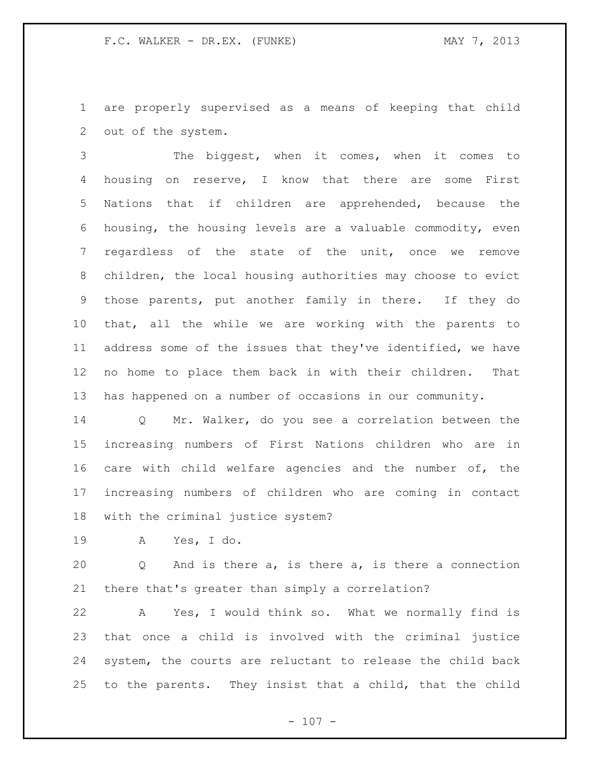are properly supervised as a means of keeping that child out of the system.

 The biggest, when it comes, when it comes to housing on reserve, I know that there are some First Nations that if children are apprehended, because the housing, the housing levels are a valuable commodity, even regardless of the state of the unit, once we remove children, the local housing authorities may choose to evict those parents, put another family in there. If they do that, all the while we are working with the parents to address some of the issues that they've identified, we have no home to place them back in with their children. That has happened on a number of occasions in our community.

 Q Mr. Walker, do you see a correlation between the increasing numbers of First Nations children who are in care with child welfare agencies and the number of, the increasing numbers of children who are coming in contact with the criminal justice system?

A Yes, I do.

 Q And is there a, is there a, is there a connection there that's greater than simply a correlation?

 A Yes, I would think so. What we normally find is that once a child is involved with the criminal justice system, the courts are reluctant to release the child back to the parents. They insist that a child, that the child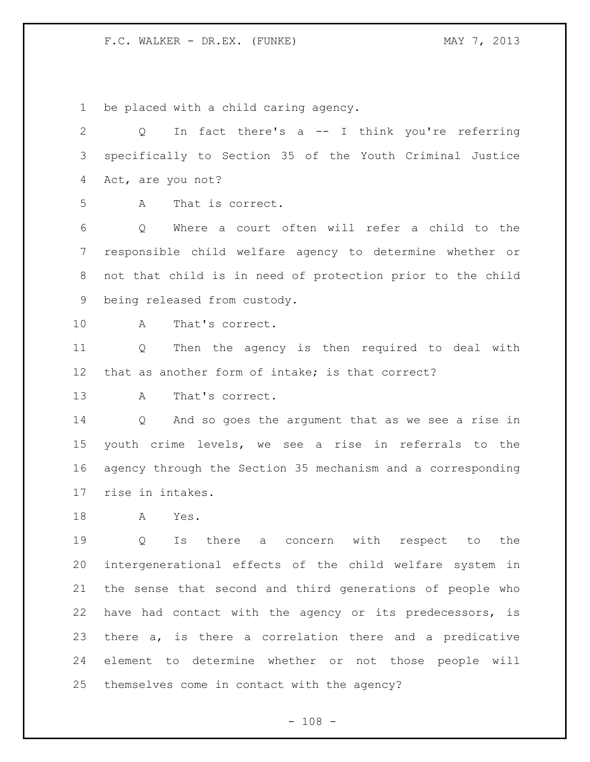be placed with a child caring agency.

| $\mathbf{2}$    | In fact there's a -- I think you're referring<br>Q                     |
|-----------------|------------------------------------------------------------------------|
| 3               | specifically to Section 35 of the Youth Criminal Justice               |
| 4               | Act, are you not?                                                      |
| 5               | That is correct.<br>A                                                  |
| 6               | Where a court often will refer a child to the<br>Q                     |
| 7               | responsible child welfare agency to determine whether or               |
| 8               | not that child is in need of protection prior to the child             |
| 9               | being released from custody.                                           |
| 10              | That's correct.<br>A                                                   |
| 11              | Then the agency is then required to deal with<br>Q                     |
| 12 <sup>°</sup> | that as another form of intake; is that correct?                       |
| 13              | That's correct.<br>A                                                   |
| 14              | $Q \qquad \qquad$<br>And so goes the argument that as we see a rise in |
| 15              | youth crime levels, we see a rise in referrals to the                  |
| 16              | agency through the Section 35 mechanism and a corresponding            |
| 17              | rise in intakes.                                                       |
| 18              | A<br>Yes.                                                              |
| 19              | there<br>with<br>the<br>Q<br>Is<br>respect to<br>a<br>concern          |
| 20              | intergenerational effects of the child welfare system in               |
| 21              | the sense that second and third generations of people who              |
| 22              | have had contact with the agency or its predecessors, is               |
| 23              | there a, is there a correlation there and a predicative                |
| 24              | element to determine whether or not those people will                  |
| 25              | themselves come in contact with the agency?                            |

- 108 -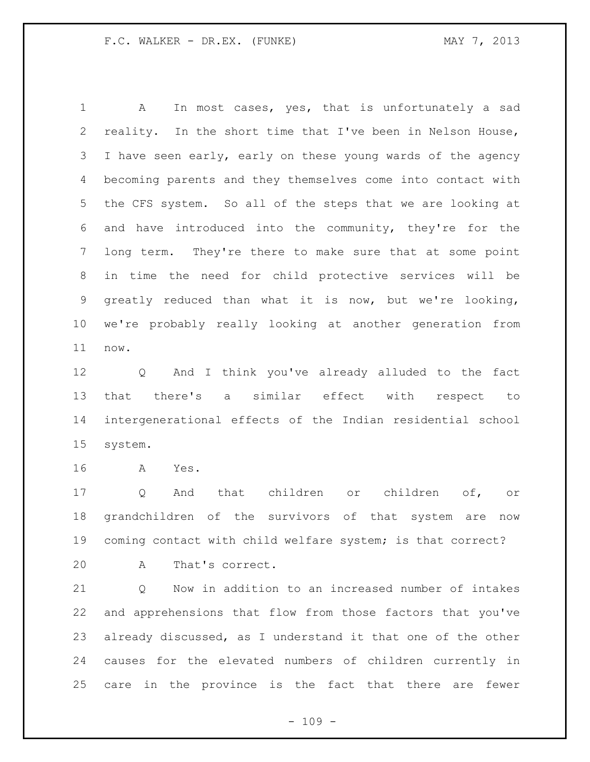A In most cases, yes, that is unfortunately a sad reality. In the short time that I've been in Nelson House, I have seen early, early on these young wards of the agency becoming parents and they themselves come into contact with the CFS system. So all of the steps that we are looking at and have introduced into the community, they're for the long term. They're there to make sure that at some point in time the need for child protective services will be greatly reduced than what it is now, but we're looking, we're probably really looking at another generation from now.

 Q And I think you've already alluded to the fact that there's a similar effect with respect to intergenerational effects of the Indian residential school system.

A Yes.

 Q And that children or children of, or grandchildren of the survivors of that system are now coming contact with child welfare system; is that correct?

A That's correct.

21 O Now in addition to an increased number of intakes and apprehensions that flow from those factors that you've already discussed, as I understand it that one of the other causes for the elevated numbers of children currently in care in the province is the fact that there are fewer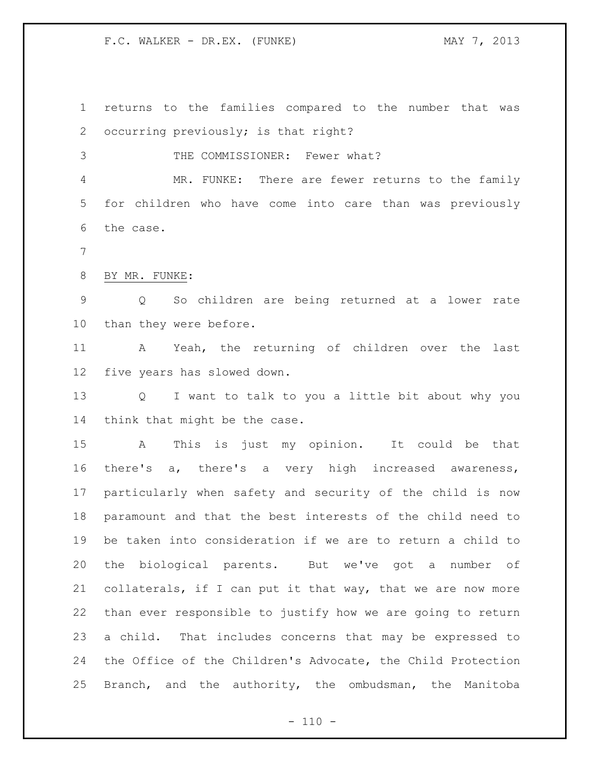F.C. WALKER - DR.EX. (FUNKE) MAY 7, 2013

 returns to the families compared to the number that was occurring previously; is that right?

THE COMMISSIONER: Fewer what?

 MR. FUNKE: There are fewer returns to the family for children who have come into care than was previously the case.

BY MR. FUNKE:

 Q So children are being returned at a lower rate than they were before.

 A Yeah, the returning of children over the last five years has slowed down.

 Q I want to talk to you a little bit about why you think that might be the case.

 A This is just my opinion. It could be that there's a, there's a very high increased awareness, particularly when safety and security of the child is now paramount and that the best interests of the child need to be taken into consideration if we are to return a child to the biological parents. But we've got a number of collaterals, if I can put it that way, that we are now more than ever responsible to justify how we are going to return a child. That includes concerns that may be expressed to the Office of the Children's Advocate, the Child Protection Branch, and the authority, the ombudsman, the Manitoba

 $- 110 -$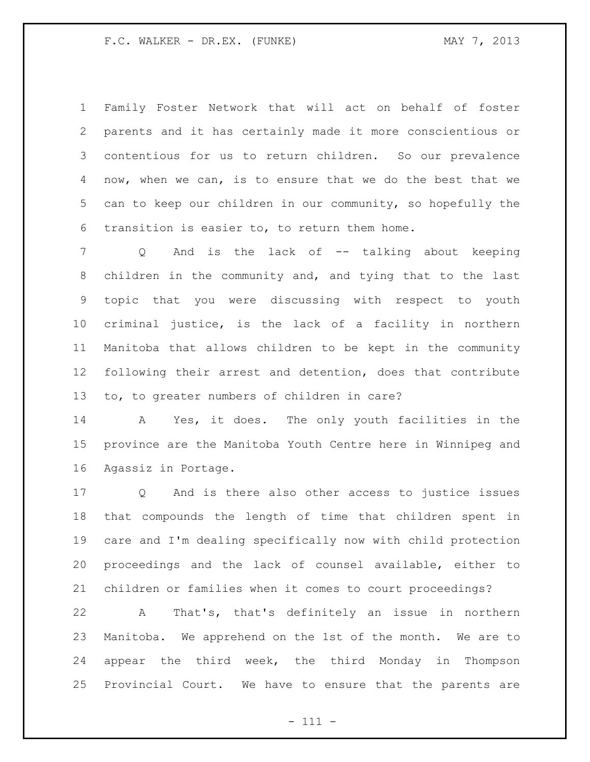Family Foster Network that will act on behalf of foster parents and it has certainly made it more conscientious or contentious for us to return children. So our prevalence now, when we can, is to ensure that we do the best that we can to keep our children in our community, so hopefully the transition is easier to, to return them home.

 Q And is the lack of -- talking about keeping children in the community and, and tying that to the last topic that you were discussing with respect to youth criminal justice, is the lack of a facility in northern Manitoba that allows children to be kept in the community following their arrest and detention, does that contribute to, to greater numbers of children in care?

 A Yes, it does. The only youth facilities in the province are the Manitoba Youth Centre here in Winnipeg and Agassiz in Portage.

 Q And is there also other access to justice issues that compounds the length of time that children spent in care and I'm dealing specifically now with child protection proceedings and the lack of counsel available, either to children or families when it comes to court proceedings?

 A That's, that's definitely an issue in northern Manitoba. We apprehend on the 1st of the month. We are to appear the third week, the third Monday in Thompson Provincial Court. We have to ensure that the parents are

- 111 -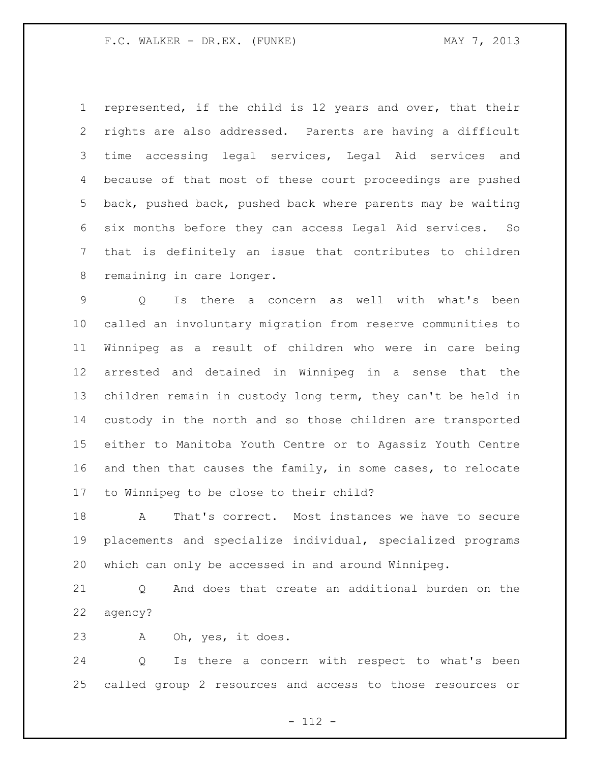represented, if the child is 12 years and over, that their rights are also addressed. Parents are having a difficult time accessing legal services, Legal Aid services and because of that most of these court proceedings are pushed back, pushed back, pushed back where parents may be waiting six months before they can access Legal Aid services. So that is definitely an issue that contributes to children remaining in care longer.

 Q Is there a concern as well with what's been called an involuntary migration from reserve communities to Winnipeg as a result of children who were in care being arrested and detained in Winnipeg in a sense that the children remain in custody long term, they can't be held in custody in the north and so those children are transported either to Manitoba Youth Centre or to Agassiz Youth Centre and then that causes the family, in some cases, to relocate to Winnipeg to be close to their child?

 A That's correct. Most instances we have to secure placements and specialize individual, specialized programs which can only be accessed in and around Winnipeg.

21 0 And does that create an additional burden on the agency?

A Oh, yes, it does.

 Q Is there a concern with respect to what's been called group 2 resources and access to those resources or

- 112 -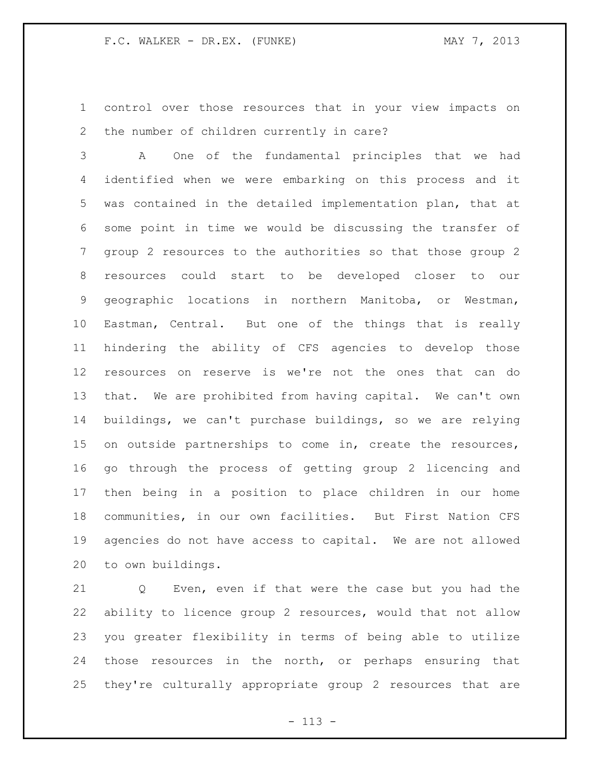control over those resources that in your view impacts on the number of children currently in care?

 A One of the fundamental principles that we had identified when we were embarking on this process and it was contained in the detailed implementation plan, that at some point in time we would be discussing the transfer of group 2 resources to the authorities so that those group 2 resources could start to be developed closer to our geographic locations in northern Manitoba, or Westman, Eastman, Central. But one of the things that is really hindering the ability of CFS agencies to develop those resources on reserve is we're not the ones that can do that. We are prohibited from having capital. We can't own buildings, we can't purchase buildings, so we are relying 15 on outside partnerships to come in, create the resources, go through the process of getting group 2 licencing and then being in a position to place children in our home communities, in our own facilities. But First Nation CFS agencies do not have access to capital. We are not allowed to own buildings.

 Q Even, even if that were the case but you had the ability to licence group 2 resources, would that not allow you greater flexibility in terms of being able to utilize those resources in the north, or perhaps ensuring that they're culturally appropriate group 2 resources that are

 $- 113 -$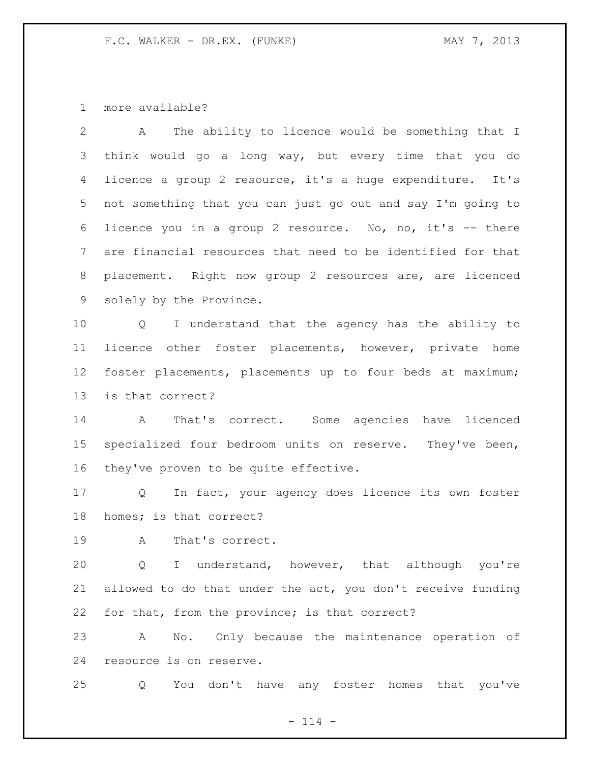more available?

| 2               | The ability to licence would be something that I<br>A                 |
|-----------------|-----------------------------------------------------------------------|
| 3               | think would go a long way, but every time that you do                 |
| 4               | licence a group 2 resource, it's a huge expenditure. It's             |
| 5               | not something that you can just go out and say I'm going to           |
| 6               | licence you in a group 2 resource. No, no, it's -- there              |
| $7\phantom{.0}$ | are financial resources that need to be identified for that           |
| 8               | placement. Right now group 2 resources are, are licenced              |
| 9               | solely by the Province.                                               |
| 10              | I understand that the agency has the ability to<br>$Q \qquad \qquad$  |
| 11              | licence other foster placements, however, private home                |
| 12 <sup>°</sup> | foster placements, placements up to four beds at maximum;             |
| 13              | is that correct?                                                      |
| 14              | That's correct. Some agencies have licenced<br>$\mathbf{A}$           |
| 15              | specialized four bedroom units on reserve. They've been,              |
| 16              | they've proven to be quite effective.                                 |
| 17              | In fact, your agency does licence its own foster<br>$Q \qquad \qquad$ |
| 18              | homes; is that correct?                                               |
| 19              | That's correct.<br>Α                                                  |
| 20              | I understand, however, that although you're<br>Q                      |
| 21              | allowed to do that under the act, you don't receive funding           |
| 22              | for that, from the province; is that correct?                         |
| 23              | No. Only because the maintenance operation of<br>A                    |
| 24              | resource is on reserve.                                               |
| 25              | don't have any foster homes that you've<br>You<br>Q                   |

- 114 -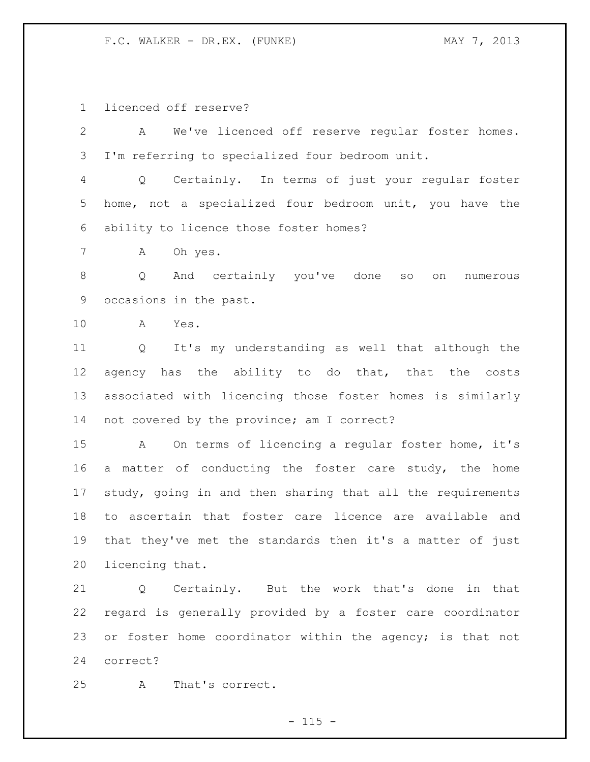F.C. WALKER - DR.EX. (FUNKE) MAY 7, 2013

licenced off reserve?

| 2  | We've licenced off reserve regular foster homes.<br>A                |
|----|----------------------------------------------------------------------|
| 3  | I'm referring to specialized four bedroom unit.                      |
| 4  | Certainly. In terms of just your regular foster<br>$Q \qquad \qquad$ |
| 5  | home, not a specialized four bedroom unit, you have the              |
| 6  | ability to licence those foster homes?                               |
| 7  | Α<br>Oh yes.                                                         |
| 8  | And certainly you've done<br>Q<br>SO<br>on<br>numerous               |
| 9  | occasions in the past.                                               |
| 10 | A<br>Yes.                                                            |
| 11 | It's my understanding as well that although the<br>$Q \qquad \qquad$ |
| 12 | agency has the ability to do that, that the costs                    |
| 13 | associated with licencing those foster homes is similarly            |
| 14 | not covered by the province; am I correct?                           |
| 15 | On terms of licencing a regular foster home, it's<br>A               |
| 16 | a matter of conducting the foster care study, the home               |
| 17 | study, going in and then sharing that all the requirements           |
| 18 | to ascertain that foster care licence are available and              |
| 19 | that they've met the standards then it's a matter of just            |
| 20 | licencing that.                                                      |
| 21 | Certainly. But the work that's done in that<br>Q                     |
| 22 | regard is generally provided by a foster care coordinator            |
| 23 | or foster home coordinator within the agency; is that not            |
| 24 | correct?                                                             |

A That's correct.

 $- 115 -$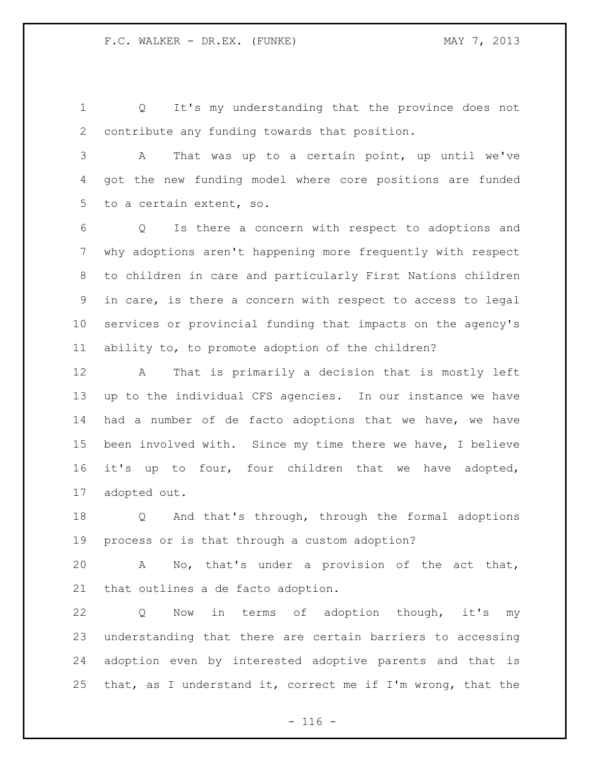Q It's my understanding that the province does not contribute any funding towards that position.

 A That was up to a certain point, up until we've got the new funding model where core positions are funded to a certain extent, so.

 Q Is there a concern with respect to adoptions and why adoptions aren't happening more frequently with respect to children in care and particularly First Nations children in care, is there a concern with respect to access to legal services or provincial funding that impacts on the agency's ability to, to promote adoption of the children?

 A That is primarily a decision that is mostly left up to the individual CFS agencies. In our instance we have had a number of de facto adoptions that we have, we have been involved with. Since my time there we have, I believe it's up to four, four children that we have adopted, adopted out.

 Q And that's through, through the formal adoptions process or is that through a custom adoption?

 A No, that's under a provision of the act that, that outlines a de facto adoption.

 Q Now in terms of adoption though, it's my understanding that there are certain barriers to accessing adoption even by interested adoptive parents and that is that, as I understand it, correct me if I'm wrong, that the

 $- 116 -$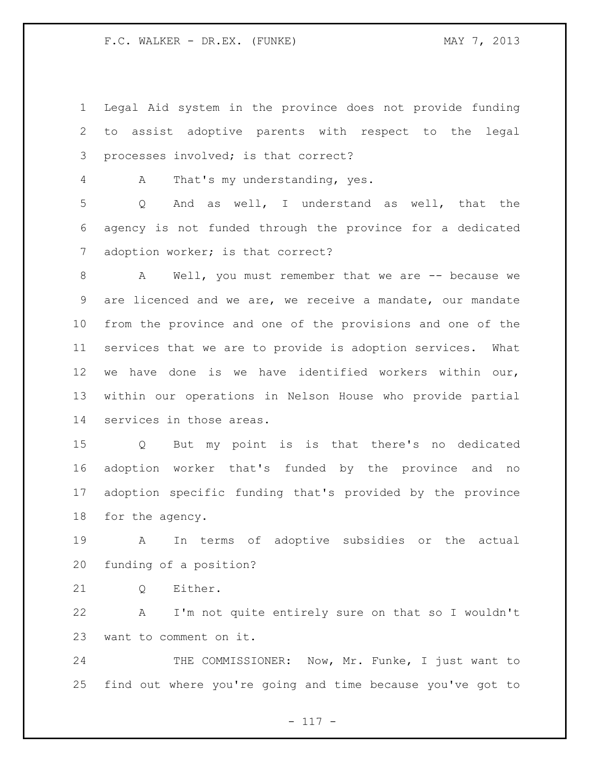Legal Aid system in the province does not provide funding to assist adoptive parents with respect to the legal processes involved; is that correct?

A That's my understanding, yes.

 Q And as well, I understand as well, that the agency is not funded through the province for a dedicated 7 adoption worker; is that correct?

8 A Well, you must remember that we are -- because we are licenced and we are, we receive a mandate, our mandate from the province and one of the provisions and one of the services that we are to provide is adoption services. What we have done is we have identified workers within our, within our operations in Nelson House who provide partial services in those areas.

 Q But my point is is that there's no dedicated adoption worker that's funded by the province and no adoption specific funding that's provided by the province for the agency.

 A In terms of adoptive subsidies or the actual funding of a position?

21 O Either.

 A I'm not quite entirely sure on that so I wouldn't want to comment on it.

24 THE COMMISSIONER: Now, Mr. Funke, I just want to find out where you're going and time because you've got to

- 117 -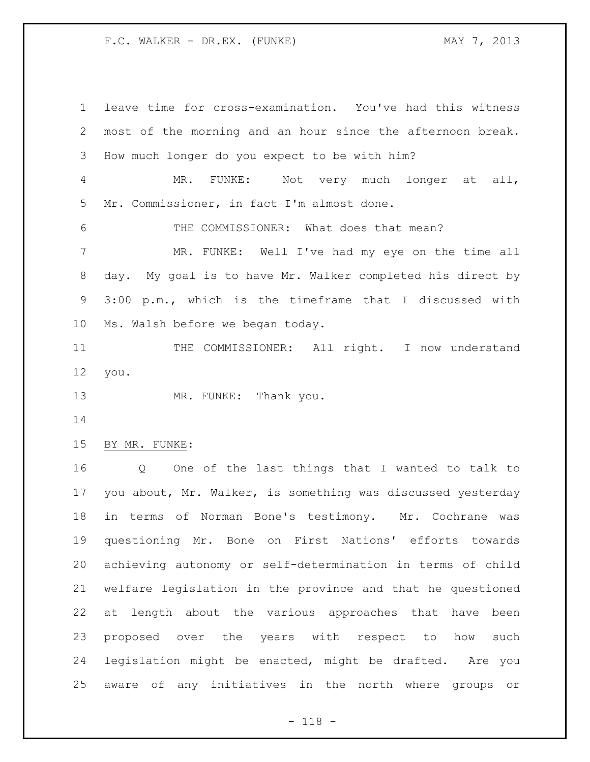F.C. WALKER - DR.EX. (FUNKE) MAY 7, 2013

 leave time for cross-examination. You've had this witness most of the morning and an hour since the afternoon break. How much longer do you expect to be with him? MR. FUNKE: Not very much longer at all, Mr. Commissioner, in fact I'm almost done. THE COMMISSIONER: What does that mean? MR. FUNKE: Well I've had my eye on the time all day. My goal is to have Mr. Walker completed his direct by 3:00 p.m., which is the timeframe that I discussed with Ms. Walsh before we began today. 11 THE COMMISSIONER: All right. I now understand you. 13 MR. FUNKE: Thank you. BY MR. FUNKE: Q One of the last things that I wanted to talk to you about, Mr. Walker, is something was discussed yesterday in terms of Norman Bone's testimony. Mr. Cochrane was questioning Mr. Bone on First Nations' efforts towards achieving autonomy or self-determination in terms of child welfare legislation in the province and that he questioned at length about the various approaches that have been proposed over the years with respect to how such legislation might be enacted, might be drafted. Are you aware of any initiatives in the north where groups or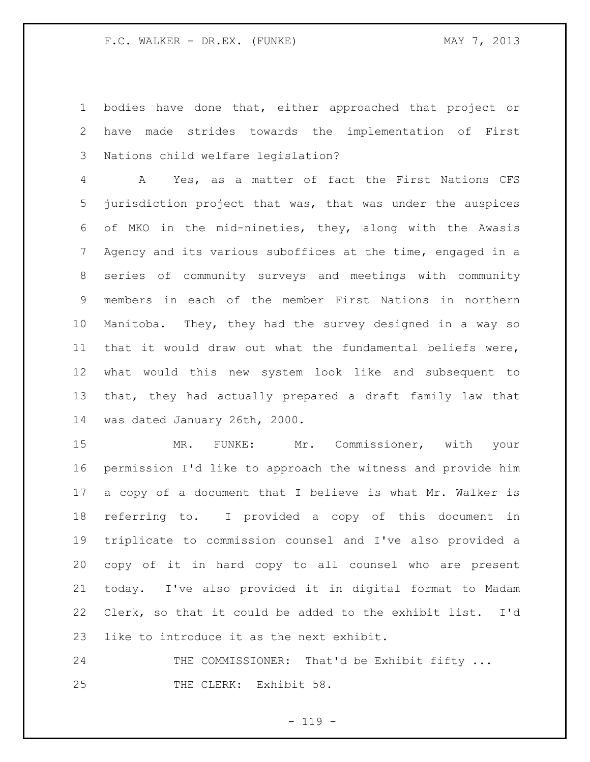bodies have done that, either approached that project or have made strides towards the implementation of First Nations child welfare legislation?

 A Yes, as a matter of fact the First Nations CFS jurisdiction project that was, that was under the auspices of MKO in the mid-nineties, they, along with the Awasis Agency and its various suboffices at the time, engaged in a series of community surveys and meetings with community members in each of the member First Nations in northern Manitoba. They, they had the survey designed in a way so that it would draw out what the fundamental beliefs were, what would this new system look like and subsequent to that, they had actually prepared a draft family law that was dated January 26th, 2000.

 MR. FUNKE: Mr. Commissioner, with your permission I'd like to approach the witness and provide him a copy of a document that I believe is what Mr. Walker is referring to. I provided a copy of this document in triplicate to commission counsel and I've also provided a copy of it in hard copy to all counsel who are present today. I've also provided it in digital format to Madam Clerk, so that it could be added to the exhibit list. I'd like to introduce it as the next exhibit.

24 THE COMMISSIONER: That'd be Exhibit fifty ... 25 THE CLERK: Exhibit 58.

 $- 119 -$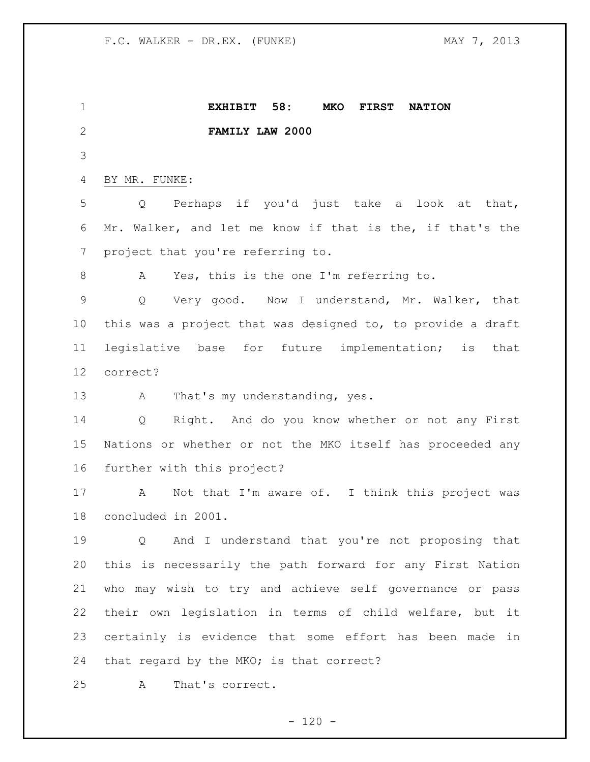**EXHIBIT 58: MKO FIRST NATION FAMILY LAW 2000** BY MR. FUNKE: Q Perhaps if you'd just take a look at that, Mr. Walker, and let me know if that is the, if that's the project that you're referring to. A Yes, this is the one I'm referring to. Q Very good. Now I understand, Mr. Walker, that this was a project that was designed to, to provide a draft legislative base for future implementation; is that correct? 13 A That's my understanding, yes. Q Right. And do you know whether or not any First Nations or whether or not the MKO itself has proceeded any further with this project? A Not that I'm aware of. I think this project was concluded in 2001. Q And I understand that you're not proposing that this is necessarily the path forward for any First Nation who may wish to try and achieve self governance or pass their own legislation in terms of child welfare, but it certainly is evidence that some effort has been made in that regard by the MKO; is that correct? A That's correct.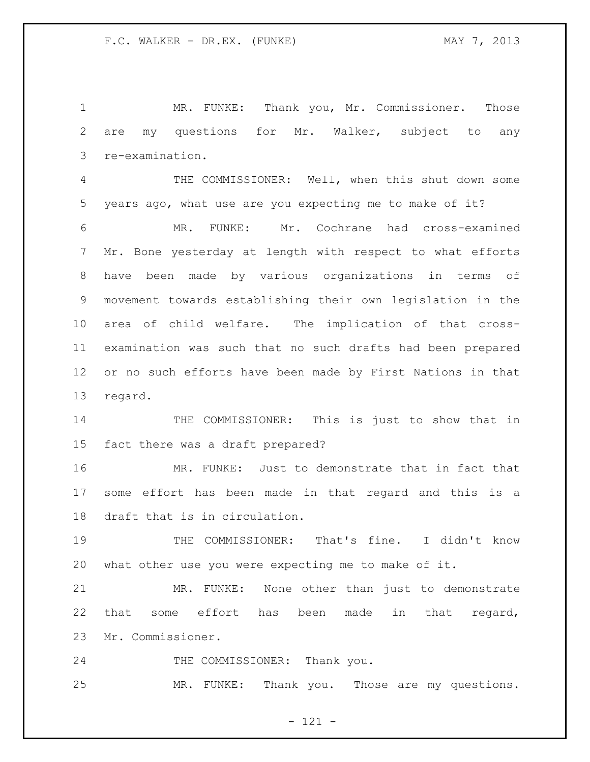MR. FUNKE: Thank you, Mr. Commissioner. Those are my questions for Mr. Walker, subject to any re-examination.

 THE COMMISSIONER: Well, when this shut down some years ago, what use are you expecting me to make of it?

 MR. FUNKE: Mr. Cochrane had cross-examined Mr. Bone yesterday at length with respect to what efforts have been made by various organizations in terms of movement towards establishing their own legislation in the area of child welfare. The implication of that cross- examination was such that no such drafts had been prepared or no such efforts have been made by First Nations in that regard.

14 THE COMMISSIONER: This is just to show that in fact there was a draft prepared?

 MR. FUNKE: Just to demonstrate that in fact that some effort has been made in that regard and this is a draft that is in circulation.

 THE COMMISSIONER: That's fine. I didn't know what other use you were expecting me to make of it.

 MR. FUNKE: None other than just to demonstrate 22 that some effort has been made in that regard, Mr. Commissioner.

24 THE COMMISSIONER: Thank you.

MR. FUNKE: Thank you. Those are my questions.

- 121 -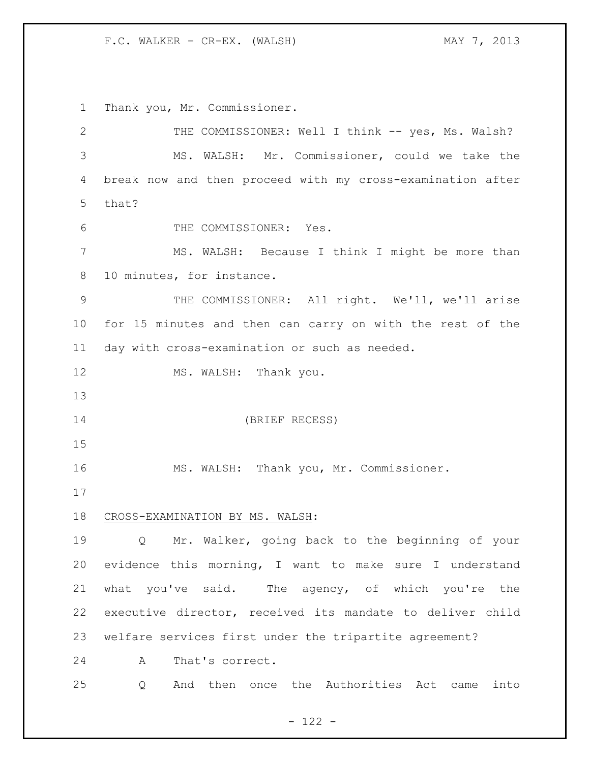F.C. WALKER - CR-EX. (WALSH) MAY 7, 2013

Thank you, Mr. Commissioner.

| $\mathbf{2}$ | THE COMMISSIONER: Well I think -- yes, Ms. Walsh?          |
|--------------|------------------------------------------------------------|
| 3            | MS. WALSH: Mr. Commissioner, could we take the             |
| 4            | break now and then proceed with my cross-examination after |
| 5            | that?                                                      |
| 6            | THE COMMISSIONER: Yes.                                     |
| 7            | MS. WALSH: Because I think I might be more than            |
| 8            | 10 minutes, for instance.                                  |
| 9            | THE COMMISSIONER: All right. We'll, we'll arise            |
| 10           | for 15 minutes and then can carry on with the rest of the  |
| 11           | day with cross-examination or such as needed.              |
| 12           | MS. WALSH: Thank you.                                      |
| 13           |                                                            |
|              |                                                            |
| 14           | (BRIEF RECESS)                                             |
| 15           |                                                            |
| 16           | MS. WALSH: Thank you, Mr. Commissioner.                    |
| 17           |                                                            |
| 18           | CROSS-EXAMINATION BY MS. WALSH:                            |
| 19           | Mr. Walker, going back to the beginning of your<br>Q       |
| 20           | evidence this morning, I want to make sure I understand    |
| 21           | what you've said. The agency, of which you're the          |
| 22           | executive director, received its mandate to deliver child  |
| 23           | welfare services first under the tripartite agreement?     |
| 24           | That's correct.<br>Α                                       |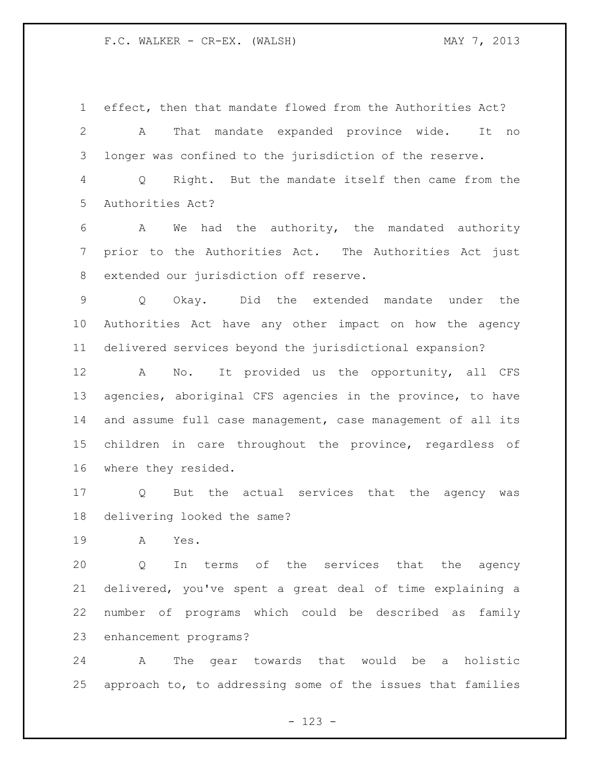F.C. WALKER - CR-EX. (WALSH) MAY 7, 2013

 effect, then that mandate flowed from the Authorities Act? A That mandate expanded province wide. It no longer was confined to the jurisdiction of the reserve. Q Right. But the mandate itself then came from the

Authorities Act?

 A We had the authority, the mandated authority prior to the Authorities Act. The Authorities Act just extended our jurisdiction off reserve.

 Q Okay. Did the extended mandate under the Authorities Act have any other impact on how the agency delivered services beyond the jurisdictional expansion?

 A No. It provided us the opportunity, all CFS agencies, aboriginal CFS agencies in the province, to have and assume full case management, case management of all its children in care throughout the province, regardless of where they resided.

 Q But the actual services that the agency was delivering looked the same?

A Yes.

 Q In terms of the services that the agency delivered, you've spent a great deal of time explaining a number of programs which could be described as family enhancement programs?

 A The gear towards that would be a holistic approach to, to addressing some of the issues that families

- 123 -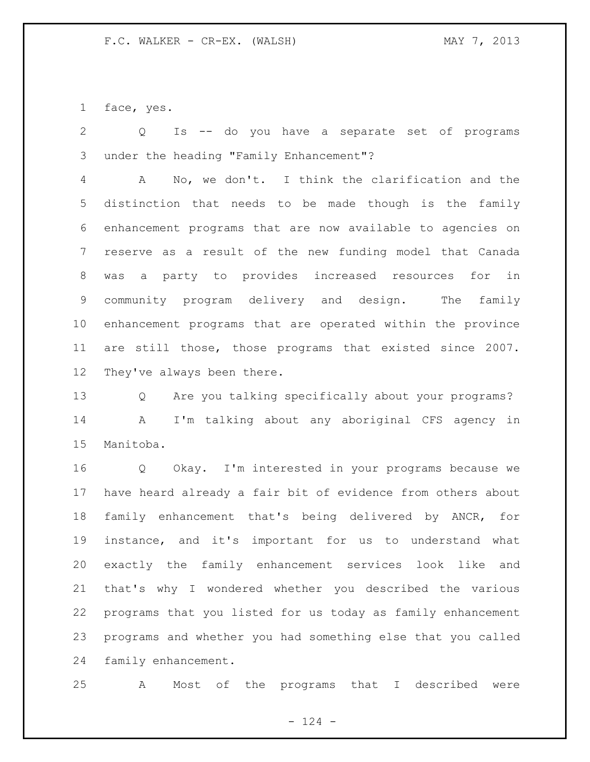face, yes.

 Q Is -- do you have a separate set of programs under the heading "Family Enhancement"?

 A No, we don't. I think the clarification and the distinction that needs to be made though is the family enhancement programs that are now available to agencies on reserve as a result of the new funding model that Canada was a party to provides increased resources for in community program delivery and design. The family enhancement programs that are operated within the province are still those, those programs that existed since 2007. They've always been there.

 Q Are you talking specifically about your programs? A I'm talking about any aboriginal CFS agency in Manitoba.

 Q Okay. I'm interested in your programs because we have heard already a fair bit of evidence from others about family enhancement that's being delivered by ANCR, for instance, and it's important for us to understand what exactly the family enhancement services look like and that's why I wondered whether you described the various programs that you listed for us today as family enhancement programs and whether you had something else that you called family enhancement.

A Most of the programs that I described were

 $- 124 -$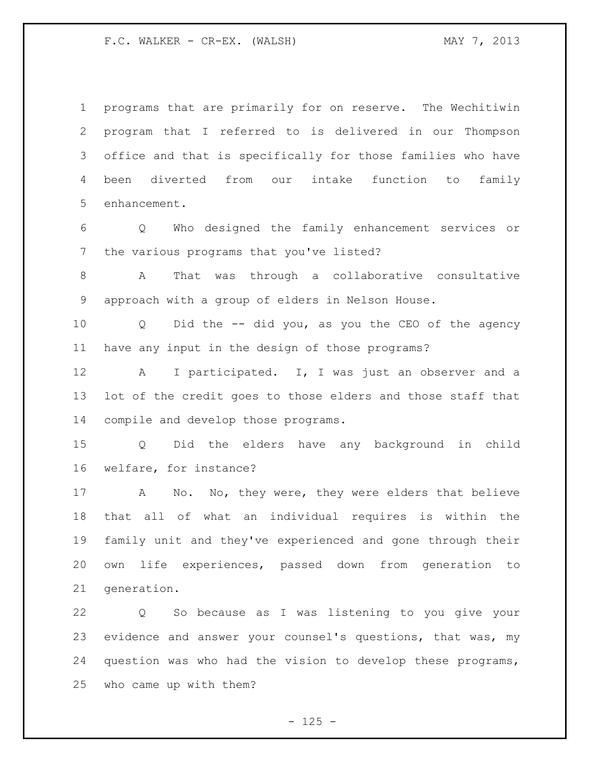programs that are primarily for on reserve. The Wechitiwin program that I referred to is delivered in our Thompson office and that is specifically for those families who have been diverted from our intake function to family enhancement.

 Q Who designed the family enhancement services or the various programs that you've listed?

 A That was through a collaborative consultative approach with a group of elders in Nelson House.

 Q Did the -- did you, as you the CEO of the agency have any input in the design of those programs?

12 A I participated. I, I was just an observer and a lot of the credit goes to those elders and those staff that compile and develop those programs.

 Q Did the elders have any background in child welfare, for instance?

 A No. No, they were, they were elders that believe that all of what an individual requires is within the family unit and they've experienced and gone through their own life experiences, passed down from generation to generation.

 Q So because as I was listening to you give your evidence and answer your counsel's questions, that was, my question was who had the vision to develop these programs, who came up with them?

 $- 125 -$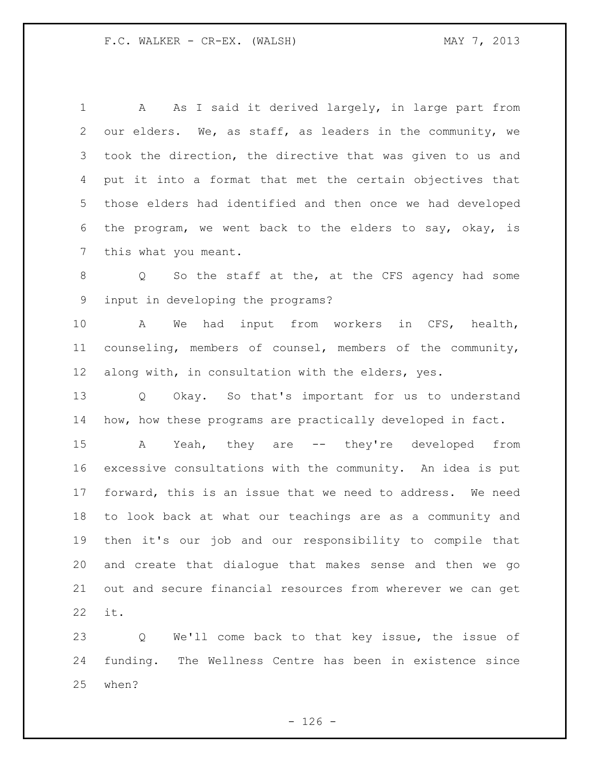1 A As I said it derived largely, in large part from our elders. We, as staff, as leaders in the community, we took the direction, the directive that was given to us and put it into a format that met the certain objectives that those elders had identified and then once we had developed the program, we went back to the elders to say, okay, is this what you meant.

 Q So the staff at the, at the CFS agency had some input in developing the programs?

 A We had input from workers in CFS, health, counseling, members of counsel, members of the community, along with, in consultation with the elders, yes.

 Q Okay. So that's important for us to understand how, how these programs are practically developed in fact.

15 A Yeah, they are -- they're developed from excessive consultations with the community. An idea is put forward, this is an issue that we need to address. We need to look back at what our teachings are as a community and then it's our job and our responsibility to compile that and create that dialogue that makes sense and then we go out and secure financial resources from wherever we can get it.

 Q We'll come back to that key issue, the issue of funding. The Wellness Centre has been in existence since when?

 $- 126 -$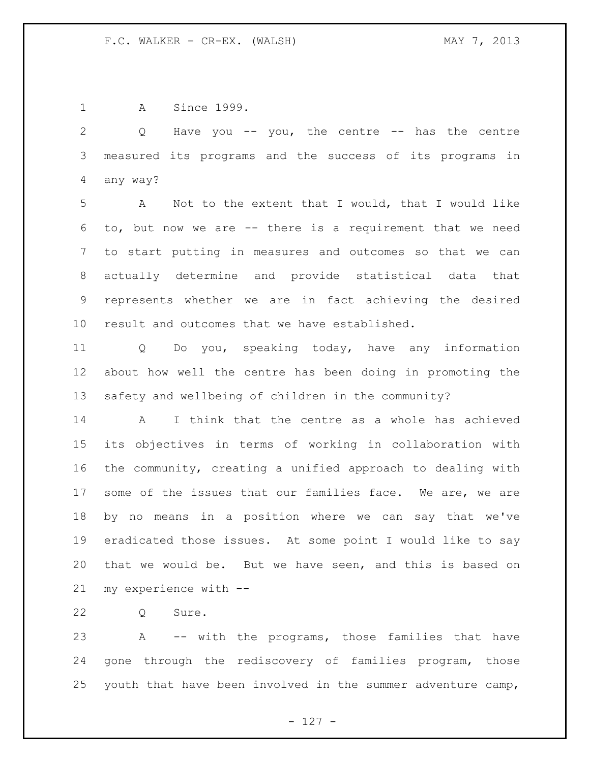A Since 1999.

 Q Have you -- you, the centre -- has the centre measured its programs and the success of its programs in any way?

 A Not to the extent that I would, that I would like to, but now we are -- there is a requirement that we need to start putting in measures and outcomes so that we can actually determine and provide statistical data that represents whether we are in fact achieving the desired result and outcomes that we have established.

 Q Do you, speaking today, have any information about how well the centre has been doing in promoting the safety and wellbeing of children in the community?

 A I think that the centre as a whole has achieved its objectives in terms of working in collaboration with the community, creating a unified approach to dealing with some of the issues that our families face. We are, we are by no means in a position where we can say that we've eradicated those issues. At some point I would like to say that we would be. But we have seen, and this is based on my experience with --

Q Sure.

 A -- with the programs, those families that have gone through the rediscovery of families program, those youth that have been involved in the summer adventure camp,

- 127 -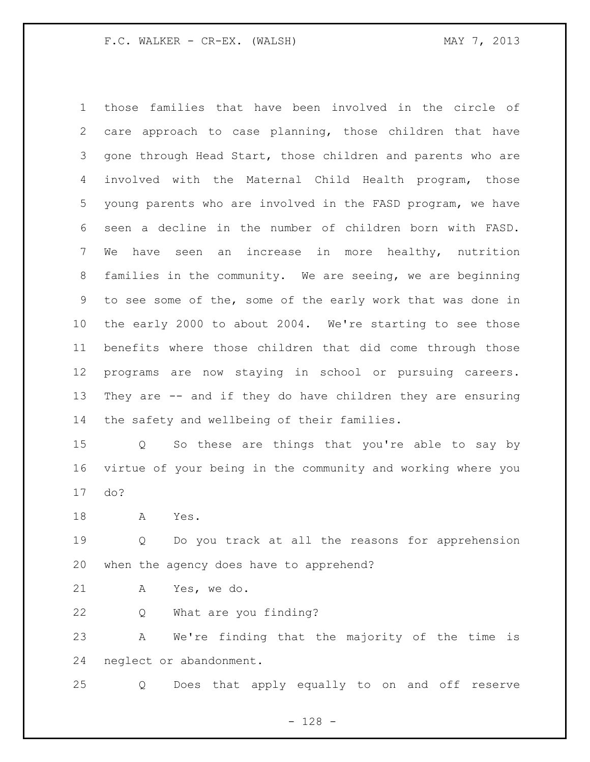those families that have been involved in the circle of care approach to case planning, those children that have 3 gone through Head Start, those children and parents who are involved with the Maternal Child Health program, those young parents who are involved in the FASD program, we have seen a decline in the number of children born with FASD. We have seen an increase in more healthy, nutrition families in the community. We are seeing, we are beginning to see some of the, some of the early work that was done in the early 2000 to about 2004. We're starting to see those benefits where those children that did come through those programs are now staying in school or pursuing careers. They are -- and if they do have children they are ensuring the safety and wellbeing of their families.

 Q So these are things that you're able to say by virtue of your being in the community and working where you do?

A Yes.

 Q Do you track at all the reasons for apprehension when the agency does have to apprehend?

A Yes, we do.

Q What are you finding?

 A We're finding that the majority of the time is neglect or abandonment.

Q Does that apply equally to on and off reserve

- 128 -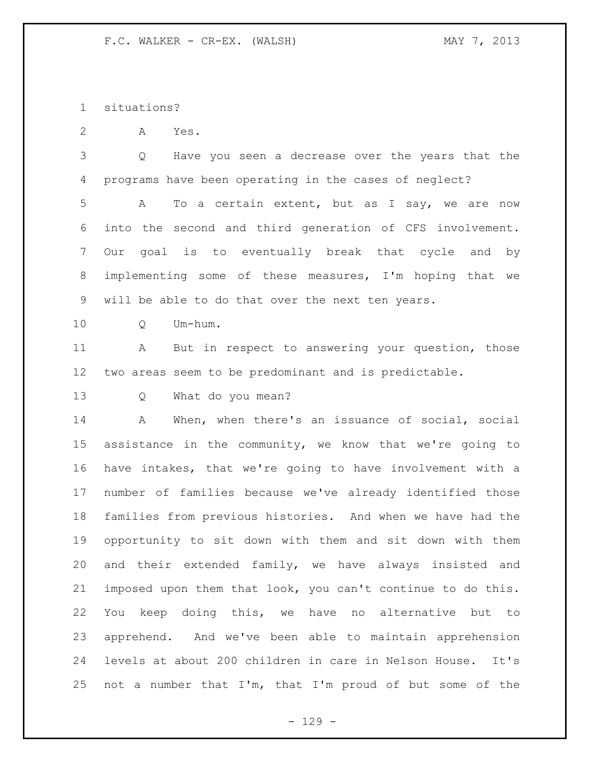situations?

A Yes.

 Q Have you seen a decrease over the years that the programs have been operating in the cases of neglect?

 A To a certain extent, but as I say, we are now into the second and third generation of CFS involvement. Our goal is to eventually break that cycle and by implementing some of these measures, I'm hoping that we will be able to do that over the next ten years.

Q Um-hum.

 A But in respect to answering your question, those two areas seem to be predominant and is predictable.

Q What do you mean?

 A When, when there's an issuance of social, social assistance in the community, we know that we're going to have intakes, that we're going to have involvement with a number of families because we've already identified those families from previous histories. And when we have had the opportunity to sit down with them and sit down with them and their extended family, we have always insisted and imposed upon them that look, you can't continue to do this. You keep doing this, we have no alternative but to apprehend. And we've been able to maintain apprehension levels at about 200 children in care in Nelson House. It's not a number that I'm, that I'm proud of but some of the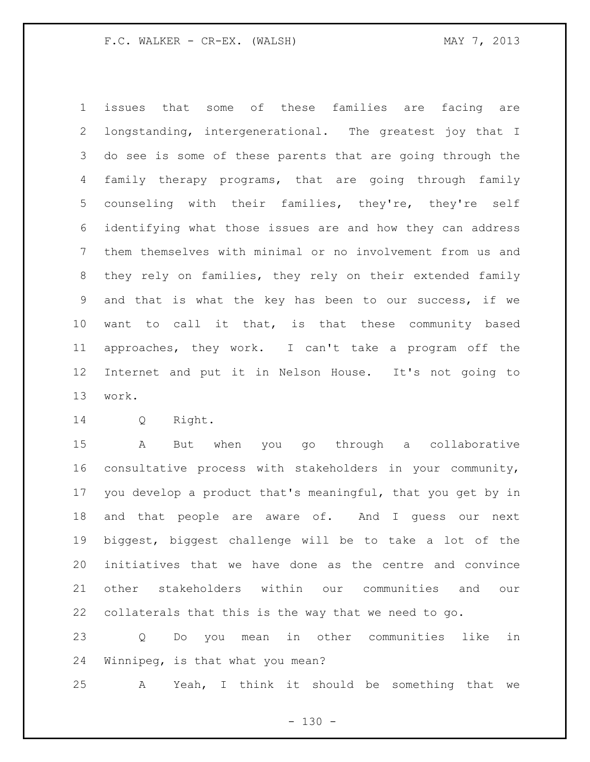issues that some of these families are facing are longstanding, intergenerational. The greatest joy that I do see is some of these parents that are going through the family therapy programs, that are going through family counseling with their families, they're, they're self identifying what those issues are and how they can address them themselves with minimal or no involvement from us and they rely on families, they rely on their extended family and that is what the key has been to our success, if we want to call it that, is that these community based approaches, they work. I can't take a program off the Internet and put it in Nelson House. It's not going to work.

Q Right.

 A But when you go through a collaborative consultative process with stakeholders in your community, you develop a product that's meaningful, that you get by in and that people are aware of. And I guess our next biggest, biggest challenge will be to take a lot of the initiatives that we have done as the centre and convince other stakeholders within our communities and our collaterals that this is the way that we need to go.

 Q Do you mean in other communities like in Winnipeg, is that what you mean?

A Yeah, I think it should be something that we

 $- 130 -$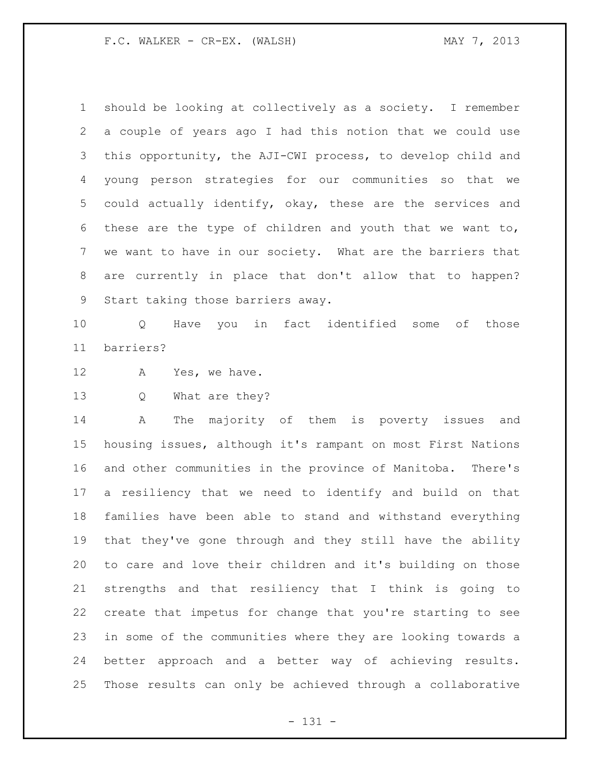F.C. WALKER - CR-EX. (WALSH) MAY 7, 2013

 should be looking at collectively as a society. I remember a couple of years ago I had this notion that we could use this opportunity, the AJI-CWI process, to develop child and young person strategies for our communities so that we could actually identify, okay, these are the services and these are the type of children and youth that we want to, we want to have in our society. What are the barriers that are currently in place that don't allow that to happen? Start taking those barriers away.

 Q Have you in fact identified some of those barriers?

- 12 A Yes, we have.
- Q What are they?

 A The majority of them is poverty issues and housing issues, although it's rampant on most First Nations and other communities in the province of Manitoba. There's a resiliency that we need to identify and build on that families have been able to stand and withstand everything that they've gone through and they still have the ability to care and love their children and it's building on those strengths and that resiliency that I think is going to create that impetus for change that you're starting to see in some of the communities where they are looking towards a better approach and a better way of achieving results. Those results can only be achieved through a collaborative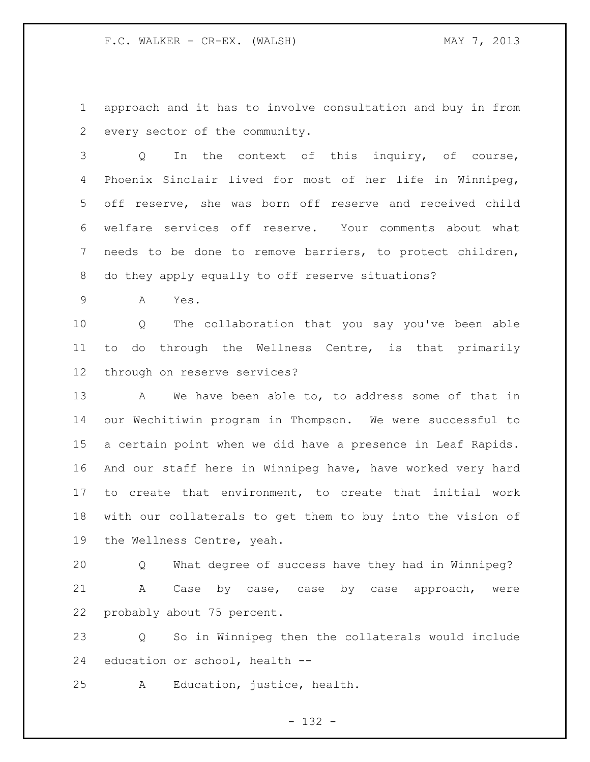approach and it has to involve consultation and buy in from every sector of the community.

 Q In the context of this inquiry, of course, Phoenix Sinclair lived for most of her life in Winnipeg, off reserve, she was born off reserve and received child welfare services off reserve. Your comments about what needs to be done to remove barriers, to protect children, do they apply equally to off reserve situations?

A Yes.

 Q The collaboration that you say you've been able to do through the Wellness Centre, is that primarily through on reserve services?

13 A We have been able to, to address some of that in our Wechitiwin program in Thompson. We were successful to a certain point when we did have a presence in Leaf Rapids. And our staff here in Winnipeg have, have worked very hard to create that environment, to create that initial work with our collaterals to get them to buy into the vision of the Wellness Centre, yeah.

 Q What degree of success have they had in Winnipeg? A Case by case, case by case approach, were probably about 75 percent.

 Q So in Winnipeg then the collaterals would include education or school, health --

A Education, justice, health.

- 132 -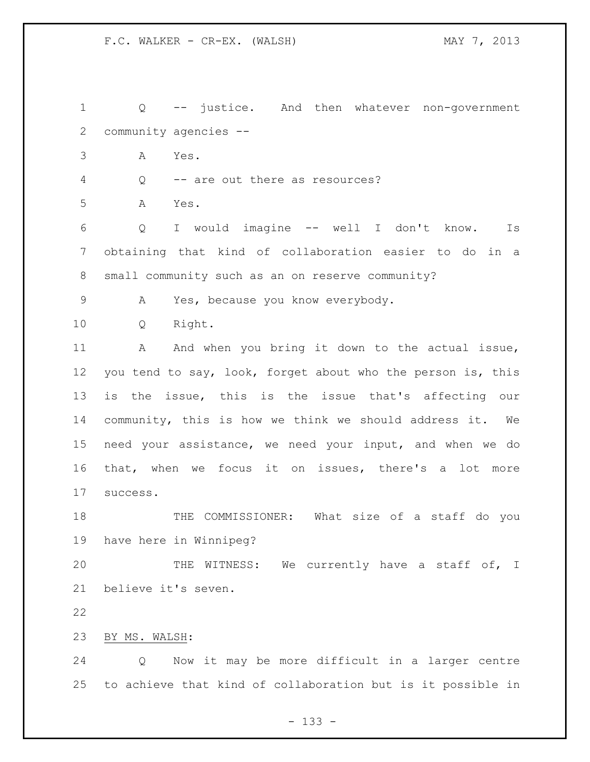Q -- justice. And then whatever non-government community agencies -- A Yes. Q -- are out there as resources? A Yes. Q I would imagine -- well I don't know. Is obtaining that kind of collaboration easier to do in a small community such as an on reserve community? A Yes, because you know everybody. Q Right. 11 A And when you bring it down to the actual issue, you tend to say, look, forget about who the person is, this is the issue, this is the issue that's affecting our community, this is how we think we should address it. We need your assistance, we need your input, and when we do that, when we focus it on issues, there's a lot more success. THE COMMISSIONER: What size of a staff do you have here in Winnipeg? THE WITNESS: We currently have a staff of, I believe it's seven. BY MS. WALSH: Q Now it may be more difficult in a larger centre to achieve that kind of collaboration but is it possible in

- 133 -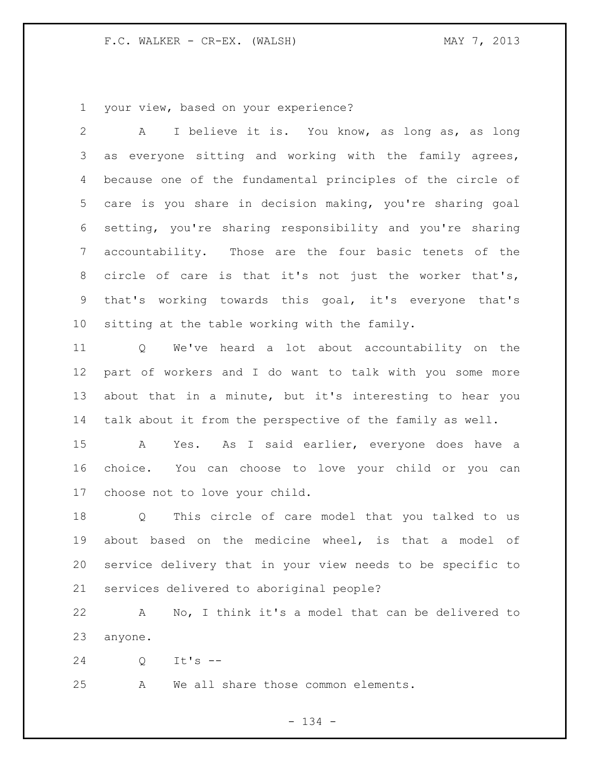F.C. WALKER - CR-EX. (WALSH) MAY 7, 2013

your view, based on your experience?

 A I believe it is. You know, as long as, as long as everyone sitting and working with the family agrees, because one of the fundamental principles of the circle of care is you share in decision making, you're sharing goal setting, you're sharing responsibility and you're sharing accountability. Those are the four basic tenets of the circle of care is that it's not just the worker that's, that's working towards this goal, it's everyone that's sitting at the table working with the family. Q We've heard a lot about accountability on the part of workers and I do want to talk with you some more

 about that in a minute, but it's interesting to hear you talk about it from the perspective of the family as well.

 A Yes. As I said earlier, everyone does have a choice. You can choose to love your child or you can choose not to love your child.

 Q This circle of care model that you talked to us about based on the medicine wheel, is that a model of service delivery that in your view needs to be specific to services delivered to aboriginal people?

 A No, I think it's a model that can be delivered to anyone.

Q It's --

A We all share those common elements.

- 134 -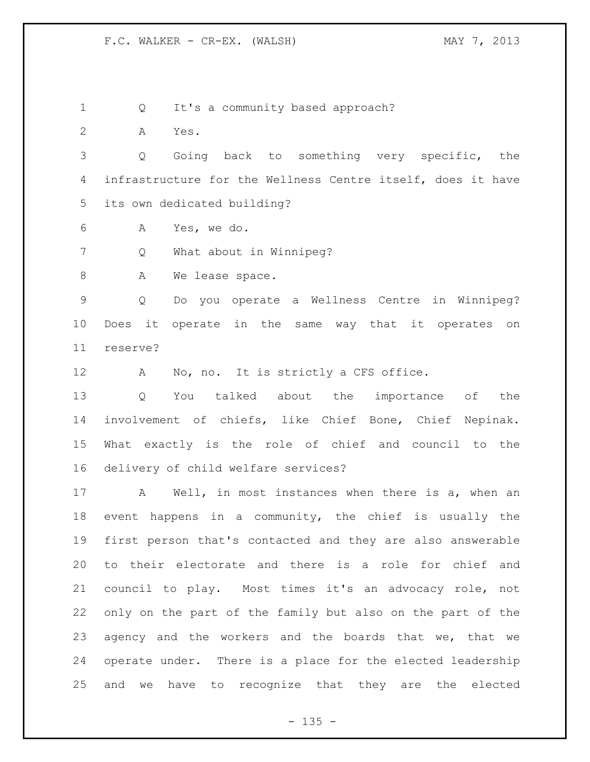1 Q It's a community based approach?

A Yes.

 Q Going back to something very specific, the infrastructure for the Wellness Centre itself, does it have its own dedicated building?

A Yes, we do.

Q What about in Winnipeg?

8 A We lease space.

 Q Do you operate a Wellness Centre in Winnipeg? Does it operate in the same way that it operates on reserve?

12 A No, no. It is strictly a CFS office.

 Q You talked about the importance of the involvement of chiefs, like Chief Bone, Chief Nepinak. What exactly is the role of chief and council to the delivery of child welfare services?

 A Well, in most instances when there is a, when an event happens in a community, the chief is usually the first person that's contacted and they are also answerable to their electorate and there is a role for chief and council to play. Most times it's an advocacy role, not only on the part of the family but also on the part of the 23 agency and the workers and the boards that we, that we operate under. There is a place for the elected leadership and we have to recognize that they are the elected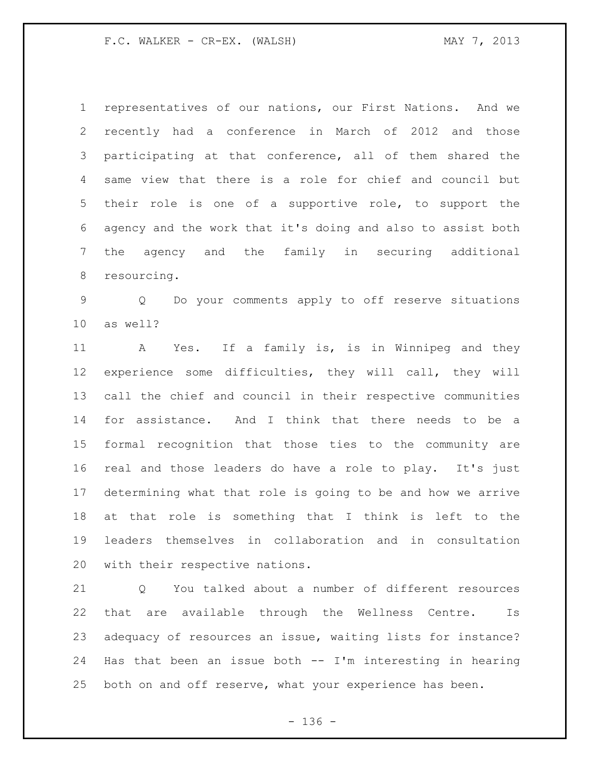representatives of our nations, our First Nations. And we recently had a conference in March of 2012 and those participating at that conference, all of them shared the same view that there is a role for chief and council but their role is one of a supportive role, to support the agency and the work that it's doing and also to assist both the agency and the family in securing additional resourcing.

 Q Do your comments apply to off reserve situations as well?

 A Yes. If a family is, is in Winnipeg and they experience some difficulties, they will call, they will call the chief and council in their respective communities for assistance. And I think that there needs to be a formal recognition that those ties to the community are real and those leaders do have a role to play. It's just determining what that role is going to be and how we arrive at that role is something that I think is left to the leaders themselves in collaboration and in consultation with their respective nations.

 Q You talked about a number of different resources that are available through the Wellness Centre. Is adequacy of resources an issue, waiting lists for instance? Has that been an issue both -- I'm interesting in hearing both on and off reserve, what your experience has been.

- 136 -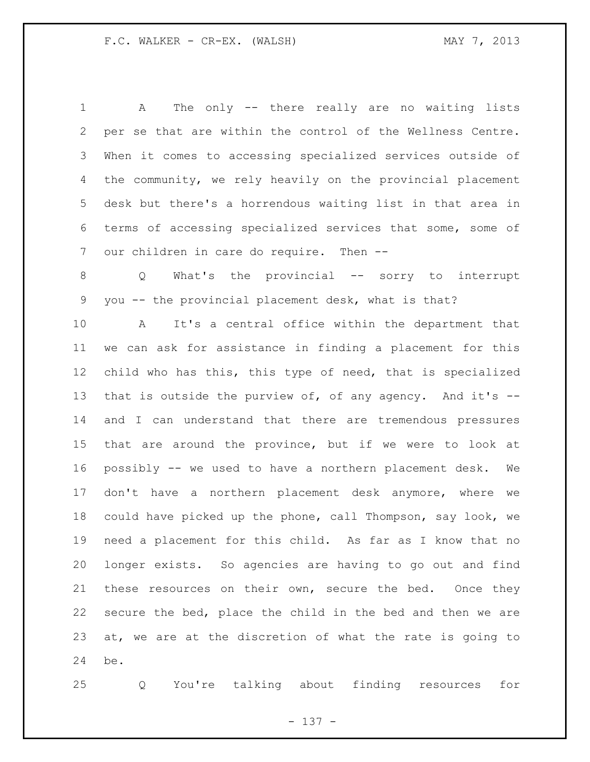A The only -- there really are no waiting lists per se that are within the control of the Wellness Centre. When it comes to accessing specialized services outside of the community, we rely heavily on the provincial placement desk but there's a horrendous waiting list in that area in terms of accessing specialized services that some, some of our children in care do require. Then --

 Q What's the provincial -- sorry to interrupt you -- the provincial placement desk, what is that?

 A It's a central office within the department that we can ask for assistance in finding a placement for this child who has this, this type of need, that is specialized that is outside the purview of, of any agency. And it's -- and I can understand that there are tremendous pressures that are around the province, but if we were to look at possibly -- we used to have a northern placement desk. We don't have a northern placement desk anymore, where we could have picked up the phone, call Thompson, say look, we need a placement for this child. As far as I know that no longer exists. So agencies are having to go out and find 21 these resources on their own, secure the bed. Once they secure the bed, place the child in the bed and then we are at, we are at the discretion of what the rate is going to be.

Q You're talking about finding resources for

- 137 -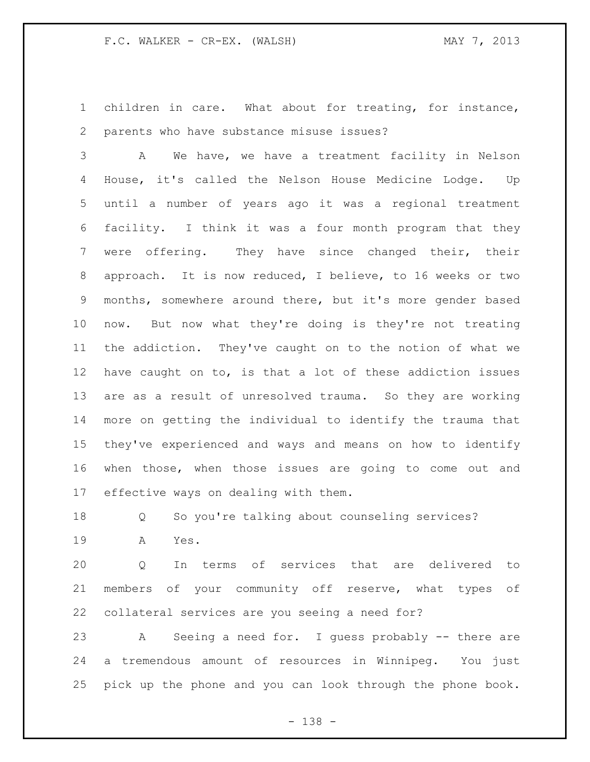children in care. What about for treating, for instance, parents who have substance misuse issues?

 A We have, we have a treatment facility in Nelson House, it's called the Nelson House Medicine Lodge. Up until a number of years ago it was a regional treatment facility. I think it was a four month program that they were offering. They have since changed their, their approach. It is now reduced, I believe, to 16 weeks or two months, somewhere around there, but it's more gender based now. But now what they're doing is they're not treating the addiction. They've caught on to the notion of what we have caught on to, is that a lot of these addiction issues are as a result of unresolved trauma. So they are working more on getting the individual to identify the trauma that they've experienced and ways and means on how to identify when those, when those issues are going to come out and effective ways on dealing with them.

Q So you're talking about counseling services?

A Yes.

 Q In terms of services that are delivered to members of your community off reserve, what types of collateral services are you seeing a need for?

 A Seeing a need for. I guess probably -- there are a tremendous amount of resources in Winnipeg. You just pick up the phone and you can look through the phone book.

- 138 -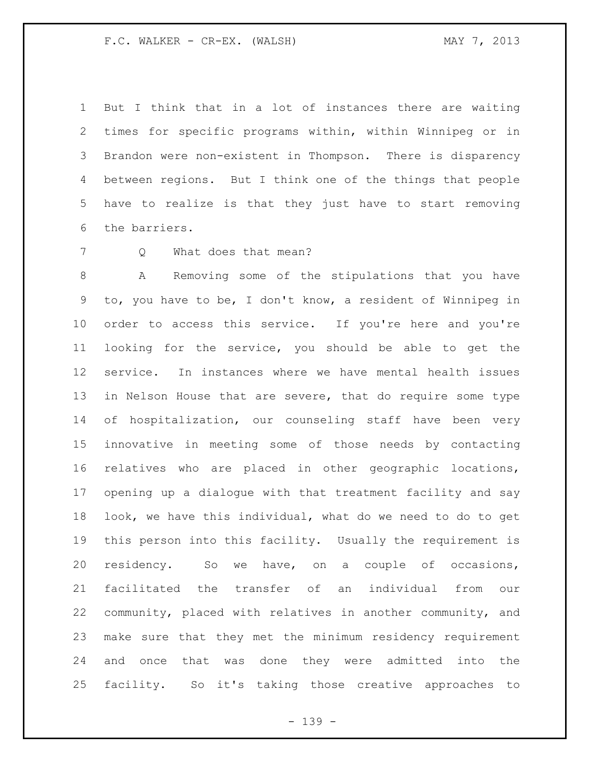But I think that in a lot of instances there are waiting times for specific programs within, within Winnipeg or in Brandon were non-existent in Thompson. There is disparency between regions. But I think one of the things that people have to realize is that they just have to start removing the barriers.

7 0 What does that mean?

 A Removing some of the stipulations that you have to, you have to be, I don't know, a resident of Winnipeg in order to access this service. If you're here and you're looking for the service, you should be able to get the service. In instances where we have mental health issues in Nelson House that are severe, that do require some type of hospitalization, our counseling staff have been very innovative in meeting some of those needs by contacting relatives who are placed in other geographic locations, opening up a dialogue with that treatment facility and say look, we have this individual, what do we need to do to get this person into this facility. Usually the requirement is residency. So we have, on a couple of occasions, facilitated the transfer of an individual from our community, placed with relatives in another community, and make sure that they met the minimum residency requirement and once that was done they were admitted into the facility. So it's taking those creative approaches to

- 139 -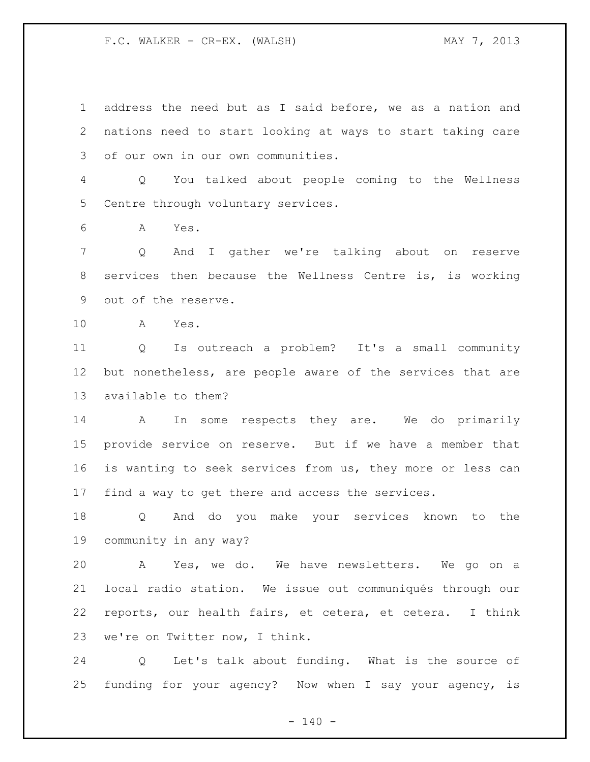F.C. WALKER - CR-EX. (WALSH) MAY 7, 2013

 address the need but as I said before, we as a nation and nations need to start looking at ways to start taking care of our own in our own communities. Q You talked about people coming to the Wellness Centre through voluntary services. A Yes. Q And I gather we're talking about on reserve services then because the Wellness Centre is, is working out of the reserve. A Yes. Q Is outreach a problem? It's a small community but nonetheless, are people aware of the services that are available to them? A In some respects they are. We do primarily provide service on reserve. But if we have a member that is wanting to seek services from us, they more or less can find a way to get there and access the services. Q And do you make your services known to the community in any way? A Yes, we do. We have newsletters. We go on a local radio station. We issue out communiqués through our reports, our health fairs, et cetera, et cetera. I think we're on Twitter now, I think. Q Let's talk about funding. What is the source of

funding for your agency? Now when I say your agency, is

 $- 140 -$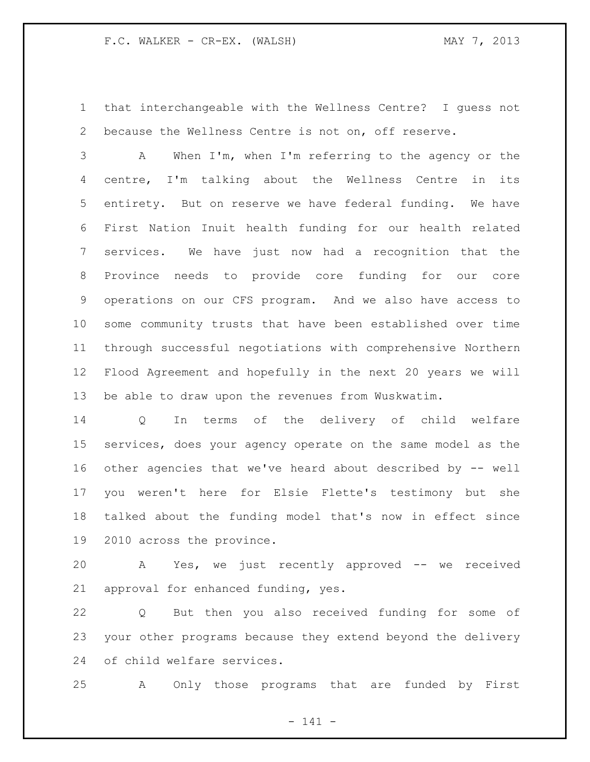that interchangeable with the Wellness Centre? I guess not because the Wellness Centre is not on, off reserve.

 A When I'm, when I'm referring to the agency or the centre, I'm talking about the Wellness Centre in its entirety. But on reserve we have federal funding. We have First Nation Inuit health funding for our health related services. We have just now had a recognition that the Province needs to provide core funding for our core operations on our CFS program. And we also have access to some community trusts that have been established over time through successful negotiations with comprehensive Northern Flood Agreement and hopefully in the next 20 years we will be able to draw upon the revenues from Wuskwatim.

 Q In terms of the delivery of child welfare services, does your agency operate on the same model as the other agencies that we've heard about described by -- well you weren't here for Elsie Flette's testimony but she talked about the funding model that's now in effect since 2010 across the province.

 A Yes, we just recently approved -- we received approval for enhanced funding, yes.

 Q But then you also received funding for some of your other programs because they extend beyond the delivery of child welfare services.

A Only those programs that are funded by First

- 141 -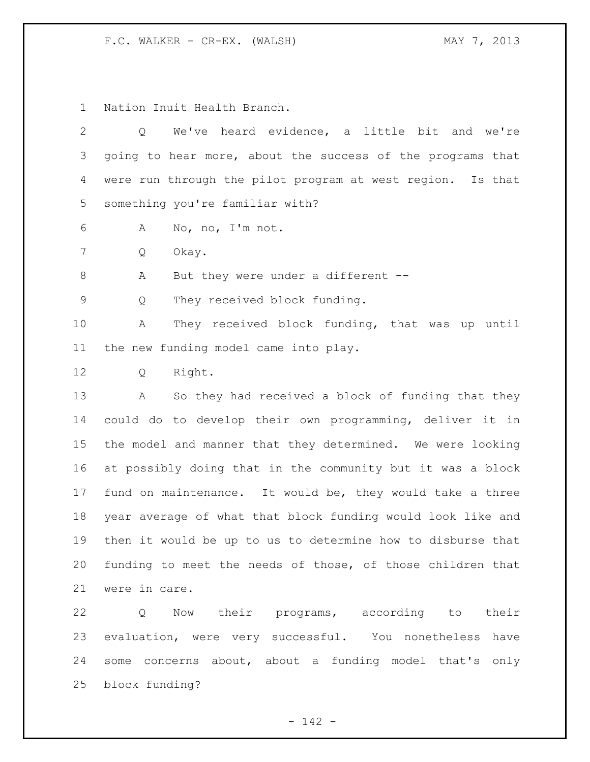Nation Inuit Health Branch.

| $\overline{2}$ | We've heard evidence, a little bit and we're<br>Q              |
|----------------|----------------------------------------------------------------|
| 3              | going to hear more, about the success of the programs that     |
| 4              | were run through the pilot program at west region.<br>Is that  |
| 5              | something you're familiar with?                                |
| 6              | No, no, I'm not.<br>А                                          |
| 7              | Okay.<br>Q                                                     |
| 8              | But they were under a different --<br>Α                        |
| 9              | They received block funding.<br>Q                              |
| 10             | Α<br>They received block funding, that was up until            |
| 11             | the new funding model came into play.                          |
| 12             | Right.<br>Q                                                    |
| 13             | So they had received a block of funding that they<br>Α         |
| 14             | could do to develop their own programming, deliver it in       |
| 15             | the model and manner that they determined. We were looking     |
| 16             | at possibly doing that in the community but it was a block     |
| 17             | fund on maintenance. It would be, they would take a three      |
| 18             | year average of what that block funding would look like and    |
| 19             | then it would be up to us to determine how to disburse that    |
|                | 20 funding to meet the needs of those, of those children that  |
| 21             | were in care.                                                  |
| 22             | Now their programs, according to<br>$Q \qquad \qquad$<br>their |
| 23             | evaluation, were very successful. You nonetheless have         |
| 24             | some concerns about, about a funding model that's only         |

block funding?

 $- 142 -$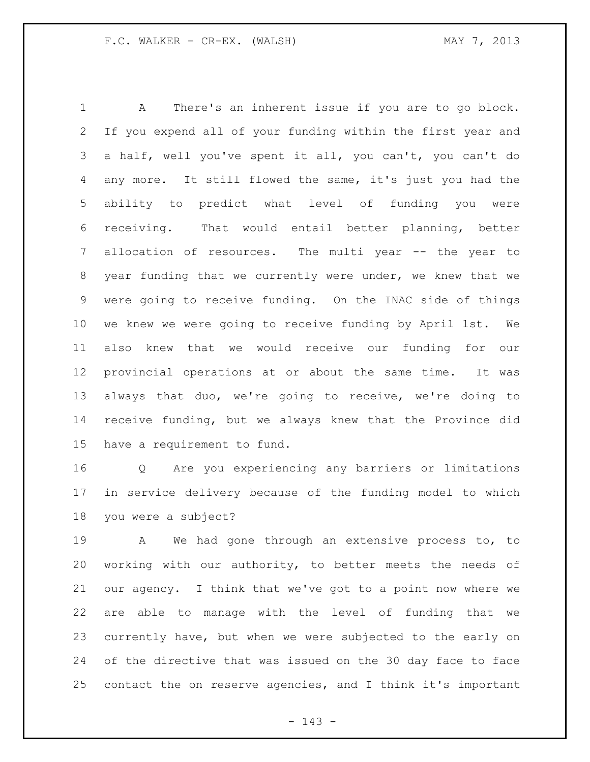A There's an inherent issue if you are to go block. If you expend all of your funding within the first year and a half, well you've spent it all, you can't, you can't do any more. It still flowed the same, it's just you had the ability to predict what level of funding you were receiving. That would entail better planning, better allocation of resources. The multi year -- the year to year funding that we currently were under, we knew that we were going to receive funding. On the INAC side of things we knew we were going to receive funding by April 1st. We also knew that we would receive our funding for our provincial operations at or about the same time. It was always that duo, we're going to receive, we're doing to receive funding, but we always knew that the Province did have a requirement to fund.

 Q Are you experiencing any barriers or limitations in service delivery because of the funding model to which you were a subject?

 A We had gone through an extensive process to, to working with our authority, to better meets the needs of our agency. I think that we've got to a point now where we are able to manage with the level of funding that we currently have, but when we were subjected to the early on of the directive that was issued on the 30 day face to face contact the on reserve agencies, and I think it's important

- 143 -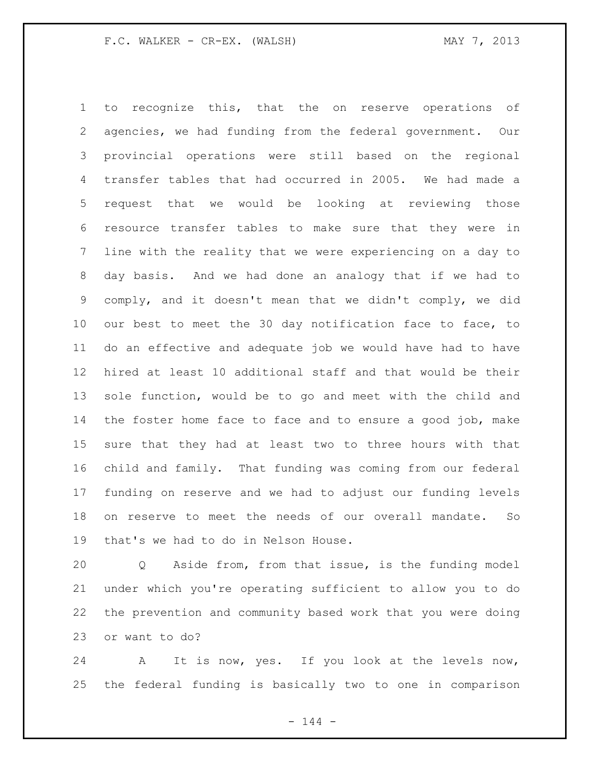to recognize this, that the on reserve operations of agencies, we had funding from the federal government. Our provincial operations were still based on the regional transfer tables that had occurred in 2005. We had made a request that we would be looking at reviewing those resource transfer tables to make sure that they were in line with the reality that we were experiencing on a day to day basis. And we had done an analogy that if we had to comply, and it doesn't mean that we didn't comply, we did our best to meet the 30 day notification face to face, to do an effective and adequate job we would have had to have hired at least 10 additional staff and that would be their sole function, would be to go and meet with the child and the foster home face to face and to ensure a good job, make sure that they had at least two to three hours with that child and family. That funding was coming from our federal funding on reserve and we had to adjust our funding levels on reserve to meet the needs of our overall mandate. So that's we had to do in Nelson House.

 Q Aside from, from that issue, is the funding model under which you're operating sufficient to allow you to do the prevention and community based work that you were doing or want to do?

 A It is now, yes. If you look at the levels now, the federal funding is basically two to one in comparison

 $- 144 -$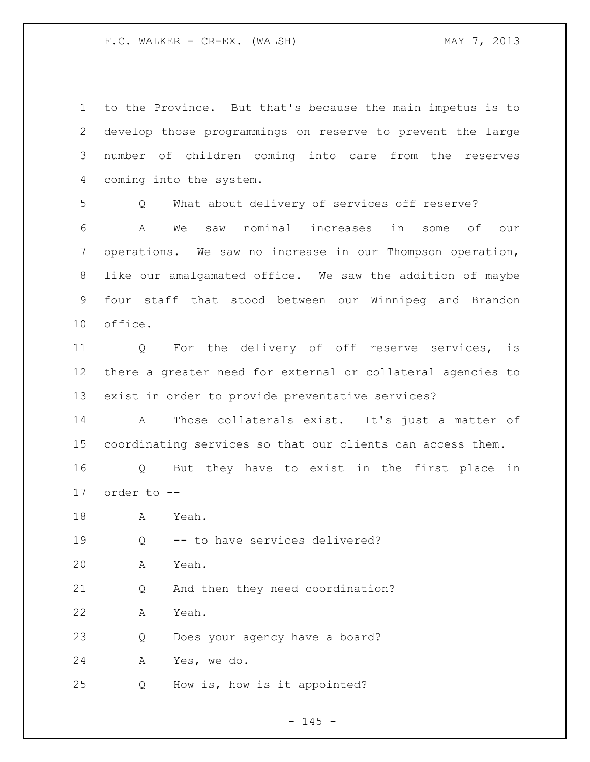| $\mathbf 1$ | to the Province. But that's because the main impetus is to        |
|-------------|-------------------------------------------------------------------|
| 2           | develop those programmings on reserve to prevent the large        |
| 3           | number of children coming into care from the reserves             |
| 4           | coming into the system.                                           |
| 5           | What about delivery of services off reserve?<br>Q                 |
| 6           | saw nominal increases in some of<br>A<br>We<br>our                |
| 7           | operations. We saw no increase in our Thompson operation,         |
| 8           | like our amalgamated office. We saw the addition of maybe         |
| 9           | four staff that stood between our Winnipeg and Brandon            |
| 10          | office.                                                           |
| 11          | Q For the delivery of off reserve services, is                    |
| 12          | there a greater need for external or collateral agencies to       |
| 13          | exist in order to provide preventative services?                  |
| 14          | Those collaterals exist. It's just a matter of<br>A               |
| 15          | coordinating services so that our clients can access them.        |
| 16          | But they have to exist in the first place in<br>$Q \qquad \qquad$ |
| 17          | order to --                                                       |
| 18          | A Yeah.                                                           |
| 19          | -- to have services delivered?<br>Q                               |
| 20          | Yeah.<br>Α                                                        |
| 21          | And then they need coordination?<br>Q                             |
| 22          | Yeah.<br>Α                                                        |
| 23          | Does your agency have a board?<br>Q                               |
| 24          | Yes, we do.<br>Α                                                  |
| 25          | How is, how is it appointed?<br>Q                                 |

- 145 -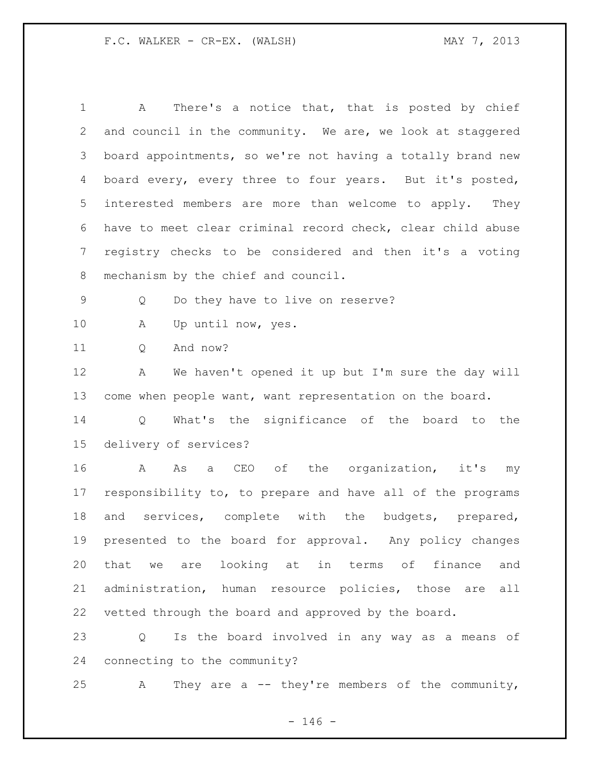1 A There's a notice that, that is posted by chief and council in the community. We are, we look at staggered board appointments, so we're not having a totally brand new board every, every three to four years. But it's posted, interested members are more than welcome to apply. They have to meet clear criminal record check, clear child abuse registry checks to be considered and then it's a voting mechanism by the chief and council. Q Do they have to live on reserve? A Up until now, yes. 11 O And now? A We haven't opened it up but I'm sure the day will come when people want, want representation on the board. Q What's the significance of the board to the delivery of services? 16 A As a CEO of the organization, it's my responsibility to, to prepare and have all of the programs and services, complete with the budgets, prepared, presented to the board for approval. Any policy changes that we are looking at in terms of finance and administration, human resource policies, those are all vetted through the board and approved by the board.

 Q Is the board involved in any way as a means of connecting to the community?

A They are a -- they're members of the community,

 $- 146 -$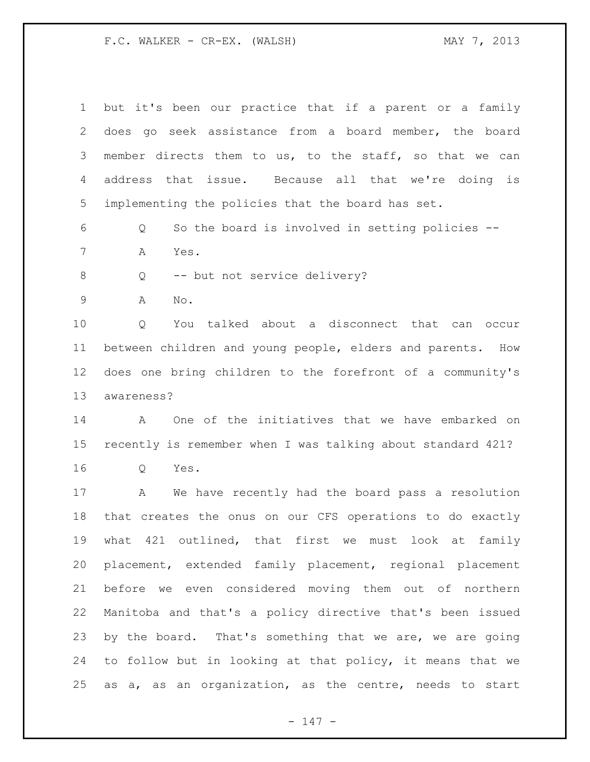| $\mathbf 1$    | but it's been our practice that if a parent or a family     |
|----------------|-------------------------------------------------------------|
| $\overline{2}$ | does go seek assistance from a board member, the board      |
| 3              | member directs them to us, to the staff, so that we can     |
| 4              | address that issue. Because all that we're doing is         |
| 5              | implementing the policies that the board has set.           |
| 6              | So the board is involved in setting policies --<br>Q        |
| 7              | Yes.<br>A                                                   |
| 8              | -- but not service delivery?<br>Q                           |
| $\mathsf 9$    | No.<br>Α                                                    |
| 10             | You talked about a disconnect that can occur<br>Q           |
| 11             | between children and young people, elders and parents. How  |
| 12             | does one bring children to the forefront of a community's   |
| 13             | awareness?                                                  |
| 14             | One of the initiatives that we have embarked on<br>A        |
| 15             | recently is remember when I was talking about standard 421? |
| 16             | Q<br>Yes.                                                   |
| 17             | We have recently had the board pass a resolution<br>A       |
| 18             | that creates the onus on our CFS operations to do exactly   |
| 19             | what 421 outlined, that first we must look at family        |
| 20             | placement, extended family placement, regional placement    |
| 21             | before we even considered moving them out of northern       |
| 22             | Manitoba and that's a policy directive that's been issued   |
| 23             | by the board. That's something that we are, we are going    |
| 24             | to follow but in looking at that policy, it means that we   |
| 25             | as a, as an organization, as the centre, needs to start     |

- 147 -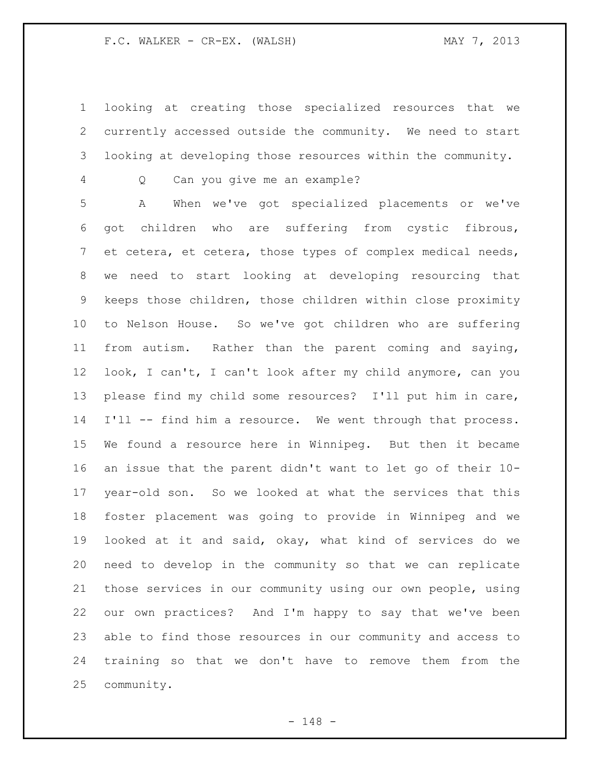looking at creating those specialized resources that we currently accessed outside the community. We need to start looking at developing those resources within the community.

Q Can you give me an example?

 A When we've got specialized placements or we've got children who are suffering from cystic fibrous, et cetera, et cetera, those types of complex medical needs, we need to start looking at developing resourcing that keeps those children, those children within close proximity to Nelson House. So we've got children who are suffering from autism. Rather than the parent coming and saying, look, I can't, I can't look after my child anymore, can you please find my child some resources? I'll put him in care, 14 I'll -- find him a resource. We went through that process. We found a resource here in Winnipeg. But then it became an issue that the parent didn't want to let go of their 10- year-old son. So we looked at what the services that this foster placement was going to provide in Winnipeg and we looked at it and said, okay, what kind of services do we need to develop in the community so that we can replicate those services in our community using our own people, using our own practices? And I'm happy to say that we've been able to find those resources in our community and access to training so that we don't have to remove them from the community.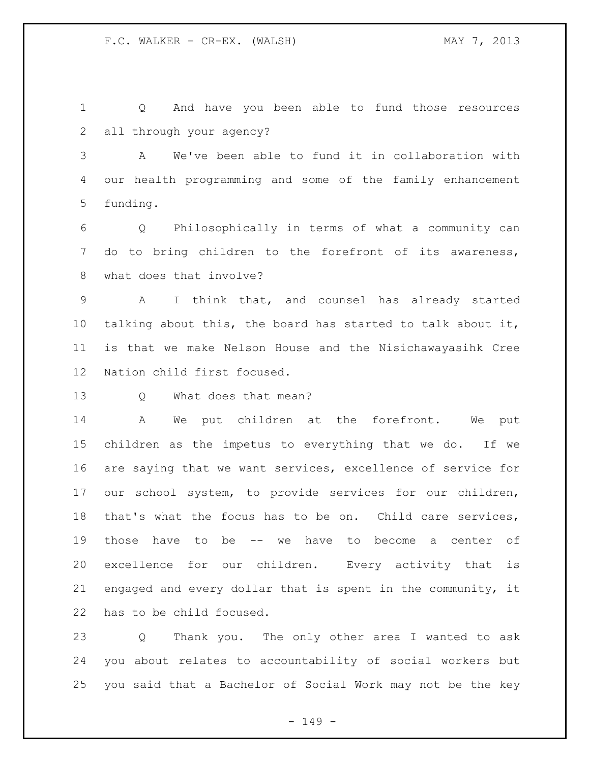Q And have you been able to fund those resources all through your agency?

 A We've been able to fund it in collaboration with our health programming and some of the family enhancement funding.

 Q Philosophically in terms of what a community can do to bring children to the forefront of its awareness, what does that involve?

 A I think that, and counsel has already started talking about this, the board has started to talk about it, is that we make Nelson House and the Nisichawayasihk Cree Nation child first focused.

13 O What does that mean?

 A We put children at the forefront. We put children as the impetus to everything that we do. If we are saying that we want services, excellence of service for our school system, to provide services for our children, that's what the focus has to be on. Child care services, those have to be -- we have to become a center of excellence for our children. Every activity that is engaged and every dollar that is spent in the community, it has to be child focused.

 Q Thank you. The only other area I wanted to ask you about relates to accountability of social workers but you said that a Bachelor of Social Work may not be the key

- 149 -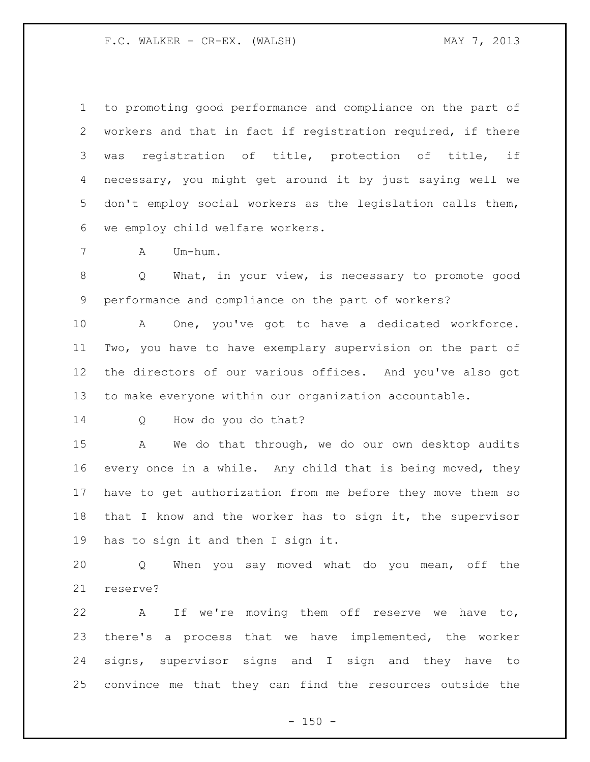to promoting good performance and compliance on the part of workers and that in fact if registration required, if there was registration of title, protection of title, if necessary, you might get around it by just saying well we don't employ social workers as the legislation calls them, we employ child welfare workers.

A Um-hum.

 Q What, in your view, is necessary to promote good performance and compliance on the part of workers?

 A One, you've got to have a dedicated workforce. Two, you have to have exemplary supervision on the part of the directors of our various offices. And you've also got to make everyone within our organization accountable.

Q How do you do that?

 A We do that through, we do our own desktop audits every once in a while. Any child that is being moved, they have to get authorization from me before they move them so that I know and the worker has to sign it, the supervisor has to sign it and then I sign it.

 Q When you say moved what do you mean, off the reserve?

 A If we're moving them off reserve we have to, there's a process that we have implemented, the worker signs, supervisor signs and I sign and they have to convince me that they can find the resources outside the

 $- 150 -$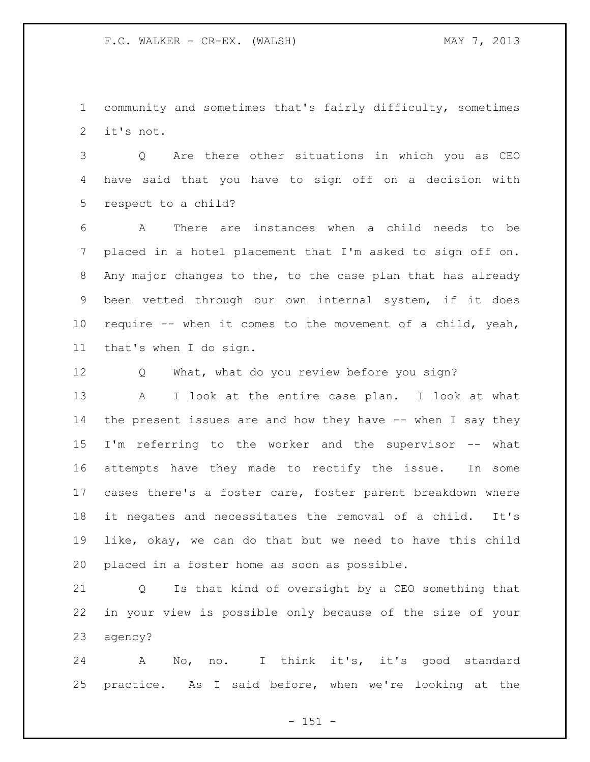community and sometimes that's fairly difficulty, sometimes it's not.

 Q Are there other situations in which you as CEO have said that you have to sign off on a decision with respect to a child?

 A There are instances when a child needs to be placed in a hotel placement that I'm asked to sign off on. Any major changes to the, to the case plan that has already been vetted through our own internal system, if it does require -- when it comes to the movement of a child, yeah, that's when I do sign.

Q What, what do you review before you sign?

 A I look at the entire case plan. I look at what the present issues are and how they have -- when I say they I'm referring to the worker and the supervisor -- what attempts have they made to rectify the issue. In some cases there's a foster care, foster parent breakdown where it negates and necessitates the removal of a child. It's like, okay, we can do that but we need to have this child placed in a foster home as soon as possible.

 Q Is that kind of oversight by a CEO something that in your view is possible only because of the size of your agency?

 A No, no. I think it's, it's good standard practice. As I said before, when we're looking at the

 $- 151 -$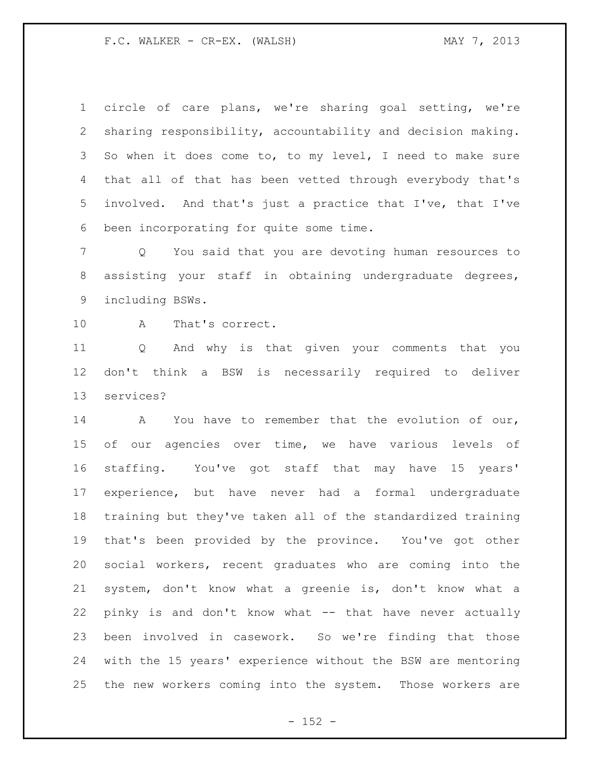circle of care plans, we're sharing goal setting, we're sharing responsibility, accountability and decision making. So when it does come to, to my level, I need to make sure that all of that has been vetted through everybody that's involved. And that's just a practice that I've, that I've been incorporating for quite some time.

 Q You said that you are devoting human resources to assisting your staff in obtaining undergraduate degrees, including BSWs.

A That's correct.

 Q And why is that given your comments that you don't think a BSW is necessarily required to deliver services?

14 A You have to remember that the evolution of our, 15 of our agencies over time, we have various levels of staffing. You've got staff that may have 15 years' experience, but have never had a formal undergraduate training but they've taken all of the standardized training that's been provided by the province. You've got other social workers, recent graduates who are coming into the system, don't know what a greenie is, don't know what a pinky is and don't know what -- that have never actually been involved in casework. So we're finding that those with the 15 years' experience without the BSW are mentoring the new workers coming into the system. Those workers are

 $- 152 -$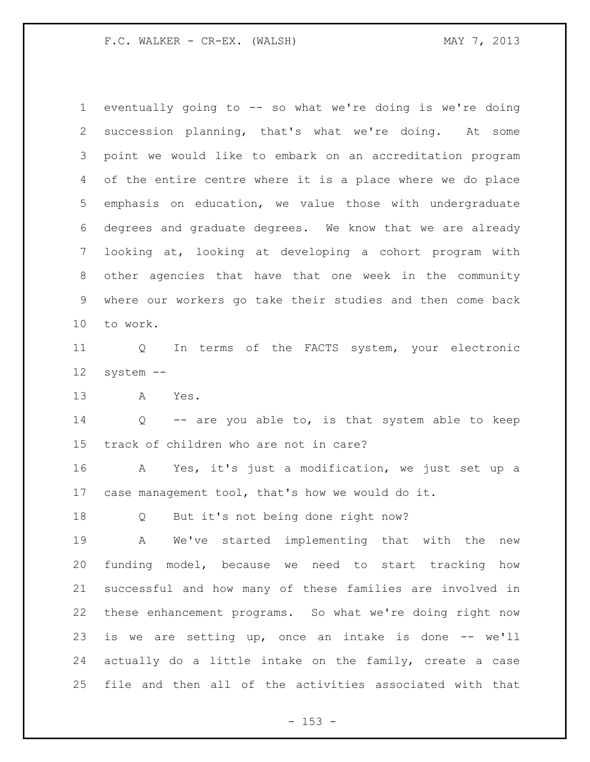eventually going to -- so what we're doing is we're doing succession planning, that's what we're doing. At some point we would like to embark on an accreditation program of the entire centre where it is a place where we do place emphasis on education, we value those with undergraduate degrees and graduate degrees. We know that we are already looking at, looking at developing a cohort program with other agencies that have that one week in the community where our workers go take their studies and then come back to work.

 Q In terms of the FACTS system, your electronic system --

A Yes.

 Q -- are you able to, is that system able to keep track of children who are not in care?

 A Yes, it's just a modification, we just set up a case management tool, that's how we would do it.

Q But it's not being done right now?

 A We've started implementing that with the new funding model, because we need to start tracking how successful and how many of these families are involved in these enhancement programs. So what we're doing right now 23 is we are setting up, once an intake is done -- we'll actually do a little intake on the family, create a case file and then all of the activities associated with that

- 153 -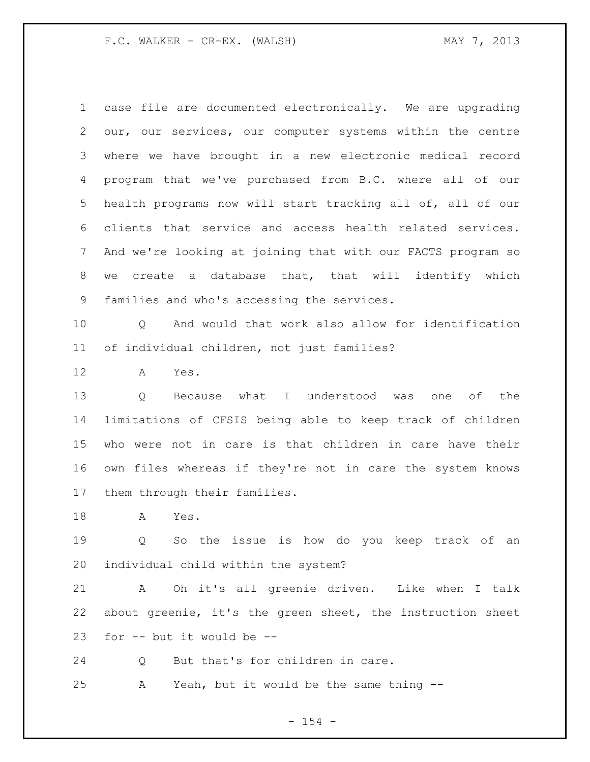case file are documented electronically. We are upgrading our, our services, our computer systems within the centre where we have brought in a new electronic medical record program that we've purchased from B.C. where all of our health programs now will start tracking all of, all of our clients that service and access health related services. And we're looking at joining that with our FACTS program so we create a database that, that will identify which families and who's accessing the services.

10 0 And would that work also allow for identification of individual children, not just families?

A Yes.

 Q Because what I understood was one of the limitations of CFSIS being able to keep track of children who were not in care is that children in care have their own files whereas if they're not in care the system knows them through their families.

A Yes.

 Q So the issue is how do you keep track of an individual child within the system?

 A Oh it's all greenie driven. Like when I talk about greenie, it's the green sheet, the instruction sheet for -- but it would be --

Q But that's for children in care.

A Yeah, but it would be the same thing --

 $- 154 -$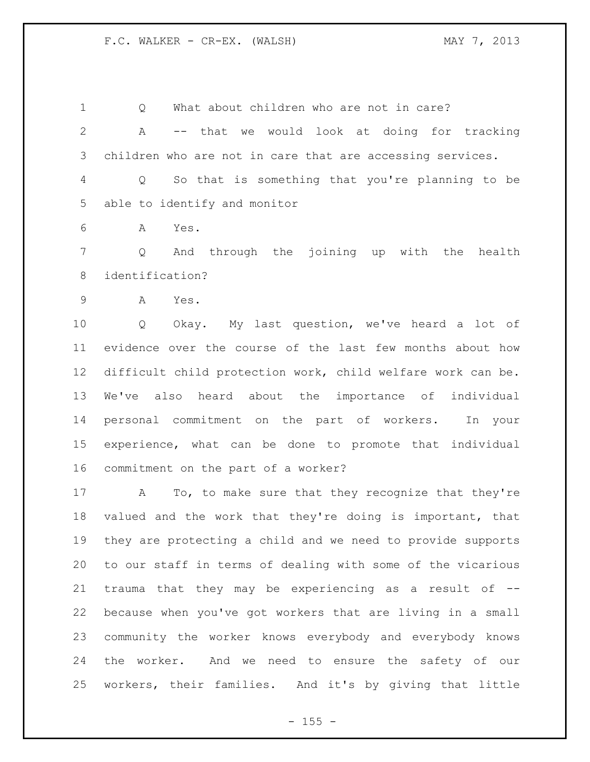1 O What about children who are not in care?

 A -- that we would look at doing for tracking children who are not in care that are accessing services.

 Q So that is something that you're planning to be able to identify and monitor

A Yes.

 Q And through the joining up with the health identification?

A Yes.

 Q Okay. My last question, we've heard a lot of evidence over the course of the last few months about how difficult child protection work, child welfare work can be. We've also heard about the importance of individual personal commitment on the part of workers. In your experience, what can be done to promote that individual commitment on the part of a worker?

 A To, to make sure that they recognize that they're valued and the work that they're doing is important, that they are protecting a child and we need to provide supports to our staff in terms of dealing with some of the vicarious trauma that they may be experiencing as a result of -- because when you've got workers that are living in a small community the worker knows everybody and everybody knows the worker. And we need to ensure the safety of our workers, their families. And it's by giving that little

 $- 155 -$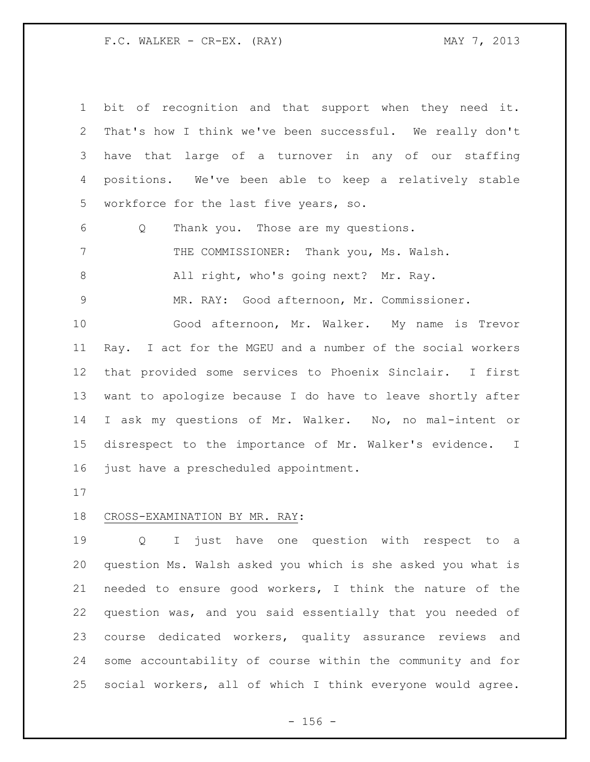bit of recognition and that support when they need it. That's how I think we've been successful. We really don't have that large of a turnover in any of our staffing positions. We've been able to keep a relatively stable workforce for the last five years, so. Q Thank you. Those are my questions. THE COMMISSIONER: Thank you, Ms. Walsh. 8 All right, who's going next? Mr. Ray. MR. RAY: Good afternoon, Mr. Commissioner. Good afternoon, Mr. Walker. My name is Trevor Ray. I act for the MGEU and a number of the social workers that provided some services to Phoenix Sinclair. I first want to apologize because I do have to leave shortly after I ask my questions of Mr. Walker. No, no mal-intent or disrespect to the importance of Mr. Walker's evidence. I just have a prescheduled appointment.

## CROSS-EXAMINATION BY MR. RAY:

 Q I just have one question with respect to a question Ms. Walsh asked you which is she asked you what is needed to ensure good workers, I think the nature of the question was, and you said essentially that you needed of course dedicated workers, quality assurance reviews and some accountability of course within the community and for social workers, all of which I think everyone would agree.

 $- 156 -$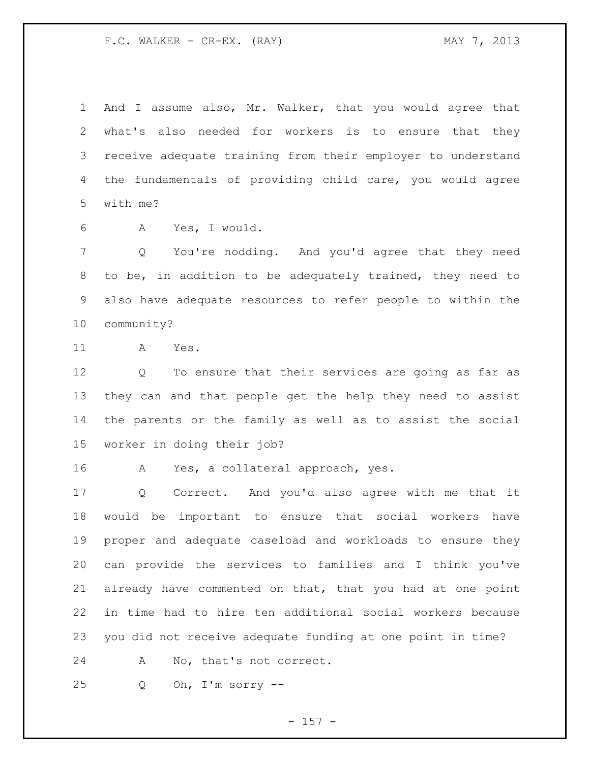And I assume also, Mr. Walker, that you would agree that what's also needed for workers is to ensure that they receive adequate training from their employer to understand the fundamentals of providing child care, you would agree with me?

A Yes, I would.

 Q You're nodding. And you'd agree that they need to be, in addition to be adequately trained, they need to also have adequate resources to refer people to within the community?

A Yes.

 Q To ensure that their services are going as far as they can and that people get the help they need to assist the parents or the family as well as to assist the social worker in doing their job?

A Yes, a collateral approach, yes.

 Q Correct. And you'd also agree with me that it would be important to ensure that social workers have proper and adequate caseload and workloads to ensure they can provide the services to families and I think you've already have commented on that, that you had at one point in time had to hire ten additional social workers because you did not receive adequate funding at one point in time?

A No, that's not correct.

Q Oh, I'm sorry --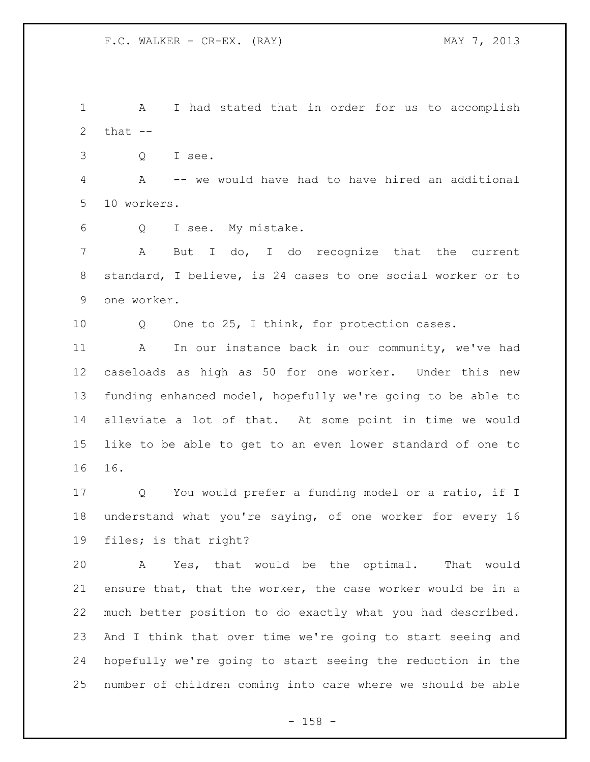| 1              | I had stated that in order for us to accomplish<br>A        |
|----------------|-------------------------------------------------------------|
| $\mathbf{2}$   | that $--$                                                   |
| 3              | Q<br>I see.                                                 |
| $\overline{4}$ | A<br>-- we would have had to have hired an additional       |
| 5              | 10 workers.                                                 |
| 6              | I see. My mistake.<br>Q                                     |
| 7              | But I do, I do recognize that the<br>A<br>current           |
| 8              | standard, I believe, is 24 cases to one social worker or to |
| $\mathsf 9$    | one worker.                                                 |
| 10             | One to 25, I think, for protection cases.<br>Q              |
| 11             | In our instance back in our community, we've had<br>A       |
| 12             | caseloads as high as 50 for one worker. Under this new      |
| 13             | funding enhanced model, hopefully we're going to be able to |
| 14             | alleviate a lot of that. At some point in time we would     |
| 15             | like to be able to get to an even lower standard of one to  |
| 16             | 16.                                                         |
| 17             | You would prefer a funding model or a ratio, if I<br>Q      |
| 18             | understand what you're saying, of one worker for every 16   |
| 19             | files; is that right?                                       |
| 20             | Yes, that would be the optimal. That would<br>A             |
| 21             | ensure that, that the worker, the case worker would be in a |
| 22             | much better position to do exactly what you had described.  |
| 23             | And I think that over time we're going to start seeing and  |
| 24             | hopefully we're going to start seeing the reduction in the  |
| 25             | number of children coming into care where we should be able |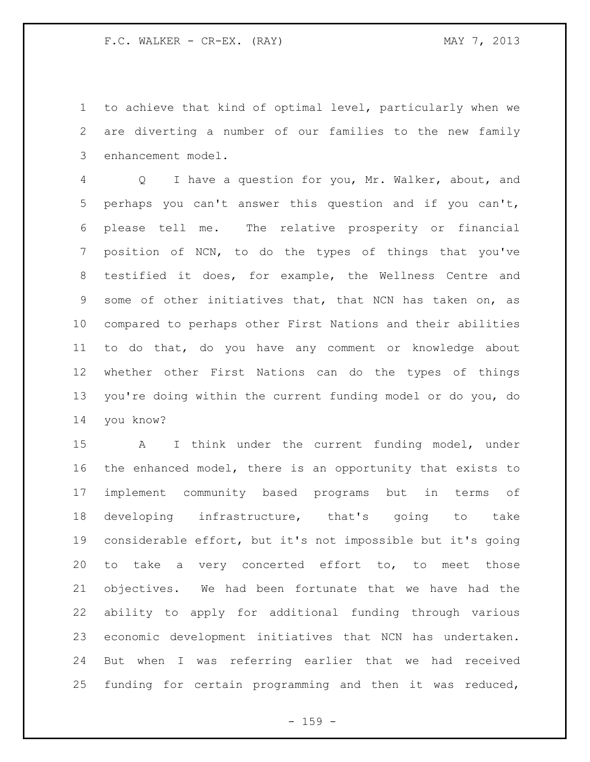to achieve that kind of optimal level, particularly when we are diverting a number of our families to the new family enhancement model.

 Q I have a question for you, Mr. Walker, about, and perhaps you can't answer this question and if you can't, please tell me. The relative prosperity or financial position of NCN, to do the types of things that you've testified it does, for example, the Wellness Centre and some of other initiatives that, that NCN has taken on, as compared to perhaps other First Nations and their abilities to do that, do you have any comment or knowledge about whether other First Nations can do the types of things you're doing within the current funding model or do you, do you know?

 A I think under the current funding model, under the enhanced model, there is an opportunity that exists to implement community based programs but in terms of developing infrastructure, that's going to take considerable effort, but it's not impossible but it's going to take a very concerted effort to, to meet those objectives. We had been fortunate that we have had the ability to apply for additional funding through various economic development initiatives that NCN has undertaken. But when I was referring earlier that we had received funding for certain programming and then it was reduced,

- 159 -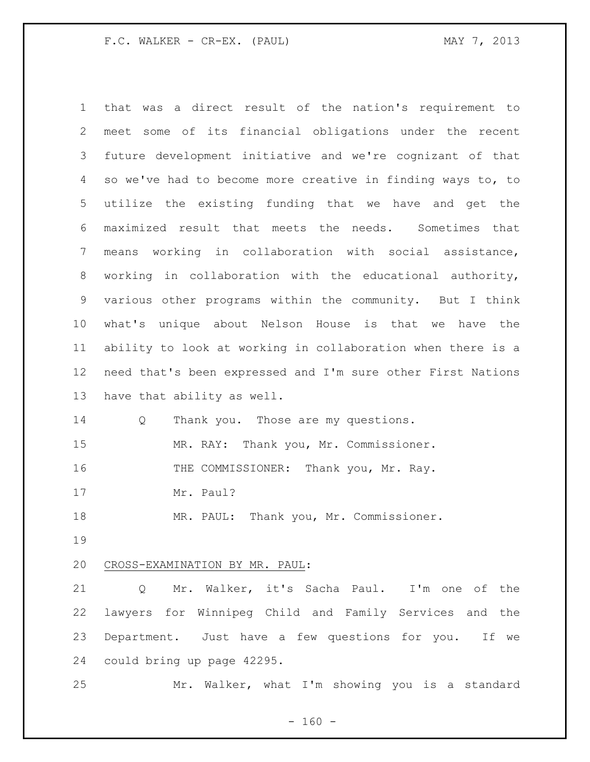that was a direct result of the nation's requirement to meet some of its financial obligations under the recent future development initiative and we're cognizant of that so we've had to become more creative in finding ways to, to utilize the existing funding that we have and get the maximized result that meets the needs. Sometimes that means working in collaboration with social assistance, working in collaboration with the educational authority, various other programs within the community. But I think what's unique about Nelson House is that we have the ability to look at working in collaboration when there is a need that's been expressed and I'm sure other First Nations have that ability as well. 14 Q Thank you. Those are my questions. MR. RAY: Thank you, Mr. Commissioner. 16 THE COMMISSIONER: Thank you, Mr. Ray. 17 Mr. Paul? MR. PAUL: Thank you, Mr. Commissioner. CROSS-EXAMINATION BY MR. PAUL: Q Mr. Walker, it's Sacha Paul. I'm one of the lawyers for Winnipeg Child and Family Services and the Department. Just have a few questions for you. If we could bring up page 42295.

Mr. Walker, what I'm showing you is a standard

 $- 160 -$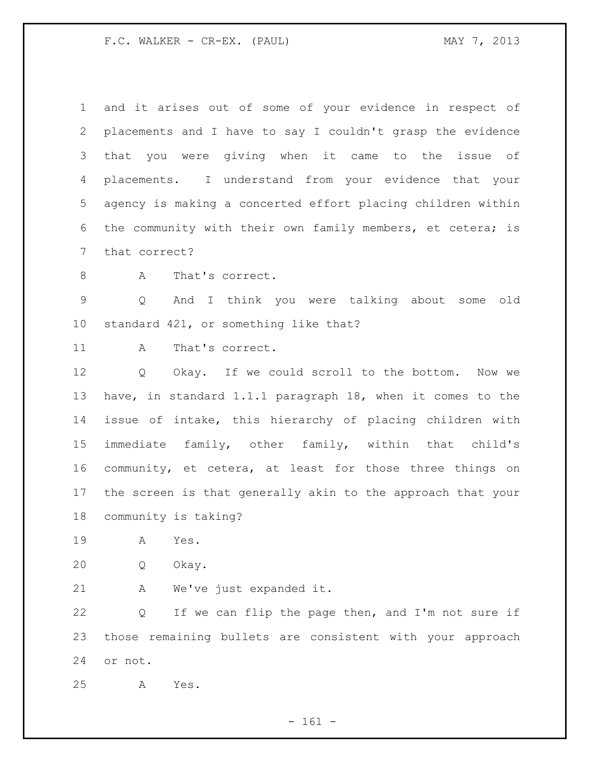| $\mathbf 1$     | and it arises out of some of your evidence in respect of            |
|-----------------|---------------------------------------------------------------------|
| $\mathbf{2}$    | placements and I have to say I couldn't grasp the evidence          |
| 3               | that you were giving when it came to the issue of                   |
| 4               | placements. I understand from your evidence that your               |
| 5 <sup>5</sup>  | agency is making a concerted effort placing children within         |
| 6               | the community with their own family members, et cetera; is          |
| $7\phantom{.0}$ | that correct?                                                       |
| 8               | That's correct.<br>A                                                |
| $\mathsf 9$     | And I think you were talking about some<br>$\overline{Q}$<br>old    |
| 10              | standard 421, or something like that?                               |
| 11              | That's correct.<br>A                                                |
| 12              | Okay. If we could scroll to the bottom. Now we<br>$Q \qquad \qquad$ |
| 13              | have, in standard 1.1.1 paragraph 18, when it comes to the          |
| 14              | issue of intake, this hierarchy of placing children with            |
| 15              | immediate family, other family, within that child's                 |
| 16              | community, et cetera, at least for those three things on            |
| 17              | the screen is that generally akin to the approach that your         |
|                 | 18 community is taking?                                             |
| 19              | Α<br>Yes.                                                           |
| 20              | Okay.<br>Q                                                          |
| 21              | We've just expanded it.<br>Α                                        |
| 22              | If we can flip the page then, and I'm not sure if<br>Q              |
| 23              | those remaining bullets are consistent with your approach           |
|                 |                                                                     |

A Yes.

or not.

- 161 -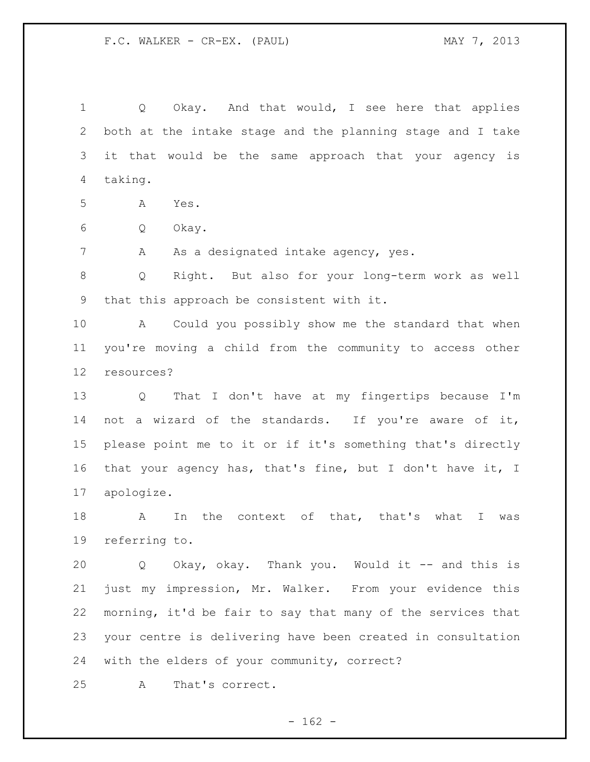Q Okay. And that would, I see here that applies both at the intake stage and the planning stage and I take it that would be the same approach that your agency is taking.

A Yes.

Q Okay.

7 A As a designated intake agency, yes.

 Q Right. But also for your long-term work as well that this approach be consistent with it.

 A Could you possibly show me the standard that when you're moving a child from the community to access other resources?

 Q That I don't have at my fingertips because I'm not a wizard of the standards. If you're aware of it, please point me to it or if it's something that's directly that your agency has, that's fine, but I don't have it, I apologize.

 A In the context of that, that's what I was referring to.

 Q Okay, okay. Thank you. Would it -- and this is just my impression, Mr. Walker. From your evidence this morning, it'd be fair to say that many of the services that your centre is delivering have been created in consultation with the elders of your community, correct?

A That's correct.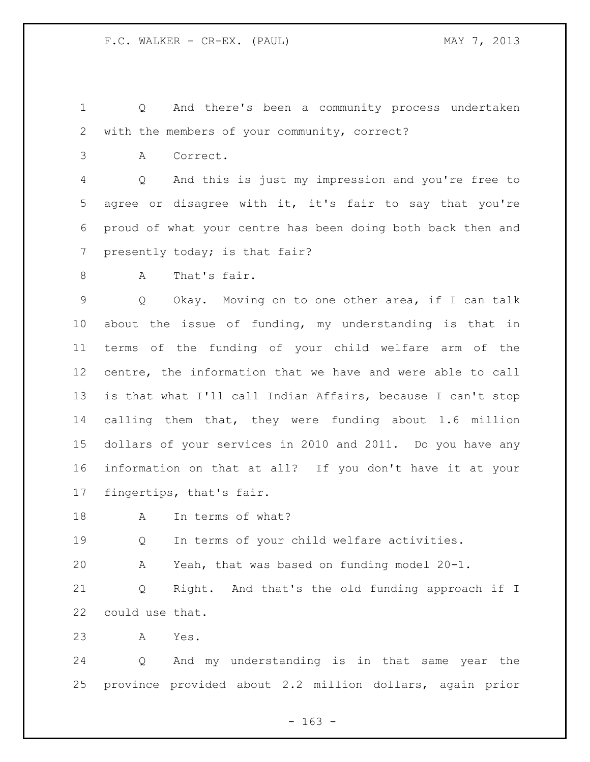Q And there's been a community process undertaken with the members of your community, correct?

A Correct.

 Q And this is just my impression and you're free to agree or disagree with it, it's fair to say that you're proud of what your centre has been doing both back then and presently today; is that fair?

A That's fair.

 Q Okay. Moving on to one other area, if I can talk about the issue of funding, my understanding is that in terms of the funding of your child welfare arm of the centre, the information that we have and were able to call is that what I'll call Indian Affairs, because I can't stop calling them that, they were funding about 1.6 million dollars of your services in 2010 and 2011. Do you have any information on that at all? If you don't have it at your fingertips, that's fair.

A In terms of what?

19 0 In terms of your child welfare activities.

A Yeah, that was based on funding model 20-1.

 Q Right. And that's the old funding approach if I could use that.

A Yes.

 Q And my understanding is in that same year the province provided about 2.2 million dollars, again prior

 $- 163 -$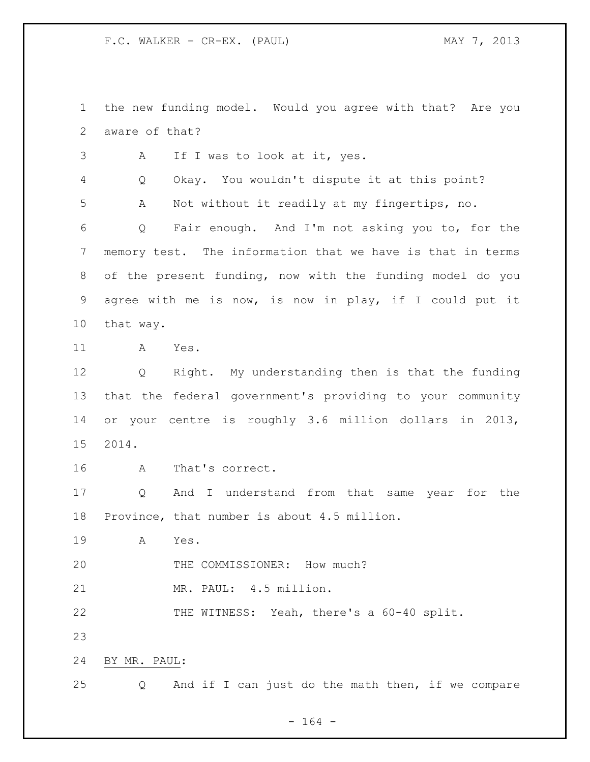the new funding model. Would you agree with that? Are you aware of that?

A If I was to look at it, yes.

Q Okay. You wouldn't dispute it at this point?

A Not without it readily at my fingertips, no.

 Q Fair enough. And I'm not asking you to, for the memory test. The information that we have is that in terms of the present funding, now with the funding model do you agree with me is now, is now in play, if I could put it that way.

A Yes.

 Q Right. My understanding then is that the funding that the federal government's providing to your community or your centre is roughly 3.6 million dollars in 2013, 2014.

A That's correct.

 Q And I understand from that same year for the Province, that number is about 4.5 million.

A Yes.

20 THE COMMISSIONER: How much?

21 MR. PAUL: 4.5 million.

THE WITNESS: Yeah, there's a 60-40 split.

BY MR. PAUL:

Q And if I can just do the math then, if we compare

- 164 -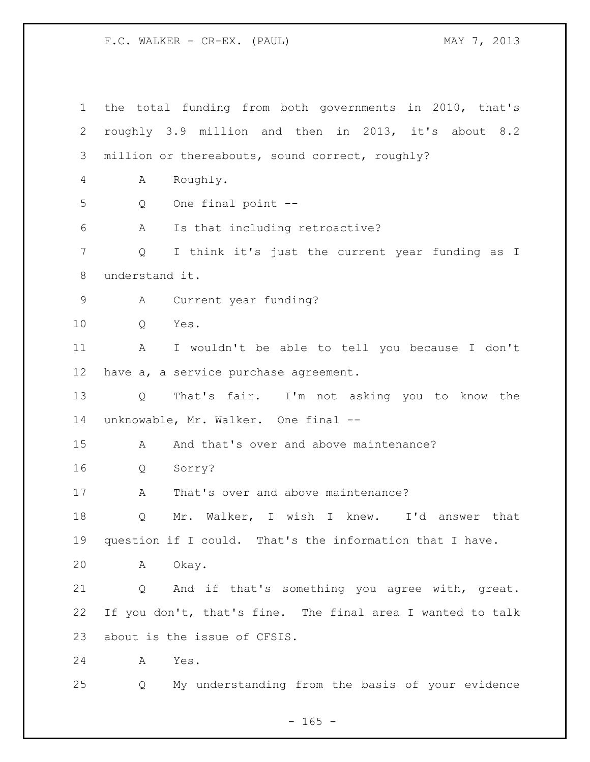the total funding from both governments in 2010, that's roughly 3.9 million and then in 2013, it's about 8.2 million or thereabouts, sound correct, roughly? A Roughly. Q One final point -- A Is that including retroactive? Q I think it's just the current year funding as I understand it. A Current year funding? Q Yes. A I wouldn't be able to tell you because I don't have a, a service purchase agreement. Q That's fair. I'm not asking you to know the unknowable, Mr. Walker. One final -- A And that's over and above maintenance? Q Sorry? 17 A That's over and above maintenance? Q Mr. Walker, I wish I knew. I'd answer that question if I could. That's the information that I have. A Okay. Q And if that's something you agree with, great. If you don't, that's fine. The final area I wanted to talk about is the issue of CFSIS. A Yes. Q My understanding from the basis of your evidence

 $- 165 -$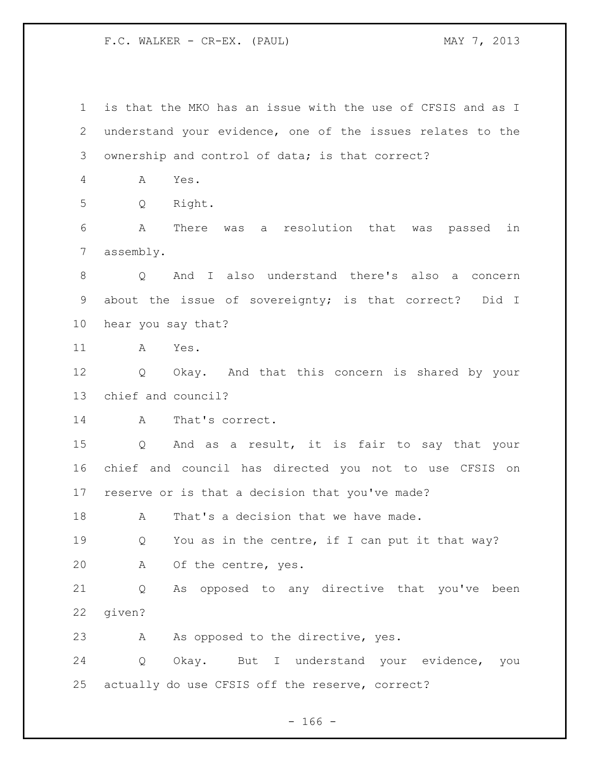is that the MKO has an issue with the use of CFSIS and as I understand your evidence, one of the issues relates to the ownership and control of data; is that correct? A Yes. Q Right. A There was a resolution that was passed in assembly. Q And I also understand there's also a concern about the issue of sovereignty; is that correct? Did I hear you say that? A Yes. Q Okay. And that this concern is shared by your chief and council? A That's correct. Q And as a result, it is fair to say that your chief and council has directed you not to use CFSIS on reserve or is that a decision that you've made? 18 A That's a decision that we have made. Q You as in the centre, if I can put it that way? A Of the centre, yes. Q As opposed to any directive that you've been given? 23 A As opposed to the directive, yes. Q Okay. But I understand your evidence, you actually do use CFSIS off the reserve, correct?

 $- 166 -$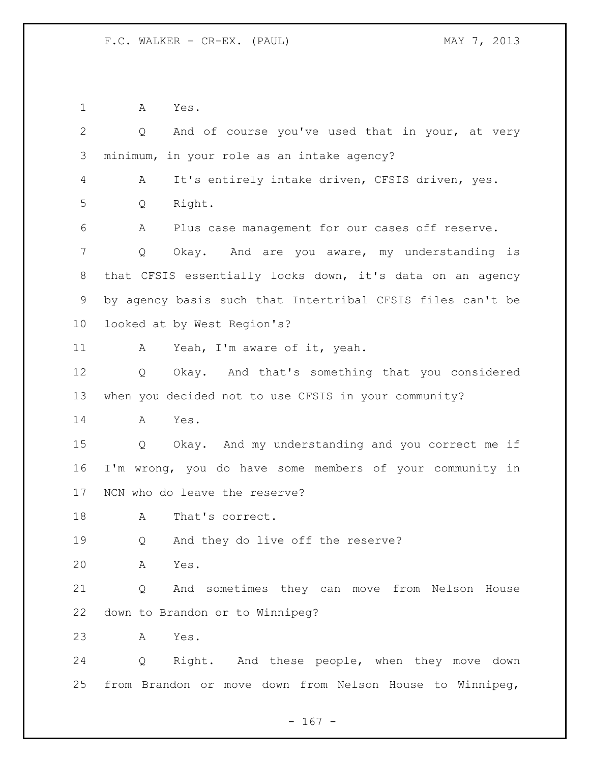A Yes.

| $\mathbf{2}$ | And of course you've used that in your, at very<br>Q       |
|--------------|------------------------------------------------------------|
| 3            | minimum, in your role as an intake agency?                 |
| 4            | It's entirely intake driven, CFSIS driven, yes.<br>A       |
| 5            | Right.<br>Q                                                |
| 6            | Plus case management for our cases off reserve.<br>Α       |
| 7            | Okay. And are you aware, my understanding is<br>Q          |
| 8            | that CFSIS essentially locks down, it's data on an agency  |
| 9            | by agency basis such that Intertribal CFSIS files can't be |
| 10           | looked at by West Region's?                                |
| 11           | Yeah, I'm aware of it, yeah.<br>A                          |
| 12           | Okay. And that's something that you considered<br>Q        |
| 13           | when you decided not to use CFSIS in your community?       |
| 14           | Yes.<br>A                                                  |
| 15           | Okay. And my understanding and you correct me if<br>Q      |
| 16           | I'm wrong, you do have some members of your community in   |
| 17           | NCN who do leave the reserve?                              |
| 18           | That's correct.<br>A                                       |
| 19           | And they do live off the reserve?<br>Q                     |
| 20           | Yes.<br>A                                                  |
| 21           | And sometimes they can move from Nelson House<br>Q         |
| 22           | down to Brandon or to Winnipeg?                            |
| 23           | Yes.<br>Α                                                  |
| 24           | Right. And these people, when they move down<br>Q          |
| 25           | from Brandon or move down from Nelson House to Winnipeg,   |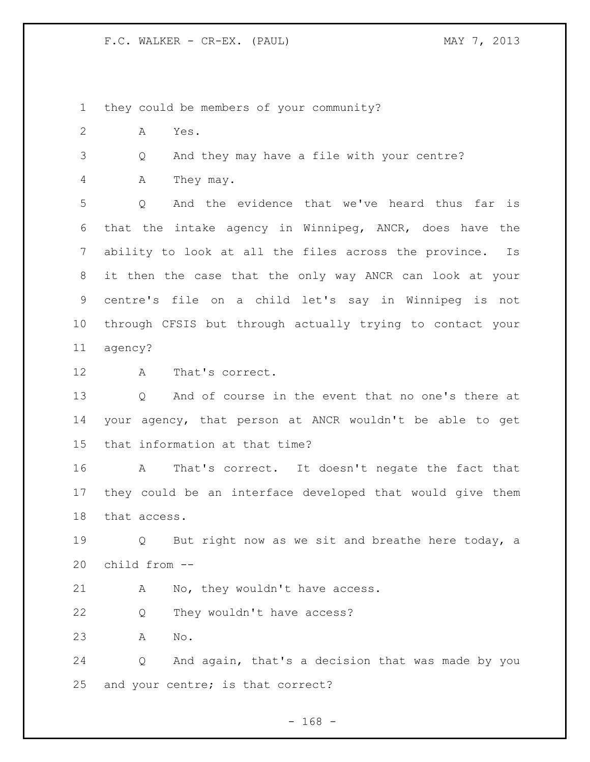they could be members of your community?

- A Yes.
- Q And they may have a file with your centre?

A They may.

 Q And the evidence that we've heard thus far is that the intake agency in Winnipeg, ANCR, does have the ability to look at all the files across the province. Is it then the case that the only way ANCR can look at your centre's file on a child let's say in Winnipeg is not through CFSIS but through actually trying to contact your agency?

A That's correct.

 Q And of course in the event that no one's there at your agency, that person at ANCR wouldn't be able to get that information at that time?

 A That's correct. It doesn't negate the fact that they could be an interface developed that would give them that access.

19 Q But right now as we sit and breathe here today, a child from --

21 A No, they wouldn't have access.

Q They wouldn't have access?

A No.

 Q And again, that's a decision that was made by you and your centre; is that correct?

- 168 -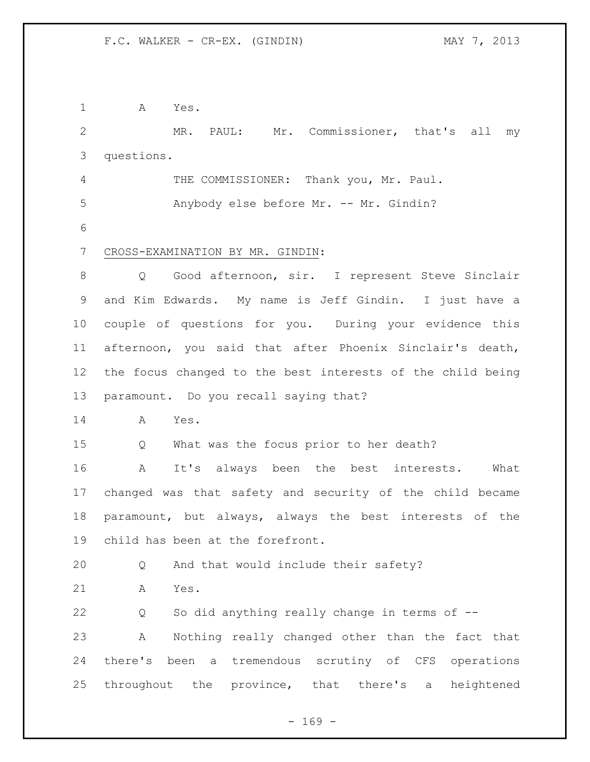A Yes. MR. PAUL: Mr. Commissioner, that's all my questions. THE COMMISSIONER: Thank you, Mr. Paul. 5 Anybody else before Mr. -- Mr. Gindin? CROSS-EXAMINATION BY MR. GINDIN: Q Good afternoon, sir. I represent Steve Sinclair and Kim Edwards. My name is Jeff Gindin. I just have a couple of questions for you. During your evidence this afternoon, you said that after Phoenix Sinclair's death, the focus changed to the best interests of the child being paramount. Do you recall saying that? A Yes. Q What was the focus prior to her death? A It's always been the best interests. What changed was that safety and security of the child became paramount, but always, always the best interests of the child has been at the forefront. Q And that would include their safety? A Yes. Q So did anything really change in terms of -- A Nothing really changed other than the fact that there's been a tremendous scrutiny of CFS operations throughout the province, that there's a heightened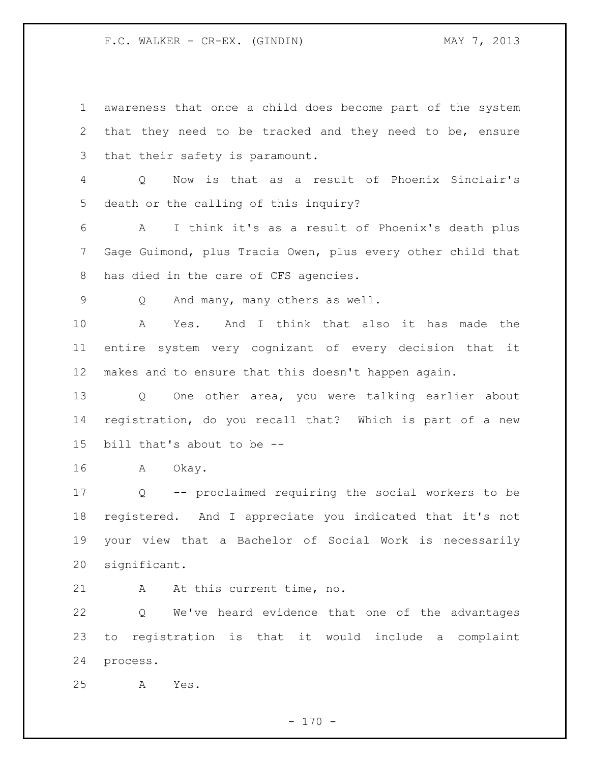F.C. WALKER - CR-EX. (GINDIN) MAY 7, 2013

 awareness that once a child does become part of the system that they need to be tracked and they need to be, ensure that their safety is paramount. Q Now is that as a result of Phoenix Sinclair's death or the calling of this inquiry? A I think it's as a result of Phoenix's death plus Gage Guimond, plus Tracia Owen, plus every other child that has died in the care of CFS agencies. Q And many, many others as well. A Yes. And I think that also it has made the entire system very cognizant of every decision that it makes and to ensure that this doesn't happen again. Q One other area, you were talking earlier about registration, do you recall that? Which is part of a new bill that's about to be -- A Okay. Q -- proclaimed requiring the social workers to be registered. And I appreciate you indicated that it's not your view that a Bachelor of Social Work is necessarily significant. 21 A At this current time, no. Q We've heard evidence that one of the advantages to registration is that it would include a complaint process.

A Yes.

 $- 170 -$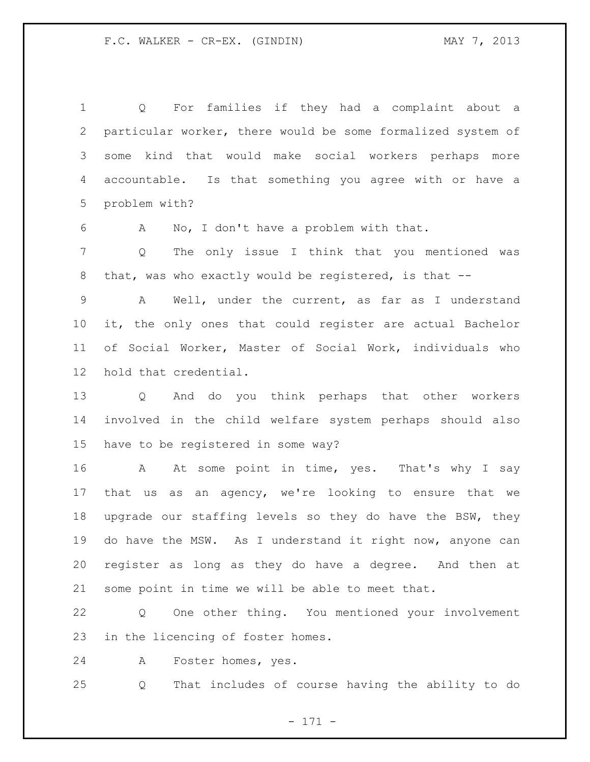Q For families if they had a complaint about a particular worker, there would be some formalized system of some kind that would make social workers perhaps more accountable. Is that something you agree with or have a problem with?

A No, I don't have a problem with that.

 Q The only issue I think that you mentioned was that, was who exactly would be registered, is that --

 A Well, under the current, as far as I understand it, the only ones that could register are actual Bachelor of Social Worker, Master of Social Work, individuals who hold that credential.

 Q And do you think perhaps that other workers involved in the child welfare system perhaps should also have to be registered in some way?

16 A At some point in time, yes. That's why I say that us as an agency, we're looking to ensure that we upgrade our staffing levels so they do have the BSW, they do have the MSW. As I understand it right now, anyone can register as long as they do have a degree. And then at some point in time we will be able to meet that.

 Q One other thing. You mentioned your involvement in the licencing of foster homes.

A Foster homes, yes.

Q That includes of course having the ability to do

- 171 -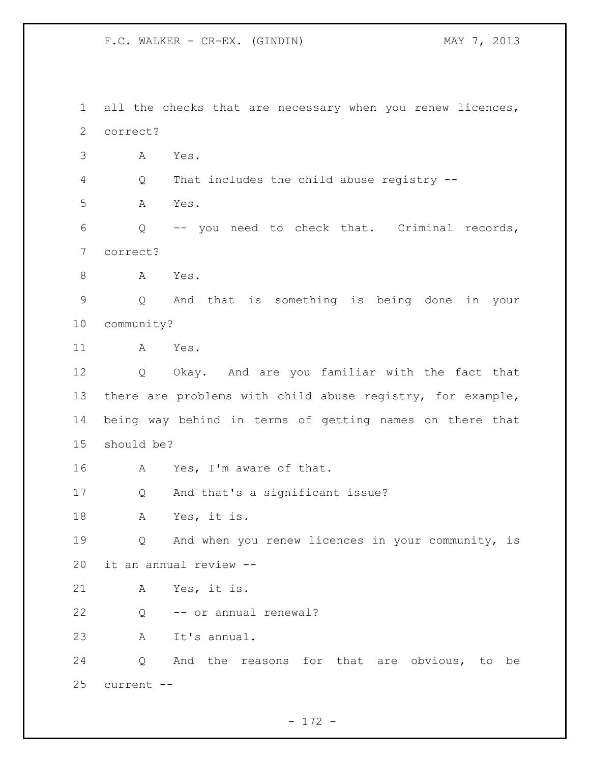F.C. WALKER - CR-EX. (GINDIN) MAY 7, 2013

 all the checks that are necessary when you renew licences, correct? A Yes. Q That includes the child abuse registry -- A Yes. Q -- you need to check that. Criminal records, correct? 8 A Yes. Q And that is something is being done in your community? A Yes. Q Okay. And are you familiar with the fact that there are problems with child abuse registry, for example, being way behind in terms of getting names on there that should be? A Yes, I'm aware of that. Q And that's a significant issue? A Yes, it is. Q And when you renew licences in your community, is it an annual review -- A Yes, it is. Q -- or annual renewal? A It's annual. Q And the reasons for that are obvious, to be current --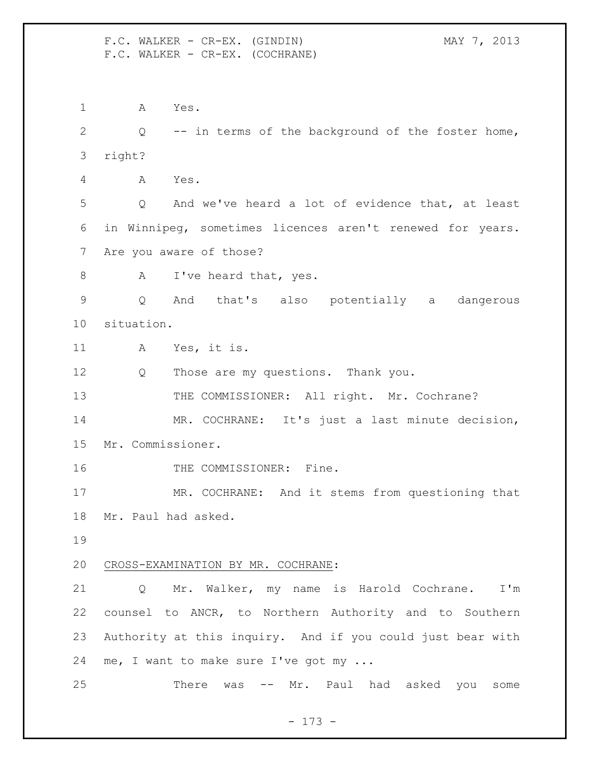F.C. WALKER - CR-EX. (GINDIN) MAY 7, 2013 F.C. WALKER - CR-EX. (COCHRANE)

 A Yes. Q -- in terms of the background of the foster home, right? A Yes. Q And we've heard a lot of evidence that, at least in Winnipeg, sometimes licences aren't renewed for years. Are you aware of those? 8 A I've heard that, yes. Q And that's also potentially a dangerous situation. A Yes, it is. Q Those are my questions. Thank you. 13 THE COMMISSIONER: All right. Mr. Cochrane? MR. COCHRANE: It's just a last minute decision, Mr. Commissioner. 16 THE COMMISSIONER: Fine. MR. COCHRANE: And it stems from questioning that Mr. Paul had asked. CROSS-EXAMINATION BY MR. COCHRANE: Q Mr. Walker, my name is Harold Cochrane. I'm counsel to ANCR, to Northern Authority and to Southern Authority at this inquiry. And if you could just bear with 24 me, I want to make sure I've got my ... 25 There was -- Mr. Paul had asked you some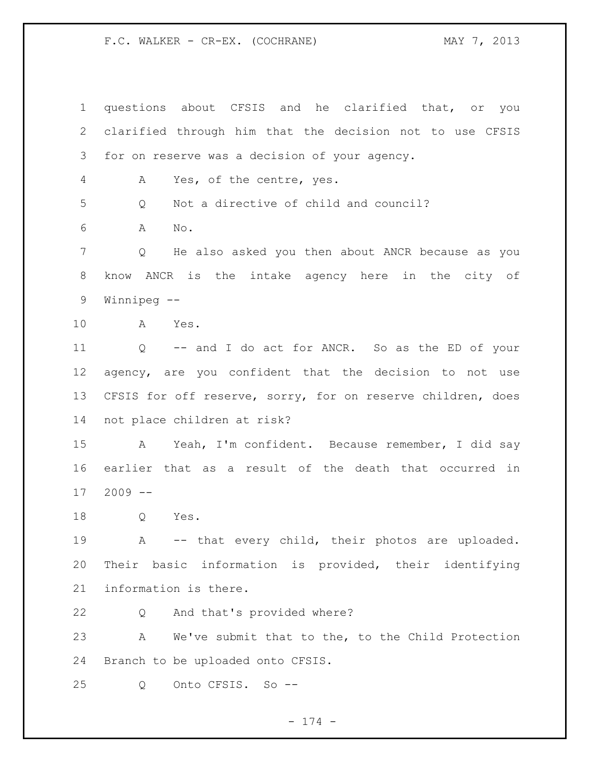F.C. WALKER - CR-EX. (COCHRANE) MAY 7, 2013

 questions about CFSIS and he clarified that, or you clarified through him that the decision not to use CFSIS for on reserve was a decision of your agency. A Yes, of the centre, yes. Q Not a directive of child and council? A No. Q He also asked you then about ANCR because as you know ANCR is the intake agency here in the city of Winnipeg -- A Yes. Q -- and I do act for ANCR. So as the ED of your agency, are you confident that the decision to not use CFSIS for off reserve, sorry, for on reserve children, does not place children at risk? A Yeah, I'm confident. Because remember, I did say earlier that as a result of the death that occurred in 2009 -- Q Yes. 19 A -- that every child, their photos are uploaded. Their basic information is provided, their identifying information is there. Q And that's provided where? A We've submit that to the, to the Child Protection Branch to be uploaded onto CFSIS. Q Onto CFSIS. So --

- 174 -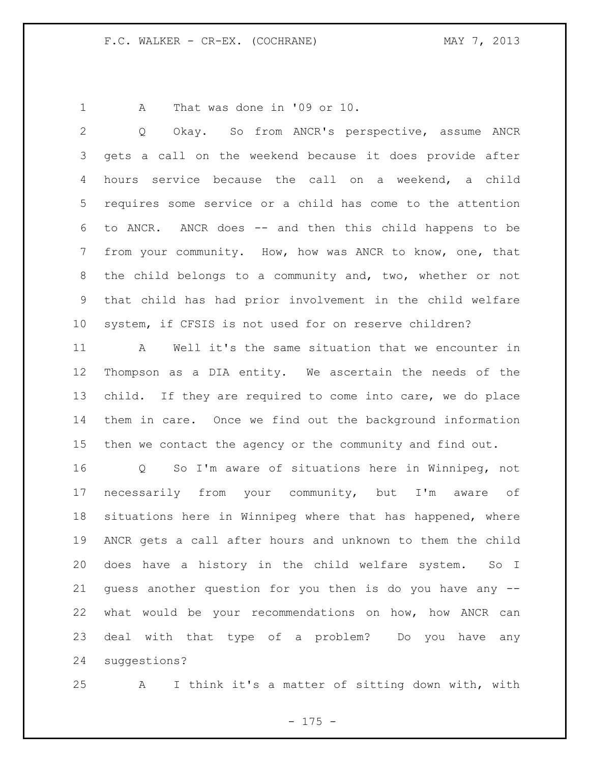A That was done in '09 or 10.

 Q Okay. So from ANCR's perspective, assume ANCR gets a call on the weekend because it does provide after hours service because the call on a weekend, a child requires some service or a child has come to the attention to ANCR. ANCR does -- and then this child happens to be from your community. How, how was ANCR to know, one, that the child belongs to a community and, two, whether or not that child has had prior involvement in the child welfare system, if CFSIS is not used for on reserve children?

 A Well it's the same situation that we encounter in Thompson as a DIA entity. We ascertain the needs of the child. If they are required to come into care, we do place them in care. Once we find out the background information then we contact the agency or the community and find out.

 Q So I'm aware of situations here in Winnipeg, not necessarily from your community, but I'm aware of situations here in Winnipeg where that has happened, where ANCR gets a call after hours and unknown to them the child does have a history in the child welfare system. So I guess another question for you then is do you have any -- what would be your recommendations on how, how ANCR can deal with that type of a problem? Do you have any suggestions?

A I think it's a matter of sitting down with, with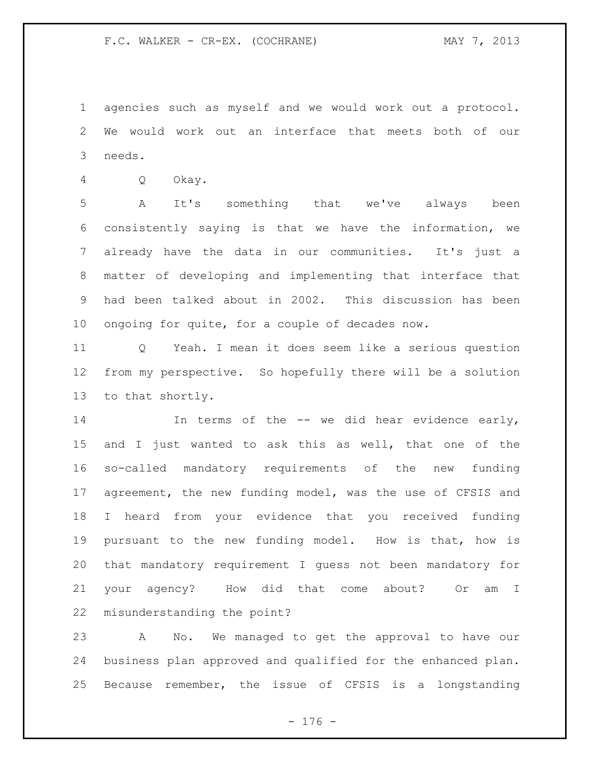agencies such as myself and we would work out a protocol. We would work out an interface that meets both of our needs.

Q Okay.

 A It's something that we've always been consistently saying is that we have the information, we already have the data in our communities. It's just a matter of developing and implementing that interface that had been talked about in 2002. This discussion has been ongoing for quite, for a couple of decades now.

 Q Yeah. I mean it does seem like a serious question from my perspective. So hopefully there will be a solution to that shortly.

14 In terms of the -- we did hear evidence early, and I just wanted to ask this as well, that one of the so-called mandatory requirements of the new funding agreement, the new funding model, was the use of CFSIS and I heard from your evidence that you received funding pursuant to the new funding model. How is that, how is that mandatory requirement I guess not been mandatory for your agency? How did that come about? Or am I misunderstanding the point?

 A No. We managed to get the approval to have our business plan approved and qualified for the enhanced plan. Because remember, the issue of CFSIS is a longstanding

- 176 -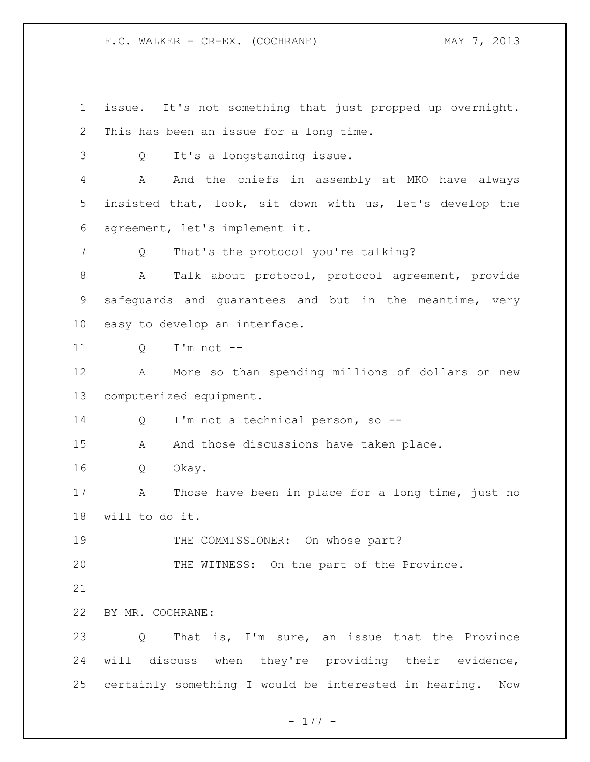F.C. WALKER - CR-EX. (COCHRANE) MAY 7, 2013

 issue. It's not something that just propped up overnight. This has been an issue for a long time. Q It's a longstanding issue. A And the chiefs in assembly at MKO have always insisted that, look, sit down with us, let's develop the agreement, let's implement it. Q That's the protocol you're talking? A Talk about protocol, protocol agreement, provide safeguards and guarantees and but in the meantime, very easy to develop an interface. Q I'm not -- A More so than spending millions of dollars on new computerized equipment. Q I'm not a technical person, so -- 15 A And those discussions have taken place. Q Okay. A Those have been in place for a long time, just no will to do it. 19 THE COMMISSIONER: On whose part? THE WITNESS: On the part of the Province. BY MR. COCHRANE: Q That is, I'm sure, an issue that the Province will discuss when they're providing their evidence, certainly something I would be interested in hearing. Now

- 177 -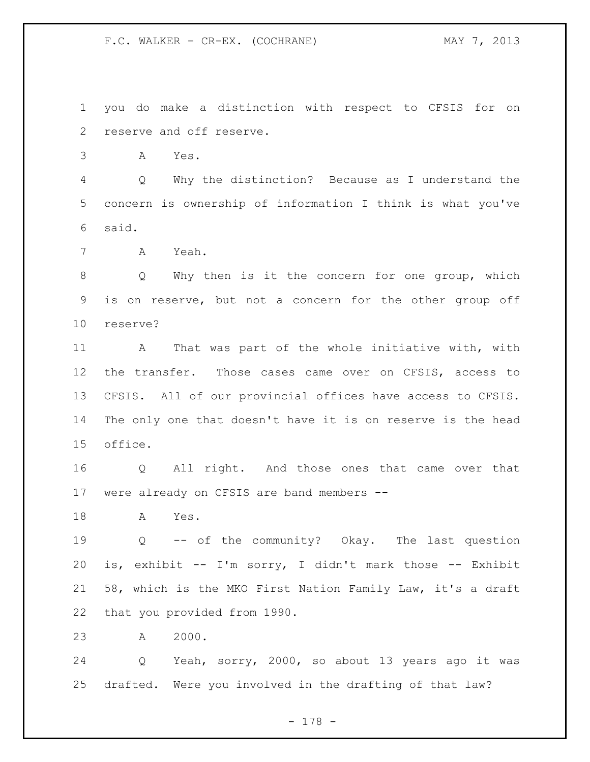F.C. WALKER - CR-EX. (COCHRANE) MAY 7, 2013

 you do make a distinction with respect to CFSIS for on reserve and off reserve.

A Yes.

 Q Why the distinction? Because as I understand the concern is ownership of information I think is what you've said.

A Yeah.

 Q Why then is it the concern for one group, which is on reserve, but not a concern for the other group off reserve?

 A That was part of the whole initiative with, with the transfer. Those cases came over on CFSIS, access to CFSIS. All of our provincial offices have access to CFSIS. The only one that doesn't have it is on reserve is the head office.

 Q All right. And those ones that came over that were already on CFSIS are band members --

A Yes.

 Q -- of the community? Okay. The last question is, exhibit -- I'm sorry, I didn't mark those -- Exhibit 58, which is the MKO First Nation Family Law, it's a draft that you provided from 1990.

A 2000.

 Q Yeah, sorry, 2000, so about 13 years ago it was drafted. Were you involved in the drafting of that law?

- 178 -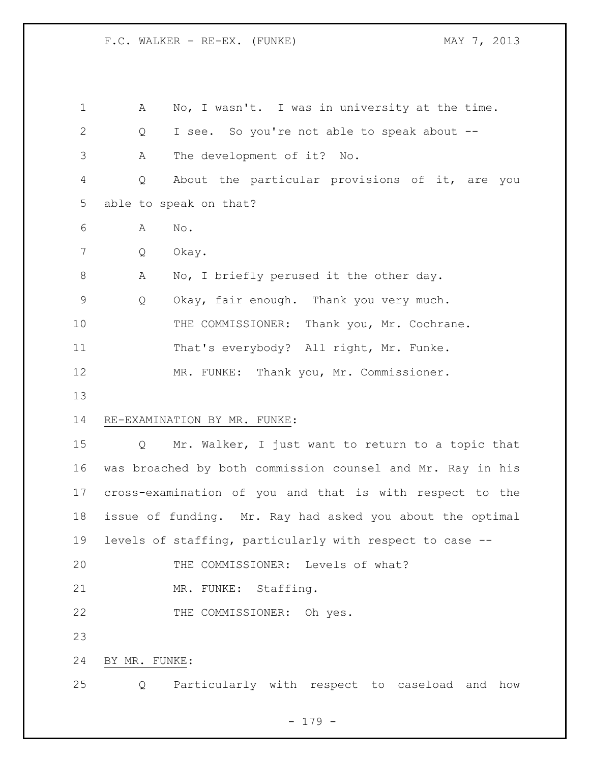F.C. WALKER - RE-EX. (FUNKE) MAY 7, 2013

| $\mathbf 1$  | Α                                                        | No, I wasn't. I was in university at the time.             |
|--------------|----------------------------------------------------------|------------------------------------------------------------|
| $\mathbf{2}$ | Q                                                        | I see. So you're not able to speak about --                |
| 3            | Α                                                        | The development of it? No.                                 |
| 4            | Q                                                        | About the particular provisions of it, are you             |
| 5            |                                                          | able to speak on that?                                     |
| 6            | Α                                                        | $\mathrm{No}$ .                                            |
| 7            | Q                                                        | Okay.                                                      |
| 8            | Α                                                        | No, I briefly perused it the other day.                    |
| $\mathsf 9$  | Q                                                        | Okay, fair enough. Thank you very much.                    |
| 10           |                                                          | THE COMMISSIONER: Thank you, Mr. Cochrane.                 |
| 11           |                                                          | That's everybody? All right, Mr. Funke.                    |
| 12           |                                                          | MR. FUNKE: Thank you, Mr. Commissioner.                    |
| 13           |                                                          |                                                            |
| 14           |                                                          | RE-EXAMINATION BY MR. FUNKE:                               |
| 15           | Q                                                        | Mr. Walker, I just want to return to a topic that          |
| 16           |                                                          | was broached by both commission counsel and Mr. Ray in his |
| 17           |                                                          | cross-examination of you and that is with respect to the   |
| 18           |                                                          | issue of funding. Mr. Ray had asked you about the optimal  |
| 19           | levels of staffing, particularly with respect to case -- |                                                            |
| 20           |                                                          | THE COMMISSIONER: Levels of what?                          |
| 21           |                                                          | MR. FUNKE: Staffing.                                       |
| 22           |                                                          | THE COMMISSIONER: Oh yes.                                  |
| 23           |                                                          |                                                            |
| 24           | BY MR. FUNKE:                                            |                                                            |
| 25           | Q                                                        | Particularly with respect to caseload and how              |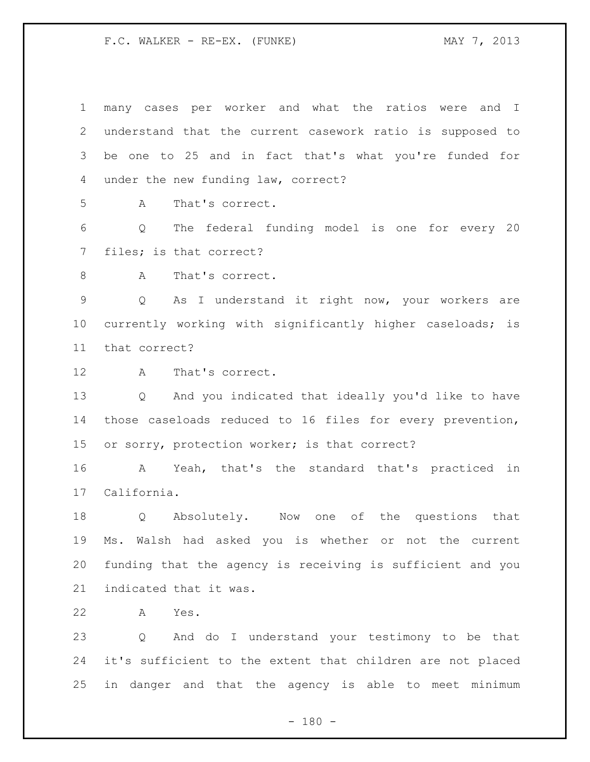F.C. WALKER - RE-EX. (FUNKE) MAY 7, 2013

 many cases per worker and what the ratios were and I understand that the current casework ratio is supposed to be one to 25 and in fact that's what you're funded for under the new funding law, correct? A That's correct. Q The federal funding model is one for every 20 files; is that correct? 8 A That's correct. Q As I understand it right now, your workers are currently working with significantly higher caseloads; is that correct? A That's correct. Q And you indicated that ideally you'd like to have those caseloads reduced to 16 files for every prevention, or sorry, protection worker; is that correct? A Yeah, that's the standard that's practiced in California. Q Absolutely. Now one of the questions that Ms. Walsh had asked you is whether or not the current funding that the agency is receiving is sufficient and you indicated that it was.

A Yes.

 Q And do I understand your testimony to be that it's sufficient to the extent that children are not placed in danger and that the agency is able to meet minimum

 $- 180 -$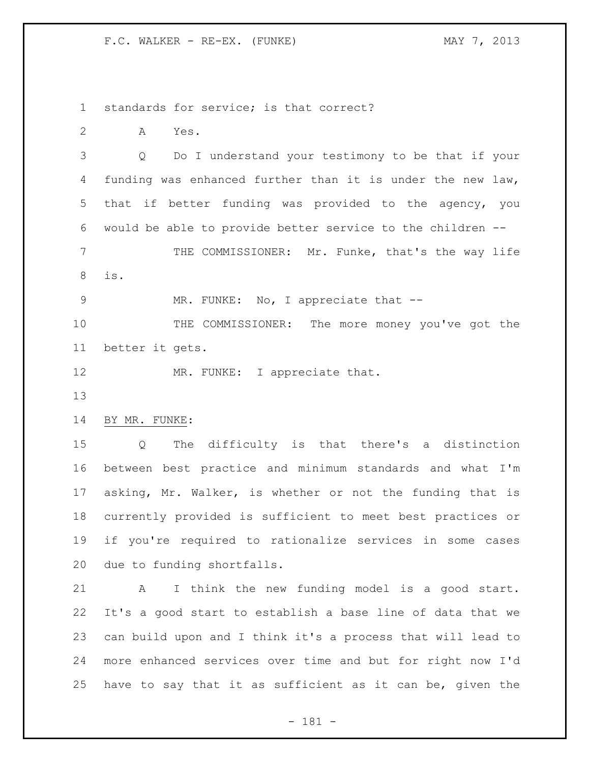F.C. WALKER - RE-EX. (FUNKE) MAY 7, 2013

standards for service; is that correct?

A Yes.

 Q Do I understand your testimony to be that if your funding was enhanced further than it is under the new law, that if better funding was provided to the agency, you would be able to provide better service to the children --

 THE COMMISSIONER: Mr. Funke, that's the way life is.

9 MR. FUNKE: No, I appreciate that --

 THE COMMISSIONER: The more money you've got the better it gets.

12 MR. FUNKE: I appreciate that.

BY MR. FUNKE:

 Q The difficulty is that there's a distinction between best practice and minimum standards and what I'm asking, Mr. Walker, is whether or not the funding that is currently provided is sufficient to meet best practices or if you're required to rationalize services in some cases due to funding shortfalls.

 A I think the new funding model is a good start. It's a good start to establish a base line of data that we can build upon and I think it's a process that will lead to more enhanced services over time and but for right now I'd have to say that it as sufficient as it can be, given the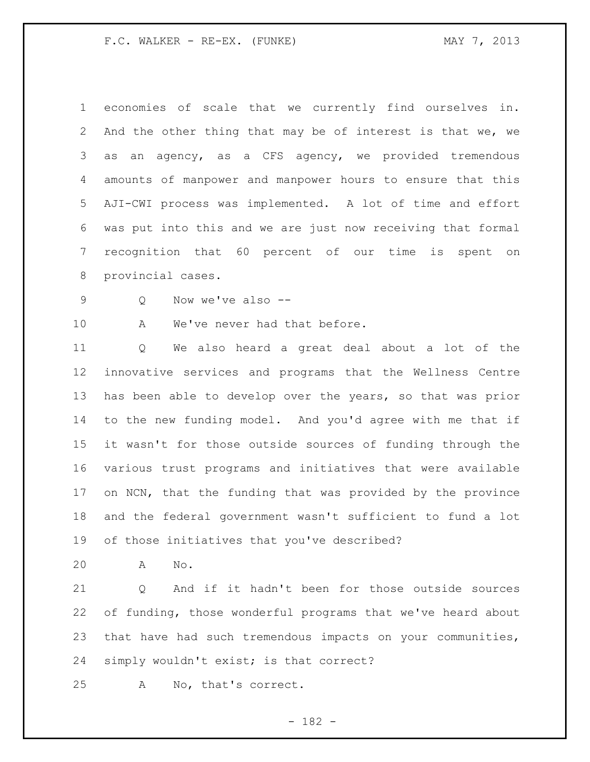economies of scale that we currently find ourselves in. And the other thing that may be of interest is that we, we as an agency, as a CFS agency, we provided tremendous amounts of manpower and manpower hours to ensure that this AJI-CWI process was implemented. A lot of time and effort was put into this and we are just now receiving that formal recognition that 60 percent of our time is spent on provincial cases.

Q Now we've also --

10 A We've never had that before.

 Q We also heard a great deal about a lot of the innovative services and programs that the Wellness Centre has been able to develop over the years, so that was prior to the new funding model. And you'd agree with me that if it wasn't for those outside sources of funding through the various trust programs and initiatives that were available on NCN, that the funding that was provided by the province and the federal government wasn't sufficient to fund a lot of those initiatives that you've described?

A No.

21 0 And if it hadn't been for those outside sources of funding, those wonderful programs that we've heard about that have had such tremendous impacts on your communities, simply wouldn't exist; is that correct?

A No, that's correct.

- 182 -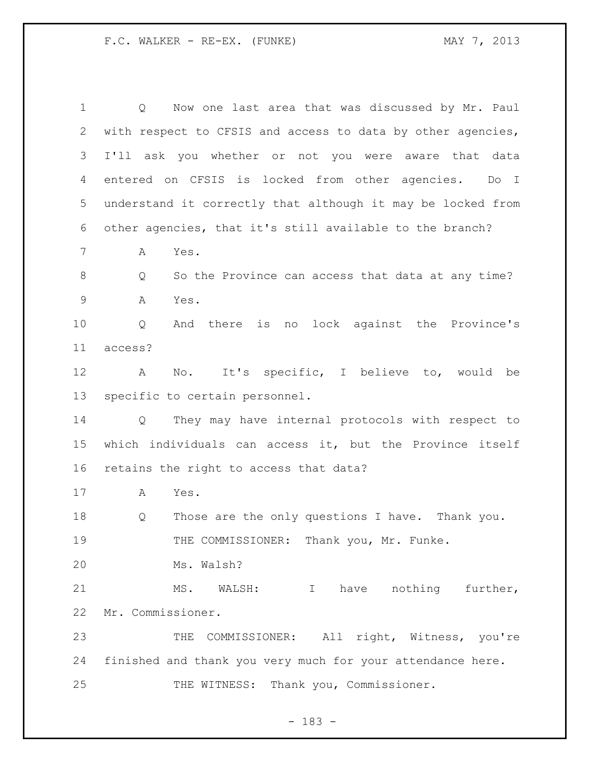Q Now one last area that was discussed by Mr. Paul with respect to CFSIS and access to data by other agencies, I'll ask you whether or not you were aware that data entered on CFSIS is locked from other agencies. Do I understand it correctly that although it may be locked from other agencies, that it's still available to the branch? A Yes. Q So the Province can access that data at any time? A Yes. Q And there is no lock against the Province's access? A No. It's specific, I believe to, would be specific to certain personnel. Q They may have internal protocols with respect to which individuals can access it, but the Province itself retains the right to access that data? A Yes. Q Those are the only questions I have. Thank you. THE COMMISSIONER: Thank you, Mr. Funke. Ms. Walsh? 21 MS. WALSH: I have nothing further, Mr. Commissioner. THE COMMISSIONER: All right, Witness, you're finished and thank you very much for your attendance here. THE WITNESS: Thank you, Commissioner.

- 183 -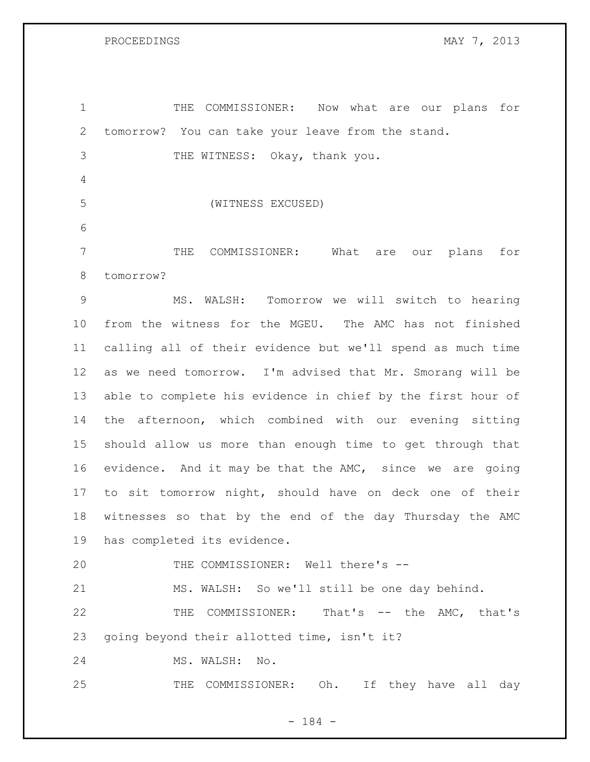PROCEEDINGS MAY 7, 2013

 THE COMMISSIONER: Now what are our plans for tomorrow? You can take your leave from the stand. 3 THE WITNESS: Okay, thank you. (WITNESS EXCUSED) THE COMMISSIONER: What are our plans for tomorrow? MS. WALSH: Tomorrow we will switch to hearing from the witness for the MGEU. The AMC has not finished calling all of their evidence but we'll spend as much time as we need tomorrow. I'm advised that Mr. Smorang will be able to complete his evidence in chief by the first hour of the afternoon, which combined with our evening sitting should allow us more than enough time to get through that evidence. And it may be that the AMC, since we are going to sit tomorrow night, should have on deck one of their witnesses so that by the end of the day Thursday the AMC has completed its evidence. THE COMMISSIONER: Well there's -- MS. WALSH: So we'll still be one day behind. THE COMMISSIONER: That's -- the AMC, that's going beyond their allotted time, isn't it? MS. WALSH: No. 25 THE COMMISSIONER: Oh. If they have all day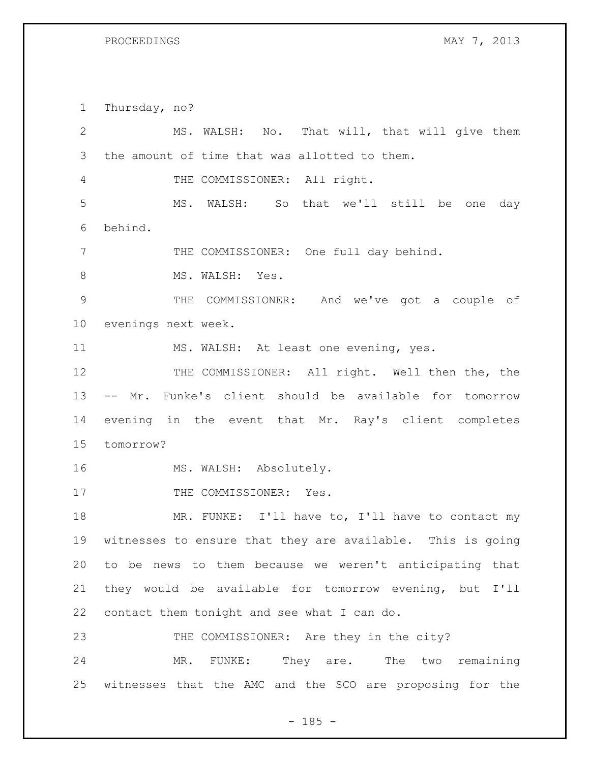PROCEEDINGS MAY 7, 2013

 Thursday, no? MS. WALSH: No. That will, that will give them the amount of time that was allotted to them. THE COMMISSIONER: All right. MS. WALSH: So that we'll still be one day behind. THE COMMISSIONER: One full day behind. 8 MS. WALSH: Yes. THE COMMISSIONER: And we've got a couple of evenings next week. MS. WALSH: At least one evening, yes. THE COMMISSIONER: All right. Well then the, the -- Mr. Funke's client should be available for tomorrow evening in the event that Mr. Ray's client completes tomorrow? 16 MS. WALSH: Absolutely. 17 THE COMMISSIONER: Yes. MR. FUNKE: I'll have to, I'll have to contact my witnesses to ensure that they are available. This is going to be news to them because we weren't anticipating that they would be available for tomorrow evening, but I'll contact them tonight and see what I can do. 23 THE COMMISSIONER: Are they in the city? MR. FUNKE: They are. The two remaining witnesses that the AMC and the SCO are proposing for the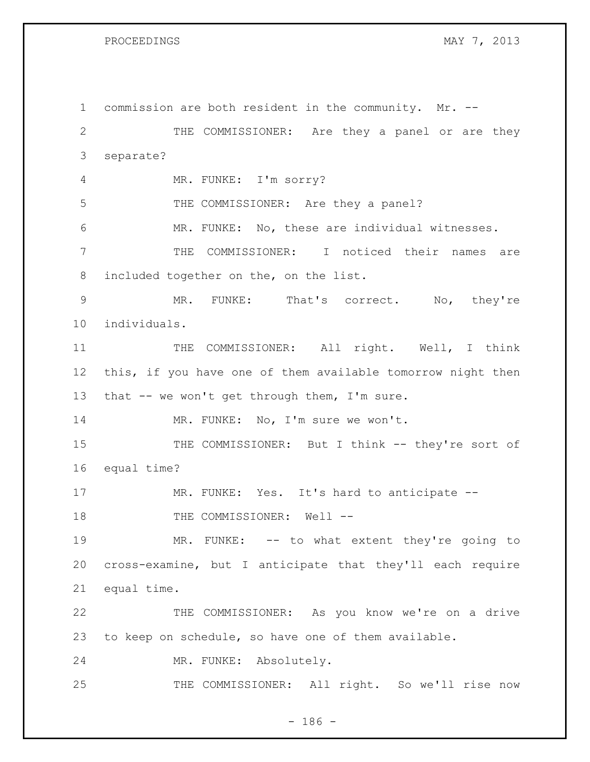commission are both resident in the community. Mr. -- THE COMMISSIONER: Are they a panel or are they separate? MR. FUNKE: I'm sorry? 5 THE COMMISSIONER: Are they a panel? MR. FUNKE: No, these are individual witnesses. THE COMMISSIONER: I noticed their names are included together on the, on the list. MR. FUNKE: That's correct. No, they're individuals. 11 THE COMMISSIONER: All right. Well, I think this, if you have one of them available tomorrow night then 13 that -- we won't get through them, I'm sure. 14 MR. FUNKE: No, I'm sure we won't. 15 THE COMMISSIONER: But I think -- they're sort of equal time? MR. FUNKE: Yes. It's hard to anticipate -- 18 THE COMMISSIONER: Well --19 MR. FUNKE: -- to what extent they're going to cross-examine, but I anticipate that they'll each require equal time. THE COMMISSIONER: As you know we're on a drive to keep on schedule, so have one of them available. MR. FUNKE: Absolutely. 25 THE COMMISSIONER: All right. So we'll rise now

- 186 -